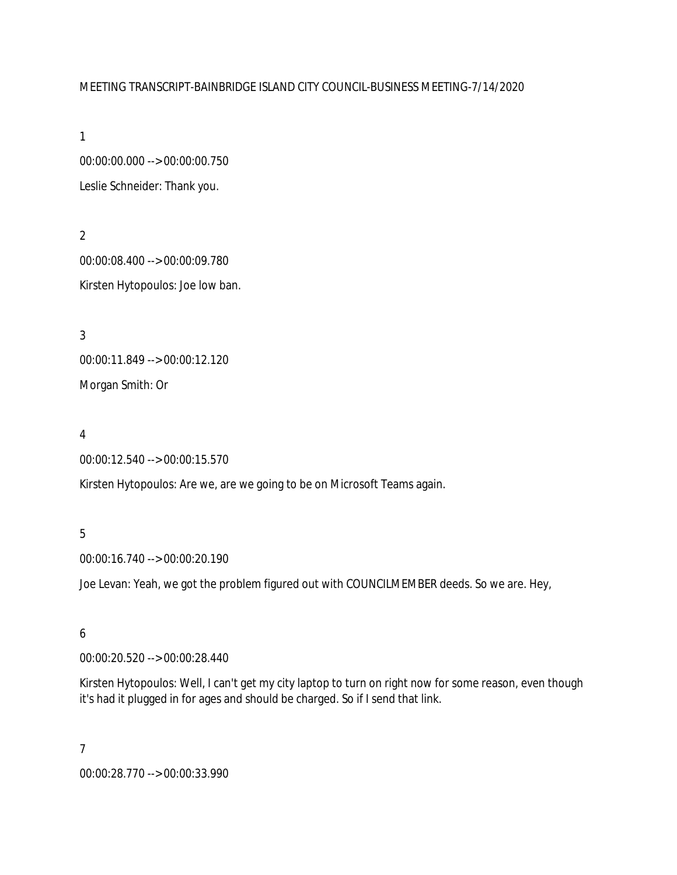#### MEETING TRANSCRIPT-BAINBRIDGE ISLAND CITY COUNCIL-BUSINESS MEETING-7/14/2020

1

00:00:00.000 --> 00:00:00.750 Leslie Schneider: Thank you.

2 00:00:08.400 --> 00:00:09.780 Kirsten Hytopoulos: Joe low ban.

3 00:00:11.849 --> 00:00:12.120 Morgan Smith: Or

4

00:00:12.540 --> 00:00:15.570

Kirsten Hytopoulos: Are we, are we going to be on Microsoft Teams again.

## 5

00:00:16.740 --> 00:00:20.190

Joe Levan: Yeah, we got the problem figured out with COUNCILMEMBER deeds. So we are. Hey,

## 6

00:00:20.520 --> 00:00:28.440

Kirsten Hytopoulos: Well, I can't get my city laptop to turn on right now for some reason, even though it's had it plugged in for ages and should be charged. So if I send that link.

7

00:00:28.770 --> 00:00:33.990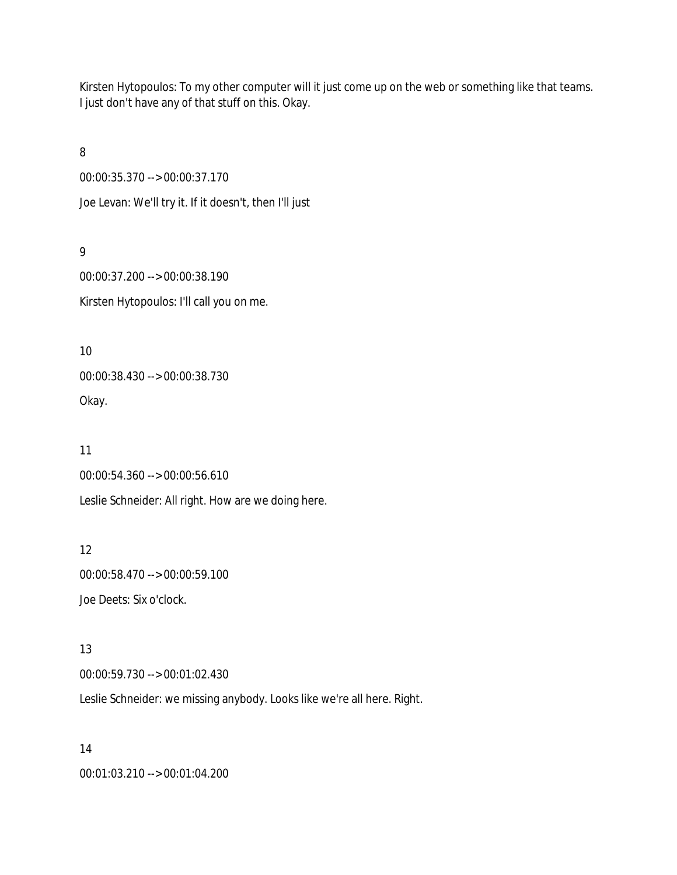Kirsten Hytopoulos: To my other computer will it just come up on the web or something like that teams. I just don't have any of that stuff on this. Okay.

8

00:00:35.370 --> 00:00:37.170

Joe Levan: We'll try it. If it doesn't, then I'll just

9

00:00:37.200 --> 00:00:38.190 Kirsten Hytopoulos: I'll call you on me.

10 00:00:38.430 --> 00:00:38.730 Okay.

11 00:00:54.360 --> 00:00:56.610 Leslie Schneider: All right. How are we doing here.

12 00:00:58.470 --> 00:00:59.100 Joe Deets: Six o'clock.

13 00:00:59.730 --> 00:01:02.430

Leslie Schneider: we missing anybody. Looks like we're all here. Right.

14 00:01:03.210 --> 00:01:04.200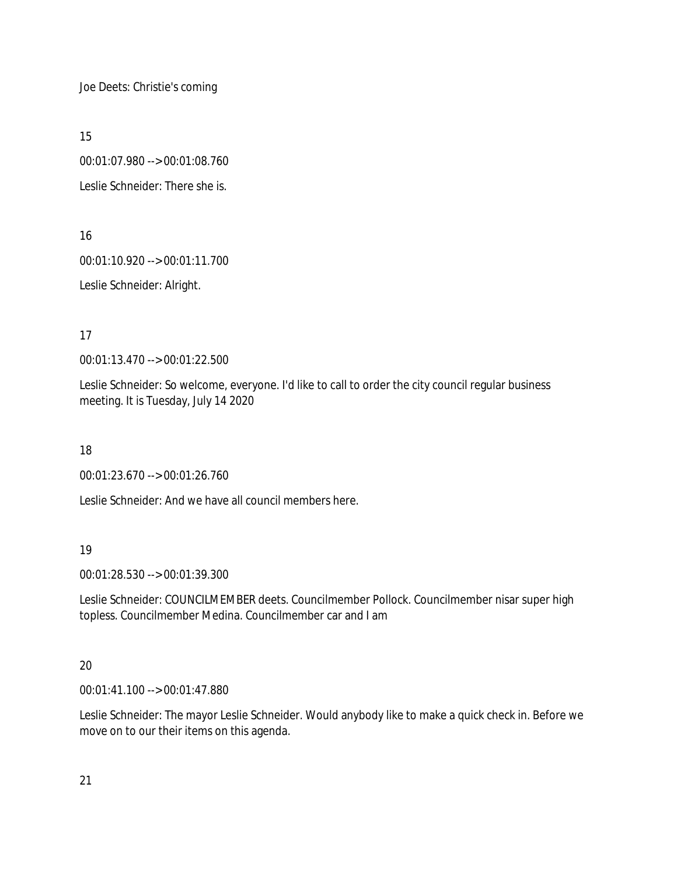Joe Deets: Christie's coming

15

00:01:07.980 --> 00:01:08.760

Leslie Schneider: There she is.

16

00:01:10.920 --> 00:01:11.700

Leslie Schneider: Alright.

17

00:01:13.470 --> 00:01:22.500

Leslie Schneider: So welcome, everyone. I'd like to call to order the city council regular business meeting. It is Tuesday, July 14 2020

18

00:01:23.670 --> 00:01:26.760

Leslie Schneider: And we have all council members here.

19

00:01:28.530 --> 00:01:39.300

Leslie Schneider: COUNCILMEMBER deets. Councilmember Pollock. Councilmember nisar super high topless. Councilmember Medina. Councilmember car and I am

# 20

00:01:41.100 --> 00:01:47.880

Leslie Schneider: The mayor Leslie Schneider. Would anybody like to make a quick check in. Before we move on to our their items on this agenda.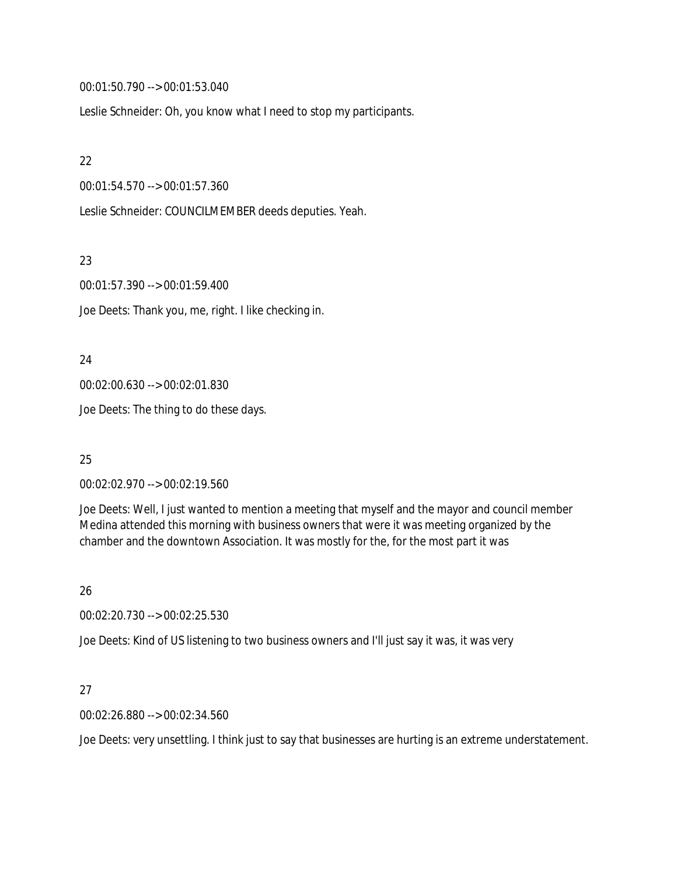00:01:50.790 --> 00:01:53.040

Leslie Schneider: Oh, you know what I need to stop my participants.

22

00:01:54.570 --> 00:01:57.360

Leslie Schneider: COUNCILMEMBER deeds deputies. Yeah.

23

00:01:57.390 --> 00:01:59.400

Joe Deets: Thank you, me, right. I like checking in.

24

00:02:00.630 --> 00:02:01.830

Joe Deets: The thing to do these days.

25

00:02:02.970 --> 00:02:19.560

Joe Deets: Well, I just wanted to mention a meeting that myself and the mayor and council member Medina attended this morning with business owners that were it was meeting organized by the chamber and the downtown Association. It was mostly for the, for the most part it was

26

00:02:20.730 --> 00:02:25.530

Joe Deets: Kind of US listening to two business owners and I'll just say it was, it was very

#### 27

00:02:26.880 --> 00:02:34.560

Joe Deets: very unsettling. I think just to say that businesses are hurting is an extreme understatement.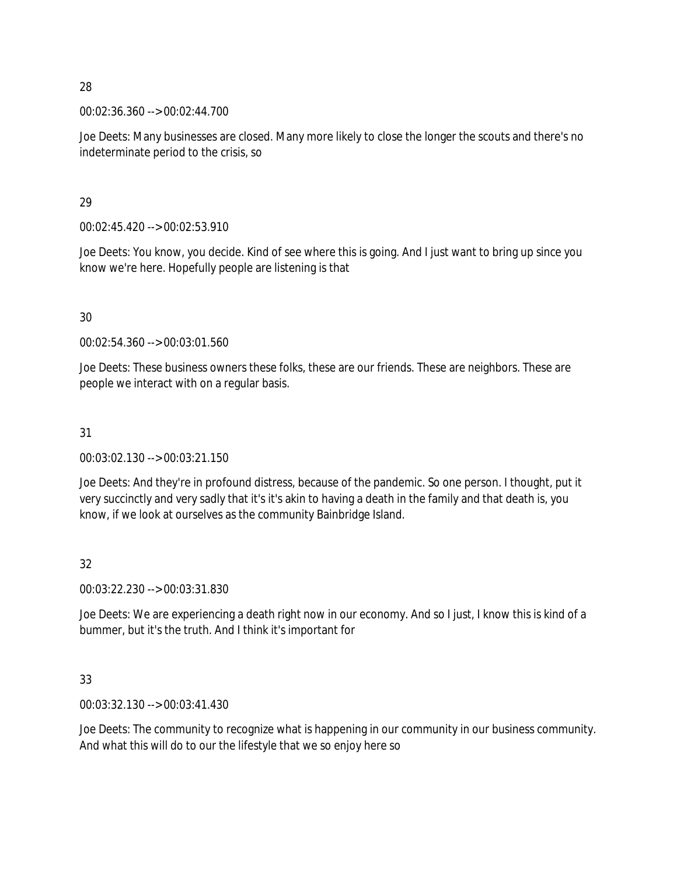00:02:36.360 --> 00:02:44.700

Joe Deets: Many businesses are closed. Many more likely to close the longer the scouts and there's no indeterminate period to the crisis, so

#### 29

00:02:45.420 --> 00:02:53.910

Joe Deets: You know, you decide. Kind of see where this is going. And I just want to bring up since you know we're here. Hopefully people are listening is that

#### 30

00:02:54.360 --> 00:03:01.560

Joe Deets: These business owners these folks, these are our friends. These are neighbors. These are people we interact with on a regular basis.

## 31

00:03:02.130 --> 00:03:21.150

Joe Deets: And they're in profound distress, because of the pandemic. So one person. I thought, put it very succinctly and very sadly that it's it's akin to having a death in the family and that death is, you know, if we look at ourselves as the community Bainbridge Island.

# 32

00:03:22.230 --> 00:03:31.830

Joe Deets: We are experiencing a death right now in our economy. And so I just, I know this is kind of a bummer, but it's the truth. And I think it's important for

# 33

00:03:32.130 --> 00:03:41.430

Joe Deets: The community to recognize what is happening in our community in our business community. And what this will do to our the lifestyle that we so enjoy here so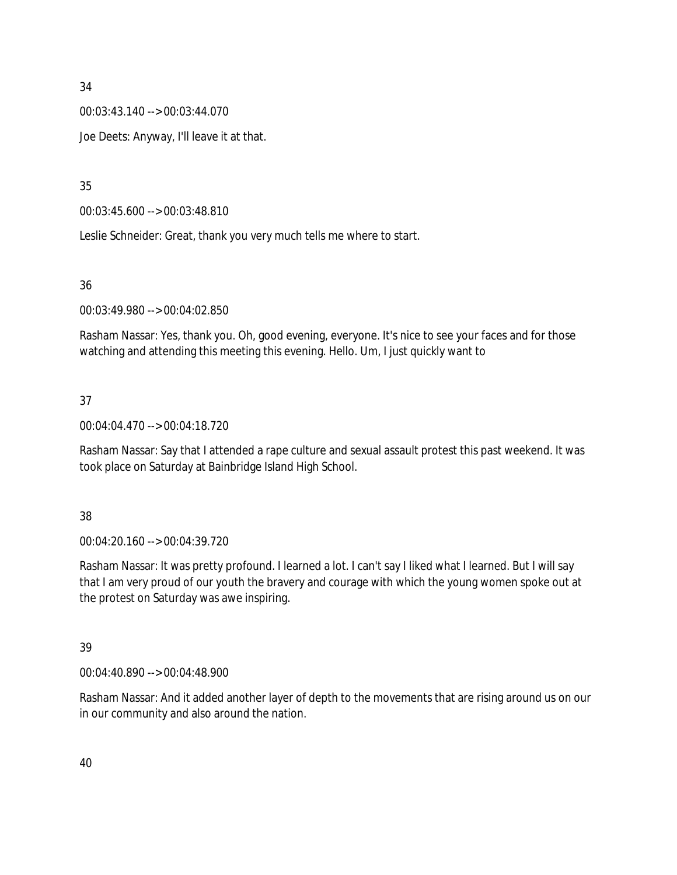00:03:43.140 --> 00:03:44.070

Joe Deets: Anyway, I'll leave it at that.

35

00:03:45.600 --> 00:03:48.810

Leslie Schneider: Great, thank you very much tells me where to start.

36

00:03:49.980 --> 00:04:02.850

Rasham Nassar: Yes, thank you. Oh, good evening, everyone. It's nice to see your faces and for those watching and attending this meeting this evening. Hello. Um, I just quickly want to

# 37

00:04:04.470 --> 00:04:18.720

Rasham Nassar: Say that I attended a rape culture and sexual assault protest this past weekend. It was took place on Saturday at Bainbridge Island High School.

## 38

00:04:20.160 --> 00:04:39.720

Rasham Nassar: It was pretty profound. I learned a lot. I can't say I liked what I learned. But I will say that I am very proud of our youth the bravery and courage with which the young women spoke out at the protest on Saturday was awe inspiring.

## 39

00:04:40.890 --> 00:04:48.900

Rasham Nassar: And it added another layer of depth to the movements that are rising around us on our in our community and also around the nation.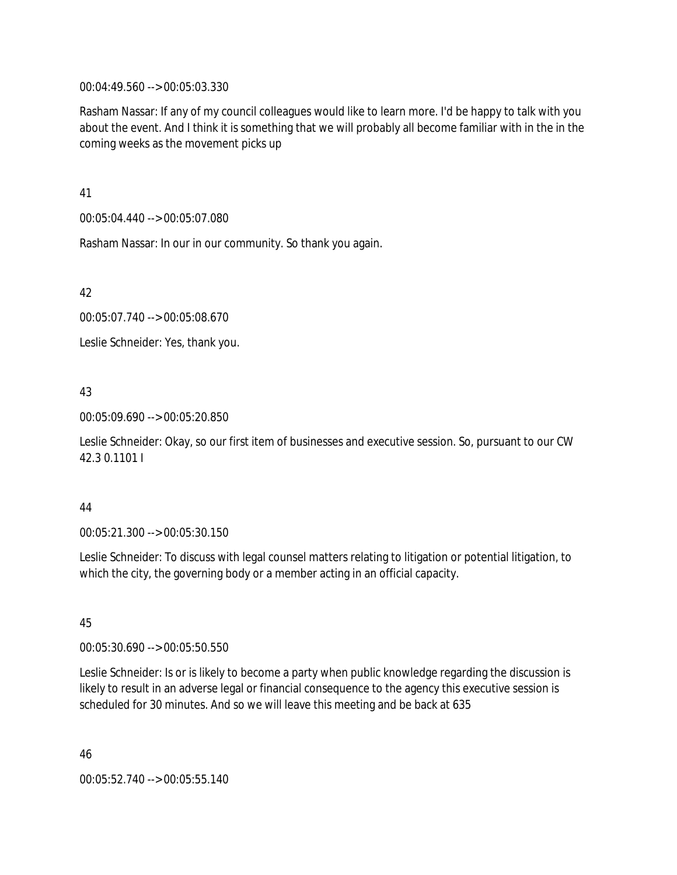00:04:49.560 --> 00:05:03.330

Rasham Nassar: If any of my council colleagues would like to learn more. I'd be happy to talk with you about the event. And I think it is something that we will probably all become familiar with in the in the coming weeks as the movement picks up

41

00:05:04.440 --> 00:05:07.080

Rasham Nassar: In our in our community. So thank you again.

42

00:05:07.740 --> 00:05:08.670

Leslie Schneider: Yes, thank you.

#### 43

00:05:09.690 --> 00:05:20.850

Leslie Schneider: Okay, so our first item of businesses and executive session. So, pursuant to our CW 42.3 0.1101 I

#### 44

00:05:21.300 --> 00:05:30.150

Leslie Schneider: To discuss with legal counsel matters relating to litigation or potential litigation, to which the city, the governing body or a member acting in an official capacity.

## 45

00:05:30.690 --> 00:05:50.550

Leslie Schneider: Is or is likely to become a party when public knowledge regarding the discussion is likely to result in an adverse legal or financial consequence to the agency this executive session is scheduled for 30 minutes. And so we will leave this meeting and be back at 635

46 00:05:52.740 --> 00:05:55.140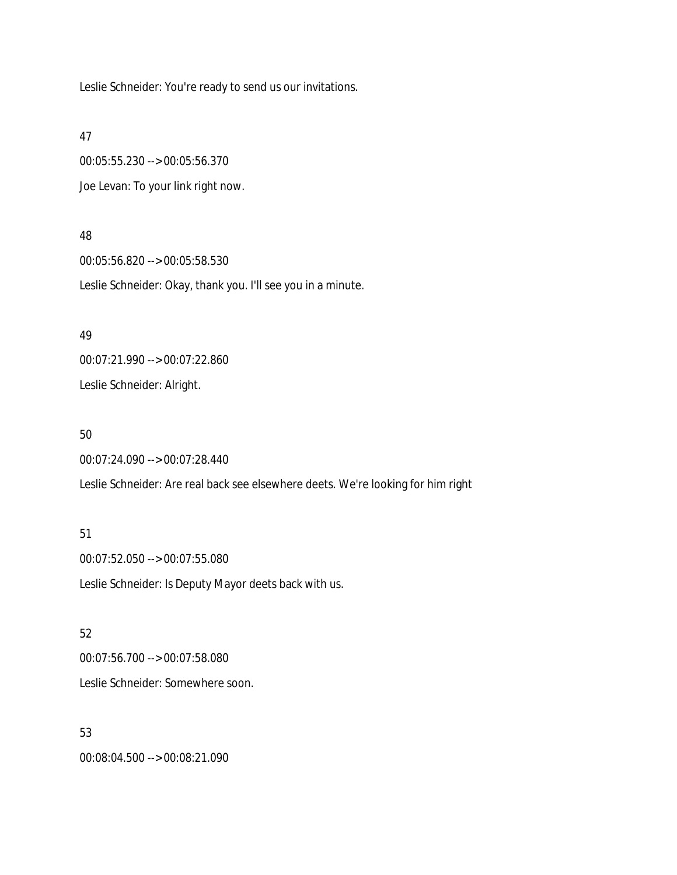Leslie Schneider: You're ready to send us our invitations.

47

00:05:55.230 --> 00:05:56.370 Joe Levan: To your link right now.

#### 48

00:05:56.820 --> 00:05:58.530 Leslie Schneider: Okay, thank you. I'll see you in a minute.

#### 49

00:07:21.990 --> 00:07:22.860 Leslie Schneider: Alright.

#### 50

00:07:24.090 --> 00:07:28.440

Leslie Schneider: Are real back see elsewhere deets. We're looking for him right

#### 51

00:07:52.050 --> 00:07:55.080 Leslie Schneider: Is Deputy Mayor deets back with us.

#### 52

00:07:56.700 --> 00:07:58.080

Leslie Schneider: Somewhere soon.

# 53

00:08:04.500 --> 00:08:21.090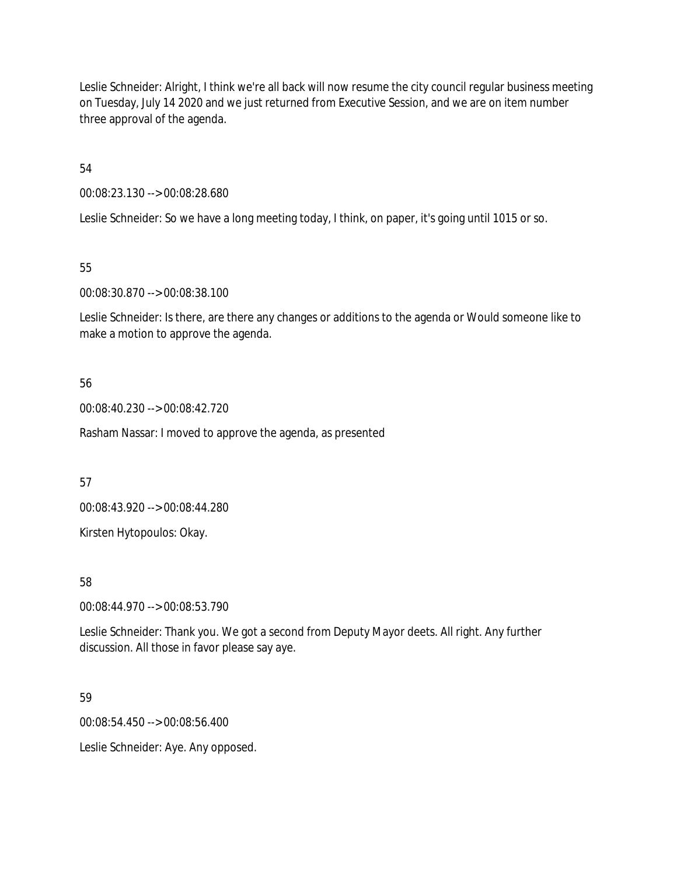Leslie Schneider: Alright, I think we're all back will now resume the city council regular business meeting on Tuesday, July 14 2020 and we just returned from Executive Session, and we are on item number three approval of the agenda.

54

00:08:23.130 --> 00:08:28.680

Leslie Schneider: So we have a long meeting today, I think, on paper, it's going until 1015 or so.

55

00:08:30.870 --> 00:08:38.100

Leslie Schneider: Is there, are there any changes or additions to the agenda or Would someone like to make a motion to approve the agenda.

56

00:08:40.230 --> 00:08:42.720

Rasham Nassar: I moved to approve the agenda, as presented

57

00:08:43.920 --> 00:08:44.280

Kirsten Hytopoulos: Okay.

58

00:08:44.970 --> 00:08:53.790

Leslie Schneider: Thank you. We got a second from Deputy Mayor deets. All right. Any further discussion. All those in favor please say aye.

59

00:08:54.450 --> 00:08:56.400

Leslie Schneider: Aye. Any opposed.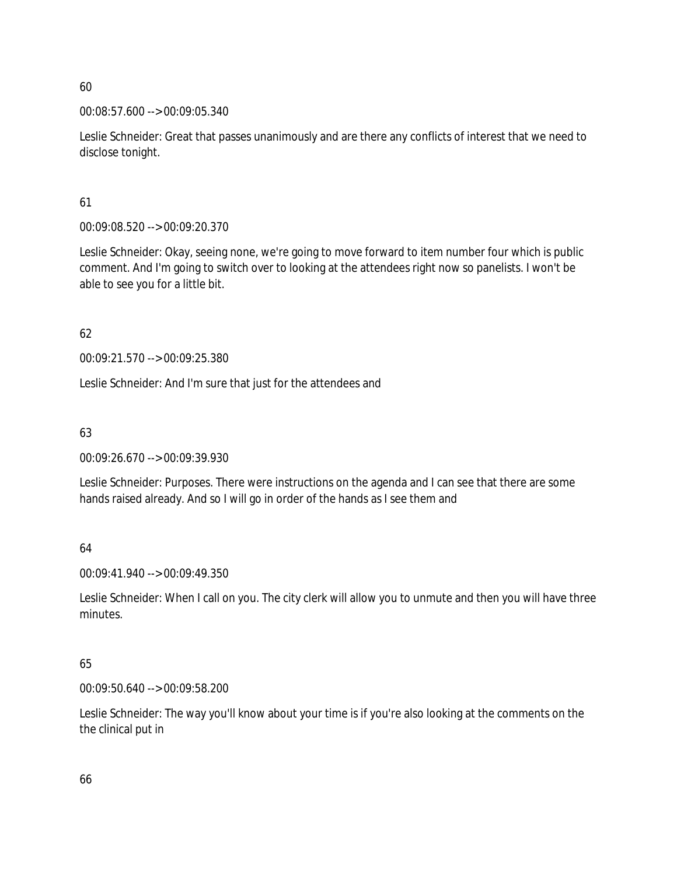00:08:57.600 --> 00:09:05.340

Leslie Schneider: Great that passes unanimously and are there any conflicts of interest that we need to disclose tonight.

61

00:09:08.520 --> 00:09:20.370

Leslie Schneider: Okay, seeing none, we're going to move forward to item number four which is public comment. And I'm going to switch over to looking at the attendees right now so panelists. I won't be able to see you for a little bit.

62

00:09:21.570 --> 00:09:25.380

Leslie Schneider: And I'm sure that just for the attendees and

63

00:09:26.670 --> 00:09:39.930

Leslie Schneider: Purposes. There were instructions on the agenda and I can see that there are some hands raised already. And so I will go in order of the hands as I see them and

64

00:09:41.940 --> 00:09:49.350

Leslie Schneider: When I call on you. The city clerk will allow you to unmute and then you will have three minutes.

65

00:09:50.640 --> 00:09:58.200

Leslie Schneider: The way you'll know about your time is if you're also looking at the comments on the the clinical put in

66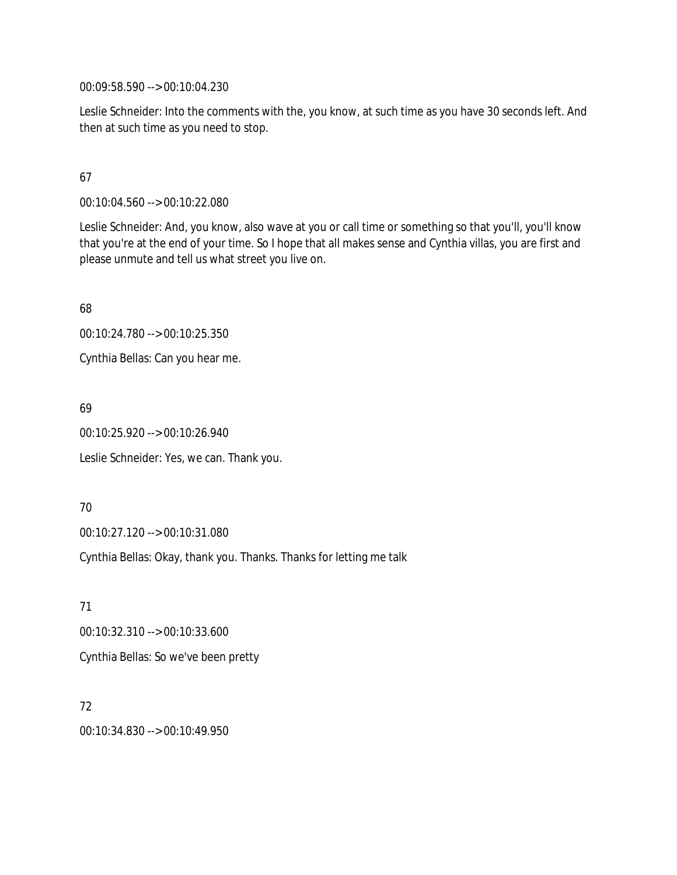00:09:58.590 --> 00:10:04.230

Leslie Schneider: Into the comments with the, you know, at such time as you have 30 seconds left. And then at such time as you need to stop.

## 67

00:10:04.560 --> 00:10:22.080

Leslie Schneider: And, you know, also wave at you or call time or something so that you'll, you'll know that you're at the end of your time. So I hope that all makes sense and Cynthia villas, you are first and please unmute and tell us what street you live on.

68

00:10:24.780 --> 00:10:25.350

Cynthia Bellas: Can you hear me.

69

00:10:25.920 --> 00:10:26.940

Leslie Schneider: Yes, we can. Thank you.

70

00:10:27.120 --> 00:10:31.080

Cynthia Bellas: Okay, thank you. Thanks. Thanks for letting me talk

71 00:10:32.310 --> 00:10:33.600 Cynthia Bellas: So we've been pretty

72 00:10:34.830 --> 00:10:49.950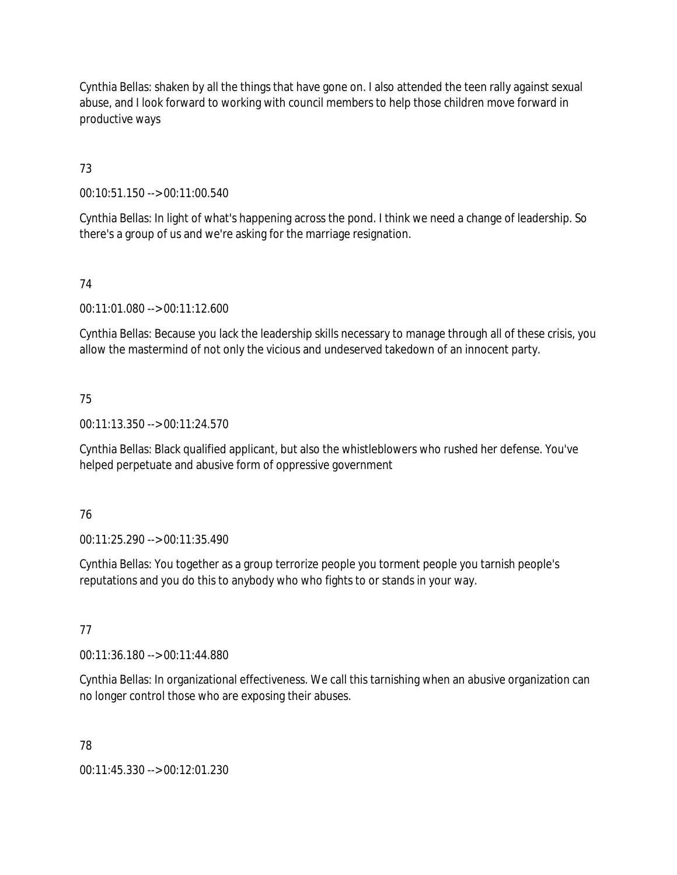Cynthia Bellas: shaken by all the things that have gone on. I also attended the teen rally against sexual abuse, and I look forward to working with council members to help those children move forward in productive ways

73

00:10:51.150 --> 00:11:00.540

Cynthia Bellas: In light of what's happening across the pond. I think we need a change of leadership. So there's a group of us and we're asking for the marriage resignation.

# 74

00:11:01.080 --> 00:11:12.600

Cynthia Bellas: Because you lack the leadership skills necessary to manage through all of these crisis, you allow the mastermind of not only the vicious and undeserved takedown of an innocent party.

## 75

00:11:13.350 --> 00:11:24.570

Cynthia Bellas: Black qualified applicant, but also the whistleblowers who rushed her defense. You've helped perpetuate and abusive form of oppressive government

## 76

00:11:25.290 --> 00:11:35.490

Cynthia Bellas: You together as a group terrorize people you torment people you tarnish people's reputations and you do this to anybody who who fights to or stands in your way.

## 77

00:11:36.180 --> 00:11:44.880

Cynthia Bellas: In organizational effectiveness. We call this tarnishing when an abusive organization can no longer control those who are exposing their abuses.

## 78

00:11:45.330 --> 00:12:01.230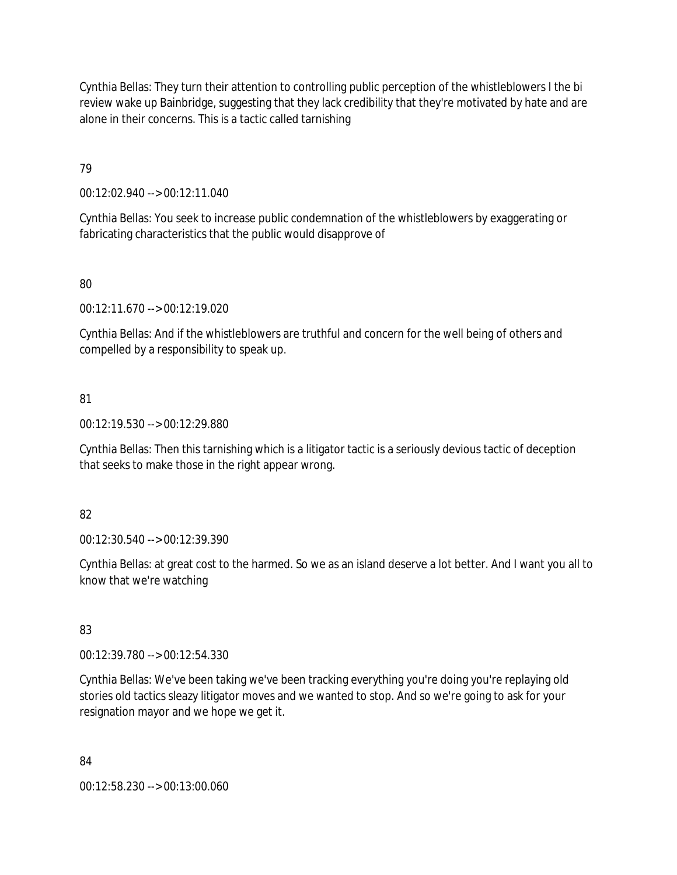Cynthia Bellas: They turn their attention to controlling public perception of the whistleblowers I the bi review wake up Bainbridge, suggesting that they lack credibility that they're motivated by hate and are alone in their concerns. This is a tactic called tarnishing

79

00:12:02.940 --> 00:12:11.040

Cynthia Bellas: You seek to increase public condemnation of the whistleblowers by exaggerating or fabricating characteristics that the public would disapprove of

80

00:12:11.670 --> 00:12:19.020

Cynthia Bellas: And if the whistleblowers are truthful and concern for the well being of others and compelled by a responsibility to speak up.

## 81

00:12:19.530 --> 00:12:29.880

Cynthia Bellas: Then this tarnishing which is a litigator tactic is a seriously devious tactic of deception that seeks to make those in the right appear wrong.

## 82

00:12:30.540 --> 00:12:39.390

Cynthia Bellas: at great cost to the harmed. So we as an island deserve a lot better. And I want you all to know that we're watching

## 83

00:12:39.780 --> 00:12:54.330

Cynthia Bellas: We've been taking we've been tracking everything you're doing you're replaying old stories old tactics sleazy litigator moves and we wanted to stop. And so we're going to ask for your resignation mayor and we hope we get it.

84

00:12:58.230 --> 00:13:00.060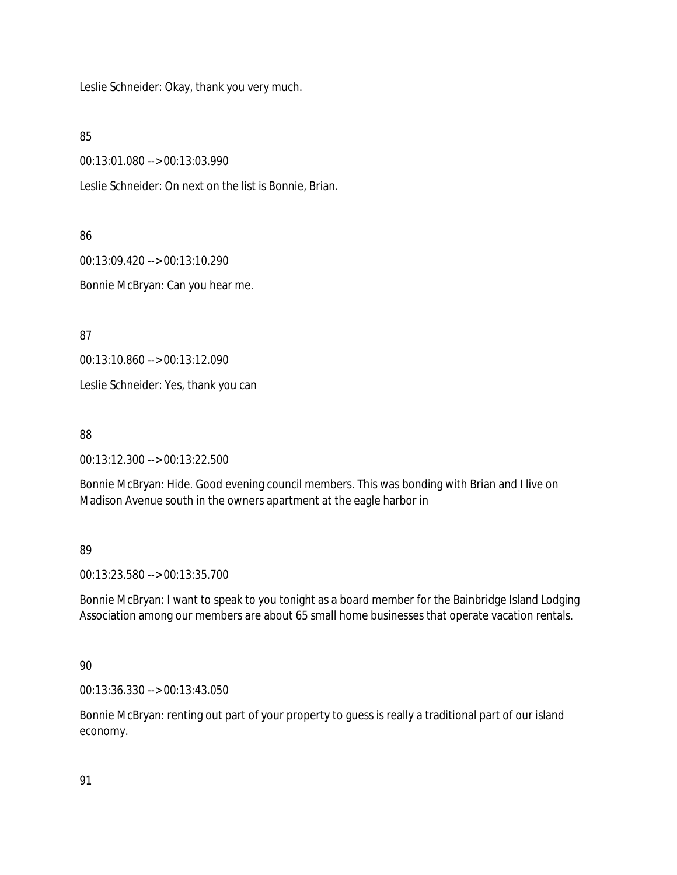Leslie Schneider: Okay, thank you very much.

85

00:13:01.080 --> 00:13:03.990

Leslie Schneider: On next on the list is Bonnie, Brian.

86

00:13:09.420 --> 00:13:10.290

Bonnie McBryan: Can you hear me.

87

00:13:10.860 --> 00:13:12.090

Leslie Schneider: Yes, thank you can

88

00:13:12.300 --> 00:13:22.500

Bonnie McBryan: Hide. Good evening council members. This was bonding with Brian and I live on Madison Avenue south in the owners apartment at the eagle harbor in

89

00:13:23.580 --> 00:13:35.700

Bonnie McBryan: I want to speak to you tonight as a board member for the Bainbridge Island Lodging Association among our members are about 65 small home businesses that operate vacation rentals.

90

00:13:36.330 --> 00:13:43.050

Bonnie McBryan: renting out part of your property to guess is really a traditional part of our island economy.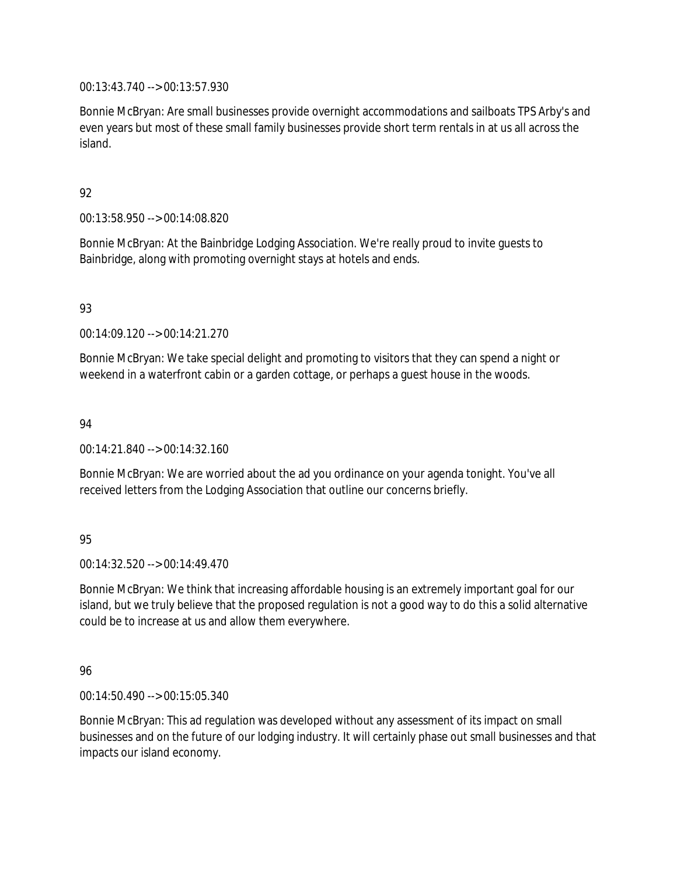00:13:43.740 --> 00:13:57.930

Bonnie McBryan: Are small businesses provide overnight accommodations and sailboats TPS Arby's and even years but most of these small family businesses provide short term rentals in at us all across the island.

## 92

00:13:58.950 --> 00:14:08.820

Bonnie McBryan: At the Bainbridge Lodging Association. We're really proud to invite guests to Bainbridge, along with promoting overnight stays at hotels and ends.

## 93

00:14:09.120 --> 00:14:21.270

Bonnie McBryan: We take special delight and promoting to visitors that they can spend a night or weekend in a waterfront cabin or a garden cottage, or perhaps a guest house in the woods.

#### 94

00:14:21.840 --> 00:14:32.160

Bonnie McBryan: We are worried about the ad you ordinance on your agenda tonight. You've all received letters from the Lodging Association that outline our concerns briefly.

## 95

 $00.14.32.520 -> 00.14.49.470$ 

Bonnie McBryan: We think that increasing affordable housing is an extremely important goal for our island, but we truly believe that the proposed regulation is not a good way to do this a solid alternative could be to increase at us and allow them everywhere.

## 96

00:14:50.490 --> 00:15:05.340

Bonnie McBryan: This ad regulation was developed without any assessment of its impact on small businesses and on the future of our lodging industry. It will certainly phase out small businesses and that impacts our island economy.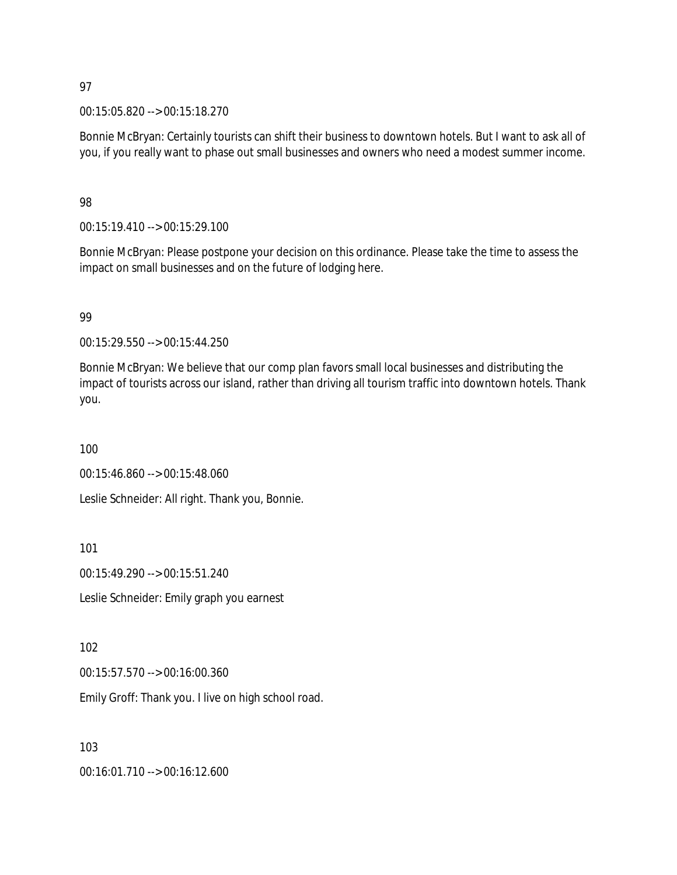00:15:05.820 --> 00:15:18.270

Bonnie McBryan: Certainly tourists can shift their business to downtown hotels. But I want to ask all of you, if you really want to phase out small businesses and owners who need a modest summer income.

#### 98

00:15:19.410 --> 00:15:29.100

Bonnie McBryan: Please postpone your decision on this ordinance. Please take the time to assess the impact on small businesses and on the future of lodging here.

#### 99

00:15:29.550 --> 00:15:44.250

Bonnie McBryan: We believe that our comp plan favors small local businesses and distributing the impact of tourists across our island, rather than driving all tourism traffic into downtown hotels. Thank you.

100

00:15:46.860 --> 00:15:48.060

Leslie Schneider: All right. Thank you, Bonnie.

101

00:15:49.290 --> 00:15:51.240

Leslie Schneider: Emily graph you earnest

#### 102

00:15:57.570 --> 00:16:00.360

Emily Groff: Thank you. I live on high school road.

103

00:16:01.710 --> 00:16:12.600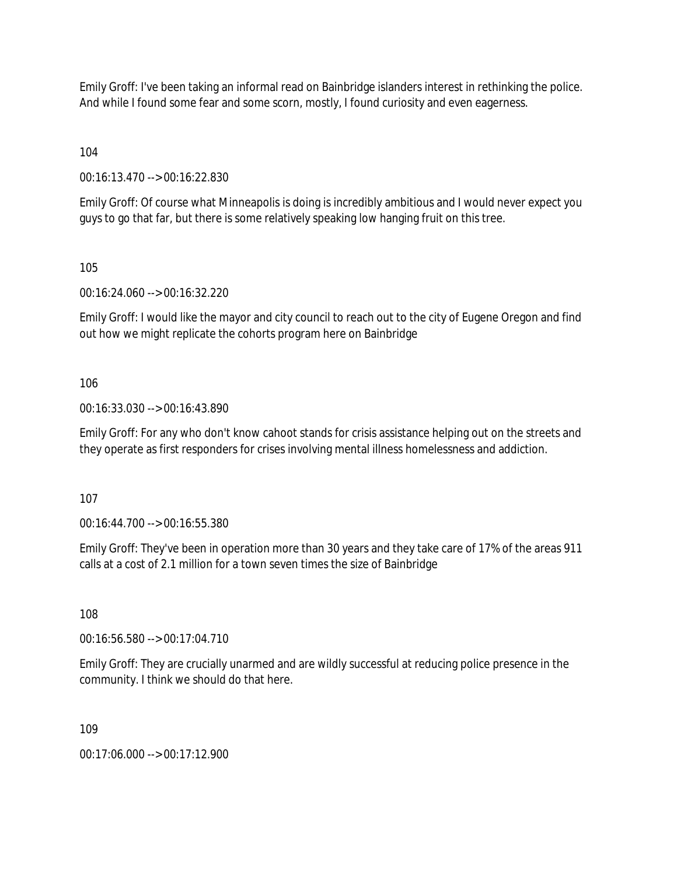Emily Groff: I've been taking an informal read on Bainbridge islanders interest in rethinking the police. And while I found some fear and some scorn, mostly, I found curiosity and even eagerness.

104

00:16:13.470 --> 00:16:22.830

Emily Groff: Of course what Minneapolis is doing is incredibly ambitious and I would never expect you guys to go that far, but there is some relatively speaking low hanging fruit on this tree.

105

00:16:24.060 --> 00:16:32.220

Emily Groff: I would like the mayor and city council to reach out to the city of Eugene Oregon and find out how we might replicate the cohorts program here on Bainbridge

106

00:16:33.030 --> 00:16:43.890

Emily Groff: For any who don't know cahoot stands for crisis assistance helping out on the streets and they operate as first responders for crises involving mental illness homelessness and addiction.

107

00:16:44.700 --> 00:16:55.380

Emily Groff: They've been in operation more than 30 years and they take care of 17% of the areas 911 calls at a cost of 2.1 million for a town seven times the size of Bainbridge

108

00:16:56.580 --> 00:17:04.710

Emily Groff: They are crucially unarmed and are wildly successful at reducing police presence in the community. I think we should do that here.

109

00:17:06.000 --> 00:17:12.900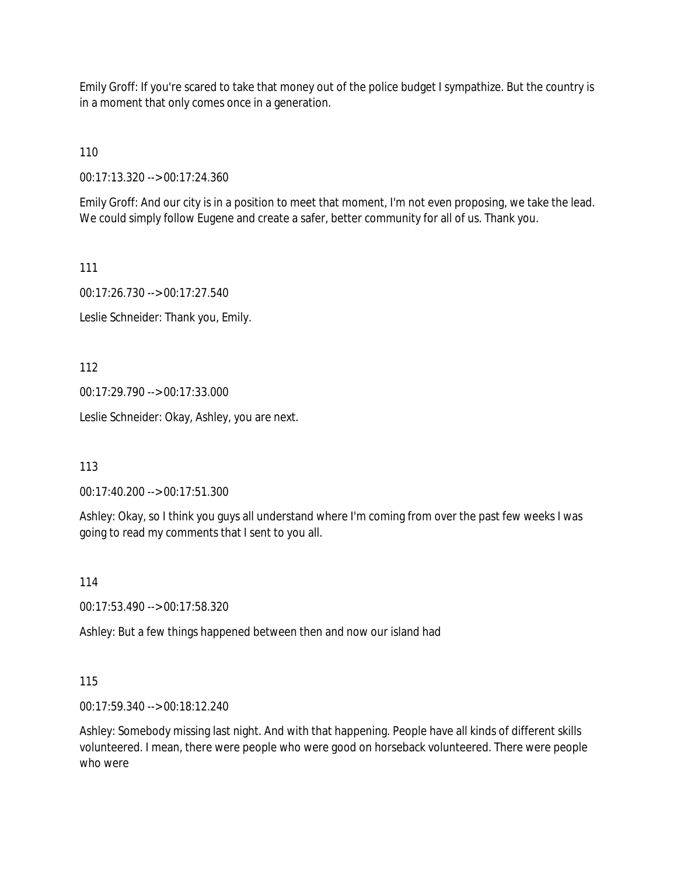Emily Groff: If you're scared to take that money out of the police budget I sympathize. But the country is in a moment that only comes once in a generation.

110

00:17:13.320 --> 00:17:24.360

Emily Groff: And our city is in a position to meet that moment, I'm not even proposing, we take the lead. We could simply follow Eugene and create a safer, better community for all of us. Thank you.

111

00:17:26.730 --> 00:17:27.540

Leslie Schneider: Thank you, Emily.

112

00:17:29.790 --> 00:17:33.000

Leslie Schneider: Okay, Ashley, you are next.

113

00:17:40.200 --> 00:17:51.300

Ashley: Okay, so I think you guys all understand where I'm coming from over the past few weeks I was going to read my comments that I sent to you all.

114

00:17:53.490 --> 00:17:58.320

Ashley: But a few things happened between then and now our island had

115

00:17:59.340 --> 00:18:12.240

Ashley: Somebody missing last night. And with that happening. People have all kinds of different skills volunteered. I mean, there were people who were good on horseback volunteered. There were people who were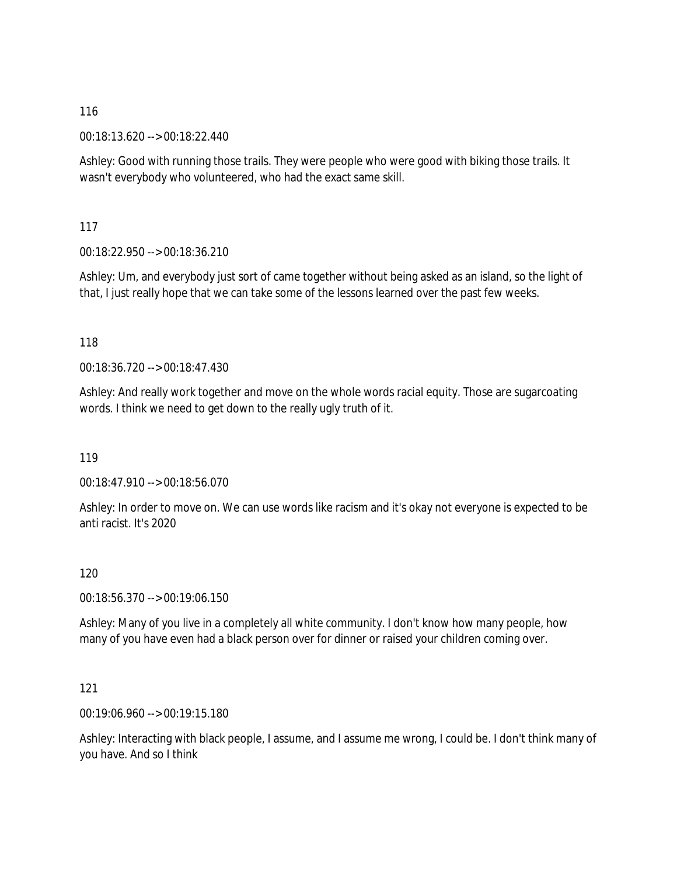00:18:13.620 --> 00:18:22.440

Ashley: Good with running those trails. They were people who were good with biking those trails. It wasn't everybody who volunteered, who had the exact same skill.

117

00:18:22.950 --> 00:18:36.210

Ashley: Um, and everybody just sort of came together without being asked as an island, so the light of that, I just really hope that we can take some of the lessons learned over the past few weeks.

118

00:18:36.720 --> 00:18:47.430

Ashley: And really work together and move on the whole words racial equity. Those are sugarcoating words. I think we need to get down to the really ugly truth of it.

119

00:18:47.910 --> 00:18:56.070

Ashley: In order to move on. We can use words like racism and it's okay not everyone is expected to be anti racist. It's 2020

120

00:18:56.370 --> 00:19:06.150

Ashley: Many of you live in a completely all white community. I don't know how many people, how many of you have even had a black person over for dinner or raised your children coming over.

121

00:19:06.960 --> 00:19:15.180

Ashley: Interacting with black people, I assume, and I assume me wrong, I could be. I don't think many of you have. And so I think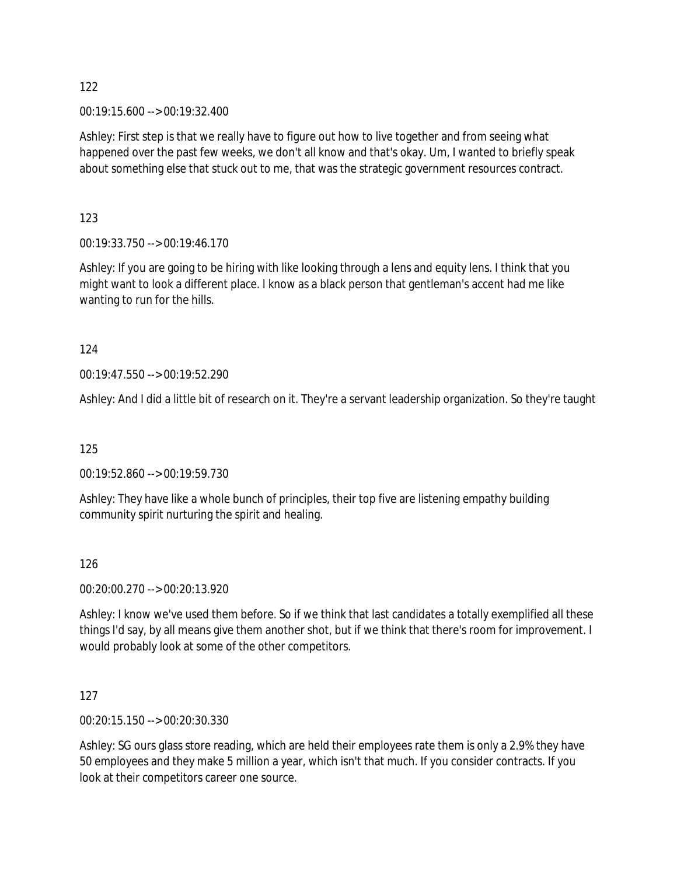00:19:15.600 --> 00:19:32.400

Ashley: First step is that we really have to figure out how to live together and from seeing what happened over the past few weeks, we don't all know and that's okay. Um, I wanted to briefly speak about something else that stuck out to me, that was the strategic government resources contract.

123

00:19:33.750 --> 00:19:46.170

Ashley: If you are going to be hiring with like looking through a lens and equity lens. I think that you might want to look a different place. I know as a black person that gentleman's accent had me like wanting to run for the hills.

124

00:19:47.550 --> 00:19:52.290

Ashley: And I did a little bit of research on it. They're a servant leadership organization. So they're taught

125

00:19:52.860 --> 00:19:59.730

Ashley: They have like a whole bunch of principles, their top five are listening empathy building community spirit nurturing the spirit and healing.

126

00:20:00.270 --> 00:20:13.920

Ashley: I know we've used them before. So if we think that last candidates a totally exemplified all these things I'd say, by all means give them another shot, but if we think that there's room for improvement. I would probably look at some of the other competitors.

127

00:20:15.150 --> 00:20:30.330

Ashley: SG ours glass store reading, which are held their employees rate them is only a 2.9% they have 50 employees and they make 5 million a year, which isn't that much. If you consider contracts. If you look at their competitors career one source.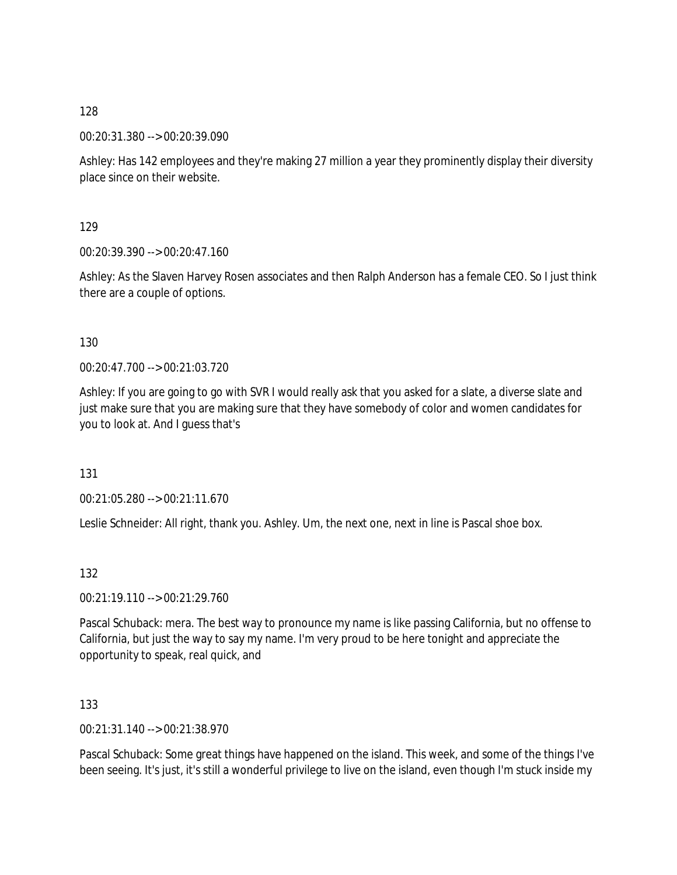00:20:31.380 --> 00:20:39.090

Ashley: Has 142 employees and they're making 27 million a year they prominently display their diversity place since on their website.

129

00:20:39.390 --> 00:20:47.160

Ashley: As the Slaven Harvey Rosen associates and then Ralph Anderson has a female CEO. So I just think there are a couple of options.

#### 130

00:20:47.700 --> 00:21:03.720

Ashley: If you are going to go with SVR I would really ask that you asked for a slate, a diverse slate and just make sure that you are making sure that they have somebody of color and women candidates for you to look at. And I guess that's

131

00:21:05.280 --> 00:21:11.670

Leslie Schneider: All right, thank you. Ashley. Um, the next one, next in line is Pascal shoe box.

132

00:21:19.110 --> 00:21:29.760

Pascal Schuback: mera. The best way to pronounce my name is like passing California, but no offense to California, but just the way to say my name. I'm very proud to be here tonight and appreciate the opportunity to speak, real quick, and

133

00:21:31.140 --> 00:21:38.970

Pascal Schuback: Some great things have happened on the island. This week, and some of the things I've been seeing. It's just, it's still a wonderful privilege to live on the island, even though I'm stuck inside my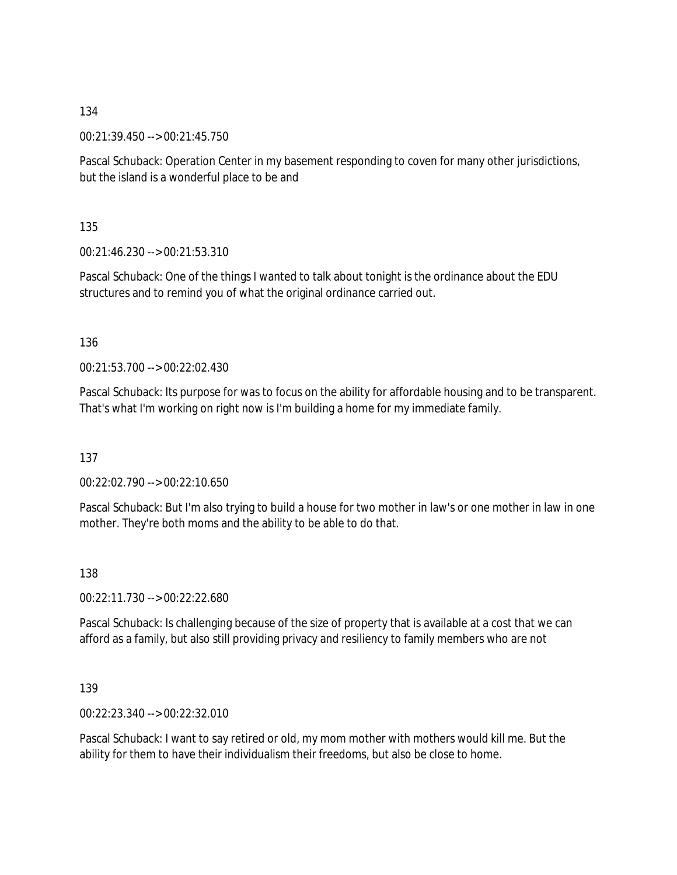00:21:39.450 --> 00:21:45.750

Pascal Schuback: Operation Center in my basement responding to coven for many other jurisdictions, but the island is a wonderful place to be and

135

00:21:46.230 --> 00:21:53.310

Pascal Schuback: One of the things I wanted to talk about tonight is the ordinance about the EDU structures and to remind you of what the original ordinance carried out.

136

00:21:53.700 --> 00:22:02.430

Pascal Schuback: Its purpose for was to focus on the ability for affordable housing and to be transparent. That's what I'm working on right now is I'm building a home for my immediate family.

137

00:22:02.790 --> 00:22:10.650

Pascal Schuback: But I'm also trying to build a house for two mother in law's or one mother in law in one mother. They're both moms and the ability to be able to do that.

138

00:22:11.730 --> 00:22:22.680

Pascal Schuback: Is challenging because of the size of property that is available at a cost that we can afford as a family, but also still providing privacy and resiliency to family members who are not

139

00:22:23.340 --> 00:22:32.010

Pascal Schuback: I want to say retired or old, my mom mother with mothers would kill me. But the ability for them to have their individualism their freedoms, but also be close to home.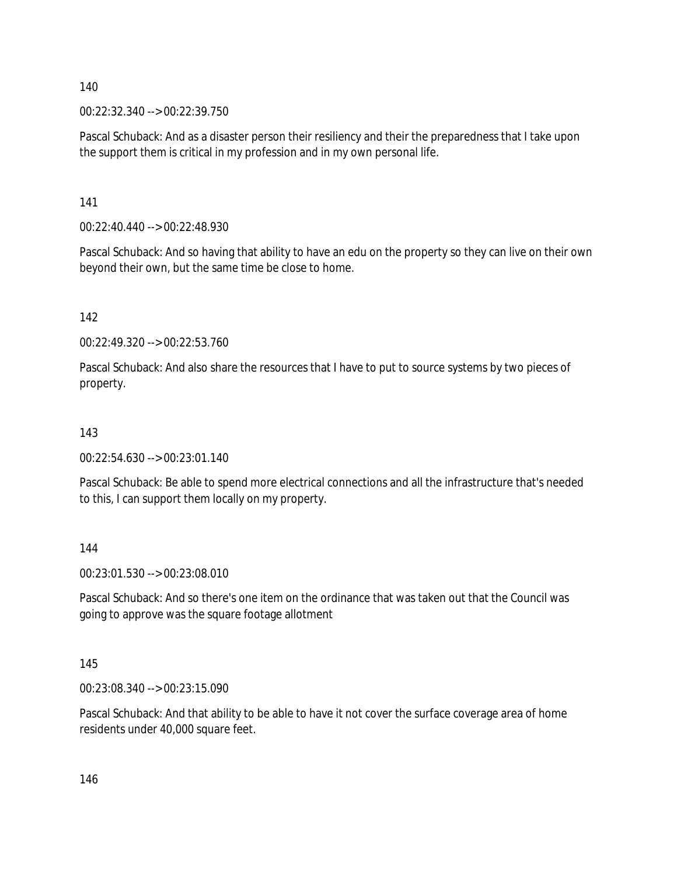00:22:32.340 --> 00:22:39.750

Pascal Schuback: And as a disaster person their resiliency and their the preparedness that I take upon the support them is critical in my profession and in my own personal life.

141

00:22:40.440 --> 00:22:48.930

Pascal Schuback: And so having that ability to have an edu on the property so they can live on their own beyond their own, but the same time be close to home.

142

00:22:49.320 --> 00:22:53.760

Pascal Schuback: And also share the resources that I have to put to source systems by two pieces of property.

#### 143

00:22:54.630 --> 00:23:01.140

Pascal Schuback: Be able to spend more electrical connections and all the infrastructure that's needed to this, I can support them locally on my property.

144

00:23:01.530 --> 00:23:08.010

Pascal Schuback: And so there's one item on the ordinance that was taken out that the Council was going to approve was the square footage allotment

145

00:23:08.340 --> 00:23:15.090

Pascal Schuback: And that ability to be able to have it not cover the surface coverage area of home residents under 40,000 square feet.

146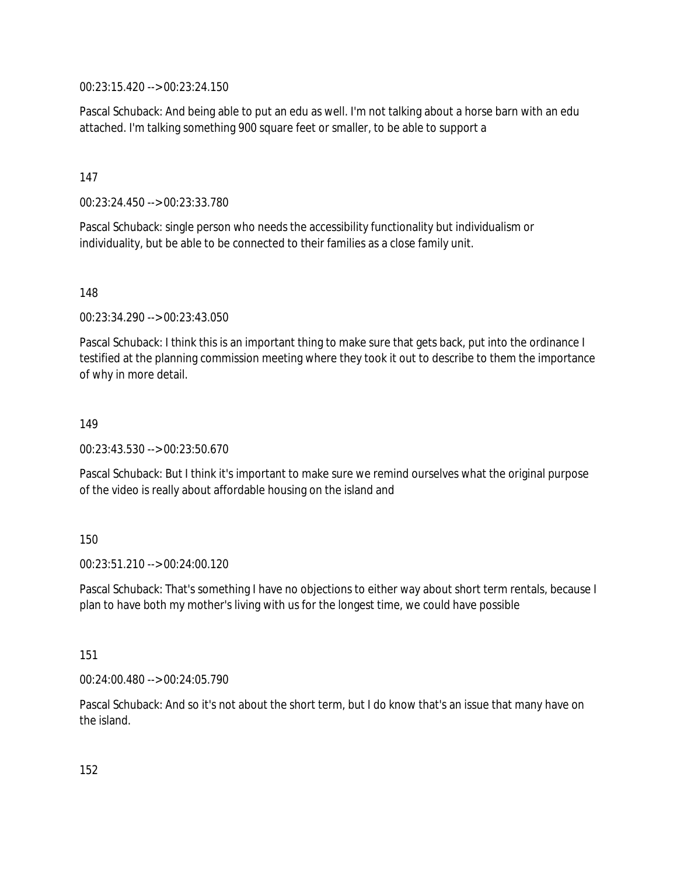00:23:15.420 --> 00:23:24.150

Pascal Schuback: And being able to put an edu as well. I'm not talking about a horse barn with an edu attached. I'm talking something 900 square feet or smaller, to be able to support a

147

00:23:24.450 --> 00:23:33.780

Pascal Schuback: single person who needs the accessibility functionality but individualism or individuality, but be able to be connected to their families as a close family unit.

148

00:23:34.290 --> 00:23:43.050

Pascal Schuback: I think this is an important thing to make sure that gets back, put into the ordinance I testified at the planning commission meeting where they took it out to describe to them the importance of why in more detail.

149

00:23:43.530 --> 00:23:50.670

Pascal Schuback: But I think it's important to make sure we remind ourselves what the original purpose of the video is really about affordable housing on the island and

150

 $00:23:51.210 \rightarrow 00:24:00.120$ 

Pascal Schuback: That's something I have no objections to either way about short term rentals, because I plan to have both my mother's living with us for the longest time, we could have possible

151

00:24:00.480 --> 00:24:05.790

Pascal Schuback: And so it's not about the short term, but I do know that's an issue that many have on the island.

152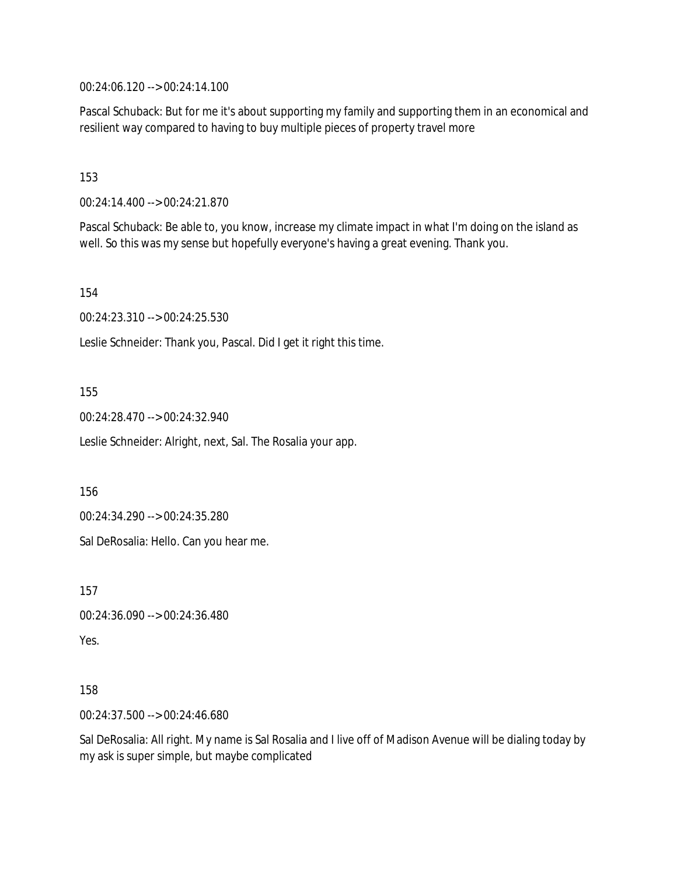00:24:06.120 --> 00:24:14.100

Pascal Schuback: But for me it's about supporting my family and supporting them in an economical and resilient way compared to having to buy multiple pieces of property travel more

153

00:24:14.400 --> 00:24:21.870

Pascal Schuback: Be able to, you know, increase my climate impact in what I'm doing on the island as well. So this was my sense but hopefully everyone's having a great evening. Thank you.

154

00:24:23.310 --> 00:24:25.530

Leslie Schneider: Thank you, Pascal. Did I get it right this time.

155

00:24:28.470 --> 00:24:32.940

Leslie Schneider: Alright, next, Sal. The Rosalia your app.

156

00:24:34.290 --> 00:24:35.280

Sal DeRosalia: Hello. Can you hear me.

157

```
00:24:36.090 --> 00:24:36.480
```
Yes.

158

00:24:37.500 --> 00:24:46.680

Sal DeRosalia: All right. My name is Sal Rosalia and I live off of Madison Avenue will be dialing today by my ask is super simple, but maybe complicated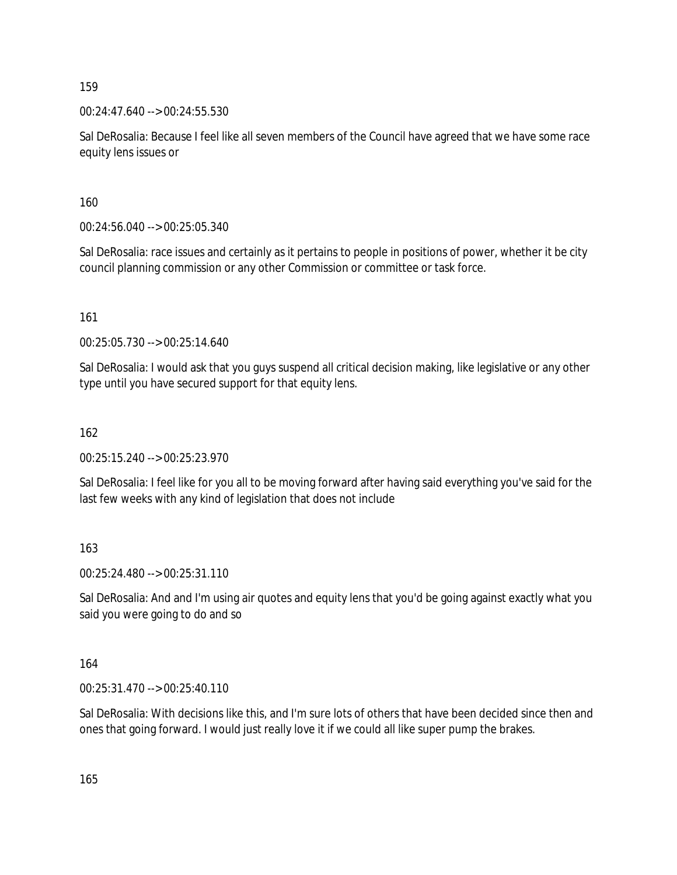00:24:47.640 --> 00:24:55.530

Sal DeRosalia: Because I feel like all seven members of the Council have agreed that we have some race equity lens issues or

160

00:24:56.040 --> 00:25:05.340

Sal DeRosalia: race issues and certainly as it pertains to people in positions of power, whether it be city council planning commission or any other Commission or committee or task force.

161

00:25:05.730 --> 00:25:14.640

Sal DeRosalia: I would ask that you guys suspend all critical decision making, like legislative or any other type until you have secured support for that equity lens.

162

00:25:15.240 --> 00:25:23.970

Sal DeRosalia: I feel like for you all to be moving forward after having said everything you've said for the last few weeks with any kind of legislation that does not include

163

00:25:24.480 --> 00:25:31.110

Sal DeRosalia: And and I'm using air quotes and equity lens that you'd be going against exactly what you said you were going to do and so

164

00:25:31.470 --> 00:25:40.110

Sal DeRosalia: With decisions like this, and I'm sure lots of others that have been decided since then and ones that going forward. I would just really love it if we could all like super pump the brakes.

165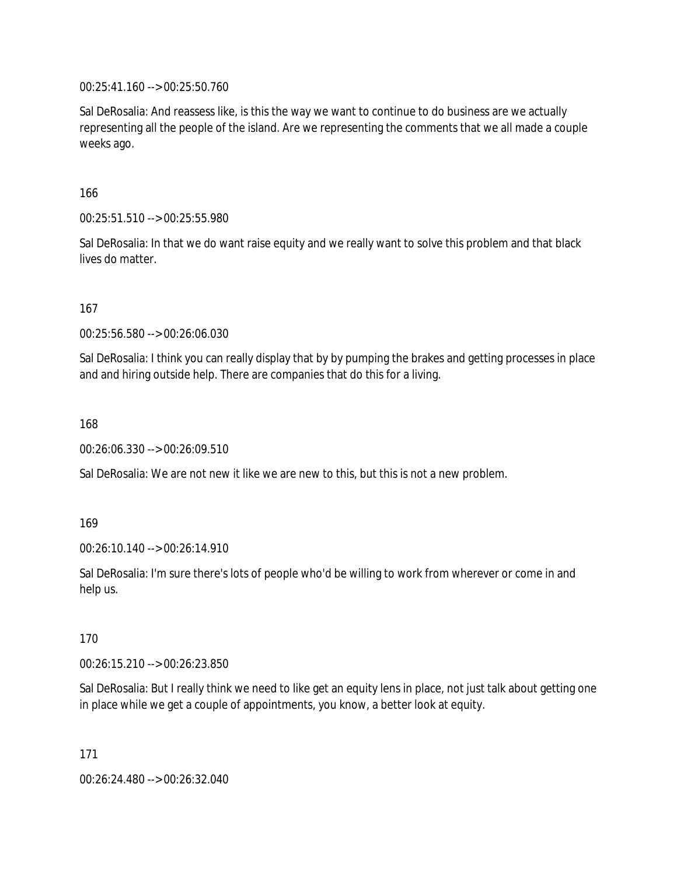00:25:41.160 --> 00:25:50.760

Sal DeRosalia: And reassess like, is this the way we want to continue to do business are we actually representing all the people of the island. Are we representing the comments that we all made a couple weeks ago.

166

00:25:51.510 --> 00:25:55.980

Sal DeRosalia: In that we do want raise equity and we really want to solve this problem and that black lives do matter.

167

00:25:56.580 --> 00:26:06.030

Sal DeRosalia: I think you can really display that by by pumping the brakes and getting processes in place and and hiring outside help. There are companies that do this for a living.

168

00:26:06.330 --> 00:26:09.510

Sal DeRosalia: We are not new it like we are new to this, but this is not a new problem.

169

00:26:10.140 --> 00:26:14.910

Sal DeRosalia: I'm sure there's lots of people who'd be willing to work from wherever or come in and help us.

170

00:26:15.210 --> 00:26:23.850

Sal DeRosalia: But I really think we need to like get an equity lens in place, not just talk about getting one in place while we get a couple of appointments, you know, a better look at equity.

171

00:26:24.480 --> 00:26:32.040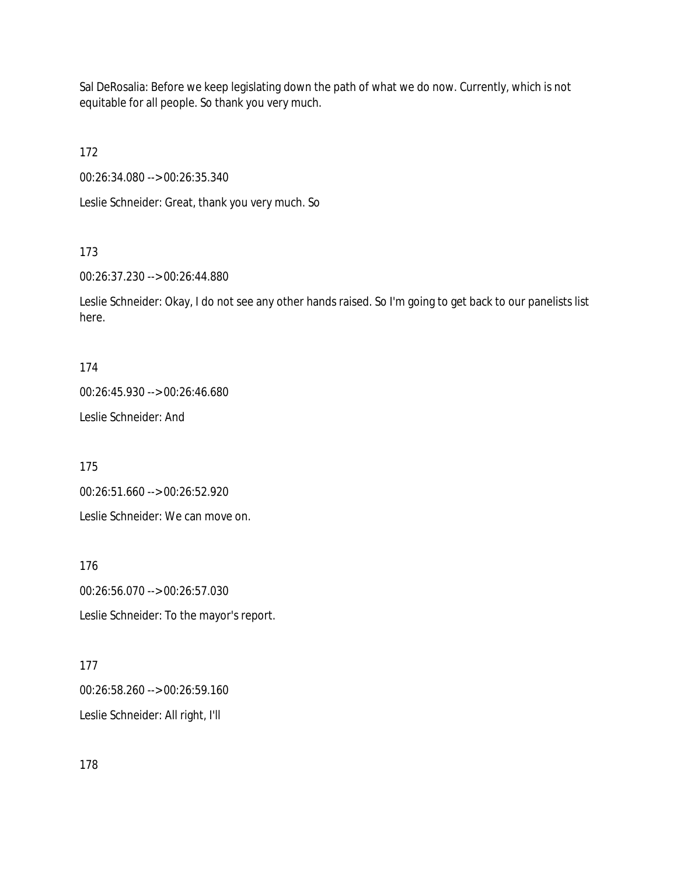Sal DeRosalia: Before we keep legislating down the path of what we do now. Currently, which is not equitable for all people. So thank you very much.

172

00:26:34.080 --> 00:26:35.340

Leslie Schneider: Great, thank you very much. So

## 173

00:26:37.230 --> 00:26:44.880

Leslie Schneider: Okay, I do not see any other hands raised. So I'm going to get back to our panelists list here.

#### 174

00:26:45.930 --> 00:26:46.680

Leslie Schneider: And

175

00:26:51.660 --> 00:26:52.920

Leslie Schneider: We can move on.

176

00:26:56.070 --> 00:26:57.030 Leslie Schneider: To the mayor's report.

## 177

00:26:58.260 --> 00:26:59.160 Leslie Schneider: All right, I'll

## 178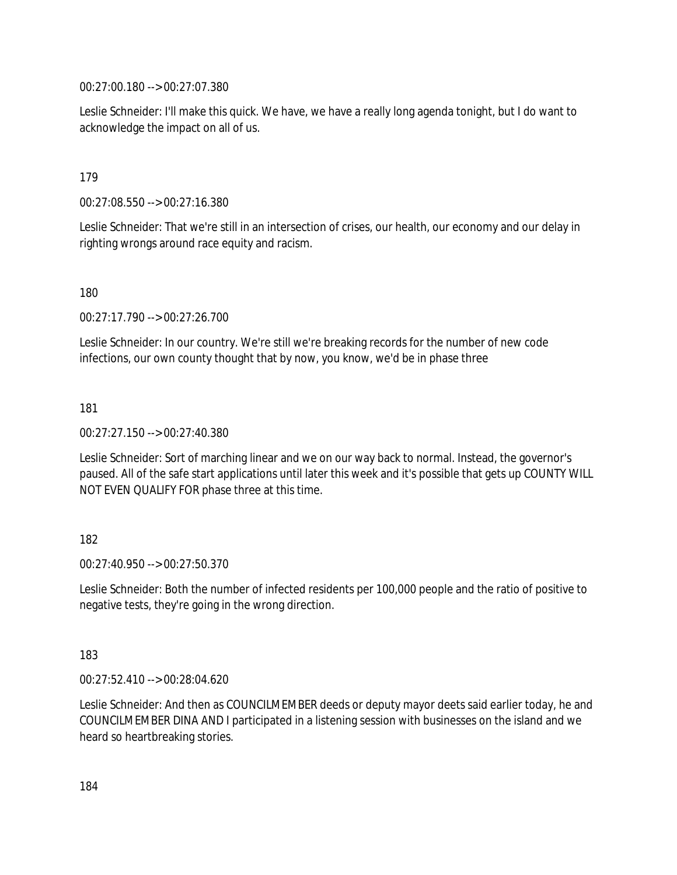00:27:00.180 --> 00:27:07.380

Leslie Schneider: I'll make this quick. We have, we have a really long agenda tonight, but I do want to acknowledge the impact on all of us.

179

00:27:08.550 --> 00:27:16.380

Leslie Schneider: That we're still in an intersection of crises, our health, our economy and our delay in righting wrongs around race equity and racism.

180

00:27:17.790 --> 00:27:26.700

Leslie Schneider: In our country. We're still we're breaking records for the number of new code infections, our own county thought that by now, you know, we'd be in phase three

181

00:27:27.150 --> 00:27:40.380

Leslie Schneider: Sort of marching linear and we on our way back to normal. Instead, the governor's paused. All of the safe start applications until later this week and it's possible that gets up COUNTY WILL NOT EVEN QUALIFY FOR phase three at this time.

#### 182

00:27:40.950 --> 00:27:50.370

Leslie Schneider: Both the number of infected residents per 100,000 people and the ratio of positive to negative tests, they're going in the wrong direction.

183

00:27:52.410 --> 00:28:04.620

Leslie Schneider: And then as COUNCILMEMBER deeds or deputy mayor deets said earlier today, he and COUNCILMEMBER DINA AND I participated in a listening session with businesses on the island and we heard so heartbreaking stories.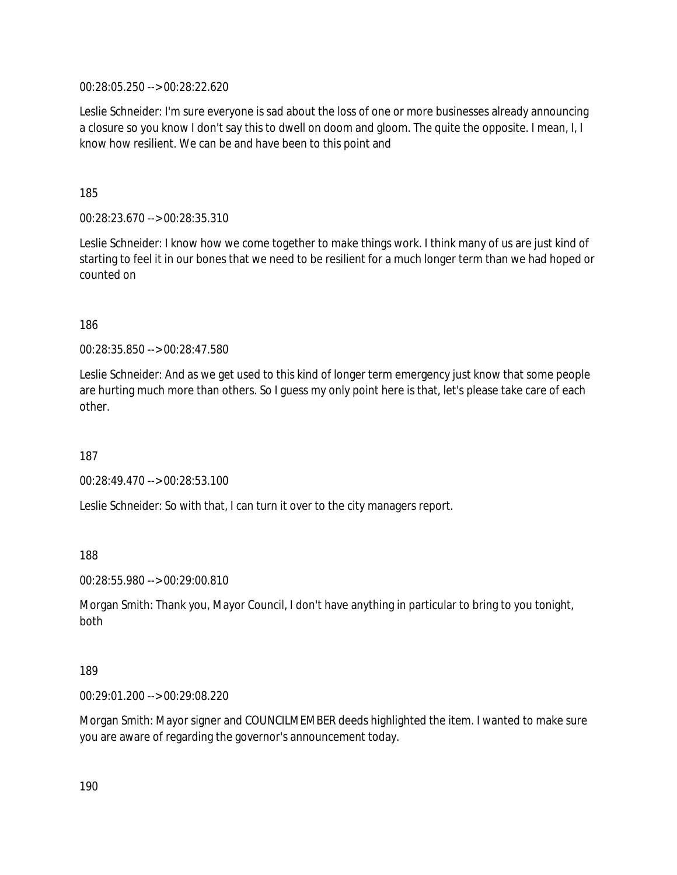00:28:05.250 --> 00:28:22.620

Leslie Schneider: I'm sure everyone is sad about the loss of one or more businesses already announcing a closure so you know I don't say this to dwell on doom and gloom. The quite the opposite. I mean, I, I know how resilient. We can be and have been to this point and

185

00:28:23.670 --> 00:28:35.310

Leslie Schneider: I know how we come together to make things work. I think many of us are just kind of starting to feel it in our bones that we need to be resilient for a much longer term than we had hoped or counted on

186

00:28:35.850 --> 00:28:47.580

Leslie Schneider: And as we get used to this kind of longer term emergency just know that some people are hurting much more than others. So I guess my only point here is that, let's please take care of each other.

187

00:28:49.470 --> 00:28:53.100

Leslie Schneider: So with that, I can turn it over to the city managers report.

188

00:28:55.980 --> 00:29:00.810

Morgan Smith: Thank you, Mayor Council, I don't have anything in particular to bring to you tonight, both

#### 189

00:29:01.200 --> 00:29:08.220

Morgan Smith: Mayor signer and COUNCILMEMBER deeds highlighted the item. I wanted to make sure you are aware of regarding the governor's announcement today.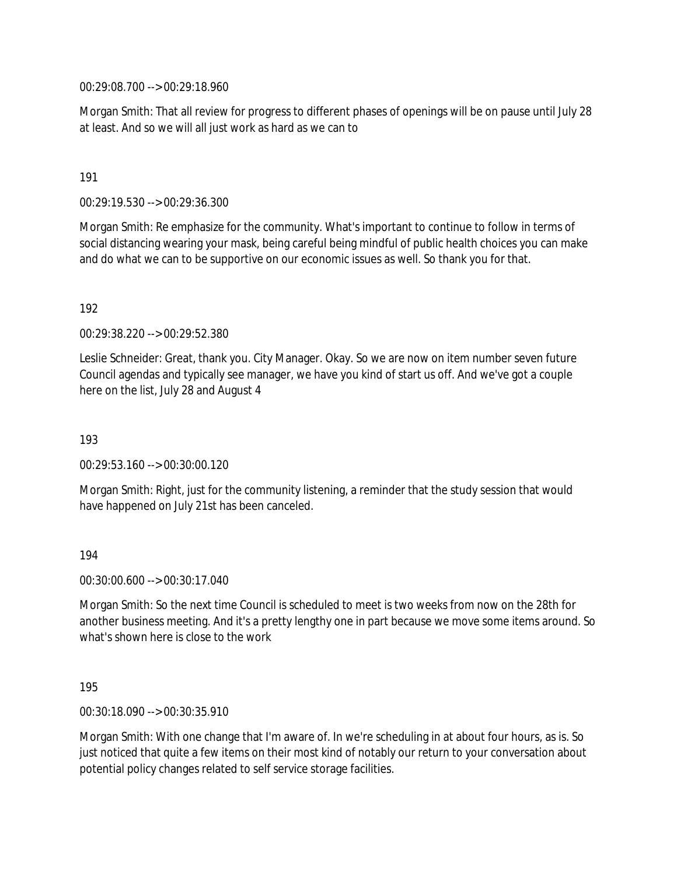00:29:08.700 --> 00:29:18.960

Morgan Smith: That all review for progress to different phases of openings will be on pause until July 28 at least. And so we will all just work as hard as we can to

191

00:29:19.530 --> 00:29:36.300

Morgan Smith: Re emphasize for the community. What's important to continue to follow in terms of social distancing wearing your mask, being careful being mindful of public health choices you can make and do what we can to be supportive on our economic issues as well. So thank you for that.

192

00:29:38.220 --> 00:29:52.380

Leslie Schneider: Great, thank you. City Manager. Okay. So we are now on item number seven future Council agendas and typically see manager, we have you kind of start us off. And we've got a couple here on the list, July 28 and August 4

193

00:29:53.160 --> 00:30:00.120

Morgan Smith: Right, just for the community listening, a reminder that the study session that would have happened on July 21st has been canceled.

194

00:30:00.600 --> 00:30:17.040

Morgan Smith: So the next time Council is scheduled to meet is two weeks from now on the 28th for another business meeting. And it's a pretty lengthy one in part because we move some items around. So what's shown here is close to the work

195

00:30:18.090 --> 00:30:35.910

Morgan Smith: With one change that I'm aware of. In we're scheduling in at about four hours, as is. So just noticed that quite a few items on their most kind of notably our return to your conversation about potential policy changes related to self service storage facilities.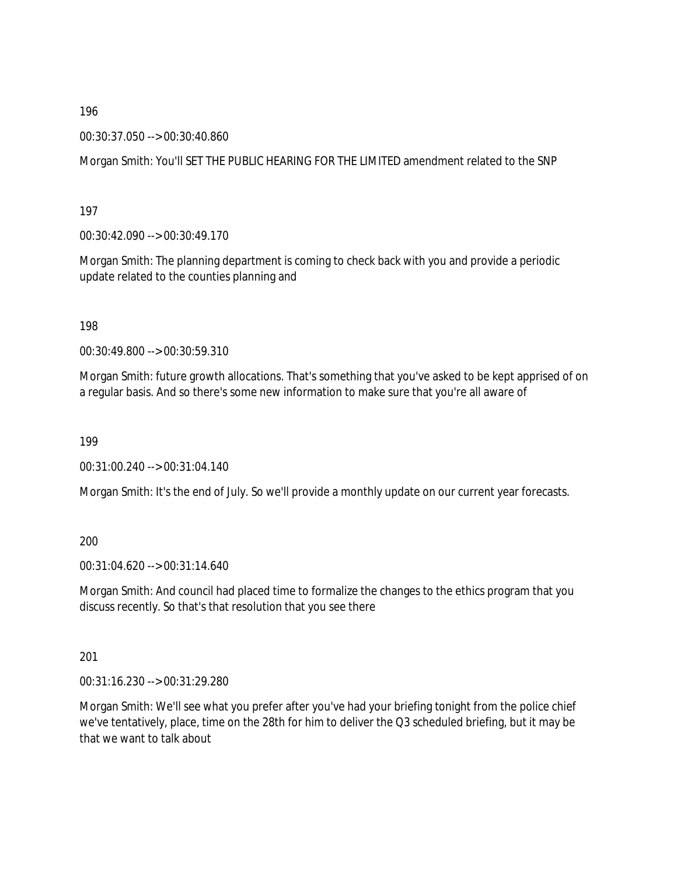00:30:37.050 --> 00:30:40.860

Morgan Smith: You'll SET THE PUBLIC HEARING FOR THE LIMITED amendment related to the SNP

197

00:30:42.090 --> 00:30:49.170

Morgan Smith: The planning department is coming to check back with you and provide a periodic update related to the counties planning and

198

00:30:49.800 --> 00:30:59.310

Morgan Smith: future growth allocations. That's something that you've asked to be kept apprised of on a regular basis. And so there's some new information to make sure that you're all aware of

199

00:31:00.240 --> 00:31:04.140

Morgan Smith: It's the end of July. So we'll provide a monthly update on our current year forecasts.

200

00:31:04.620 --> 00:31:14.640

Morgan Smith: And council had placed time to formalize the changes to the ethics program that you discuss recently. So that's that resolution that you see there

201

00:31:16.230 --> 00:31:29.280

Morgan Smith: We'll see what you prefer after you've had your briefing tonight from the police chief we've tentatively, place, time on the 28th for him to deliver the Q3 scheduled briefing, but it may be that we want to talk about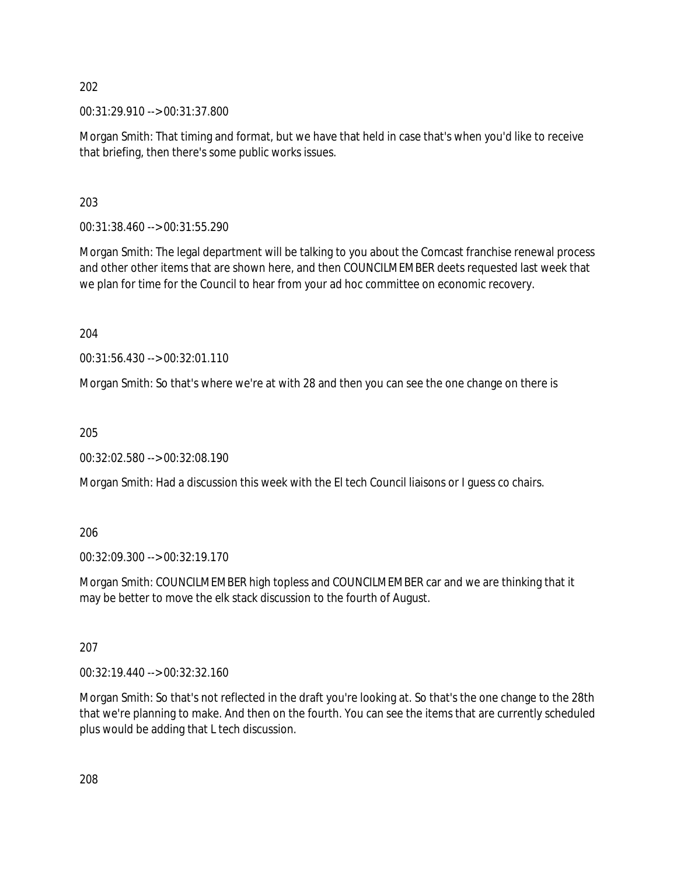00:31:29.910 --> 00:31:37.800

Morgan Smith: That timing and format, but we have that held in case that's when you'd like to receive that briefing, then there's some public works issues.

203

00:31:38.460 --> 00:31:55.290

Morgan Smith: The legal department will be talking to you about the Comcast franchise renewal process and other other items that are shown here, and then COUNCILMEMBER deets requested last week that we plan for time for the Council to hear from your ad hoc committee on economic recovery.

204

00:31:56.430 --> 00:32:01.110

Morgan Smith: So that's where we're at with 28 and then you can see the one change on there is

205

00:32:02.580 --> 00:32:08.190

Morgan Smith: Had a discussion this week with the El tech Council liaisons or I guess co chairs.

206

00:32:09.300 --> 00:32:19.170

Morgan Smith: COUNCILMEMBER high topless and COUNCILMEMBER car and we are thinking that it may be better to move the elk stack discussion to the fourth of August.

207

00:32:19.440 --> 00:32:32.160

Morgan Smith: So that's not reflected in the draft you're looking at. So that's the one change to the 28th that we're planning to make. And then on the fourth. You can see the items that are currently scheduled plus would be adding that L tech discussion.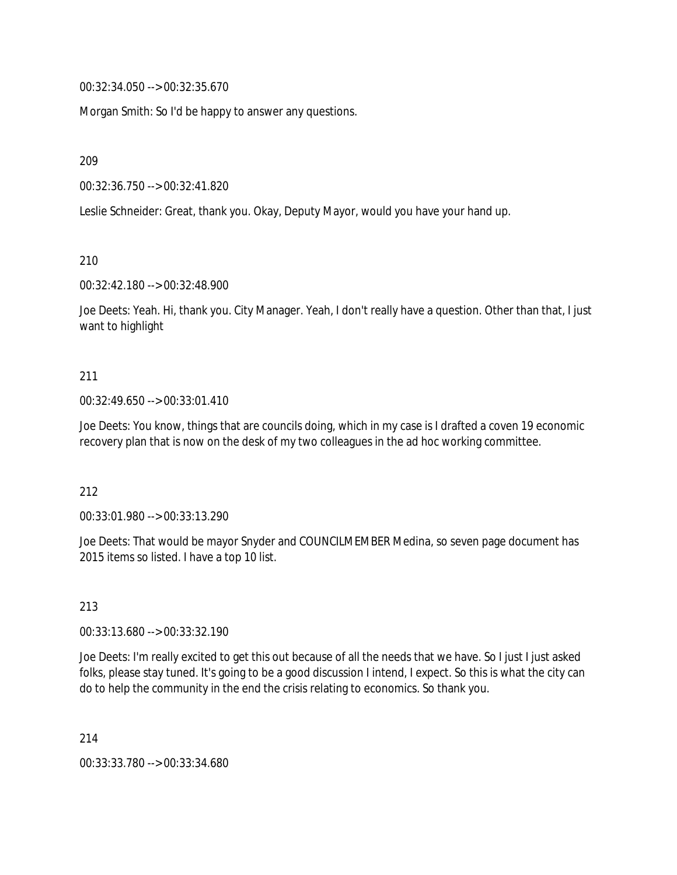00:32:34.050 --> 00:32:35.670

Morgan Smith: So I'd be happy to answer any questions.

209

00:32:36.750 --> 00:32:41.820

Leslie Schneider: Great, thank you. Okay, Deputy Mayor, would you have your hand up.

210

00:32:42.180 --> 00:32:48.900

Joe Deets: Yeah. Hi, thank you. City Manager. Yeah, I don't really have a question. Other than that, I just want to highlight

#### 211

#### 00:32:49.650 --> 00:33:01.410

Joe Deets: You know, things that are councils doing, which in my case is I drafted a coven 19 economic recovery plan that is now on the desk of my two colleagues in the ad hoc working committee.

212

00:33:01.980 --> 00:33:13.290

Joe Deets: That would be mayor Snyder and COUNCILMEMBER Medina, so seven page document has 2015 items so listed. I have a top 10 list.

213

00:33:13.680 --> 00:33:32.190

Joe Deets: I'm really excited to get this out because of all the needs that we have. So I just I just asked folks, please stay tuned. It's going to be a good discussion I intend, I expect. So this is what the city can do to help the community in the end the crisis relating to economics. So thank you.

214

00:33:33.780 --> 00:33:34.680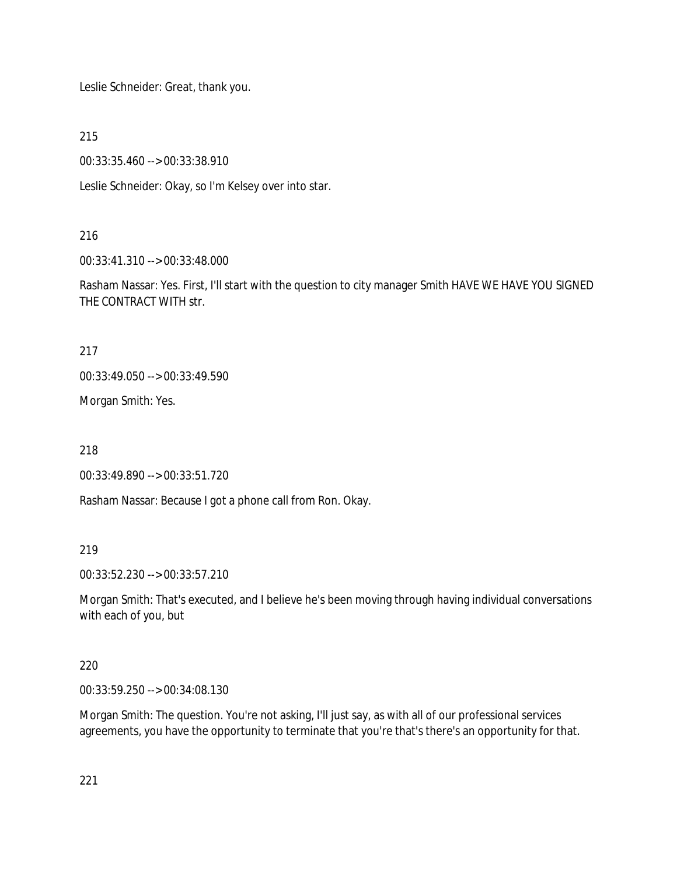Leslie Schneider: Great, thank you.

215

00:33:35.460 --> 00:33:38.910

Leslie Schneider: Okay, so I'm Kelsey over into star.

#### 216

00:33:41.310 --> 00:33:48.000

Rasham Nassar: Yes. First, I'll start with the question to city manager Smith HAVE WE HAVE YOU SIGNED THE CONTRACT WITH str.

217

00:33:49.050 --> 00:33:49.590

Morgan Smith: Yes.

218

00:33:49.890 --> 00:33:51.720

Rasham Nassar: Because I got a phone call from Ron. Okay.

219

00:33:52.230 --> 00:33:57.210

Morgan Smith: That's executed, and I believe he's been moving through having individual conversations with each of you, but

## 220

00:33:59.250 --> 00:34:08.130

Morgan Smith: The question. You're not asking, I'll just say, as with all of our professional services agreements, you have the opportunity to terminate that you're that's there's an opportunity for that.

221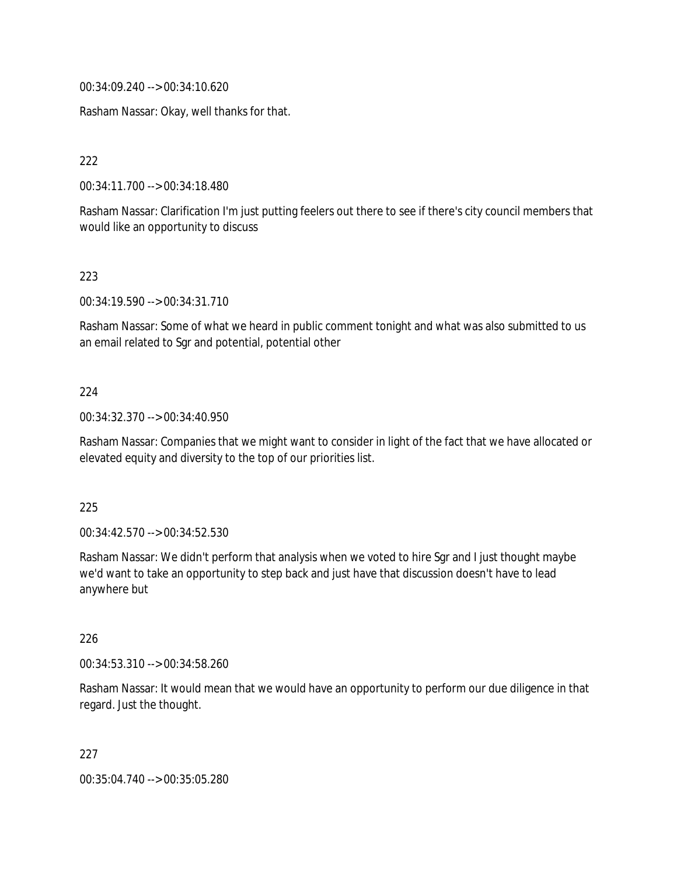00:34:09.240 --> 00:34:10.620

Rasham Nassar: Okay, well thanks for that.

222

00:34:11.700 --> 00:34:18.480

Rasham Nassar: Clarification I'm just putting feelers out there to see if there's city council members that would like an opportunity to discuss

223

00:34:19.590 --> 00:34:31.710

Rasham Nassar: Some of what we heard in public comment tonight and what was also submitted to us an email related to Sgr and potential, potential other

#### $224$

00:34:32.370 --> 00:34:40.950

Rasham Nassar: Companies that we might want to consider in light of the fact that we have allocated or elevated equity and diversity to the top of our priorities list.

#### 225

00:34:42.570 --> 00:34:52.530

Rasham Nassar: We didn't perform that analysis when we voted to hire Sgr and I just thought maybe we'd want to take an opportunity to step back and just have that discussion doesn't have to lead anywhere but

#### 226

00:34:53.310 --> 00:34:58.260

Rasham Nassar: It would mean that we would have an opportunity to perform our due diligence in that regard. Just the thought.

227

00:35:04.740 --> 00:35:05.280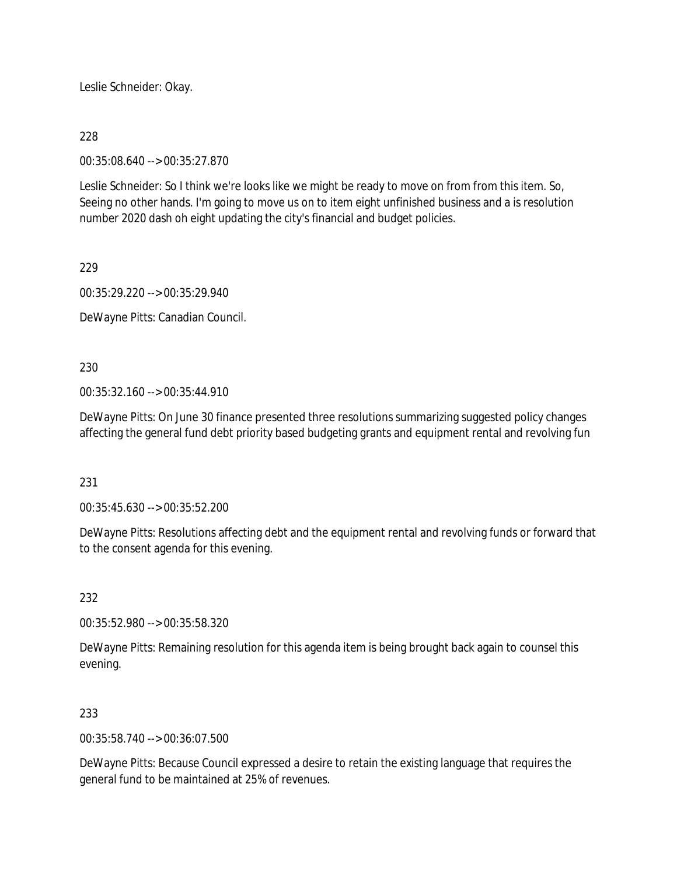Leslie Schneider: Okay.

## 228

00:35:08.640 --> 00:35:27.870

Leslie Schneider: So I think we're looks like we might be ready to move on from from this item. So, Seeing no other hands. I'm going to move us on to item eight unfinished business and a is resolution number 2020 dash oh eight updating the city's financial and budget policies.

229

00:35:29.220 --> 00:35:29.940

DeWayne Pitts: Canadian Council.

230

00:35:32.160 --> 00:35:44.910

DeWayne Pitts: On June 30 finance presented three resolutions summarizing suggested policy changes affecting the general fund debt priority based budgeting grants and equipment rental and revolving fun

### 231

00:35:45.630 --> 00:35:52.200

DeWayne Pitts: Resolutions affecting debt and the equipment rental and revolving funds or forward that to the consent agenda for this evening.

# 232

00:35:52.980 --> 00:35:58.320

DeWayne Pitts: Remaining resolution for this agenda item is being brought back again to counsel this evening.

# 233

00:35:58.740 --> 00:36:07.500

DeWayne Pitts: Because Council expressed a desire to retain the existing language that requires the general fund to be maintained at 25% of revenues.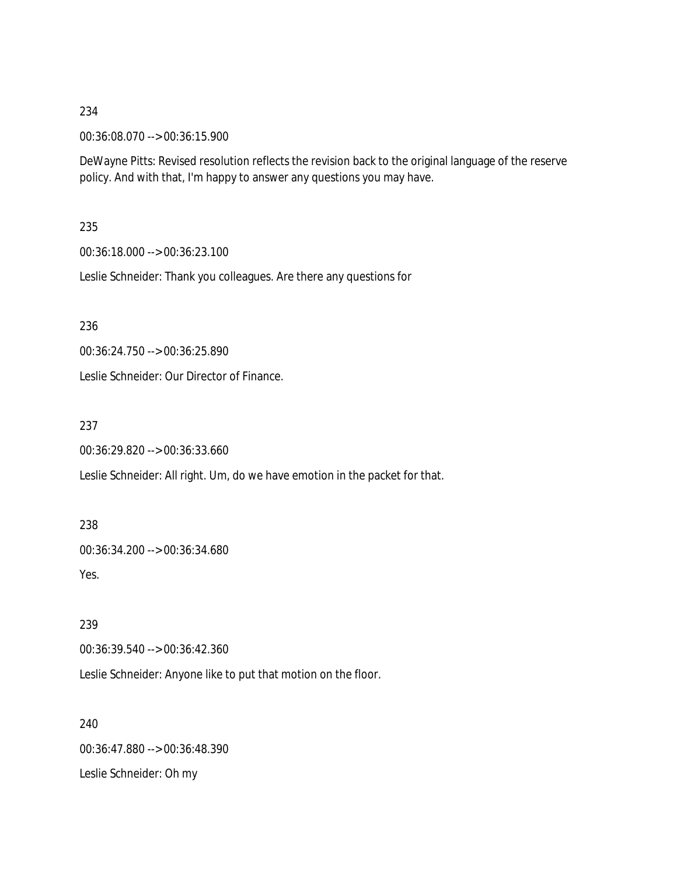00:36:08.070 --> 00:36:15.900

DeWayne Pitts: Revised resolution reflects the revision back to the original language of the reserve policy. And with that, I'm happy to answer any questions you may have.

### 235

00:36:18.000 --> 00:36:23.100

Leslie Schneider: Thank you colleagues. Are there any questions for

236

00:36:24.750 --> 00:36:25.890

Leslie Schneider: Our Director of Finance.

237

00:36:29.820 --> 00:36:33.660

Leslie Schneider: All right. Um, do we have emotion in the packet for that.

238

00:36:34.200 --> 00:36:34.680

Yes.

239

00:36:39.540 --> 00:36:42.360

Leslie Schneider: Anyone like to put that motion on the floor.

240 00:36:47.880 --> 00:36:48.390 Leslie Schneider: Oh my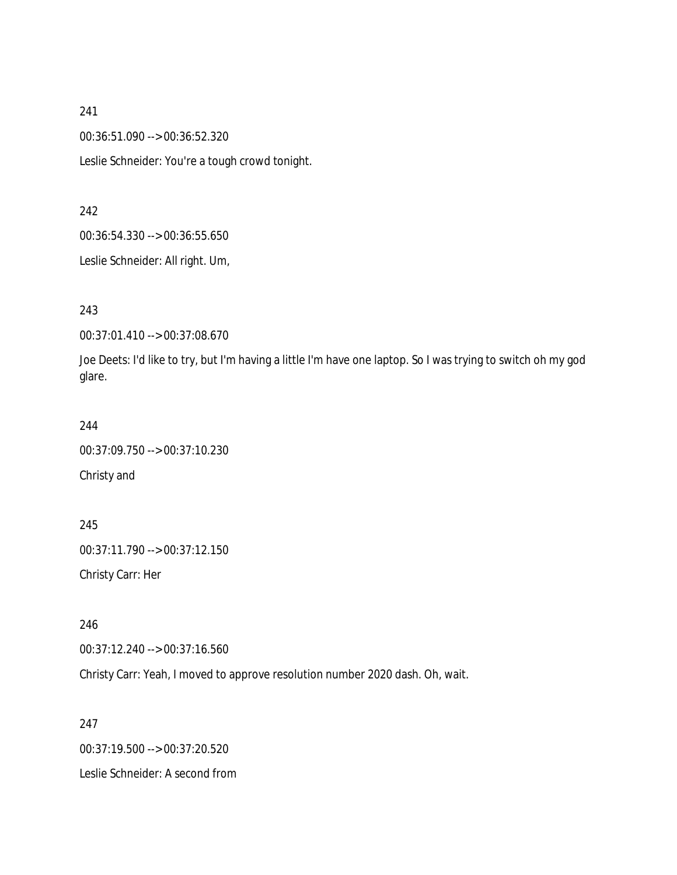00:36:51.090 --> 00:36:52.320

Leslie Schneider: You're a tough crowd tonight.

#### 242

00:36:54.330 --> 00:36:55.650

Leslie Schneider: All right. Um,

### 243

00:37:01.410 --> 00:37:08.670

Joe Deets: I'd like to try, but I'm having a little I'm have one laptop. So I was trying to switch oh my god glare.

#### 244

00:37:09.750 --> 00:37:10.230 Christy and

245 00:37:11.790 --> 00:37:12.150 Christy Carr: Her

246

00:37:12.240 --> 00:37:16.560

Christy Carr: Yeah, I moved to approve resolution number 2020 dash. Oh, wait.

## 247

00:37:19.500 --> 00:37:20.520 Leslie Schneider: A second from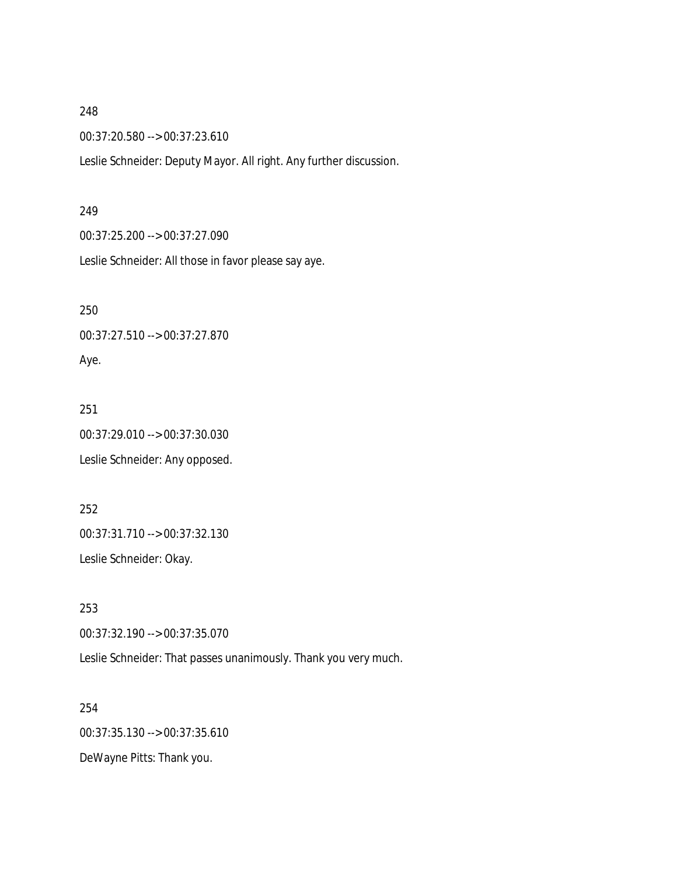00:37:20.580 --> 00:37:23.610

Leslie Schneider: Deputy Mayor. All right. Any further discussion.

#### 249

00:37:25.200 --> 00:37:27.090

Leslie Schneider: All those in favor please say aye.

250

00:37:27.510 --> 00:37:27.870

# Aye.

251 00:37:29.010 --> 00:37:30.030 Leslie Schneider: Any opposed.

252 00:37:31.710 --> 00:37:32.130 Leslie Schneider: Okay.

253 00:37:32.190 --> 00:37:35.070

Leslie Schneider: That passes unanimously. Thank you very much.

254 00:37:35.130 --> 00:37:35.610 DeWayne Pitts: Thank you.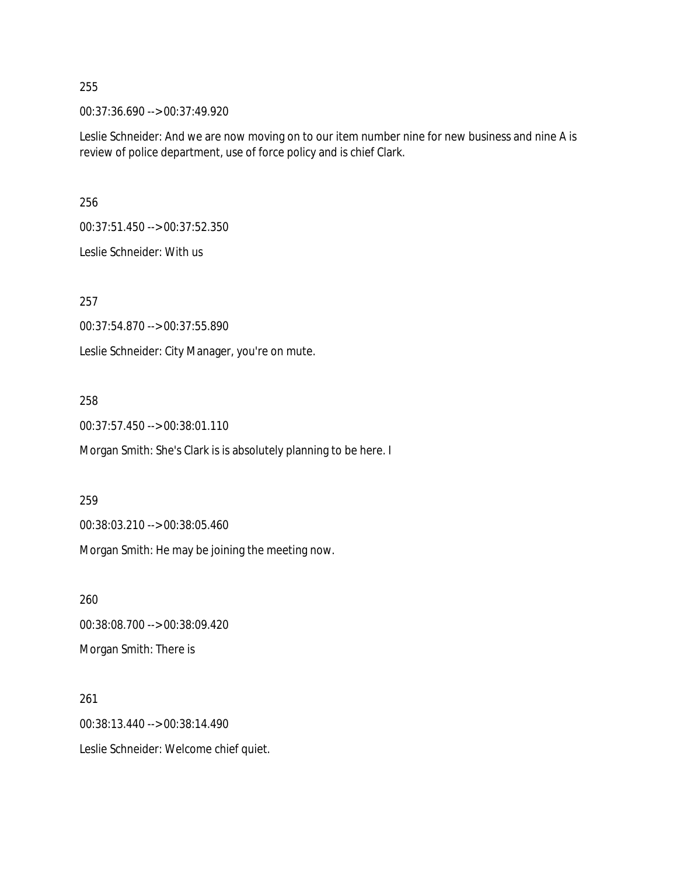00:37:36.690 --> 00:37:49.920

Leslie Schneider: And we are now moving on to our item number nine for new business and nine A is review of police department, use of force policy and is chief Clark.

256

00:37:51.450 --> 00:37:52.350

Leslie Schneider: With us

257

00:37:54.870 --> 00:37:55.890

Leslie Schneider: City Manager, you're on mute.

#### 258

00:37:57.450 --> 00:38:01.110

Morgan Smith: She's Clark is is absolutely planning to be here. I

#### 259

00:38:03.210 --> 00:38:05.460

Morgan Smith: He may be joining the meeting now.

260 00:38:08.700 --> 00:38:09.420 Morgan Smith: There is

261

00:38:13.440 --> 00:38:14.490

Leslie Schneider: Welcome chief quiet.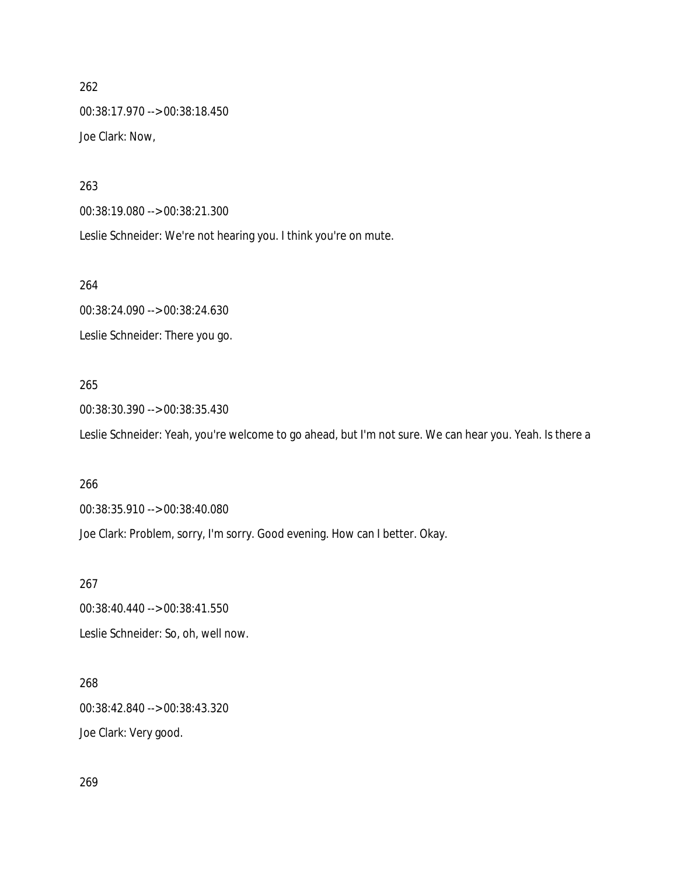262 00:38:17.970 --> 00:38:18.450 Joe Clark: Now,

263

00:38:19.080 --> 00:38:21.300

Leslie Schneider: We're not hearing you. I think you're on mute.

264

00:38:24.090 --> 00:38:24.630 Leslie Schneider: There you go.

# 265

00:38:30.390 --> 00:38:35.430

Leslie Schneider: Yeah, you're welcome to go ahead, but I'm not sure. We can hear you. Yeah. Is there a

#### 266

00:38:35.910 --> 00:38:40.080

Joe Clark: Problem, sorry, I'm sorry. Good evening. How can I better. Okay.

267

00:38:40.440 --> 00:38:41.550 Leslie Schneider: So, oh, well now.

268

00:38:42.840 --> 00:38:43.320

Joe Clark: Very good.

269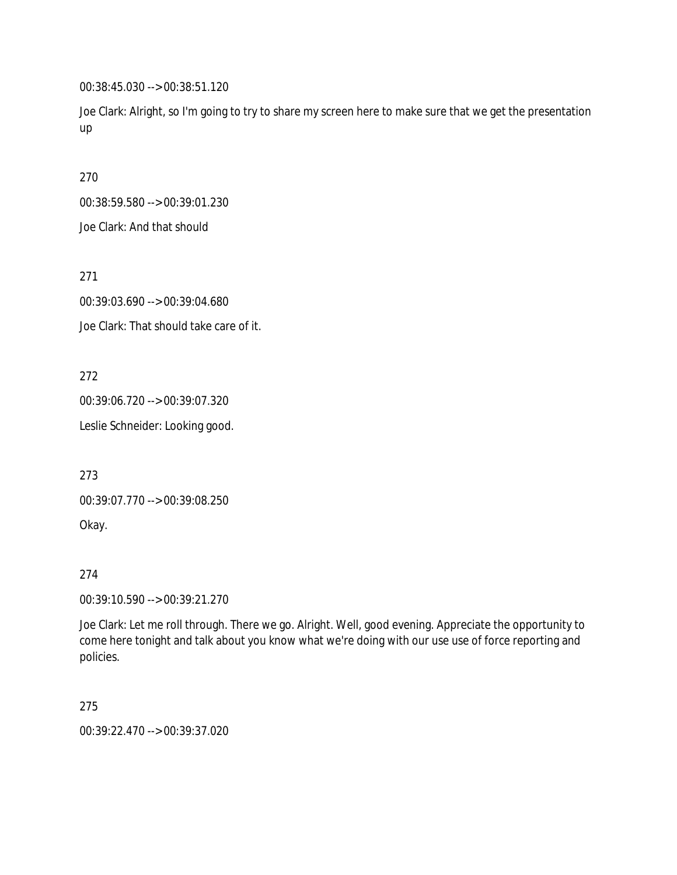00:38:45.030 --> 00:38:51.120

Joe Clark: Alright, so I'm going to try to share my screen here to make sure that we get the presentation up

270

00:38:59.580 --> 00:39:01.230

Joe Clark: And that should

271

00:39:03.690 --> 00:39:04.680

Joe Clark: That should take care of it.

272

00:39:06.720 --> 00:39:07.320

Leslie Schneider: Looking good.

273

00:39:07.770 --> 00:39:08.250

Okay.

274

00:39:10.590 --> 00:39:21.270

Joe Clark: Let me roll through. There we go. Alright. Well, good evening. Appreciate the opportunity to come here tonight and talk about you know what we're doing with our use use of force reporting and policies.

275

00:39:22.470 --> 00:39:37.020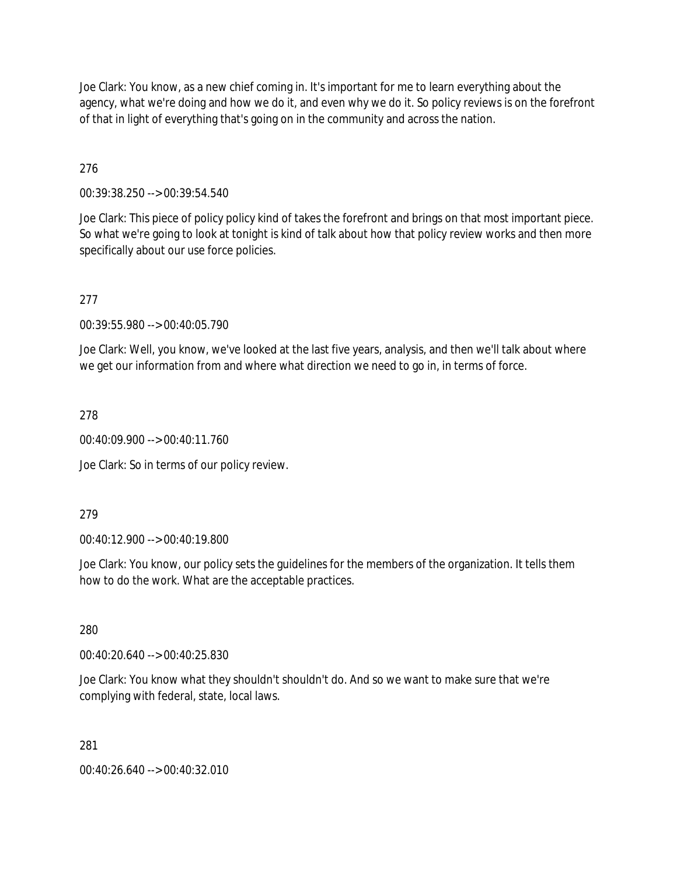Joe Clark: You know, as a new chief coming in. It's important for me to learn everything about the agency, what we're doing and how we do it, and even why we do it. So policy reviews is on the forefront of that in light of everything that's going on in the community and across the nation.

276

00:39:38.250 --> 00:39:54.540

Joe Clark: This piece of policy policy kind of takes the forefront and brings on that most important piece. So what we're going to look at tonight is kind of talk about how that policy review works and then more specifically about our use force policies.

277

00:39:55.980 --> 00:40:05.790

Joe Clark: Well, you know, we've looked at the last five years, analysis, and then we'll talk about where we get our information from and where what direction we need to go in, in terms of force.

278

00:40:09.900 --> 00:40:11.760

Joe Clark: So in terms of our policy review.

279

00:40:12.900 --> 00:40:19.800

Joe Clark: You know, our policy sets the guidelines for the members of the organization. It tells them how to do the work. What are the acceptable practices.

280

00:40:20.640 --> 00:40:25.830

Joe Clark: You know what they shouldn't shouldn't do. And so we want to make sure that we're complying with federal, state, local laws.

281

00:40:26.640 --> 00:40:32.010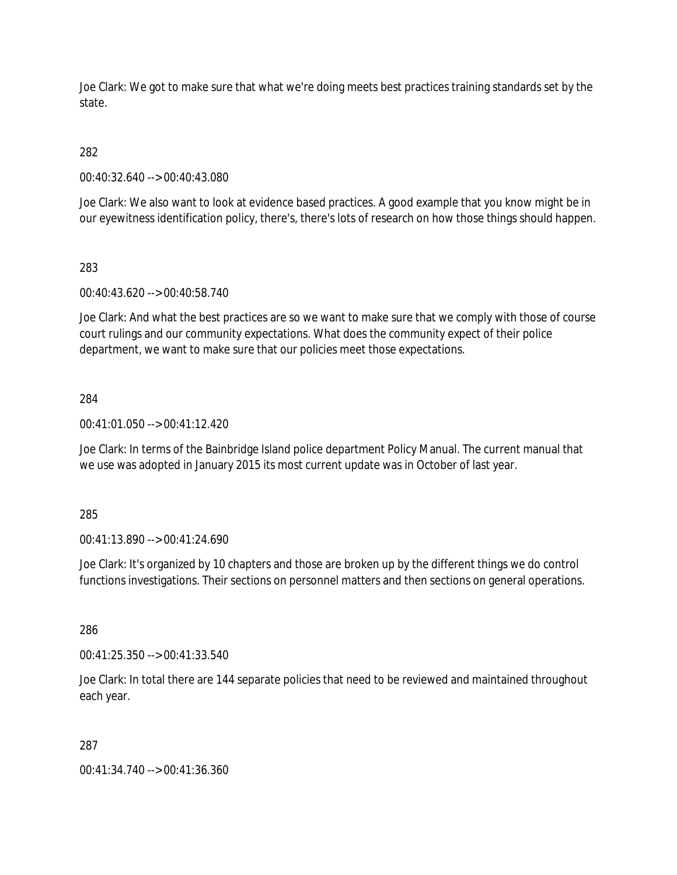Joe Clark: We got to make sure that what we're doing meets best practices training standards set by the state.

# 282

00:40:32.640 --> 00:40:43.080

Joe Clark: We also want to look at evidence based practices. A good example that you know might be in our eyewitness identification policy, there's, there's lots of research on how those things should happen.

## 283

00:40:43.620 --> 00:40:58.740

Joe Clark: And what the best practices are so we want to make sure that we comply with those of course court rulings and our community expectations. What does the community expect of their police department, we want to make sure that our policies meet those expectations.

## 284

00:41:01.050 --> 00:41:12.420

Joe Clark: In terms of the Bainbridge Island police department Policy Manual. The current manual that we use was adopted in January 2015 its most current update was in October of last year.

### 285

00:41:13.890 --> 00:41:24.690

Joe Clark: It's organized by 10 chapters and those are broken up by the different things we do control functions investigations. Their sections on personnel matters and then sections on general operations.

286

00:41:25.350 --> 00:41:33.540

Joe Clark: In total there are 144 separate policies that need to be reviewed and maintained throughout each year.

### 287

00:41:34.740 --> 00:41:36.360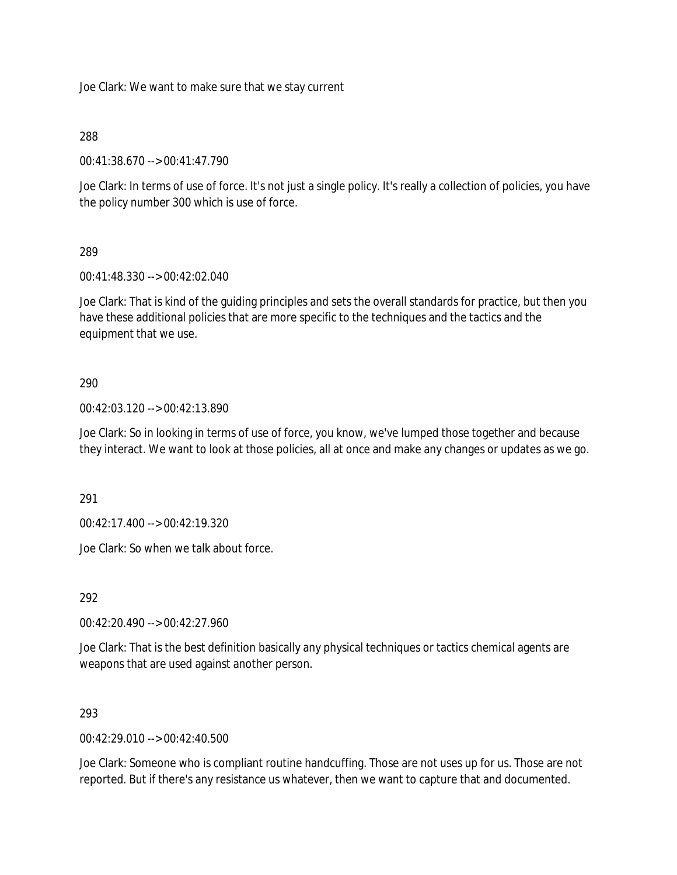Joe Clark: We want to make sure that we stay current

## 288

00:41:38.670 --> 00:41:47.790

Joe Clark: In terms of use of force. It's not just a single policy. It's really a collection of policies, you have the policy number 300 which is use of force.

## 289

00:41:48.330 --> 00:42:02.040

Joe Clark: That is kind of the guiding principles and sets the overall standards for practice, but then you have these additional policies that are more specific to the techniques and the tactics and the equipment that we use.

## 290

00:42:03.120 --> 00:42:13.890

Joe Clark: So in looking in terms of use of force, you know, we've lumped those together and because they interact. We want to look at those policies, all at once and make any changes or updates as we go.

291

00:42:17.400 --> 00:42:19.320

Joe Clark: So when we talk about force.

292

00:42:20.490 --> 00:42:27.960

Joe Clark: That is the best definition basically any physical techniques or tactics chemical agents are weapons that are used against another person.

### 293

 $0.42:29.010 - 0.22:40.500$ 

Joe Clark: Someone who is compliant routine handcuffing. Those are not uses up for us. Those are not reported. But if there's any resistance us whatever, then we want to capture that and documented.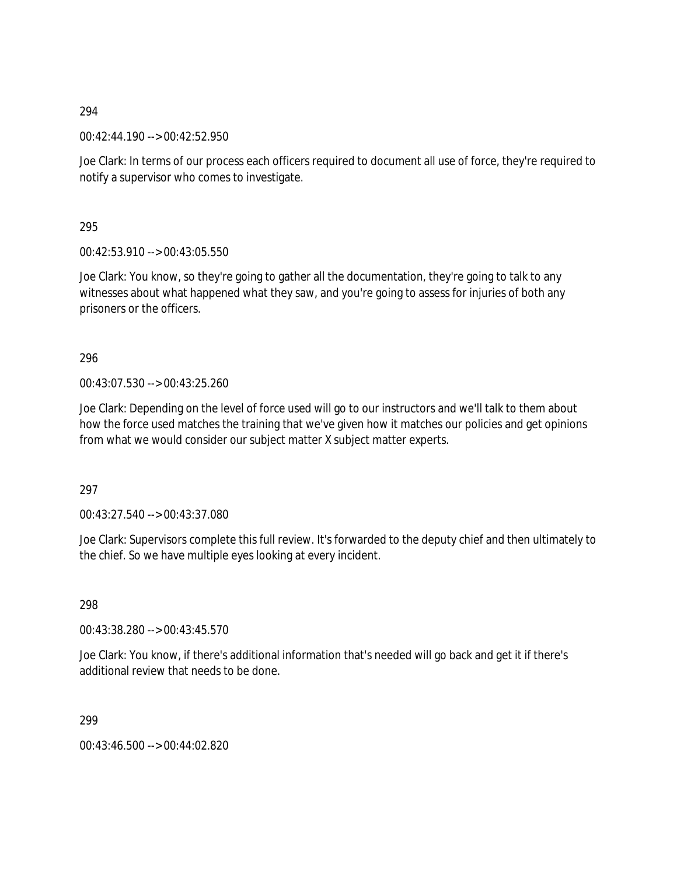00:42:44.190 --> 00:42:52.950

Joe Clark: In terms of our process each officers required to document all use of force, they're required to notify a supervisor who comes to investigate.

295

00:42:53.910 --> 00:43:05.550

Joe Clark: You know, so they're going to gather all the documentation, they're going to talk to any witnesses about what happened what they saw, and you're going to assess for injuries of both any prisoners or the officers.

296

00:43:07.530 --> 00:43:25.260

Joe Clark: Depending on the level of force used will go to our instructors and we'll talk to them about how the force used matches the training that we've given how it matches our policies and get opinions from what we would consider our subject matter X subject matter experts.

297

00:43:27.540 --> 00:43:37.080

Joe Clark: Supervisors complete this full review. It's forwarded to the deputy chief and then ultimately to the chief. So we have multiple eyes looking at every incident.

298

00:43:38.280 --> 00:43:45.570

Joe Clark: You know, if there's additional information that's needed will go back and get it if there's additional review that needs to be done.

299

00:43:46.500 --> 00:44:02.820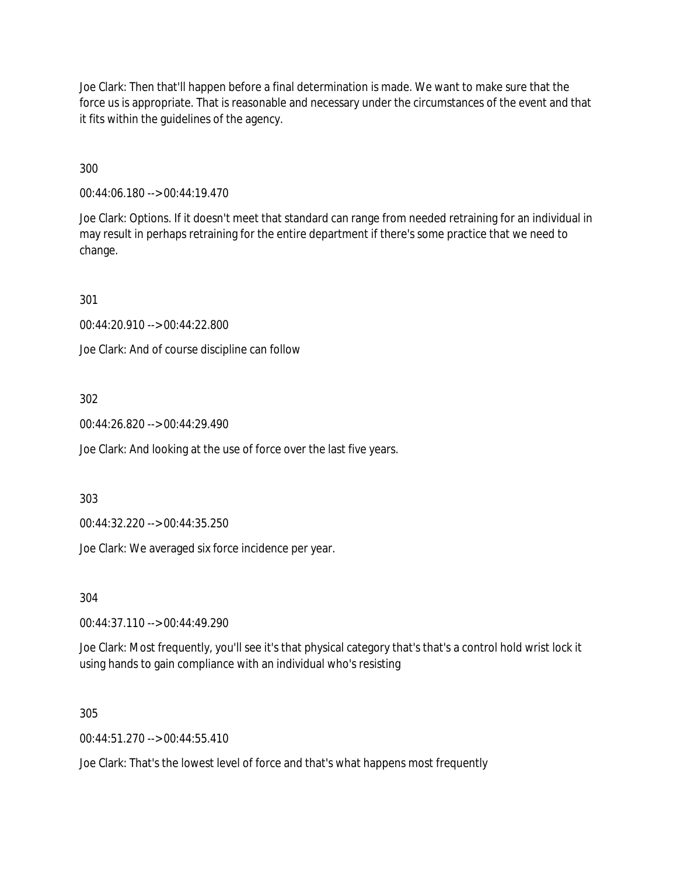Joe Clark: Then that'll happen before a final determination is made. We want to make sure that the force us is appropriate. That is reasonable and necessary under the circumstances of the event and that it fits within the guidelines of the agency.

300

00:44:06.180 --> 00:44:19.470

Joe Clark: Options. If it doesn't meet that standard can range from needed retraining for an individual in may result in perhaps retraining for the entire department if there's some practice that we need to change.

301

00:44:20.910 --> 00:44:22.800

Joe Clark: And of course discipline can follow

302

00:44:26.820 --> 00:44:29.490

Joe Clark: And looking at the use of force over the last five years.

303

00:44:32.220 --> 00:44:35.250

Joe Clark: We averaged six force incidence per year.

304

00:44:37.110 --> 00:44:49.290

Joe Clark: Most frequently, you'll see it's that physical category that's that's a control hold wrist lock it using hands to gain compliance with an individual who's resisting

305

 $00.44.51.270 -> 00.44.55.410$ 

Joe Clark: That's the lowest level of force and that's what happens most frequently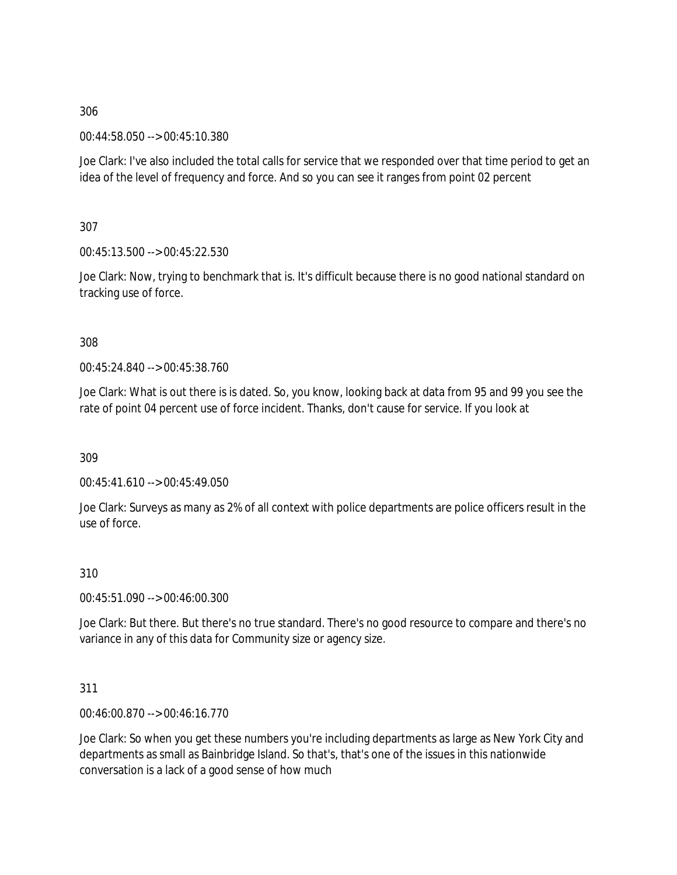00:44:58.050 --> 00:45:10.380

Joe Clark: I've also included the total calls for service that we responded over that time period to get an idea of the level of frequency and force. And so you can see it ranges from point 02 percent

307

00:45:13.500 --> 00:45:22.530

Joe Clark: Now, trying to benchmark that is. It's difficult because there is no good national standard on tracking use of force.

308

00:45:24.840 --> 00:45:38.760

Joe Clark: What is out there is is dated. So, you know, looking back at data from 95 and 99 you see the rate of point 04 percent use of force incident. Thanks, don't cause for service. If you look at

309

00:45:41.610 --> 00:45:49.050

Joe Clark: Surveys as many as 2% of all context with police departments are police officers result in the use of force.

# 310

00:45:51.090 --> 00:46:00.300

Joe Clark: But there. But there's no true standard. There's no good resource to compare and there's no variance in any of this data for Community size or agency size.

# 311

00:46:00.870 --> 00:46:16.770

Joe Clark: So when you get these numbers you're including departments as large as New York City and departments as small as Bainbridge Island. So that's, that's one of the issues in this nationwide conversation is a lack of a good sense of how much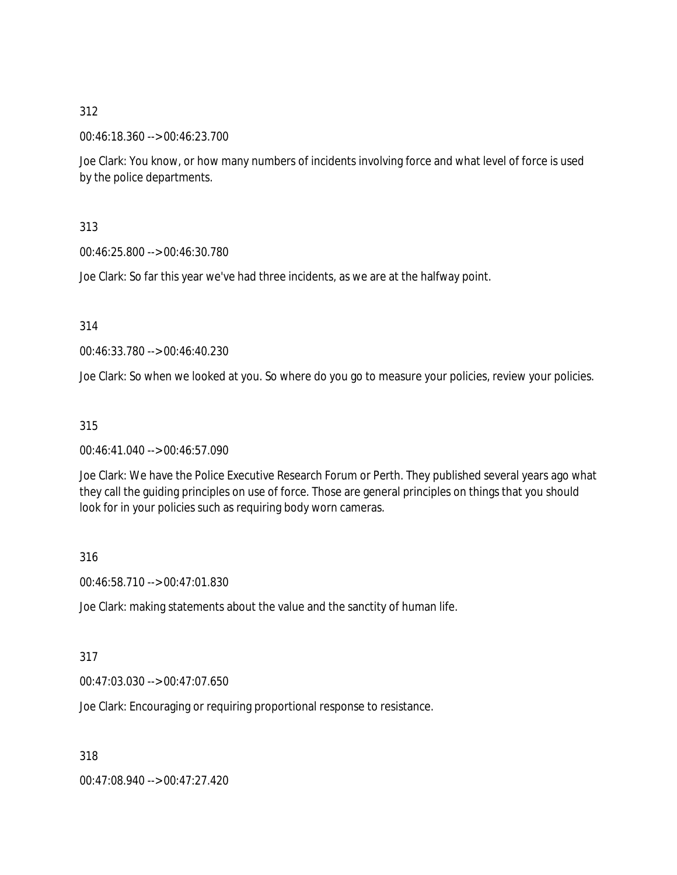00:46:18.360 --> 00:46:23.700

Joe Clark: You know, or how many numbers of incidents involving force and what level of force is used by the police departments.

313

00:46:25.800 --> 00:46:30.780

Joe Clark: So far this year we've had three incidents, as we are at the halfway point.

314

00:46:33.780 --> 00:46:40.230

Joe Clark: So when we looked at you. So where do you go to measure your policies, review your policies.

### 315

00:46:41.040 --> 00:46:57.090

Joe Clark: We have the Police Executive Research Forum or Perth. They published several years ago what they call the guiding principles on use of force. Those are general principles on things that you should look for in your policies such as requiring body worn cameras.

316

00:46:58.710 --> 00:47:01.830

Joe Clark: making statements about the value and the sanctity of human life.

### 317

00:47:03.030 --> 00:47:07.650

Joe Clark: Encouraging or requiring proportional response to resistance.

318

00:47:08.940 --> 00:47:27.420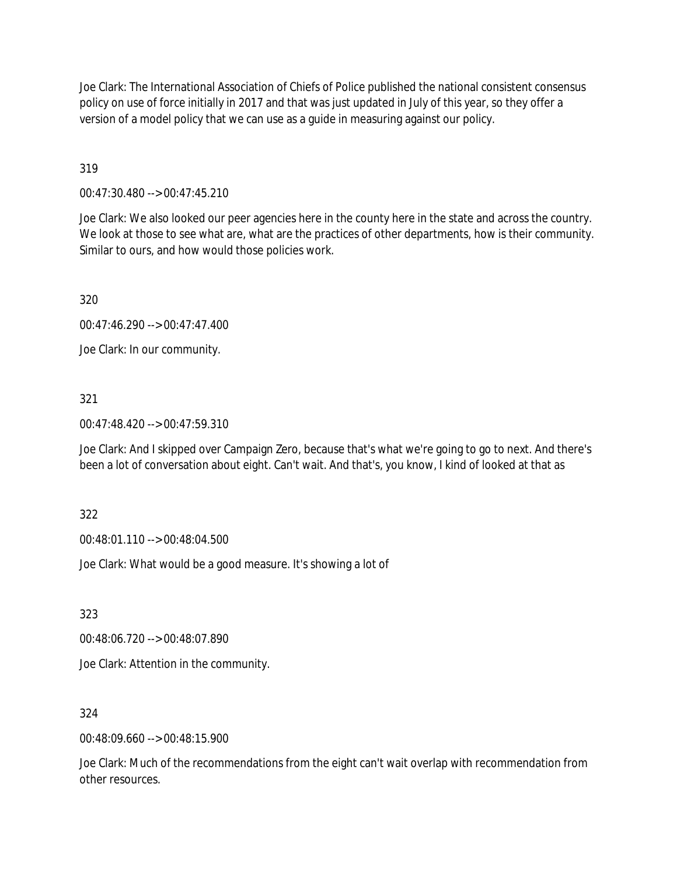Joe Clark: The International Association of Chiefs of Police published the national consistent consensus policy on use of force initially in 2017 and that was just updated in July of this year, so they offer a version of a model policy that we can use as a guide in measuring against our policy.

319

00:47:30.480 --> 00:47:45.210

Joe Clark: We also looked our peer agencies here in the county here in the state and across the country. We look at those to see what are, what are the practices of other departments, how is their community. Similar to ours, and how would those policies work.

320

00:47:46.290 --> 00:47:47.400

Joe Clark: In our community.

## 321

00:47:48.420 --> 00:47:59.310

Joe Clark: And I skipped over Campaign Zero, because that's what we're going to go to next. And there's been a lot of conversation about eight. Can't wait. And that's, you know, I kind of looked at that as

322

00:48:01.110 --> 00:48:04.500

Joe Clark: What would be a good measure. It's showing a lot of

323

00:48:06.720 --> 00:48:07.890

Joe Clark: Attention in the community.

### 324

00:48:09.660 --> 00:48:15.900

Joe Clark: Much of the recommendations from the eight can't wait overlap with recommendation from other resources.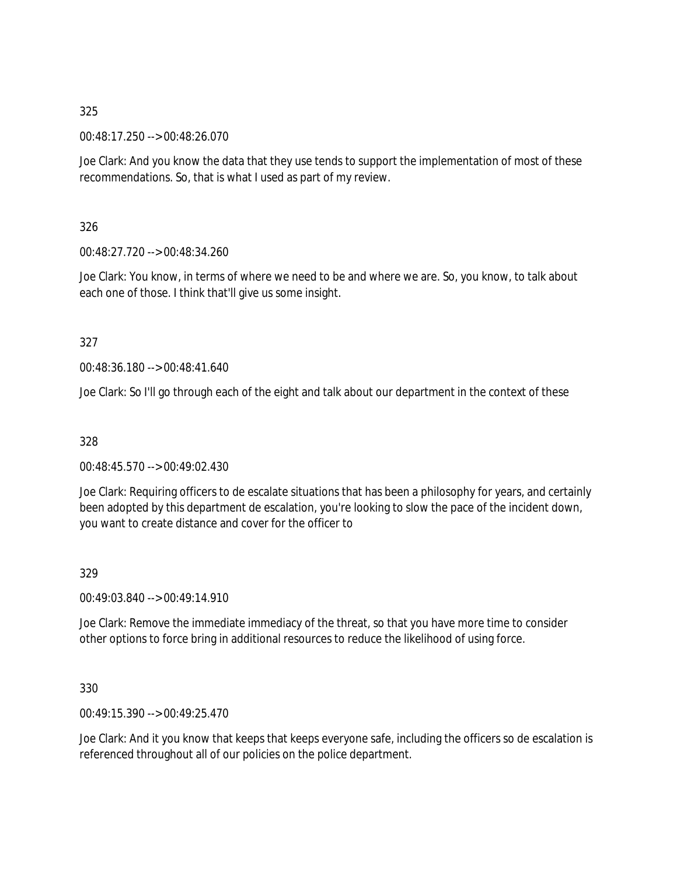00:48:17.250 --> 00:48:26.070

Joe Clark: And you know the data that they use tends to support the implementation of most of these recommendations. So, that is what I used as part of my review.

326

00:48:27.720 --> 00:48:34.260

Joe Clark: You know, in terms of where we need to be and where we are. So, you know, to talk about each one of those. I think that'll give us some insight.

327

00:48:36.180 --> 00:48:41.640

Joe Clark: So I'll go through each of the eight and talk about our department in the context of these

328

00:48:45.570 --> 00:49:02.430

Joe Clark: Requiring officers to de escalate situations that has been a philosophy for years, and certainly been adopted by this department de escalation, you're looking to slow the pace of the incident down, you want to create distance and cover for the officer to

329

00:49:03.840 --> 00:49:14.910

Joe Clark: Remove the immediate immediacy of the threat, so that you have more time to consider other options to force bring in additional resources to reduce the likelihood of using force.

330

00:49:15.390 --> 00:49:25.470

Joe Clark: And it you know that keeps that keeps everyone safe, including the officers so de escalation is referenced throughout all of our policies on the police department.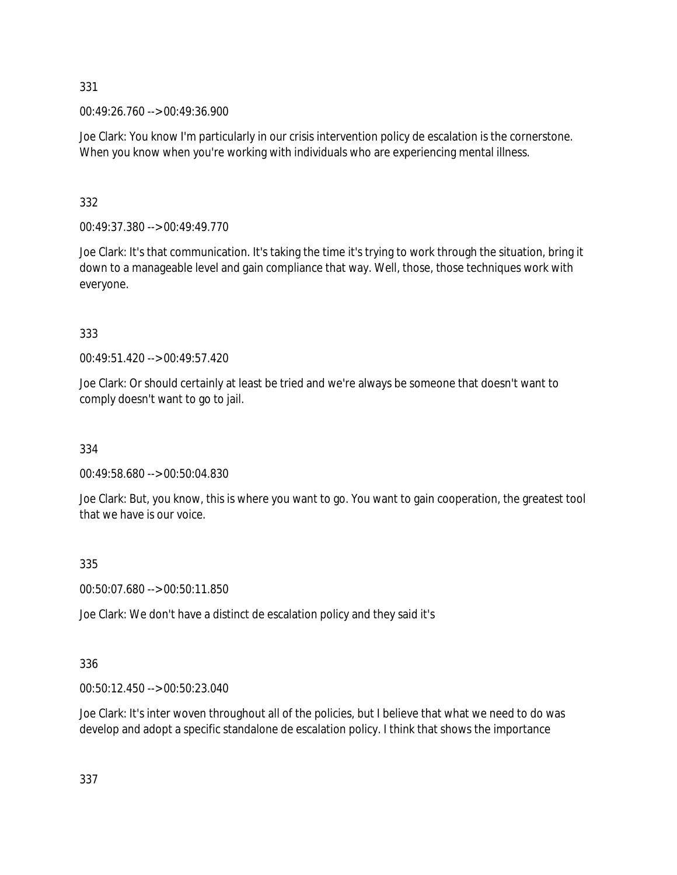00:49:26.760 --> 00:49:36.900

Joe Clark: You know I'm particularly in our crisis intervention policy de escalation is the cornerstone. When you know when you're working with individuals who are experiencing mental illness.

332

00:49:37.380 --> 00:49:49.770

Joe Clark: It's that communication. It's taking the time it's trying to work through the situation, bring it down to a manageable level and gain compliance that way. Well, those, those techniques work with everyone.

333

00:49:51.420 --> 00:49:57.420

Joe Clark: Or should certainly at least be tried and we're always be someone that doesn't want to comply doesn't want to go to jail.

334

00:49:58.680 --> 00:50:04.830

Joe Clark: But, you know, this is where you want to go. You want to gain cooperation, the greatest tool that we have is our voice.

335

00:50:07.680 --> 00:50:11.850

Joe Clark: We don't have a distinct de escalation policy and they said it's

# 336

00:50:12.450 --> 00:50:23.040

Joe Clark: It's inter woven throughout all of the policies, but I believe that what we need to do was develop and adopt a specific standalone de escalation policy. I think that shows the importance

337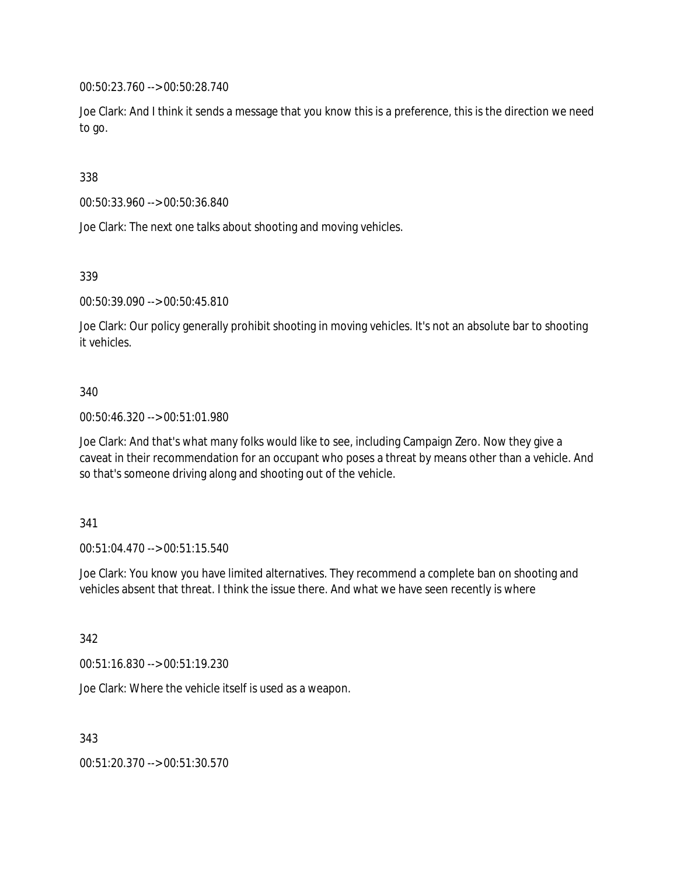00:50:23.760 --> 00:50:28.740

Joe Clark: And I think it sends a message that you know this is a preference, this is the direction we need to go.

338

00:50:33.960 --> 00:50:36.840

Joe Clark: The next one talks about shooting and moving vehicles.

339

00:50:39.090 --> 00:50:45.810

Joe Clark: Our policy generally prohibit shooting in moving vehicles. It's not an absolute bar to shooting it vehicles.

### 340

00:50:46.320 --> 00:51:01.980

Joe Clark: And that's what many folks would like to see, including Campaign Zero. Now they give a caveat in their recommendation for an occupant who poses a threat by means other than a vehicle. And so that's someone driving along and shooting out of the vehicle.

### 341

00:51:04.470 --> 00:51:15.540

Joe Clark: You know you have limited alternatives. They recommend a complete ban on shooting and vehicles absent that threat. I think the issue there. And what we have seen recently is where

342

00:51:16.830 --> 00:51:19.230

Joe Clark: Where the vehicle itself is used as a weapon.

343

00:51:20.370 --> 00:51:30.570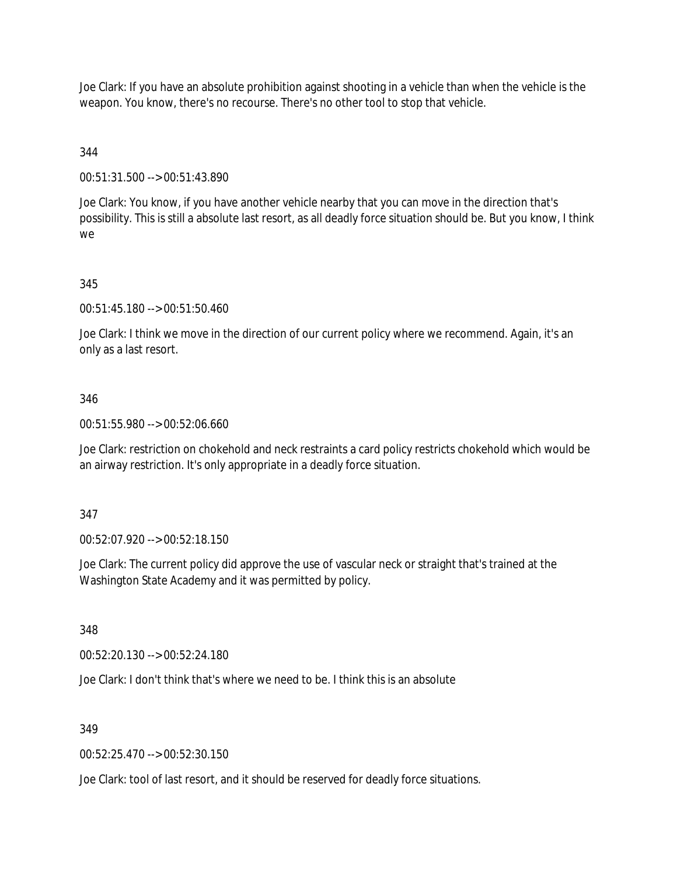Joe Clark: If you have an absolute prohibition against shooting in a vehicle than when the vehicle is the weapon. You know, there's no recourse. There's no other tool to stop that vehicle.

## 344

00:51:31.500 --> 00:51:43.890

Joe Clark: You know, if you have another vehicle nearby that you can move in the direction that's possibility. This is still a absolute last resort, as all deadly force situation should be. But you know, I think we

### 345

00:51:45.180 --> 00:51:50.460

Joe Clark: I think we move in the direction of our current policy where we recommend. Again, it's an only as a last resort.

## 346

00:51:55.980 --> 00:52:06.660

Joe Clark: restriction on chokehold and neck restraints a card policy restricts chokehold which would be an airway restriction. It's only appropriate in a deadly force situation.

### 347

00:52:07.920 --> 00:52:18.150

Joe Clark: The current policy did approve the use of vascular neck or straight that's trained at the Washington State Academy and it was permitted by policy.

348

00:52:20.130 --> 00:52:24.180

Joe Clark: I don't think that's where we need to be. I think this is an absolute

### 349

00:52:25.470 --> 00:52:30.150

Joe Clark: tool of last resort, and it should be reserved for deadly force situations.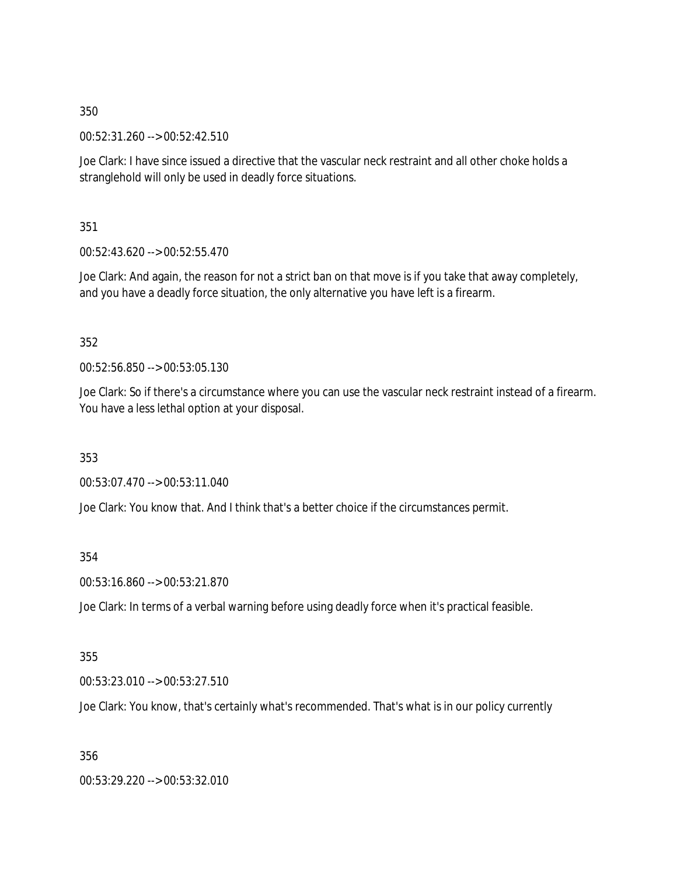00:52:31.260 --> 00:52:42.510

Joe Clark: I have since issued a directive that the vascular neck restraint and all other choke holds a stranglehold will only be used in deadly force situations.

351

00:52:43.620 --> 00:52:55.470

Joe Clark: And again, the reason for not a strict ban on that move is if you take that away completely, and you have a deadly force situation, the only alternative you have left is a firearm.

352

00:52:56.850 --> 00:53:05.130

Joe Clark: So if there's a circumstance where you can use the vascular neck restraint instead of a firearm. You have a less lethal option at your disposal.

353

00:53:07.470 --> 00:53:11.040

Joe Clark: You know that. And I think that's a better choice if the circumstances permit.

354

00:53:16.860 --> 00:53:21.870

Joe Clark: In terms of a verbal warning before using deadly force when it's practical feasible.

355

00:53:23.010 --> 00:53:27.510

Joe Clark: You know, that's certainly what's recommended. That's what is in our policy currently

356

00:53:29.220 --> 00:53:32.010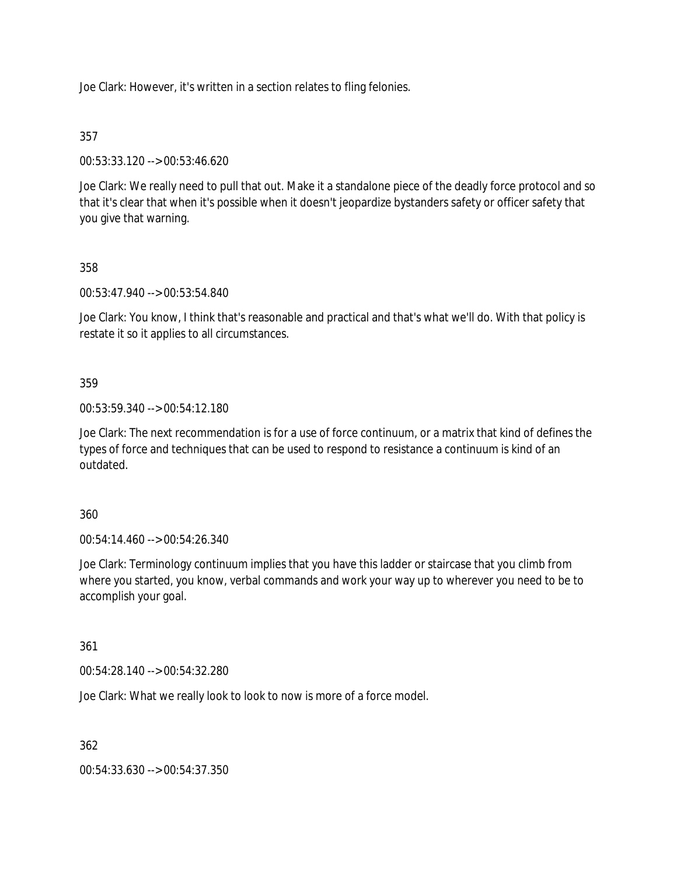Joe Clark: However, it's written in a section relates to fling felonies.

## 357

00:53:33.120 --> 00:53:46.620

Joe Clark: We really need to pull that out. Make it a standalone piece of the deadly force protocol and so that it's clear that when it's possible when it doesn't jeopardize bystanders safety or officer safety that you give that warning.

## 358

00:53:47.940 --> 00:53:54.840

Joe Clark: You know, I think that's reasonable and practical and that's what we'll do. With that policy is restate it so it applies to all circumstances.

### 359

00:53:59.340 --> 00:54:12.180

Joe Clark: The next recommendation is for a use of force continuum, or a matrix that kind of defines the types of force and techniques that can be used to respond to resistance a continuum is kind of an outdated.

### 360

00:54:14.460 --> 00:54:26.340

Joe Clark: Terminology continuum implies that you have this ladder or staircase that you climb from where you started, you know, verbal commands and work your way up to wherever you need to be to accomplish your goal.

### 361

00:54:28.140 --> 00:54:32.280

Joe Clark: What we really look to look to now is more of a force model.

362

00:54:33.630 --> 00:54:37.350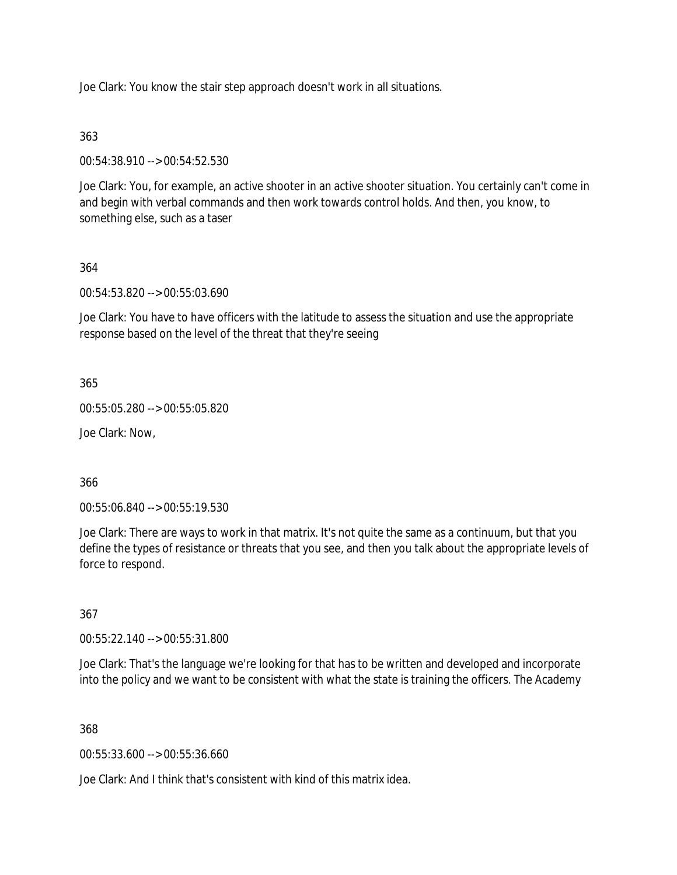Joe Clark: You know the stair step approach doesn't work in all situations.

## 363

00:54:38.910 --> 00:54:52.530

Joe Clark: You, for example, an active shooter in an active shooter situation. You certainly can't come in and begin with verbal commands and then work towards control holds. And then, you know, to something else, such as a taser

## 364

00:54:53.820 --> 00:55:03.690

Joe Clark: You have to have officers with the latitude to assess the situation and use the appropriate response based on the level of the threat that they're seeing

365

00:55:05.280 --> 00:55:05.820

Joe Clark: Now,

366

00:55:06.840 --> 00:55:19.530

Joe Clark: There are ways to work in that matrix. It's not quite the same as a continuum, but that you define the types of resistance or threats that you see, and then you talk about the appropriate levels of force to respond.

### 367

00:55:22.140 --> 00:55:31.800

Joe Clark: That's the language we're looking for that has to be written and developed and incorporate into the policy and we want to be consistent with what the state is training the officers. The Academy

368

00:55:33.600 --> 00:55:36.660

Joe Clark: And I think that's consistent with kind of this matrix idea.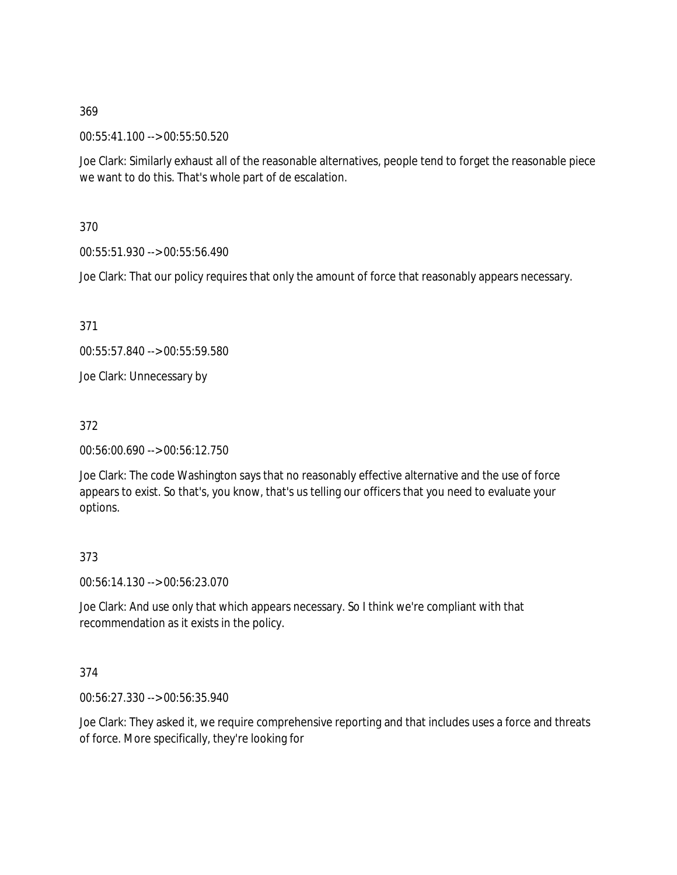00:55:41.100 --> 00:55:50.520

Joe Clark: Similarly exhaust all of the reasonable alternatives, people tend to forget the reasonable piece we want to do this. That's whole part of de escalation.

370

00:55:51.930 --> 00:55:56.490

Joe Clark: That our policy requires that only the amount of force that reasonably appears necessary.

371

00:55:57.840 --> 00:55:59.580

Joe Clark: Unnecessary by

372

00:56:00.690 --> 00:56:12.750

Joe Clark: The code Washington says that no reasonably effective alternative and the use of force appears to exist. So that's, you know, that's us telling our officers that you need to evaluate your options.

#### 373

00:56:14.130 --> 00:56:23.070

Joe Clark: And use only that which appears necessary. So I think we're compliant with that recommendation as it exists in the policy.

374

00:56:27.330 --> 00:56:35.940

Joe Clark: They asked it, we require comprehensive reporting and that includes uses a force and threats of force. More specifically, they're looking for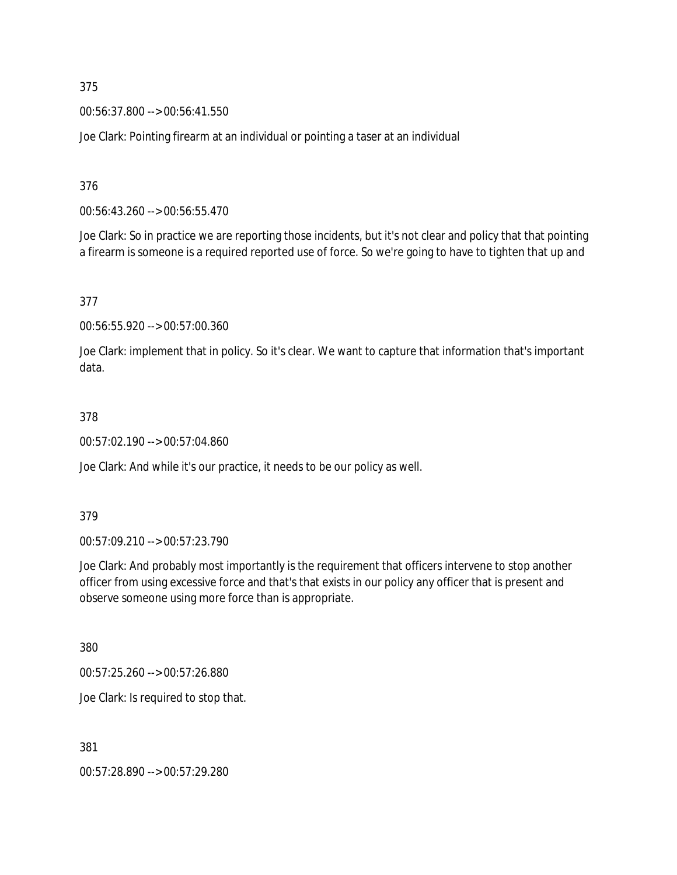00:56:37.800 --> 00:56:41.550

Joe Clark: Pointing firearm at an individual or pointing a taser at an individual

376

00:56:43.260 --> 00:56:55.470

Joe Clark: So in practice we are reporting those incidents, but it's not clear and policy that that pointing a firearm is someone is a required reported use of force. So we're going to have to tighten that up and

377

00:56:55.920 --> 00:57:00.360

Joe Clark: implement that in policy. So it's clear. We want to capture that information that's important data.

#### 378

00:57:02.190 --> 00:57:04.860

Joe Clark: And while it's our practice, it needs to be our policy as well.

379

00:57:09.210 --> 00:57:23.790

Joe Clark: And probably most importantly is the requirement that officers intervene to stop another officer from using excessive force and that's that exists in our policy any officer that is present and observe someone using more force than is appropriate.

380

00:57:25.260 --> 00:57:26.880

Joe Clark: Is required to stop that.

381

00:57:28.890 --> 00:57:29.280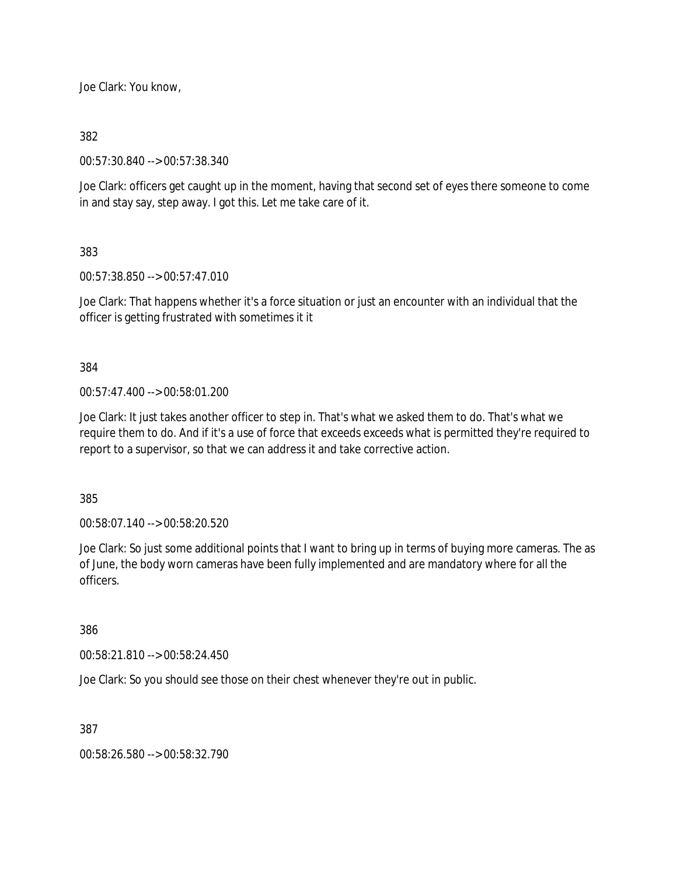Joe Clark: You know,

382

00:57:30.840 --> 00:57:38.340

Joe Clark: officers get caught up in the moment, having that second set of eyes there someone to come in and stay say, step away. I got this. Let me take care of it.

383

00:57:38.850 --> 00:57:47.010

Joe Clark: That happens whether it's a force situation or just an encounter with an individual that the officer is getting frustrated with sometimes it it

384

00:57:47.400 --> 00:58:01.200

Joe Clark: It just takes another officer to step in. That's what we asked them to do. That's what we require them to do. And if it's a use of force that exceeds exceeds what is permitted they're required to report to a supervisor, so that we can address it and take corrective action.

385

00:58:07.140 --> 00:58:20.520

Joe Clark: So just some additional points that I want to bring up in terms of buying more cameras. The as of June, the body worn cameras have been fully implemented and are mandatory where for all the officers.

386

00:58:21.810 --> 00:58:24.450

Joe Clark: So you should see those on their chest whenever they're out in public.

387

00:58:26.580 --> 00:58:32.790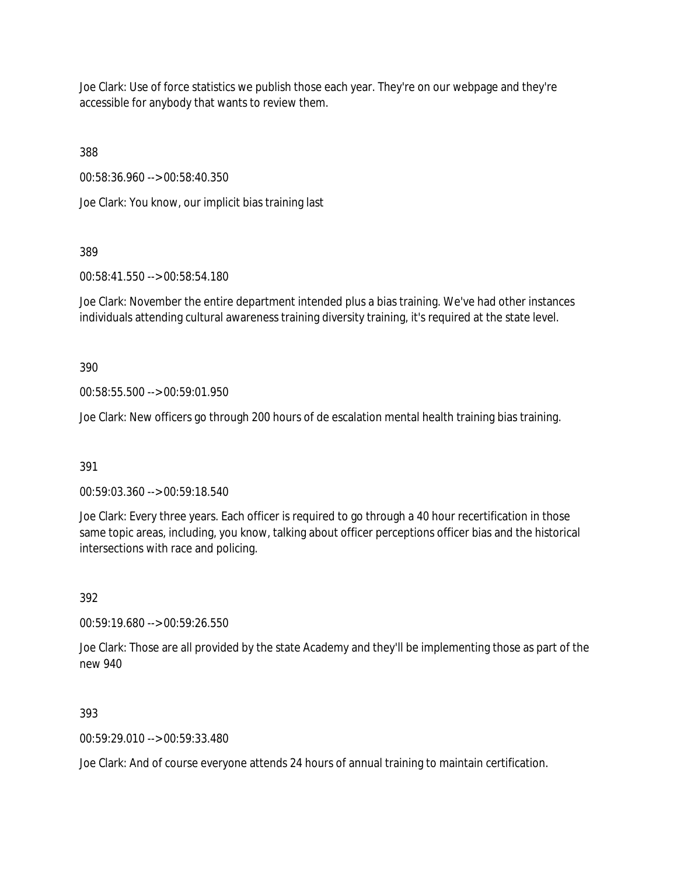Joe Clark: Use of force statistics we publish those each year. They're on our webpage and they're accessible for anybody that wants to review them.

388

00:58:36.960 --> 00:58:40.350

Joe Clark: You know, our implicit bias training last

389

00:58:41.550 --> 00:58:54.180

Joe Clark: November the entire department intended plus a bias training. We've had other instances individuals attending cultural awareness training diversity training, it's required at the state level.

390

00:58:55.500 --> 00:59:01.950

Joe Clark: New officers go through 200 hours of de escalation mental health training bias training.

391

00:59:03.360 --> 00:59:18.540

Joe Clark: Every three years. Each officer is required to go through a 40 hour recertification in those same topic areas, including, you know, talking about officer perceptions officer bias and the historical intersections with race and policing.

392

00:59:19.680 --> 00:59:26.550

Joe Clark: Those are all provided by the state Academy and they'll be implementing those as part of the new 940

393

00:59:29.010 --> 00:59:33.480

Joe Clark: And of course everyone attends 24 hours of annual training to maintain certification.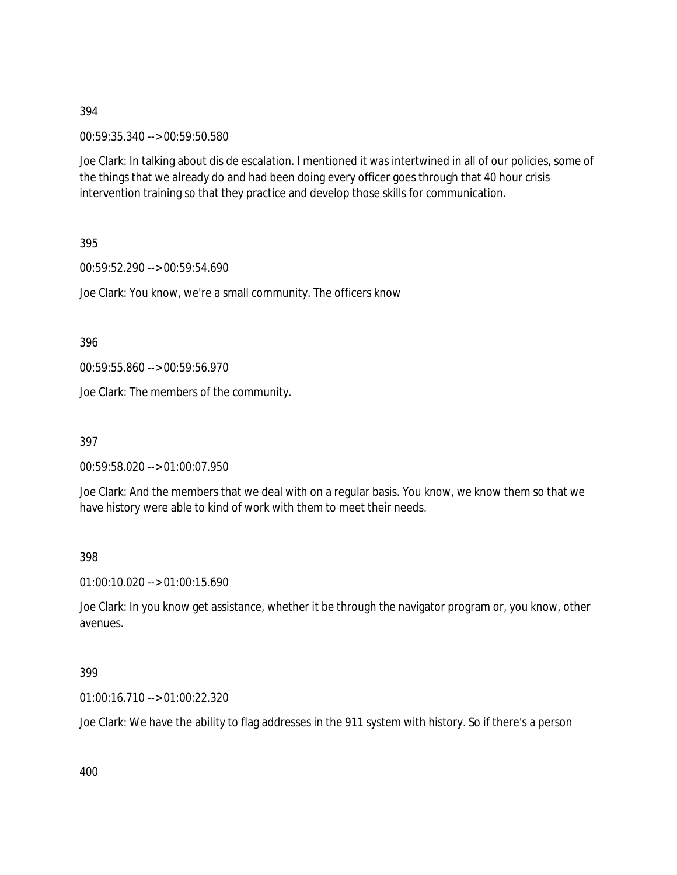00:59:35.340 --> 00:59:50.580

Joe Clark: In talking about dis de escalation. I mentioned it was intertwined in all of our policies, some of the things that we already do and had been doing every officer goes through that 40 hour crisis intervention training so that they practice and develop those skills for communication.

395

00:59:52.290 --> 00:59:54.690

Joe Clark: You know, we're a small community. The officers know

396

00:59:55.860 --> 00:59:56.970

Joe Clark: The members of the community.

397

00:59:58.020 --> 01:00:07.950

Joe Clark: And the members that we deal with on a regular basis. You know, we know them so that we have history were able to kind of work with them to meet their needs.

398

01:00:10.020 --> 01:00:15.690

Joe Clark: In you know get assistance, whether it be through the navigator program or, you know, other avenues.

399

01:00:16.710 --> 01:00:22.320

Joe Clark: We have the ability to flag addresses in the 911 system with history. So if there's a person

400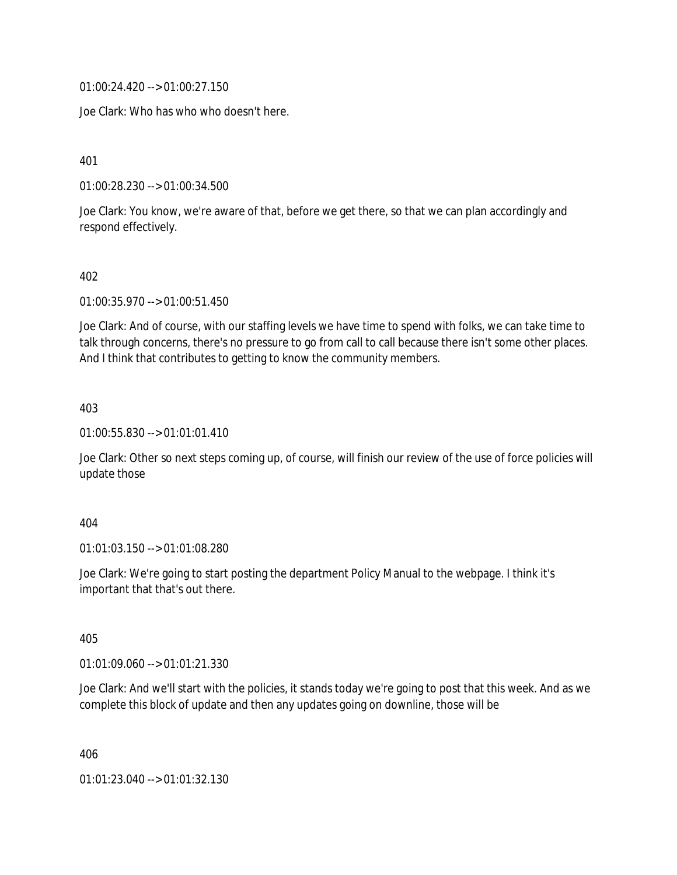01:00:24.420 --> 01:00:27.150

Joe Clark: Who has who who doesn't here.

401

01:00:28.230 --> 01:00:34.500

Joe Clark: You know, we're aware of that, before we get there, so that we can plan accordingly and respond effectively.

402

01:00:35.970 --> 01:00:51.450

Joe Clark: And of course, with our staffing levels we have time to spend with folks, we can take time to talk through concerns, there's no pressure to go from call to call because there isn't some other places. And I think that contributes to getting to know the community members.

403

01:00:55.830 --> 01:01:01.410

Joe Clark: Other so next steps coming up, of course, will finish our review of the use of force policies will update those

404

01:01:03.150 --> 01:01:08.280

Joe Clark: We're going to start posting the department Policy Manual to the webpage. I think it's important that that's out there.

405

01:01:09.060 --> 01:01:21.330

Joe Clark: And we'll start with the policies, it stands today we're going to post that this week. And as we complete this block of update and then any updates going on downline, those will be

406

01:01:23.040 --> 01:01:32.130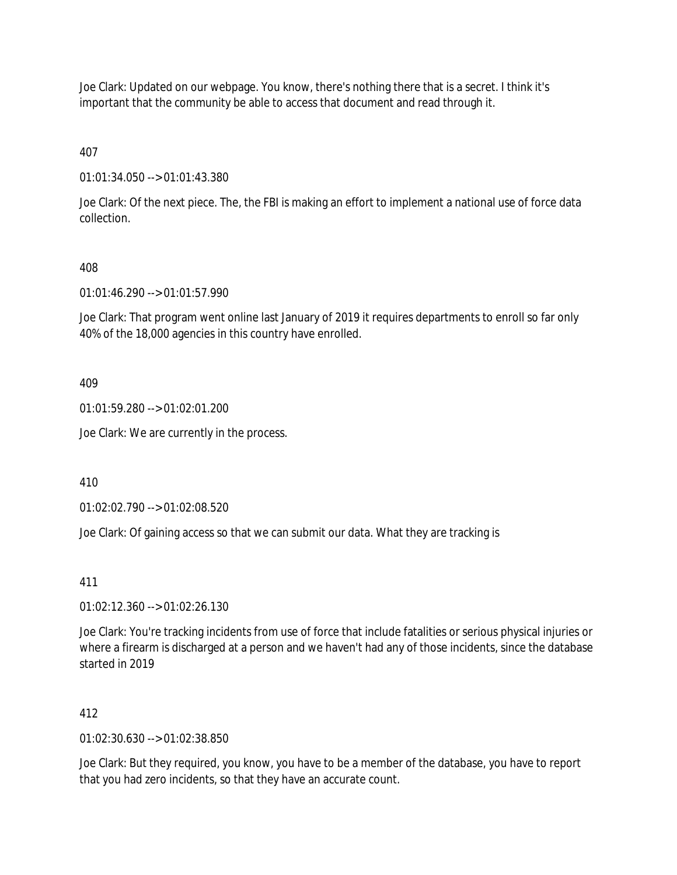Joe Clark: Updated on our webpage. You know, there's nothing there that is a secret. I think it's important that the community be able to access that document and read through it.

407

01:01:34.050 --> 01:01:43.380

Joe Clark: Of the next piece. The, the FBI is making an effort to implement a national use of force data collection.

## 408

01:01:46.290 --> 01:01:57.990

Joe Clark: That program went online last January of 2019 it requires departments to enroll so far only 40% of the 18,000 agencies in this country have enrolled.

409

01:01:59.280 --> 01:02:01.200

Joe Clark: We are currently in the process.

410

01:02:02.790 --> 01:02:08.520

Joe Clark: Of gaining access so that we can submit our data. What they are tracking is

411

01:02:12.360 --> 01:02:26.130

Joe Clark: You're tracking incidents from use of force that include fatalities or serious physical injuries or where a firearm is discharged at a person and we haven't had any of those incidents, since the database started in 2019

### 412

01:02:30.630 --> 01:02:38.850

Joe Clark: But they required, you know, you have to be a member of the database, you have to report that you had zero incidents, so that they have an accurate count.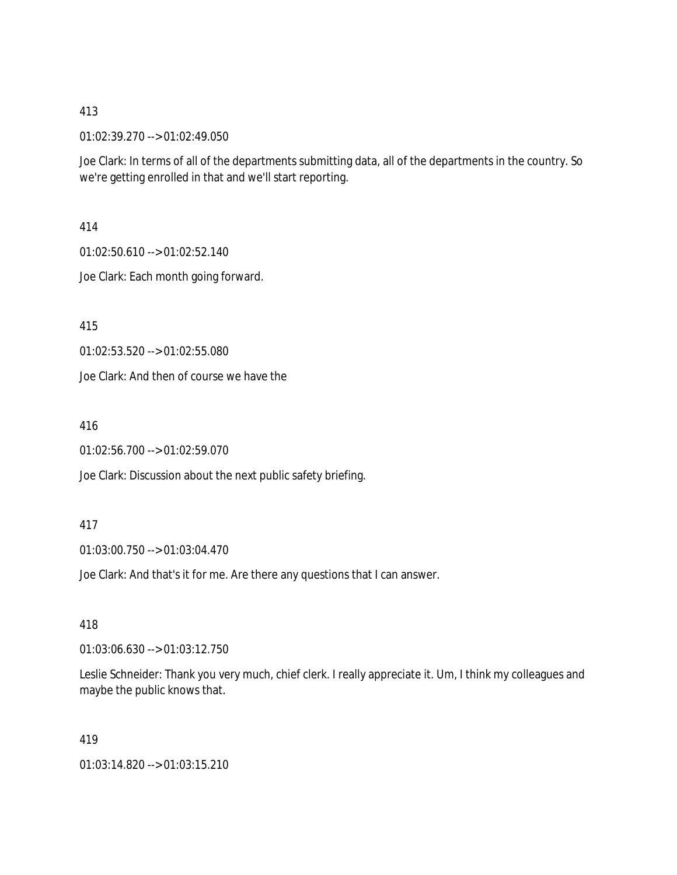01:02:39.270 --> 01:02:49.050

Joe Clark: In terms of all of the departments submitting data, all of the departments in the country. So we're getting enrolled in that and we'll start reporting.

414

01:02:50.610 --> 01:02:52.140

Joe Clark: Each month going forward.

415

01:02:53.520 --> 01:02:55.080

Joe Clark: And then of course we have the

416

01:02:56.700 --> 01:02:59.070

Joe Clark: Discussion about the next public safety briefing.

417

01:03:00.750 --> 01:03:04.470

Joe Clark: And that's it for me. Are there any questions that I can answer.

418

01:03:06.630 --> 01:03:12.750

Leslie Schneider: Thank you very much, chief clerk. I really appreciate it. Um, I think my colleagues and maybe the public knows that.

419

01:03:14.820 --> 01:03:15.210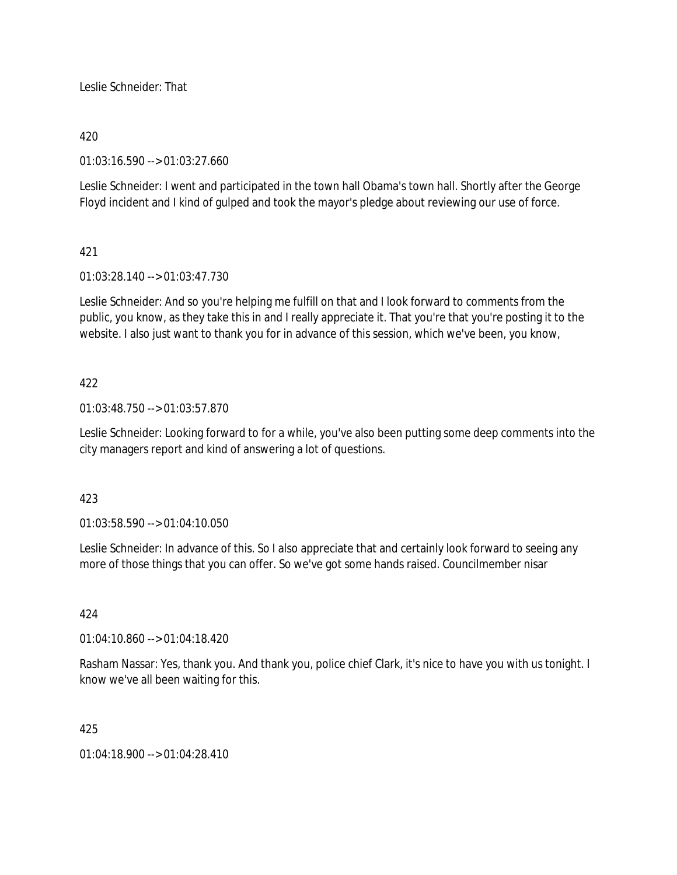Leslie Schneider: That

## 420

01:03:16.590 --> 01:03:27.660

Leslie Schneider: I went and participated in the town hall Obama's town hall. Shortly after the George Floyd incident and I kind of gulped and took the mayor's pledge about reviewing our use of force.

# 421

01:03:28.140 --> 01:03:47.730

Leslie Schneider: And so you're helping me fulfill on that and I look forward to comments from the public, you know, as they take this in and I really appreciate it. That you're that you're posting it to the website. I also just want to thank you for in advance of this session, which we've been, you know,

## 422

01:03:48.750 --> 01:03:57.870

Leslie Schneider: Looking forward to for a while, you've also been putting some deep comments into the city managers report and kind of answering a lot of questions.

### 423

01:03:58.590 --> 01:04:10.050

Leslie Schneider: In advance of this. So I also appreciate that and certainly look forward to seeing any more of those things that you can offer. So we've got some hands raised. Councilmember nisar

### 424

01:04:10.860 --> 01:04:18.420

Rasham Nassar: Yes, thank you. And thank you, police chief Clark, it's nice to have you with us tonight. I know we've all been waiting for this.

### 425

01:04:18.900 --> 01:04:28.410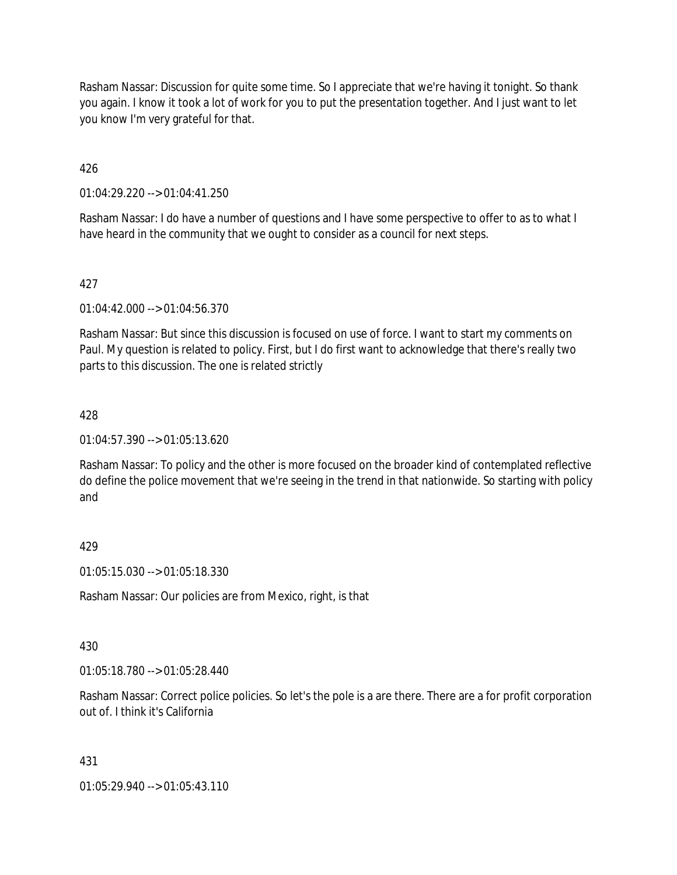Rasham Nassar: Discussion for quite some time. So I appreciate that we're having it tonight. So thank you again. I know it took a lot of work for you to put the presentation together. And I just want to let you know I'm very grateful for that.

426

01:04:29.220 --> 01:04:41.250

Rasham Nassar: I do have a number of questions and I have some perspective to offer to as to what I have heard in the community that we ought to consider as a council for next steps.

## 427

01:04:42.000 --> 01:04:56.370

Rasham Nassar: But since this discussion is focused on use of force. I want to start my comments on Paul. My question is related to policy. First, but I do first want to acknowledge that there's really two parts to this discussion. The one is related strictly

## 428

 $01:04:57.390 \rightarrow 01:05:13.620$ 

Rasham Nassar: To policy and the other is more focused on the broader kind of contemplated reflective do define the police movement that we're seeing in the trend in that nationwide. So starting with policy and

# 429

01:05:15.030 --> 01:05:18.330

Rasham Nassar: Our policies are from Mexico, right, is that

### 430

01:05:18.780 --> 01:05:28.440

Rasham Nassar: Correct police policies. So let's the pole is a are there. There are a for profit corporation out of. I think it's California

# 431

01:05:29.940 --> 01:05:43.110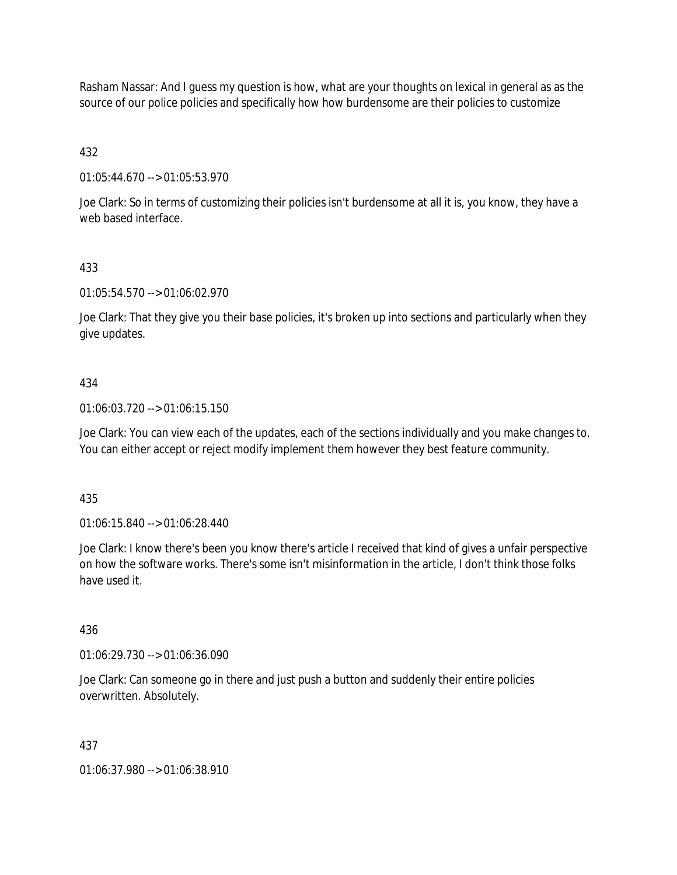Rasham Nassar: And I guess my question is how, what are your thoughts on lexical in general as as the source of our police policies and specifically how how burdensome are their policies to customize

432

01:05:44.670 --> 01:05:53.970

Joe Clark: So in terms of customizing their policies isn't burdensome at all it is, you know, they have a web based interface.

## 433

01:05:54.570 --> 01:06:02.970

Joe Clark: That they give you their base policies, it's broken up into sections and particularly when they give updates.

### 434

01:06:03.720 --> 01:06:15.150

Joe Clark: You can view each of the updates, each of the sections individually and you make changes to. You can either accept or reject modify implement them however they best feature community.

435

01:06:15.840 --> 01:06:28.440

Joe Clark: I know there's been you know there's article I received that kind of gives a unfair perspective on how the software works. There's some isn't misinformation in the article, I don't think those folks have used it.

### 436

01:06:29.730 --> 01:06:36.090

Joe Clark: Can someone go in there and just push a button and suddenly their entire policies overwritten. Absolutely.

### 437

01:06:37.980 --> 01:06:38.910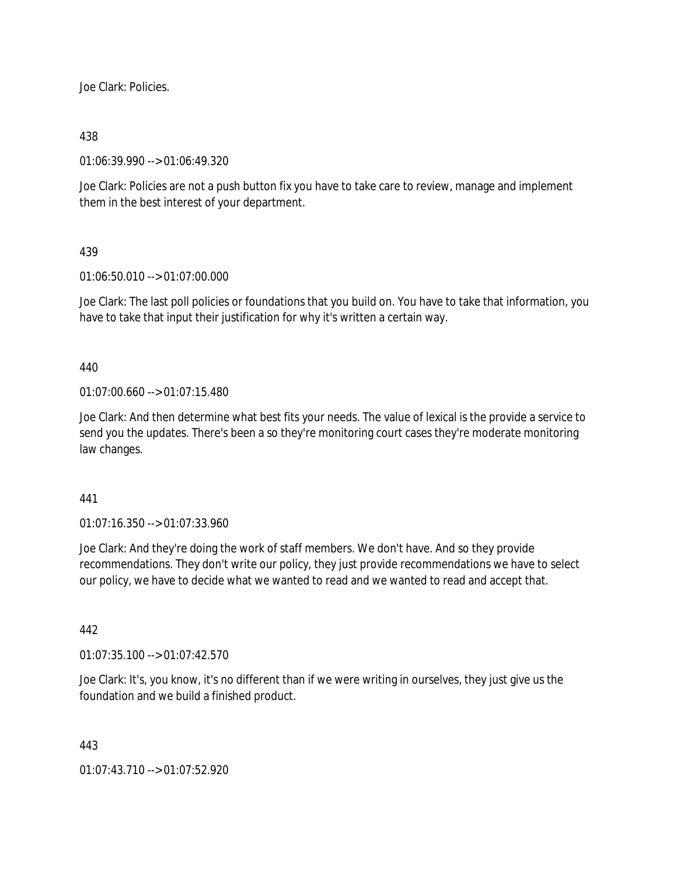Joe Clark: Policies.

## 438

01:06:39.990 --> 01:06:49.320

Joe Clark: Policies are not a push button fix you have to take care to review, manage and implement them in the best interest of your department.

## 439

01:06:50.010 --> 01:07:00.000

Joe Clark: The last poll policies or foundations that you build on. You have to take that information, you have to take that input their justification for why it's written a certain way.

440

01:07:00.660 --> 01:07:15.480

Joe Clark: And then determine what best fits your needs. The value of lexical is the provide a service to send you the updates. There's been a so they're monitoring court cases they're moderate monitoring law changes.

441

01:07:16.350 --> 01:07:33.960

Joe Clark: And they're doing the work of staff members. We don't have. And so they provide recommendations. They don't write our policy, they just provide recommendations we have to select our policy, we have to decide what we wanted to read and we wanted to read and accept that.

442

01:07:35.100 --> 01:07:42.570

Joe Clark: It's, you know, it's no different than if we were writing in ourselves, they just give us the foundation and we build a finished product.

### 443

01:07:43.710 --> 01:07:52.920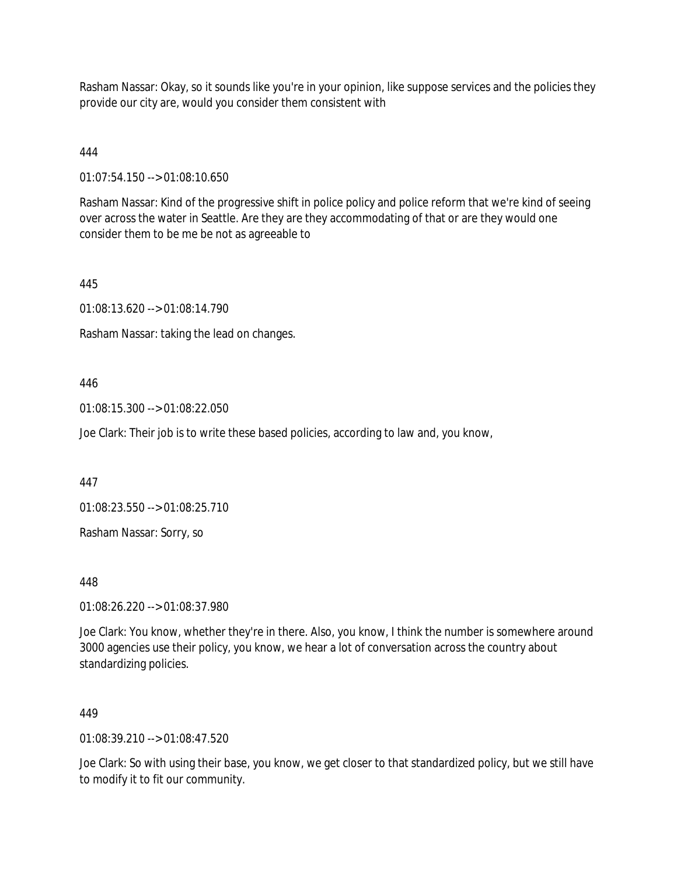Rasham Nassar: Okay, so it sounds like you're in your opinion, like suppose services and the policies they provide our city are, would you consider them consistent with

# 444

01:07:54.150 --> 01:08:10.650

Rasham Nassar: Kind of the progressive shift in police policy and police reform that we're kind of seeing over across the water in Seattle. Are they are they accommodating of that or are they would one consider them to be me be not as agreeable to

# 445

01:08:13.620 --> 01:08:14.790

Rasham Nassar: taking the lead on changes.

# 446

01:08:15.300 --> 01:08:22.050

Joe Clark: Their job is to write these based policies, according to law and, you know,

447

01:08:23.550 --> 01:08:25.710

Rasham Nassar: Sorry, so

448

01:08:26.220 --> 01:08:37.980

Joe Clark: You know, whether they're in there. Also, you know, I think the number is somewhere around 3000 agencies use their policy, you know, we hear a lot of conversation across the country about standardizing policies.

# 449

 $01.08.39.210 - 0.2109$ 

Joe Clark: So with using their base, you know, we get closer to that standardized policy, but we still have to modify it to fit our community.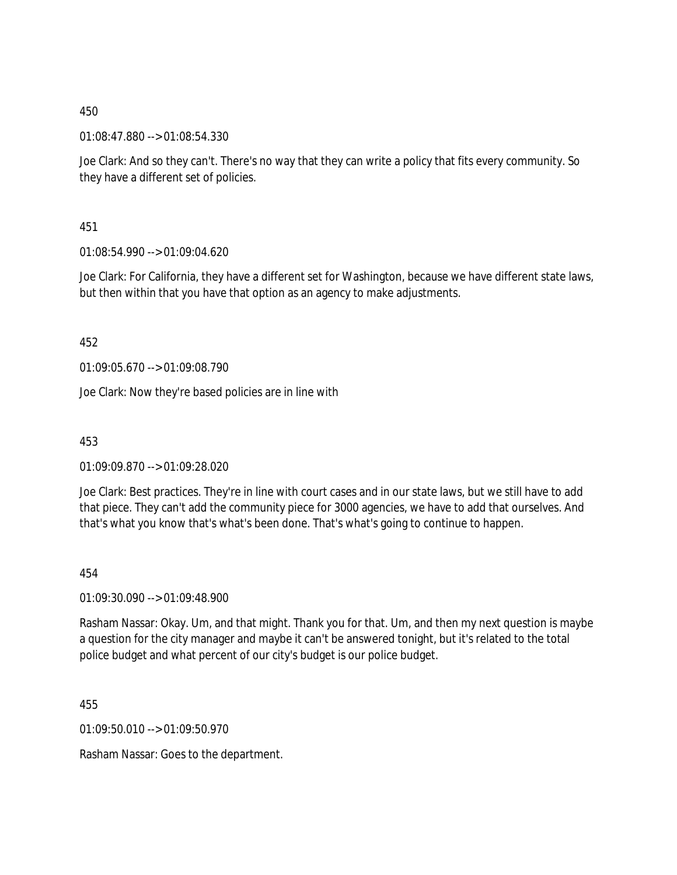01:08:47.880 --> 01:08:54.330

Joe Clark: And so they can't. There's no way that they can write a policy that fits every community. So they have a different set of policies.

451

01:08:54.990 --> 01:09:04.620

Joe Clark: For California, they have a different set for Washington, because we have different state laws, but then within that you have that option as an agency to make adjustments.

452

01:09:05.670 --> 01:09:08.790

Joe Clark: Now they're based policies are in line with

453

01:09:09.870 --> 01:09:28.020

Joe Clark: Best practices. They're in line with court cases and in our state laws, but we still have to add that piece. They can't add the community piece for 3000 agencies, we have to add that ourselves. And that's what you know that's what's been done. That's what's going to continue to happen.

454

01:09:30.090 --> 01:09:48.900

Rasham Nassar: Okay. Um, and that might. Thank you for that. Um, and then my next question is maybe a question for the city manager and maybe it can't be answered tonight, but it's related to the total police budget and what percent of our city's budget is our police budget.

455

01:09:50.010 --> 01:09:50.970

Rasham Nassar: Goes to the department.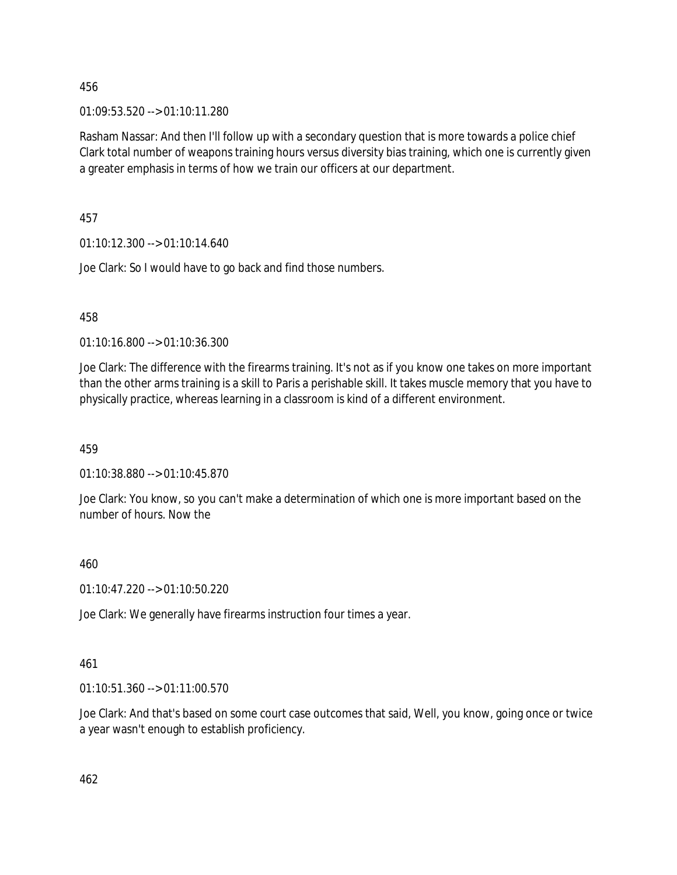01:09:53.520 --> 01:10:11.280

Rasham Nassar: And then I'll follow up with a secondary question that is more towards a police chief Clark total number of weapons training hours versus diversity bias training, which one is currently given a greater emphasis in terms of how we train our officers at our department.

457

01:10:12.300 --> 01:10:14.640

Joe Clark: So I would have to go back and find those numbers.

458

01:10:16.800 --> 01:10:36.300

Joe Clark: The difference with the firearms training. It's not as if you know one takes on more important than the other arms training is a skill to Paris a perishable skill. It takes muscle memory that you have to physically practice, whereas learning in a classroom is kind of a different environment.

459

01:10:38.880 --> 01:10:45.870

Joe Clark: You know, so you can't make a determination of which one is more important based on the number of hours. Now the

460

01:10:47.220 --> 01:10:50.220

Joe Clark: We generally have firearms instruction four times a year.

461

01:10:51.360 --> 01:11:00.570

Joe Clark: And that's based on some court case outcomes that said, Well, you know, going once or twice a year wasn't enough to establish proficiency.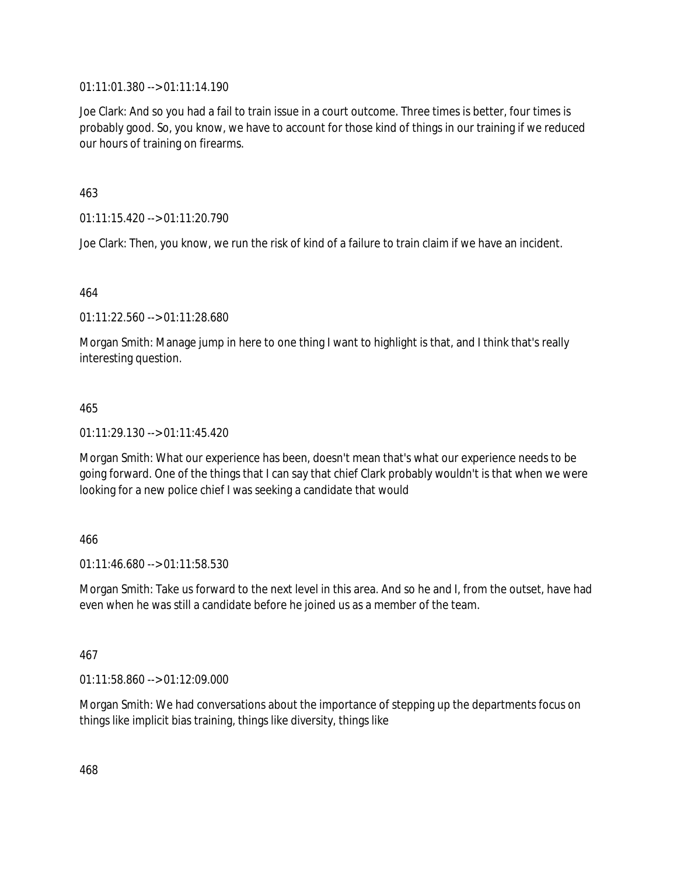01:11:01.380 --> 01:11:14.190

Joe Clark: And so you had a fail to train issue in a court outcome. Three times is better, four times is probably good. So, you know, we have to account for those kind of things in our training if we reduced our hours of training on firearms.

463

01:11:15.420 --> 01:11:20.790

Joe Clark: Then, you know, we run the risk of kind of a failure to train claim if we have an incident.

464

01:11:22.560 --> 01:11:28.680

Morgan Smith: Manage jump in here to one thing I want to highlight is that, and I think that's really interesting question.

## 465

01:11:29.130 --> 01:11:45.420

Morgan Smith: What our experience has been, doesn't mean that's what our experience needs to be going forward. One of the things that I can say that chief Clark probably wouldn't is that when we were looking for a new police chief I was seeking a candidate that would

## 466

01:11:46.680 --> 01:11:58.530

Morgan Smith: Take us forward to the next level in this area. And so he and I, from the outset, have had even when he was still a candidate before he joined us as a member of the team.

## 467

01:11:58.860 --> 01:12:09.000

Morgan Smith: We had conversations about the importance of stepping up the departments focus on things like implicit bias training, things like diversity, things like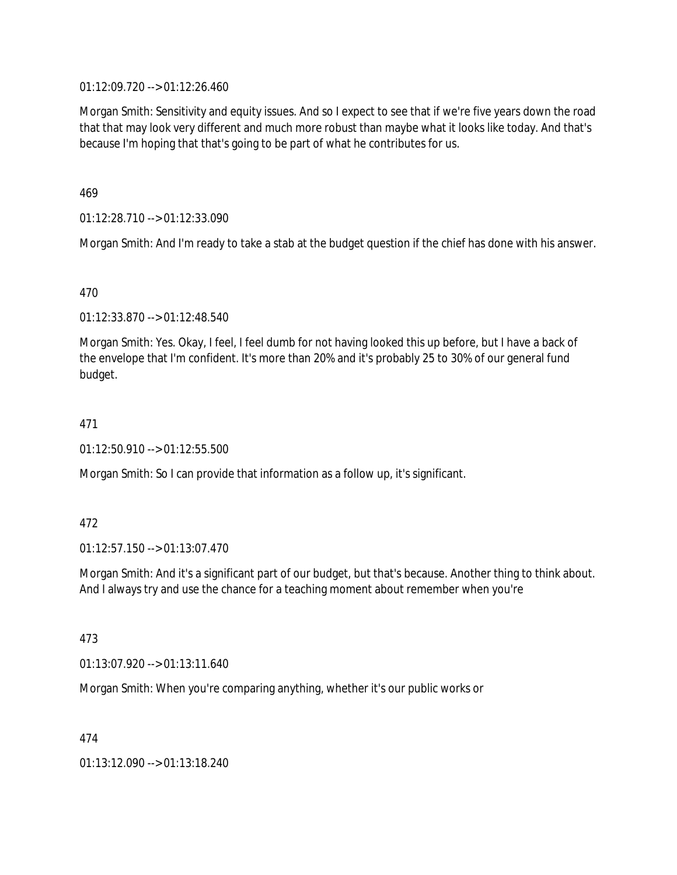01:12:09.720 --> 01:12:26.460

Morgan Smith: Sensitivity and equity issues. And so I expect to see that if we're five years down the road that that may look very different and much more robust than maybe what it looks like today. And that's because I'm hoping that that's going to be part of what he contributes for us.

469

01:12:28.710 --> 01:12:33.090

Morgan Smith: And I'm ready to take a stab at the budget question if the chief has done with his answer.

470

01:12:33.870 --> 01:12:48.540

Morgan Smith: Yes. Okay, I feel, I feel dumb for not having looked this up before, but I have a back of the envelope that I'm confident. It's more than 20% and it's probably 25 to 30% of our general fund budget.

## 471

01:12:50.910 --> 01:12:55.500

Morgan Smith: So I can provide that information as a follow up, it's significant.

472

01:12:57.150 --> 01:13:07.470

Morgan Smith: And it's a significant part of our budget, but that's because. Another thing to think about. And I always try and use the chance for a teaching moment about remember when you're

473

01:13:07.920 --> 01:13:11.640

Morgan Smith: When you're comparing anything, whether it's our public works or

474

01:13:12.090 --> 01:13:18.240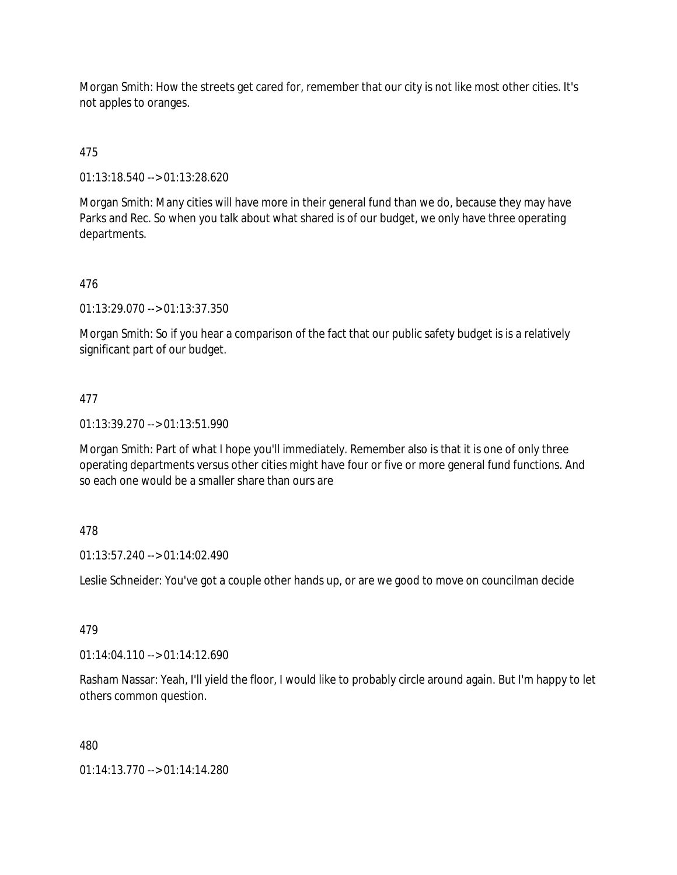Morgan Smith: How the streets get cared for, remember that our city is not like most other cities. It's not apples to oranges.

# 475

01:13:18.540 --> 01:13:28.620

Morgan Smith: Many cities will have more in their general fund than we do, because they may have Parks and Rec. So when you talk about what shared is of our budget, we only have three operating departments.

# 476

01:13:29.070 --> 01:13:37.350

Morgan Smith: So if you hear a comparison of the fact that our public safety budget is is a relatively significant part of our budget.

# 477

01:13:39.270 --> 01:13:51.990

Morgan Smith: Part of what I hope you'll immediately. Remember also is that it is one of only three operating departments versus other cities might have four or five or more general fund functions. And so each one would be a smaller share than ours are

# 478

01:13:57.240 --> 01:14:02.490

Leslie Schneider: You've got a couple other hands up, or are we good to move on councilman decide

# 479

01:14:04.110 --> 01:14:12.690

Rasham Nassar: Yeah, I'll yield the floor, I would like to probably circle around again. But I'm happy to let others common question.

## 480

01:14:13.770 --> 01:14:14.280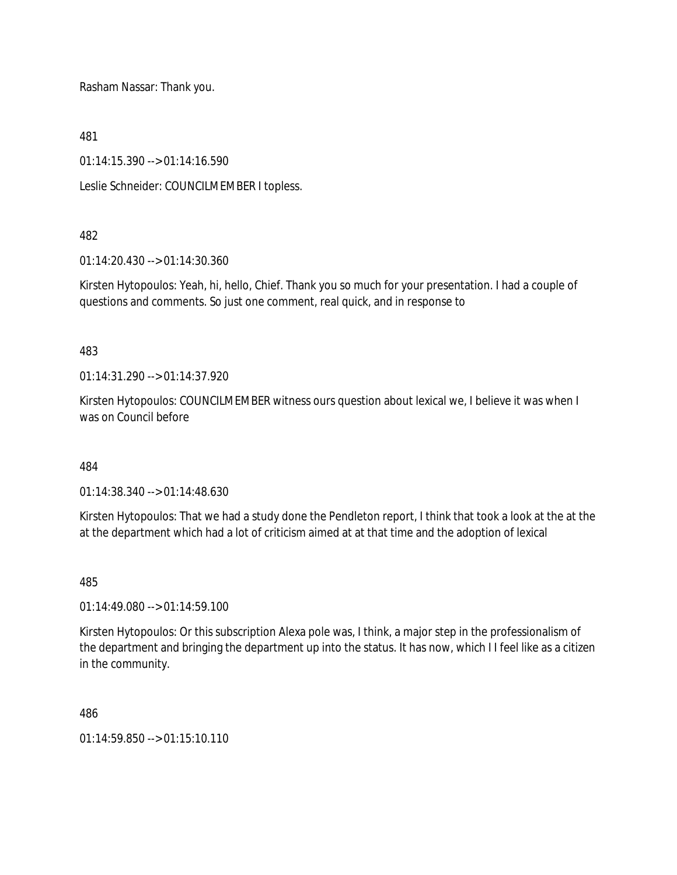Rasham Nassar: Thank you.

481

01:14:15.390 --> 01:14:16.590

Leslie Schneider: COUNCILMEMBER I topless.

## 482

01:14:20.430 --> 01:14:30.360

Kirsten Hytopoulos: Yeah, hi, hello, Chief. Thank you so much for your presentation. I had a couple of questions and comments. So just one comment, real quick, and in response to

## 483

01:14:31.290 --> 01:14:37.920

Kirsten Hytopoulos: COUNCILMEMBER witness ours question about lexical we, I believe it was when I was on Council before

484

01:14:38.340 --> 01:14:48.630

Kirsten Hytopoulos: That we had a study done the Pendleton report, I think that took a look at the at the at the department which had a lot of criticism aimed at at that time and the adoption of lexical

485

01:14:49.080 --> 01:14:59.100

Kirsten Hytopoulos: Or this subscription Alexa pole was, I think, a major step in the professionalism of the department and bringing the department up into the status. It has now, which I I feel like as a citizen in the community.

486

 $01.14.59.850 -> 01.15.10.110$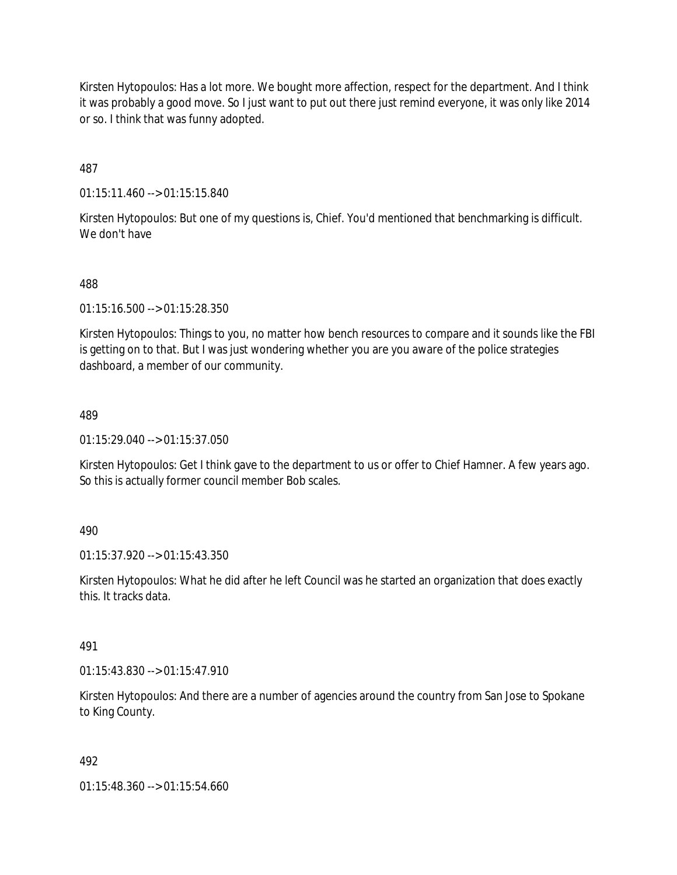Kirsten Hytopoulos: Has a lot more. We bought more affection, respect for the department. And I think it was probably a good move. So I just want to put out there just remind everyone, it was only like 2014 or so. I think that was funny adopted.

487

01:15:11.460 --> 01:15:15.840

Kirsten Hytopoulos: But one of my questions is, Chief. You'd mentioned that benchmarking is difficult. We don't have

488

01:15:16.500 --> 01:15:28.350

Kirsten Hytopoulos: Things to you, no matter how bench resources to compare and it sounds like the FBI is getting on to that. But I was just wondering whether you are you aware of the police strategies dashboard, a member of our community.

489

01:15:29.040 --> 01:15:37.050

Kirsten Hytopoulos: Get I think gave to the department to us or offer to Chief Hamner. A few years ago. So this is actually former council member Bob scales.

490

01:15:37.920 --> 01:15:43.350

Kirsten Hytopoulos: What he did after he left Council was he started an organization that does exactly this. It tracks data.

491

01:15:43.830 --> 01:15:47.910

Kirsten Hytopoulos: And there are a number of agencies around the country from San Jose to Spokane to King County.

492

01:15:48.360 --> 01:15:54.660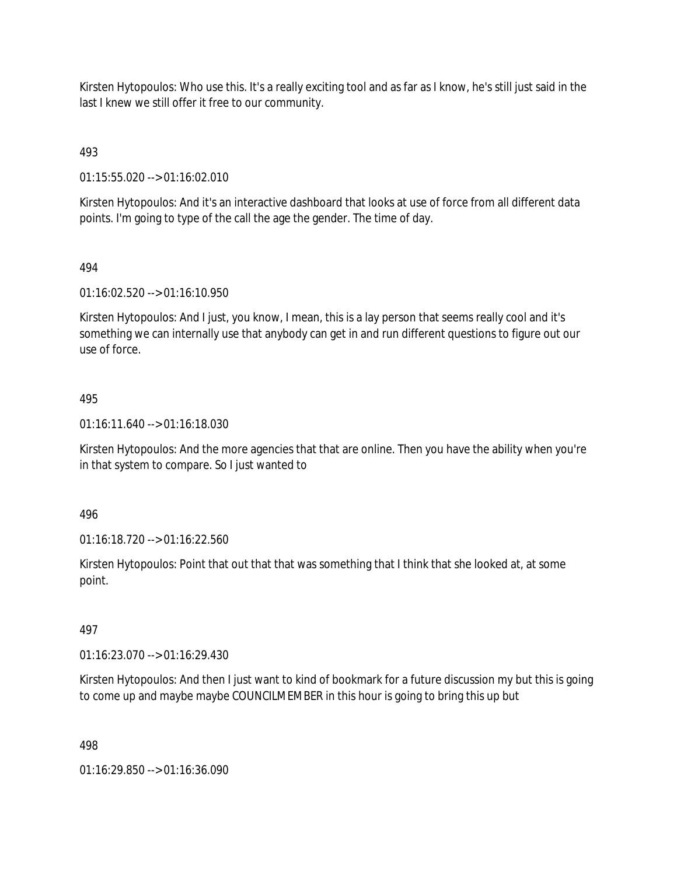Kirsten Hytopoulos: Who use this. It's a really exciting tool and as far as I know, he's still just said in the last I knew we still offer it free to our community.

493

01:15:55.020 --> 01:16:02.010

Kirsten Hytopoulos: And it's an interactive dashboard that looks at use of force from all different data points. I'm going to type of the call the age the gender. The time of day.

## 494

01:16:02.520 --> 01:16:10.950

Kirsten Hytopoulos: And I just, you know, I mean, this is a lay person that seems really cool and it's something we can internally use that anybody can get in and run different questions to figure out our use of force.

## 495

01:16:11.640 --> 01:16:18.030

Kirsten Hytopoulos: And the more agencies that that are online. Then you have the ability when you're in that system to compare. So I just wanted to

496

01:16:18.720 --> 01:16:22.560

Kirsten Hytopoulos: Point that out that that was something that I think that she looked at, at some point.

## 497

01:16:23.070 --> 01:16:29.430

Kirsten Hytopoulos: And then I just want to kind of bookmark for a future discussion my but this is going to come up and maybe maybe COUNCILMEMBER in this hour is going to bring this up but

498

01:16:29.850 --> 01:16:36.090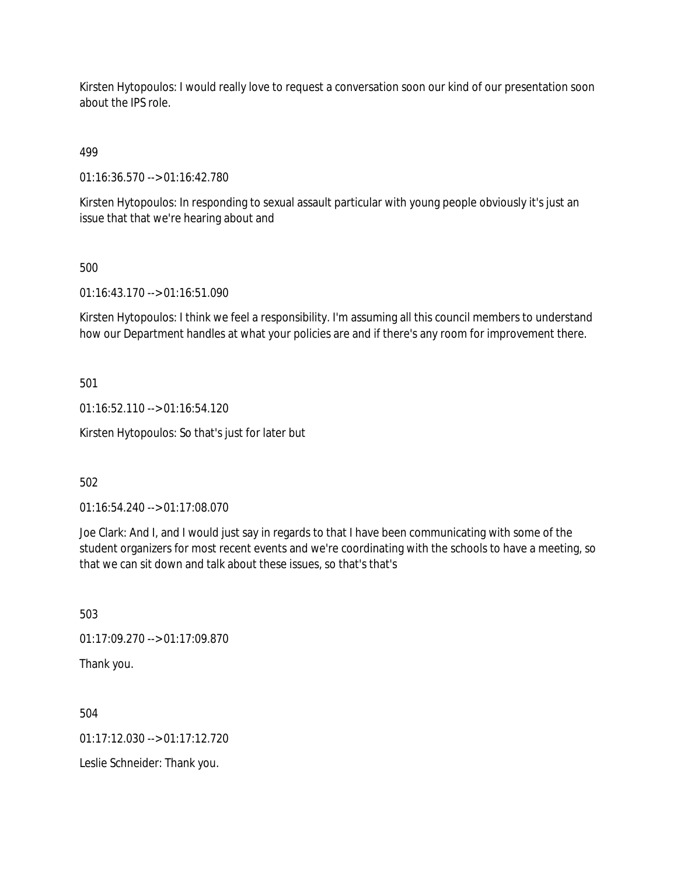Kirsten Hytopoulos: I would really love to request a conversation soon our kind of our presentation soon about the IPS role.

499

01:16:36.570 --> 01:16:42.780

Kirsten Hytopoulos: In responding to sexual assault particular with young people obviously it's just an issue that that we're hearing about and

500

01:16:43.170 --> 01:16:51.090

Kirsten Hytopoulos: I think we feel a responsibility. I'm assuming all this council members to understand how our Department handles at what your policies are and if there's any room for improvement there.

501

01:16:52.110 --> 01:16:54.120

Kirsten Hytopoulos: So that's just for later but

502

01:16:54.240 --> 01:17:08.070

Joe Clark: And I, and I would just say in regards to that I have been communicating with some of the student organizers for most recent events and we're coordinating with the schools to have a meeting, so that we can sit down and talk about these issues, so that's that's

503

01:17:09.270 --> 01:17:09.870

Thank you.

504

 $01:17:12.030 \rightarrow 01:17:12.720$ 

Leslie Schneider: Thank you.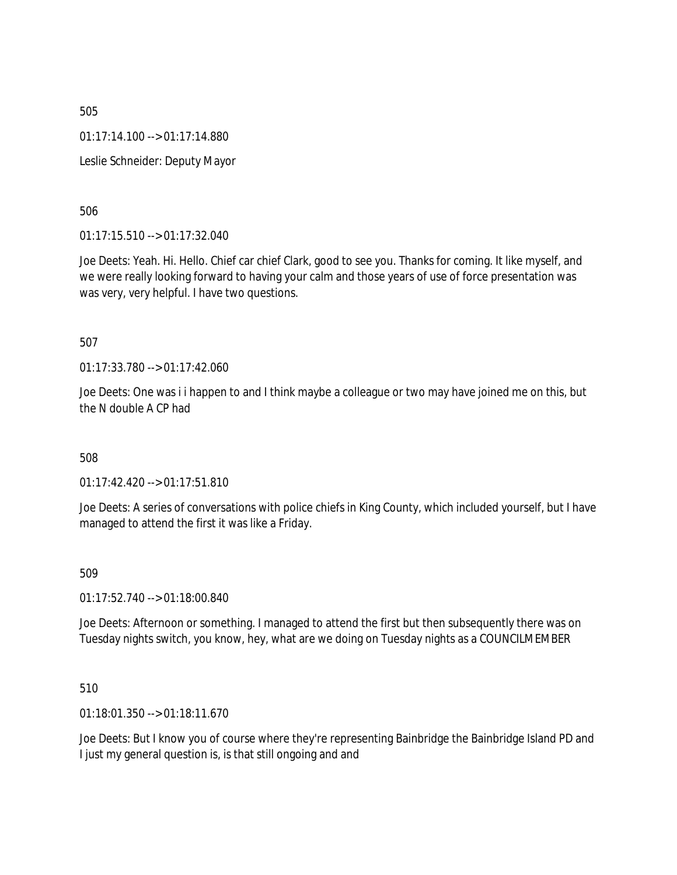505 01:17:14.100 --> 01:17:14.880 Leslie Schneider: Deputy Mayor

506

01:17:15.510 --> 01:17:32.040

Joe Deets: Yeah. Hi. Hello. Chief car chief Clark, good to see you. Thanks for coming. It like myself, and we were really looking forward to having your calm and those years of use of force presentation was was very, very helpful. I have two questions.

507

01:17:33.780 --> 01:17:42.060

Joe Deets: One was i i happen to and I think maybe a colleague or two may have joined me on this, but the N double A CP had

508

01:17:42.420 --> 01:17:51.810

Joe Deets: A series of conversations with police chiefs in King County, which included yourself, but I have managed to attend the first it was like a Friday.

509

01:17:52.740 --> 01:18:00.840

Joe Deets: Afternoon or something. I managed to attend the first but then subsequently there was on Tuesday nights switch, you know, hey, what are we doing on Tuesday nights as a COUNCILMEMBER

510

01:18:01.350 --> 01:18:11.670

Joe Deets: But I know you of course where they're representing Bainbridge the Bainbridge Island PD and I just my general question is, is that still ongoing and and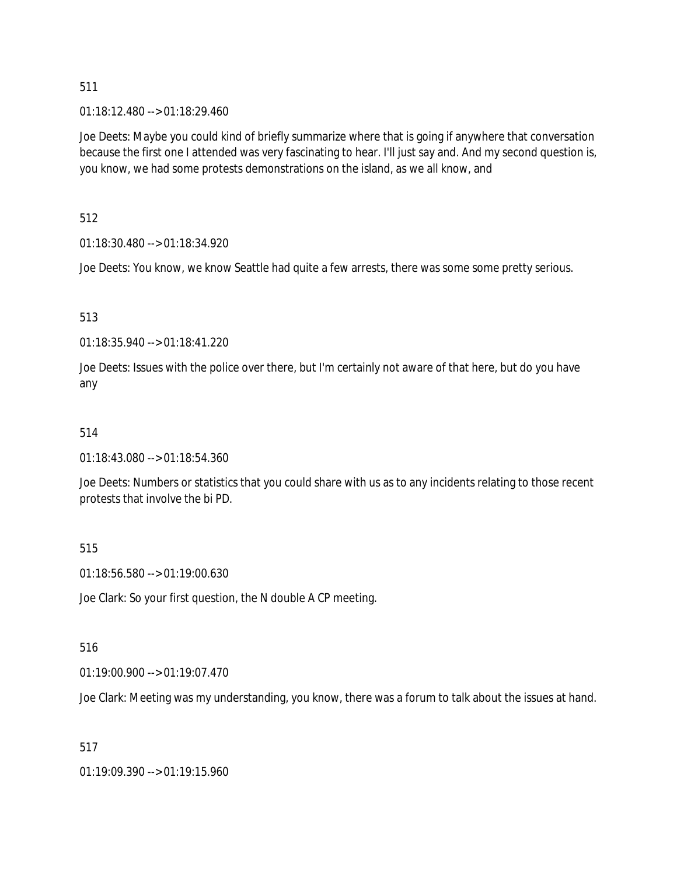01:18:12.480 --> 01:18:29.460

Joe Deets: Maybe you could kind of briefly summarize where that is going if anywhere that conversation because the first one I attended was very fascinating to hear. I'll just say and. And my second question is, you know, we had some protests demonstrations on the island, as we all know, and

512

01:18:30.480 --> 01:18:34.920

Joe Deets: You know, we know Seattle had quite a few arrests, there was some some pretty serious.

513

01:18:35.940 --> 01:18:41.220

Joe Deets: Issues with the police over there, but I'm certainly not aware of that here, but do you have any

## 514

01:18:43.080 --> 01:18:54.360

Joe Deets: Numbers or statistics that you could share with us as to any incidents relating to those recent protests that involve the bi PD.

## 515

01:18:56.580 --> 01:19:00.630

Joe Clark: So your first question, the N double A CP meeting.

## 516

01:19:00.900 --> 01:19:07.470

Joe Clark: Meeting was my understanding, you know, there was a forum to talk about the issues at hand.

## 517

01:19:09.390 --> 01:19:15.960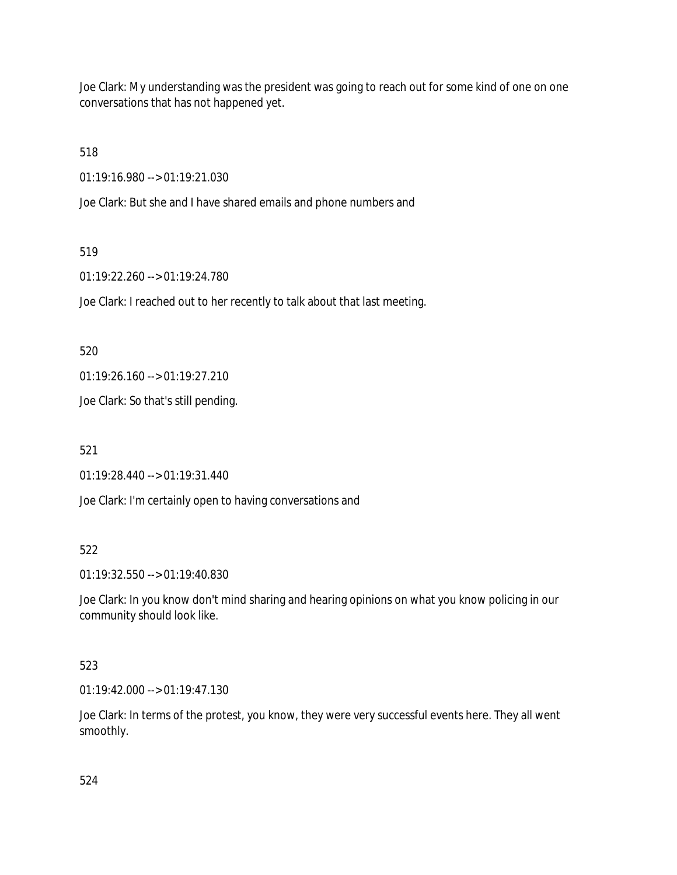Joe Clark: My understanding was the president was going to reach out for some kind of one on one conversations that has not happened yet.

518

01:19:16.980 --> 01:19:21.030

Joe Clark: But she and I have shared emails and phone numbers and

## 519

01:19:22.260 --> 01:19:24.780

Joe Clark: I reached out to her recently to talk about that last meeting.

520

01:19:26.160 --> 01:19:27.210

Joe Clark: So that's still pending.

521

01:19:28.440 --> 01:19:31.440

Joe Clark: I'm certainly open to having conversations and

# 522

01:19:32.550 --> 01:19:40.830

Joe Clark: In you know don't mind sharing and hearing opinions on what you know policing in our community should look like.

# 523

01:19:42.000 --> 01:19:47.130

Joe Clark: In terms of the protest, you know, they were very successful events here. They all went smoothly.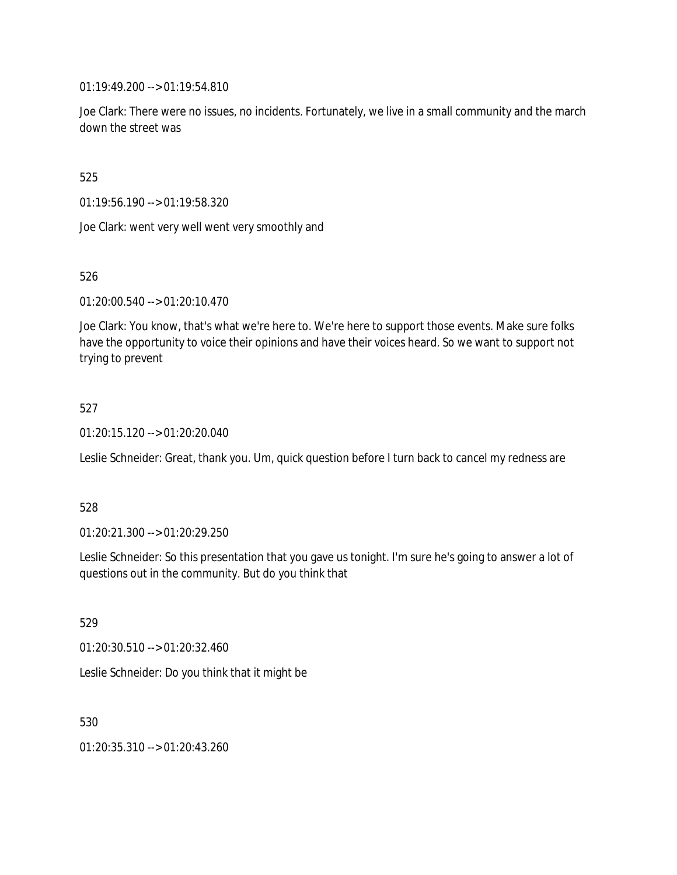01:19:49.200 --> 01:19:54.810

Joe Clark: There were no issues, no incidents. Fortunately, we live in a small community and the march down the street was

525

01:19:56.190 --> 01:19:58.320

Joe Clark: went very well went very smoothly and

526

01:20:00.540 --> 01:20:10.470

Joe Clark: You know, that's what we're here to. We're here to support those events. Make sure folks have the opportunity to voice their opinions and have their voices heard. So we want to support not trying to prevent

## 527

01:20:15.120 --> 01:20:20.040

Leslie Schneider: Great, thank you. Um, quick question before I turn back to cancel my redness are

## 528

01:20:21.300 --> 01:20:29.250

Leslie Schneider: So this presentation that you gave us tonight. I'm sure he's going to answer a lot of questions out in the community. But do you think that

529

01:20:30.510 --> 01:20:32.460

Leslie Schneider: Do you think that it might be

530

01:20:35.310 --> 01:20:43.260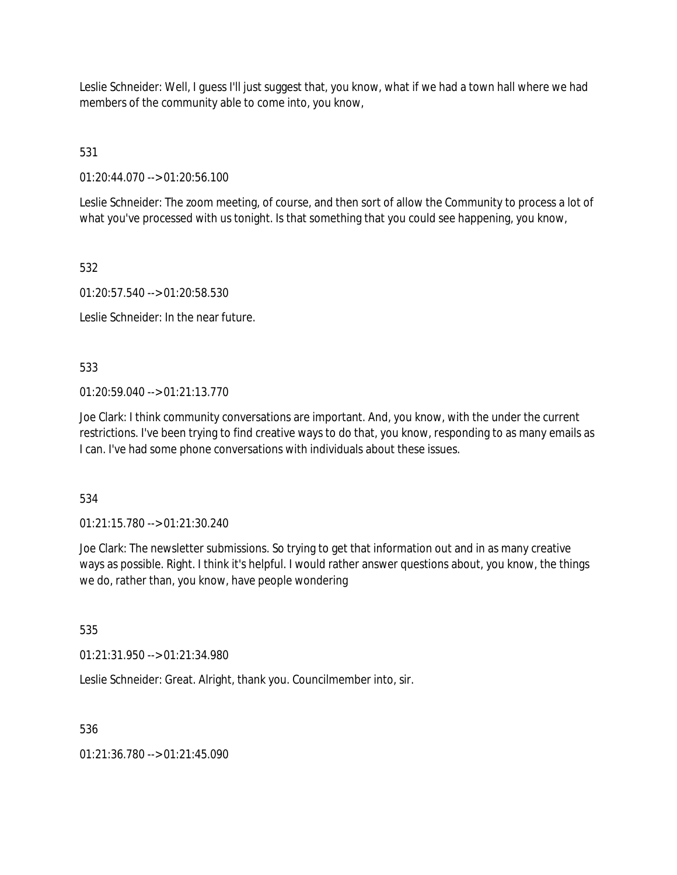Leslie Schneider: Well, I guess I'll just suggest that, you know, what if we had a town hall where we had members of the community able to come into, you know,

531

01:20:44.070 --> 01:20:56.100

Leslie Schneider: The zoom meeting, of course, and then sort of allow the Community to process a lot of what you've processed with us tonight. Is that something that you could see happening, you know,

532

01:20:57.540 --> 01:20:58.530

Leslie Schneider: In the near future.

533

 $01:20:59.040 \rightarrow 01:21:13.770$ 

Joe Clark: I think community conversations are important. And, you know, with the under the current restrictions. I've been trying to find creative ways to do that, you know, responding to as many emails as I can. I've had some phone conversations with individuals about these issues.

534

01:21:15.780 --> 01:21:30.240

Joe Clark: The newsletter submissions. So trying to get that information out and in as many creative ways as possible. Right. I think it's helpful. I would rather answer questions about, you know, the things we do, rather than, you know, have people wondering

535

01:21:31.950 --> 01:21:34.980

Leslie Schneider: Great. Alright, thank you. Councilmember into, sir.

536

01:21:36.780 --> 01:21:45.090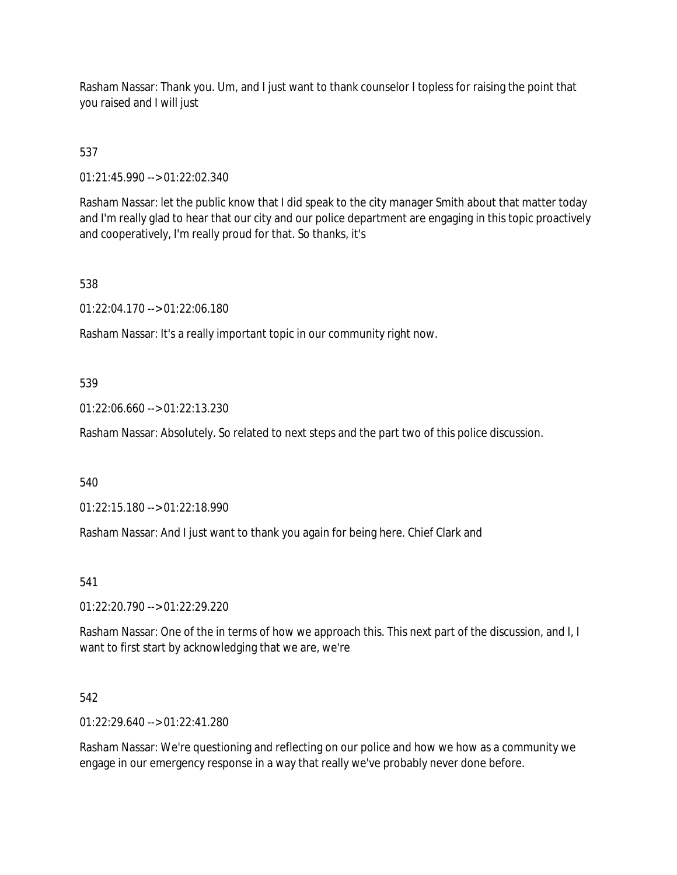Rasham Nassar: Thank you. Um, and I just want to thank counselor I topless for raising the point that you raised and I will just

# 537

01:21:45.990 --> 01:22:02.340

Rasham Nassar: let the public know that I did speak to the city manager Smith about that matter today and I'm really glad to hear that our city and our police department are engaging in this topic proactively and cooperatively, I'm really proud for that. So thanks, it's

## 538

01:22:04.170 --> 01:22:06.180

Rasham Nassar: It's a really important topic in our community right now.

## 539

01:22:06.660 --> 01:22:13.230

Rasham Nassar: Absolutely. So related to next steps and the part two of this police discussion.

## 540

01:22:15.180 --> 01:22:18.990

Rasham Nassar: And I just want to thank you again for being here. Chief Clark and

## 541

01:22:20.790 --> 01:22:29.220

Rasham Nassar: One of the in terms of how we approach this. This next part of the discussion, and I, I want to first start by acknowledging that we are, we're

## 542

01:22:29.640 --> 01:22:41.280

Rasham Nassar: We're questioning and reflecting on our police and how we how as a community we engage in our emergency response in a way that really we've probably never done before.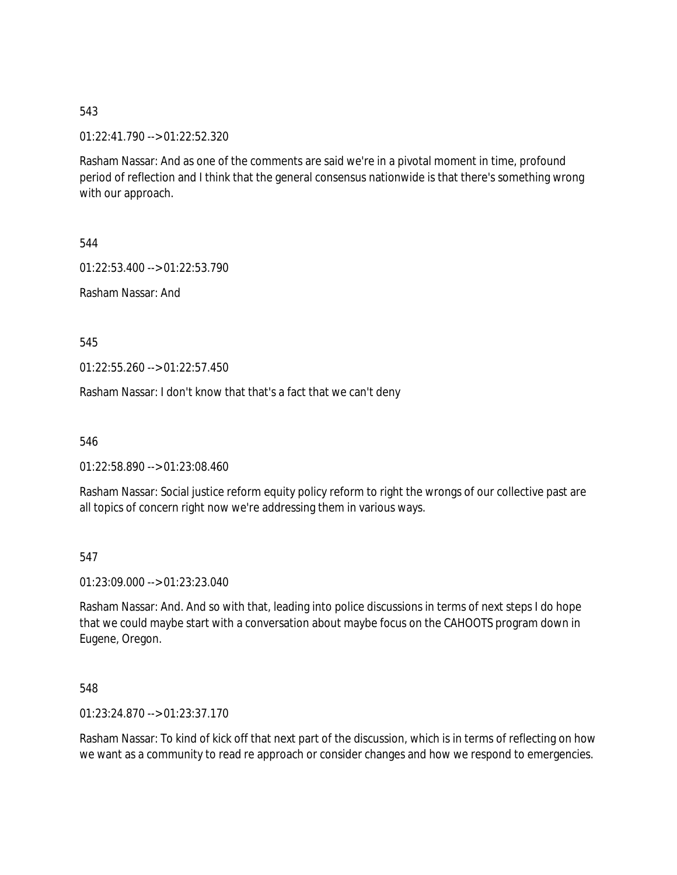01:22:41.790 --> 01:22:52.320

Rasham Nassar: And as one of the comments are said we're in a pivotal moment in time, profound period of reflection and I think that the general consensus nationwide is that there's something wrong with our approach.

544

01:22:53.400 --> 01:22:53.790

Rasham Nassar: And

545

01:22:55.260 --> 01:22:57.450

Rasham Nassar: I don't know that that's a fact that we can't deny

546

01:22:58.890 --> 01:23:08.460

Rasham Nassar: Social justice reform equity policy reform to right the wrongs of our collective past are all topics of concern right now we're addressing them in various ways.

547

01:23:09.000 --> 01:23:23.040

Rasham Nassar: And. And so with that, leading into police discussions in terms of next steps I do hope that we could maybe start with a conversation about maybe focus on the CAHOOTS program down in Eugene, Oregon.

548

01:23:24.870 --> 01:23:37.170

Rasham Nassar: To kind of kick off that next part of the discussion, which is in terms of reflecting on how we want as a community to read re approach or consider changes and how we respond to emergencies.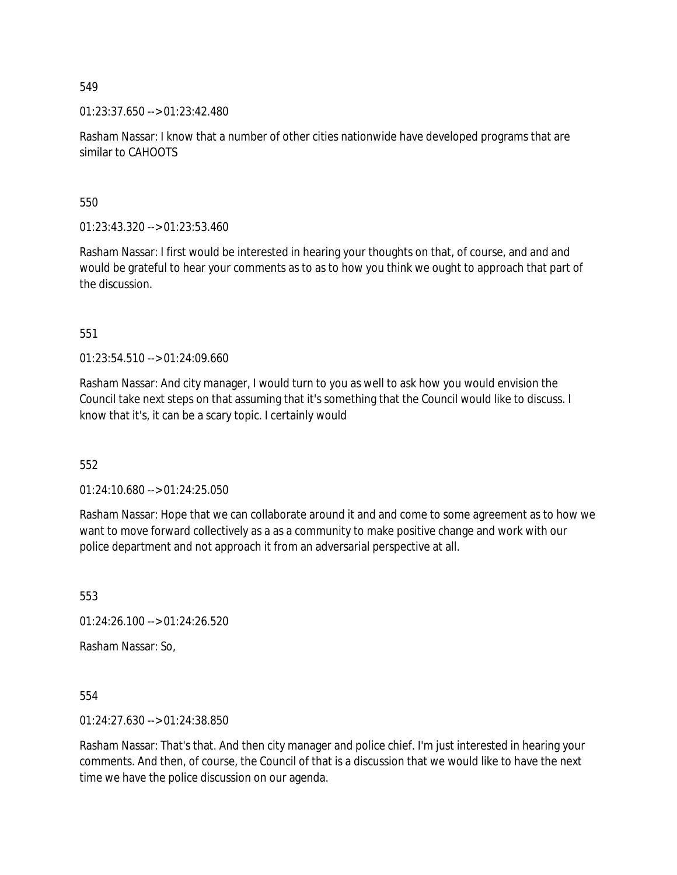01:23:37.650 --> 01:23:42.480

Rasham Nassar: I know that a number of other cities nationwide have developed programs that are similar to CAHOOTS

550

01:23:43.320 --> 01:23:53.460

Rasham Nassar: I first would be interested in hearing your thoughts on that, of course, and and and would be grateful to hear your comments as to as to how you think we ought to approach that part of the discussion.

551

01:23:54.510 --> 01:24:09.660

Rasham Nassar: And city manager, I would turn to you as well to ask how you would envision the Council take next steps on that assuming that it's something that the Council would like to discuss. I know that it's, it can be a scary topic. I certainly would

552

 $01:24:10.680 \rightarrow 01:24:25.050$ 

Rasham Nassar: Hope that we can collaborate around it and and come to some agreement as to how we want to move forward collectively as a as a community to make positive change and work with our police department and not approach it from an adversarial perspective at all.

553

01:24:26.100 --> 01:24:26.520

Rasham Nassar: So,

554

01:24:27.630 --> 01:24:38.850

Rasham Nassar: That's that. And then city manager and police chief. I'm just interested in hearing your comments. And then, of course, the Council of that is a discussion that we would like to have the next time we have the police discussion on our agenda.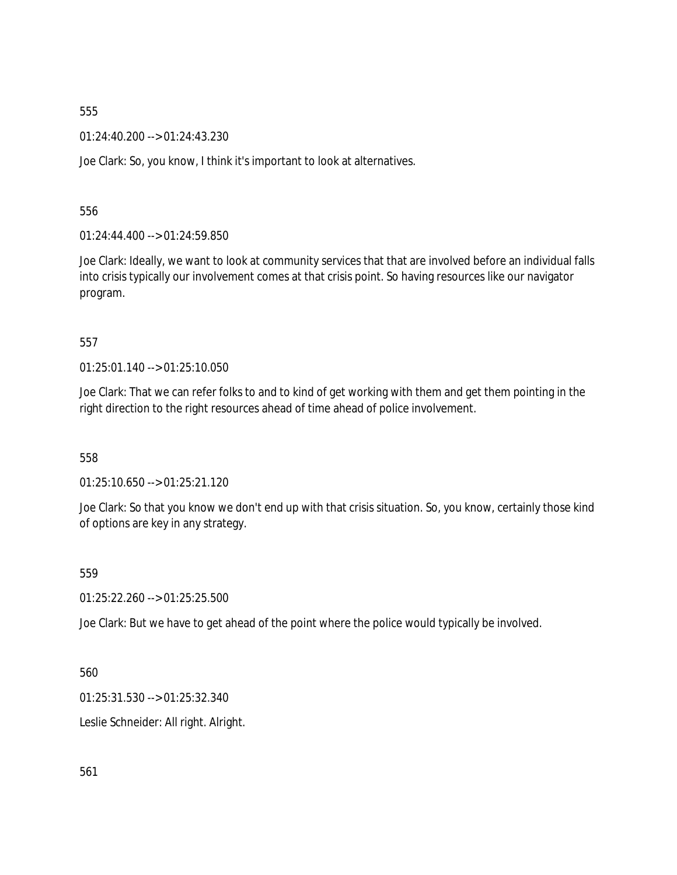01:24:40.200 --> 01:24:43.230

Joe Clark: So, you know, I think it's important to look at alternatives.

556

01:24:44.400 --> 01:24:59.850

Joe Clark: Ideally, we want to look at community services that that are involved before an individual falls into crisis typically our involvement comes at that crisis point. So having resources like our navigator program.

557

01:25:01.140 --> 01:25:10.050

Joe Clark: That we can refer folks to and to kind of get working with them and get them pointing in the right direction to the right resources ahead of time ahead of police involvement.

558

01:25:10.650 --> 01:25:21.120

Joe Clark: So that you know we don't end up with that crisis situation. So, you know, certainly those kind of options are key in any strategy.

559

01:25:22.260 --> 01:25:25.500

Joe Clark: But we have to get ahead of the point where the police would typically be involved.

560

01:25:31.530 --> 01:25:32.340

Leslie Schneider: All right. Alright.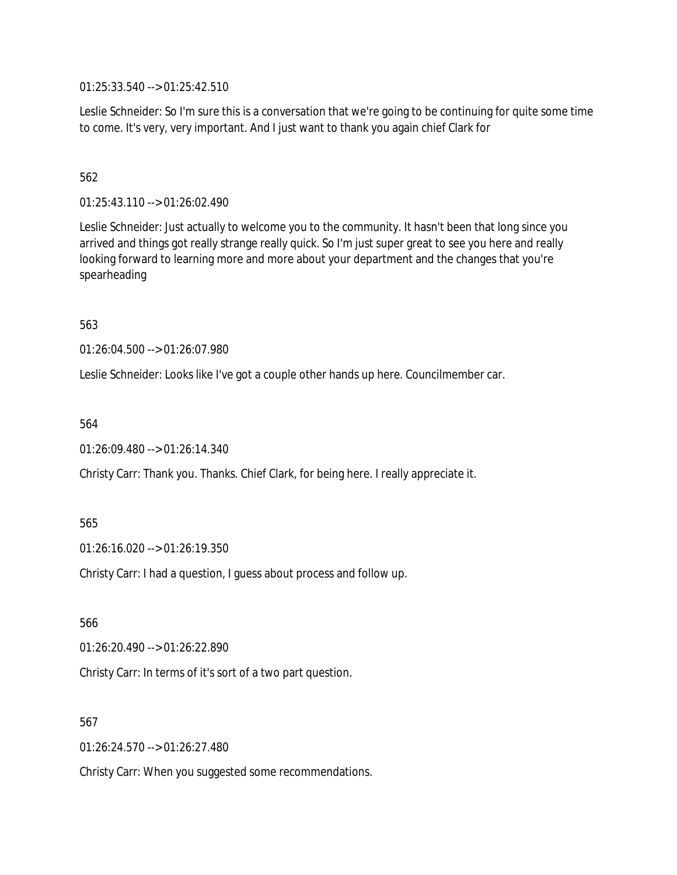01:25:33.540 --> 01:25:42.510

Leslie Schneider: So I'm sure this is a conversation that we're going to be continuing for quite some time to come. It's very, very important. And I just want to thank you again chief Clark for

# 562

01:25:43.110 --> 01:26:02.490

Leslie Schneider: Just actually to welcome you to the community. It hasn't been that long since you arrived and things got really strange really quick. So I'm just super great to see you here and really looking forward to learning more and more about your department and the changes that you're spearheading

563

01:26:04.500 --> 01:26:07.980

Leslie Schneider: Looks like I've got a couple other hands up here. Councilmember car.

564

```
01:26:09.480 --> 01:26:14.340
```
Christy Carr: Thank you. Thanks. Chief Clark, for being here. I really appreciate it.

565

01:26:16.020 --> 01:26:19.350

Christy Carr: I had a question, I guess about process and follow up.

566

01:26:20.490 --> 01:26:22.890

Christy Carr: In terms of it's sort of a two part question.

567

01:26:24.570 --> 01:26:27.480

Christy Carr: When you suggested some recommendations.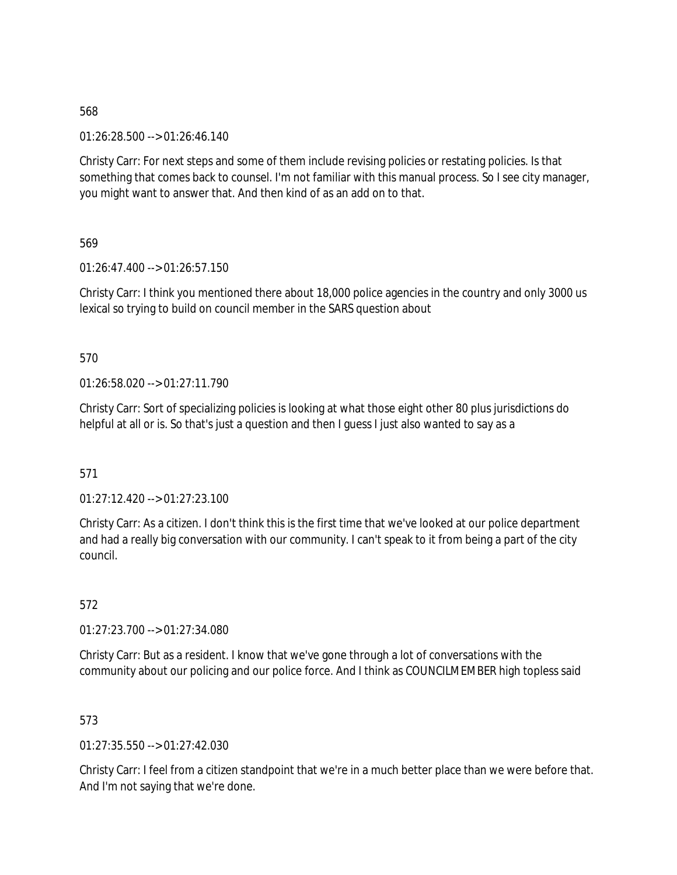01:26:28.500 --> 01:26:46.140

Christy Carr: For next steps and some of them include revising policies or restating policies. Is that something that comes back to counsel. I'm not familiar with this manual process. So I see city manager, you might want to answer that. And then kind of as an add on to that.

569

01:26:47.400 --> 01:26:57.150

Christy Carr: I think you mentioned there about 18,000 police agencies in the country and only 3000 us lexical so trying to build on council member in the SARS question about

## 570

01:26:58.020 --> 01:27:11.790

Christy Carr: Sort of specializing policies is looking at what those eight other 80 plus jurisdictions do helpful at all or is. So that's just a question and then I guess I just also wanted to say as a

# 571

01:27:12.420 --> 01:27:23.100

Christy Carr: As a citizen. I don't think this is the first time that we've looked at our police department and had a really big conversation with our community. I can't speak to it from being a part of the city council.

572

01:27:23.700 --> 01:27:34.080

Christy Carr: But as a resident. I know that we've gone through a lot of conversations with the community about our policing and our police force. And I think as COUNCILMEMBER high topless said

## 573

01:27:35.550 --> 01:27:42.030

Christy Carr: I feel from a citizen standpoint that we're in a much better place than we were before that. And I'm not saying that we're done.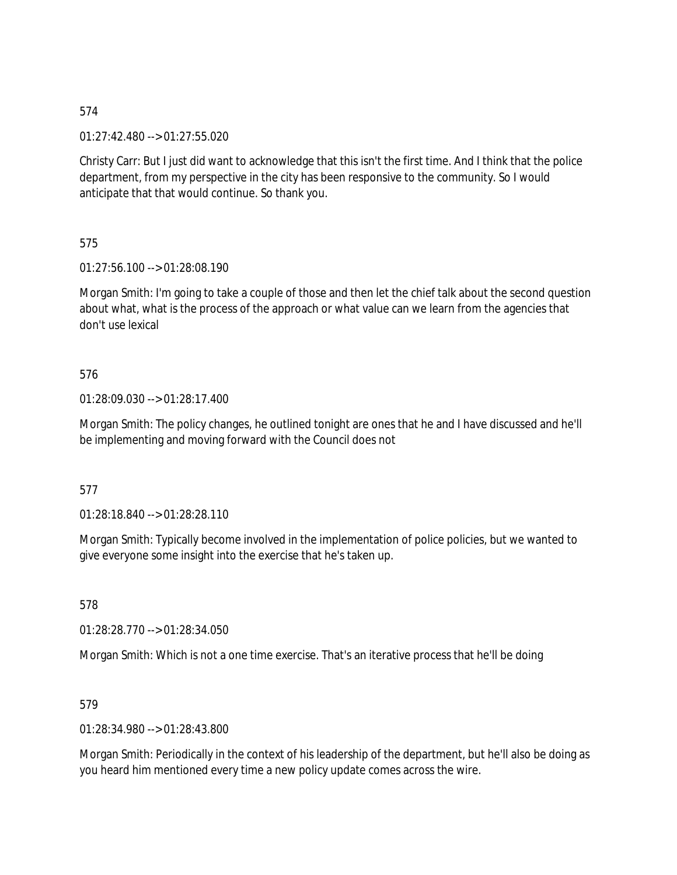01:27:42.480 --> 01:27:55.020

Christy Carr: But I just did want to acknowledge that this isn't the first time. And I think that the police department, from my perspective in the city has been responsive to the community. So I would anticipate that that would continue. So thank you.

575

01:27:56.100 --> 01:28:08.190

Morgan Smith: I'm going to take a couple of those and then let the chief talk about the second question about what, what is the process of the approach or what value can we learn from the agencies that don't use lexical

## 576

01:28:09.030 --> 01:28:17.400

Morgan Smith: The policy changes, he outlined tonight are ones that he and I have discussed and he'll be implementing and moving forward with the Council does not

577

01:28:18.840 --> 01:28:28.110

Morgan Smith: Typically become involved in the implementation of police policies, but we wanted to give everyone some insight into the exercise that he's taken up.

578

01:28:28.770 --> 01:28:34.050

Morgan Smith: Which is not a one time exercise. That's an iterative process that he'll be doing

## 579

01:28:34.980 --> 01:28:43.800

Morgan Smith: Periodically in the context of his leadership of the department, but he'll also be doing as you heard him mentioned every time a new policy update comes across the wire.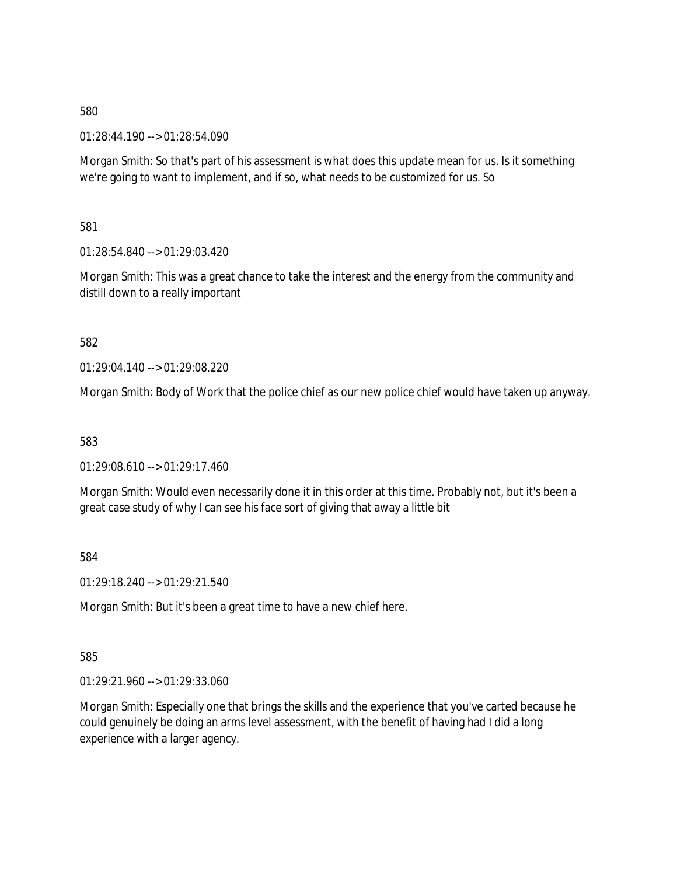01:28:44.190 --> 01:28:54.090

Morgan Smith: So that's part of his assessment is what does this update mean for us. Is it something we're going to want to implement, and if so, what needs to be customized for us. So

581

01:28:54.840 --> 01:29:03.420

Morgan Smith: This was a great chance to take the interest and the energy from the community and distill down to a really important

582

01:29:04.140 --> 01:29:08.220

Morgan Smith: Body of Work that the police chief as our new police chief would have taken up anyway.

583

01:29:08.610 --> 01:29:17.460

Morgan Smith: Would even necessarily done it in this order at this time. Probably not, but it's been a great case study of why I can see his face sort of giving that away a little bit

584

01:29:18.240 --> 01:29:21.540

Morgan Smith: But it's been a great time to have a new chief here.

585

01:29:21.960 --> 01:29:33.060

Morgan Smith: Especially one that brings the skills and the experience that you've carted because he could genuinely be doing an arms level assessment, with the benefit of having had I did a long experience with a larger agency.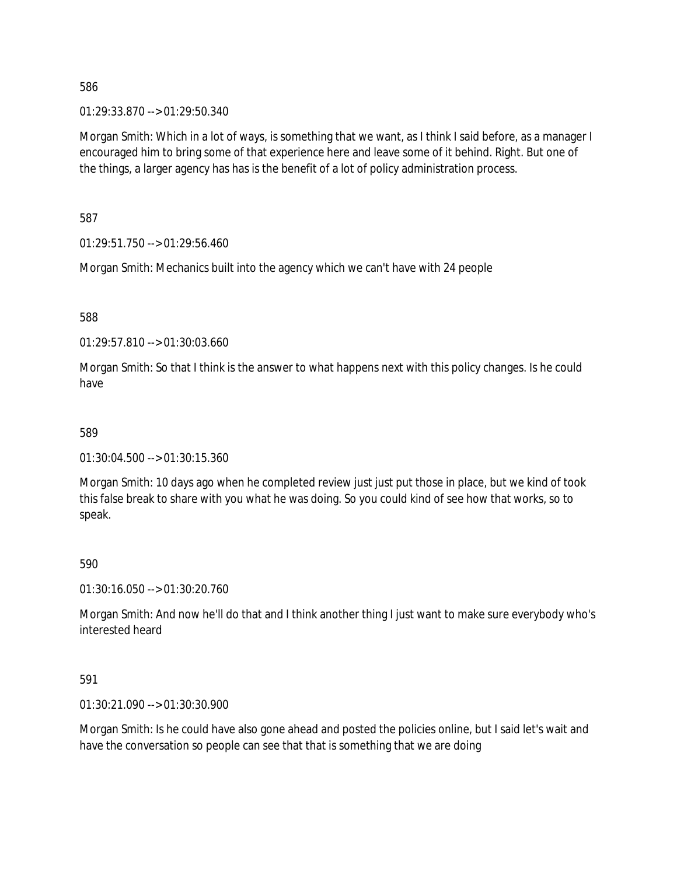01:29:33.870 --> 01:29:50.340

Morgan Smith: Which in a lot of ways, is something that we want, as I think I said before, as a manager I encouraged him to bring some of that experience here and leave some of it behind. Right. But one of the things, a larger agency has has is the benefit of a lot of policy administration process.

587

01:29:51.750 --> 01:29:56.460

Morgan Smith: Mechanics built into the agency which we can't have with 24 people

588

01:29:57.810 --> 01:30:03.660

Morgan Smith: So that I think is the answer to what happens next with this policy changes. Is he could have

#### 589

01:30:04.500 --> 01:30:15.360

Morgan Smith: 10 days ago when he completed review just just put those in place, but we kind of took this false break to share with you what he was doing. So you could kind of see how that works, so to speak.

#### 590

01:30:16.050 --> 01:30:20.760

Morgan Smith: And now he'll do that and I think another thing I just want to make sure everybody who's interested heard

591

01:30:21.090 --> 01:30:30.900

Morgan Smith: Is he could have also gone ahead and posted the policies online, but I said let's wait and have the conversation so people can see that that is something that we are doing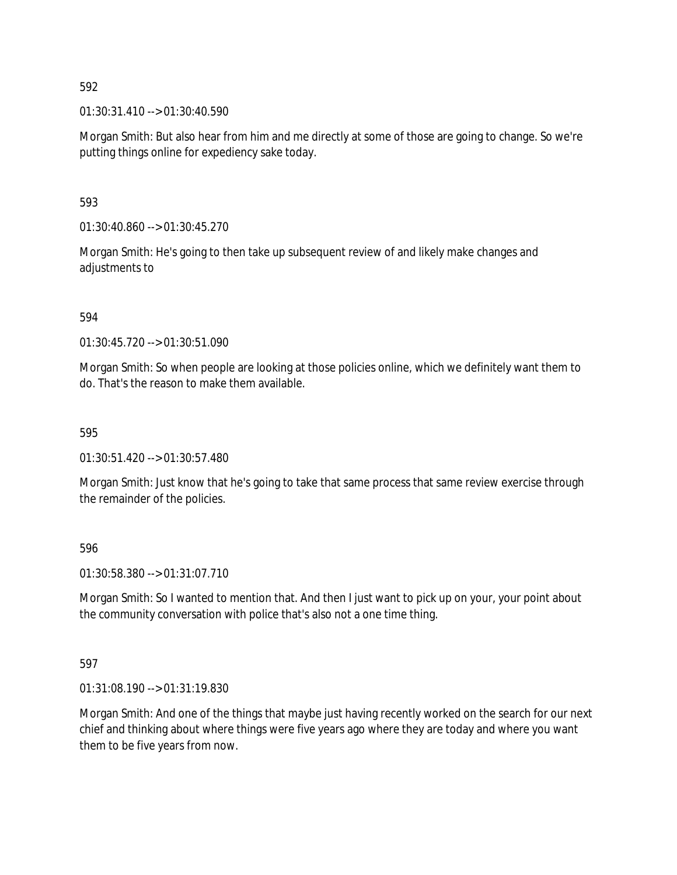$01:30:31.410 \rightarrow 01:30:40.590$ 

Morgan Smith: But also hear from him and me directly at some of those are going to change. So we're putting things online for expediency sake today.

593

01:30:40.860 --> 01:30:45.270

Morgan Smith: He's going to then take up subsequent review of and likely make changes and adjustments to

594

01:30:45.720 --> 01:30:51.090

Morgan Smith: So when people are looking at those policies online, which we definitely want them to do. That's the reason to make them available.

595

01:30:51.420 --> 01:30:57.480

Morgan Smith: Just know that he's going to take that same process that same review exercise through the remainder of the policies.

596

01:30:58.380 --> 01:31:07.710

Morgan Smith: So I wanted to mention that. And then I just want to pick up on your, your point about the community conversation with police that's also not a one time thing.

597

01:31:08.190 --> 01:31:19.830

Morgan Smith: And one of the things that maybe just having recently worked on the search for our next chief and thinking about where things were five years ago where they are today and where you want them to be five years from now.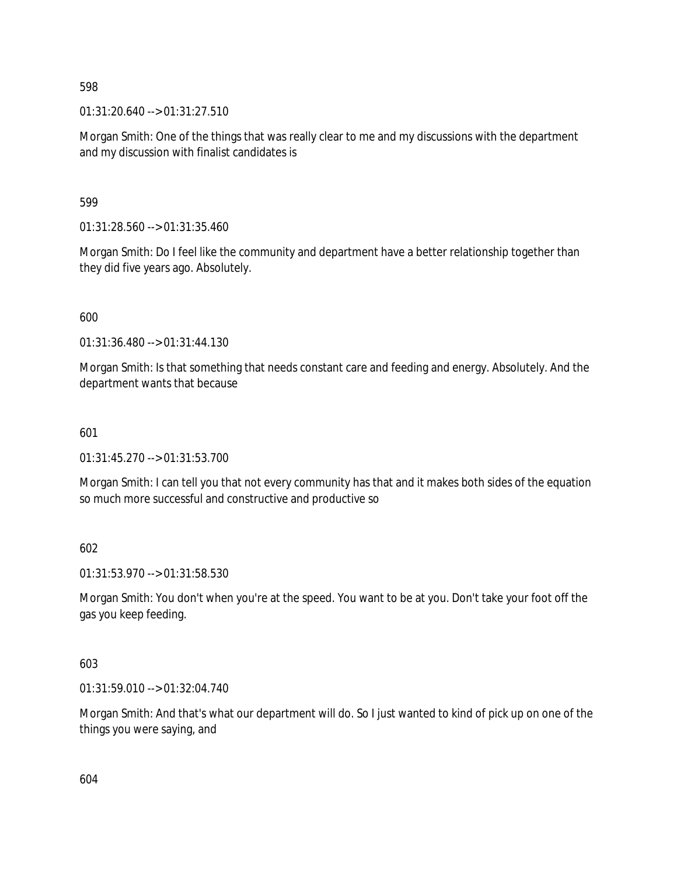01:31:20.640 --> 01:31:27.510

Morgan Smith: One of the things that was really clear to me and my discussions with the department and my discussion with finalist candidates is

599

01:31:28.560 --> 01:31:35.460

Morgan Smith: Do I feel like the community and department have a better relationship together than they did five years ago. Absolutely.

600

01:31:36.480 --> 01:31:44.130

Morgan Smith: Is that something that needs constant care and feeding and energy. Absolutely. And the department wants that because

## 601

01:31:45.270 --> 01:31:53.700

Morgan Smith: I can tell you that not every community has that and it makes both sides of the equation so much more successful and constructive and productive so

602

01:31:53.970 --> 01:31:58.530

Morgan Smith: You don't when you're at the speed. You want to be at you. Don't take your foot off the gas you keep feeding.

603

01:31:59.010 --> 01:32:04.740

Morgan Smith: And that's what our department will do. So I just wanted to kind of pick up on one of the things you were saying, and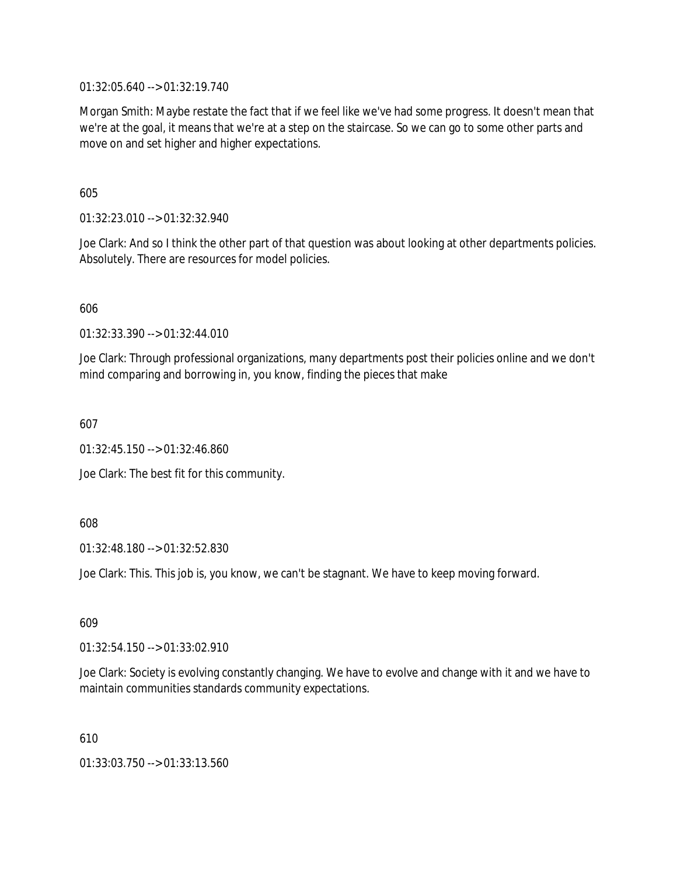01:32:05.640 --> 01:32:19.740

Morgan Smith: Maybe restate the fact that if we feel like we've had some progress. It doesn't mean that we're at the goal, it means that we're at a step on the staircase. So we can go to some other parts and move on and set higher and higher expectations.

605

01:32:23.010 --> 01:32:32.940

Joe Clark: And so I think the other part of that question was about looking at other departments policies. Absolutely. There are resources for model policies.

606

01:32:33.390 --> 01:32:44.010

Joe Clark: Through professional organizations, many departments post their policies online and we don't mind comparing and borrowing in, you know, finding the pieces that make

607

01:32:45.150 --> 01:32:46.860

Joe Clark: The best fit for this community.

608

01:32:48.180 --> 01:32:52.830

Joe Clark: This. This job is, you know, we can't be stagnant. We have to keep moving forward.

609

 $01:32:54.150 \rightarrow 01:33:02.910$ 

Joe Clark: Society is evolving constantly changing. We have to evolve and change with it and we have to maintain communities standards community expectations.

610

01:33:03.750 --> 01:33:13.560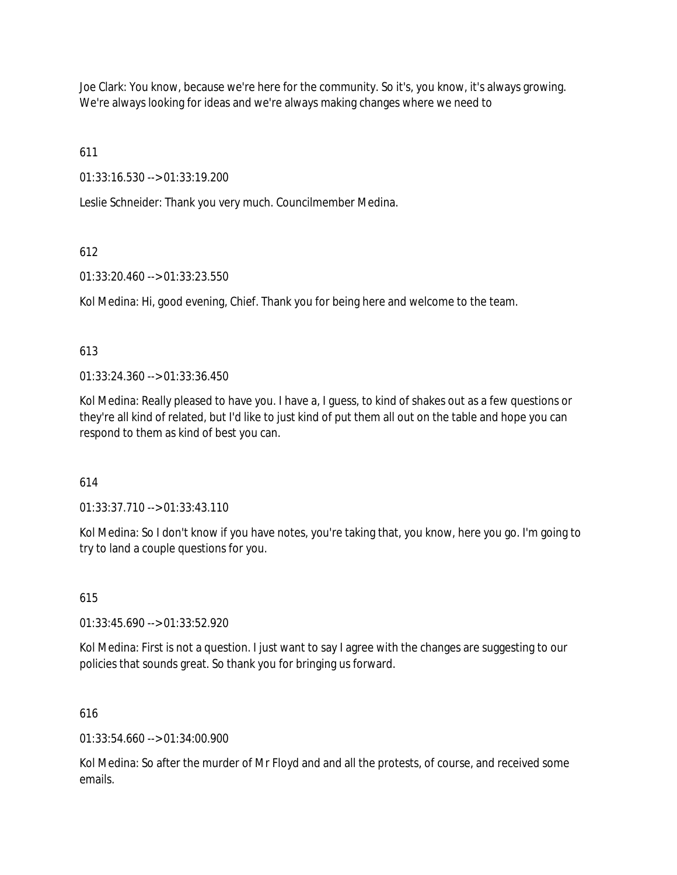Joe Clark: You know, because we're here for the community. So it's, you know, it's always growing. We're always looking for ideas and we're always making changes where we need to

611

01:33:16.530 --> 01:33:19.200

Leslie Schneider: Thank you very much. Councilmember Medina.

# 612

01:33:20.460 --> 01:33:23.550

Kol Medina: Hi, good evening, Chief. Thank you for being here and welcome to the team.

## 613

01:33:24.360 --> 01:33:36.450

Kol Medina: Really pleased to have you. I have a, I guess, to kind of shakes out as a few questions or they're all kind of related, but I'd like to just kind of put them all out on the table and hope you can respond to them as kind of best you can.

# 614

01:33:37.710 --> 01:33:43.110

Kol Medina: So I don't know if you have notes, you're taking that, you know, here you go. I'm going to try to land a couple questions for you.

# 615

01:33:45.690 --> 01:33:52.920

Kol Medina: First is not a question. I just want to say I agree with the changes are suggesting to our policies that sounds great. So thank you for bringing us forward.

# 616

 $01:33:54.660 \rightarrow 01:34:00.900$ 

Kol Medina: So after the murder of Mr Floyd and and all the protests, of course, and received some emails.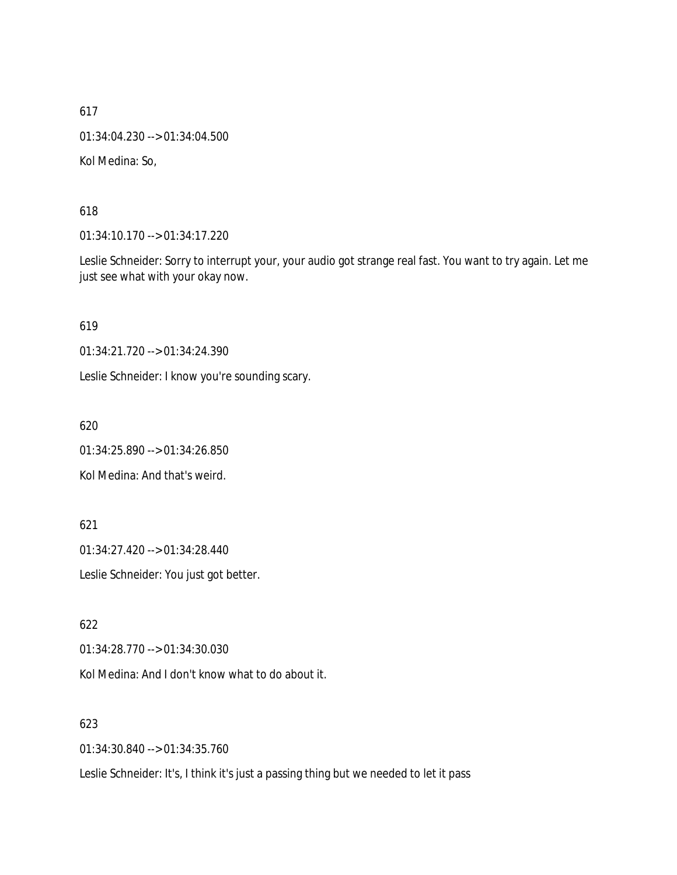01:34:04.230 --> 01:34:04.500

Kol Medina: So,

618

01:34:10.170 --> 01:34:17.220

Leslie Schneider: Sorry to interrupt your, your audio got strange real fast. You want to try again. Let me just see what with your okay now.

619

01:34:21.720 --> 01:34:24.390

Leslie Schneider: I know you're sounding scary.

620

01:34:25.890 --> 01:34:26.850

Kol Medina: And that's weird.

621

01:34:27.420 --> 01:34:28.440

Leslie Schneider: You just got better.

622

01:34:28.770 --> 01:34:30.030

Kol Medina: And I don't know what to do about it.

623

01:34:30.840 --> 01:34:35.760

Leslie Schneider: It's, I think it's just a passing thing but we needed to let it pass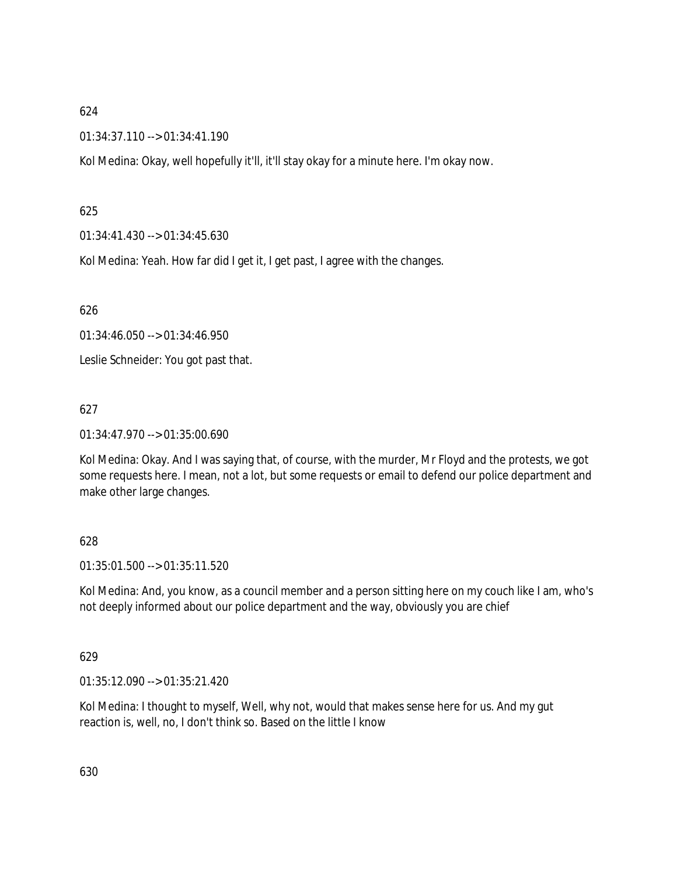01:34:37.110 --> 01:34:41.190

Kol Medina: Okay, well hopefully it'll, it'll stay okay for a minute here. I'm okay now.

# 625

01:34:41.430 --> 01:34:45.630

Kol Medina: Yeah. How far did I get it, I get past, I agree with the changes.

626

01:34:46.050 --> 01:34:46.950

Leslie Schneider: You got past that.

# 627

01:34:47.970 --> 01:35:00.690

Kol Medina: Okay. And I was saying that, of course, with the murder, Mr Floyd and the protests, we got some requests here. I mean, not a lot, but some requests or email to defend our police department and make other large changes.

# 628

01:35:01.500 --> 01:35:11.520

Kol Medina: And, you know, as a council member and a person sitting here on my couch like I am, who's not deeply informed about our police department and the way, obviously you are chief

# 629

01:35:12.090 --> 01:35:21.420

Kol Medina: I thought to myself, Well, why not, would that makes sense here for us. And my gut reaction is, well, no, I don't think so. Based on the little I know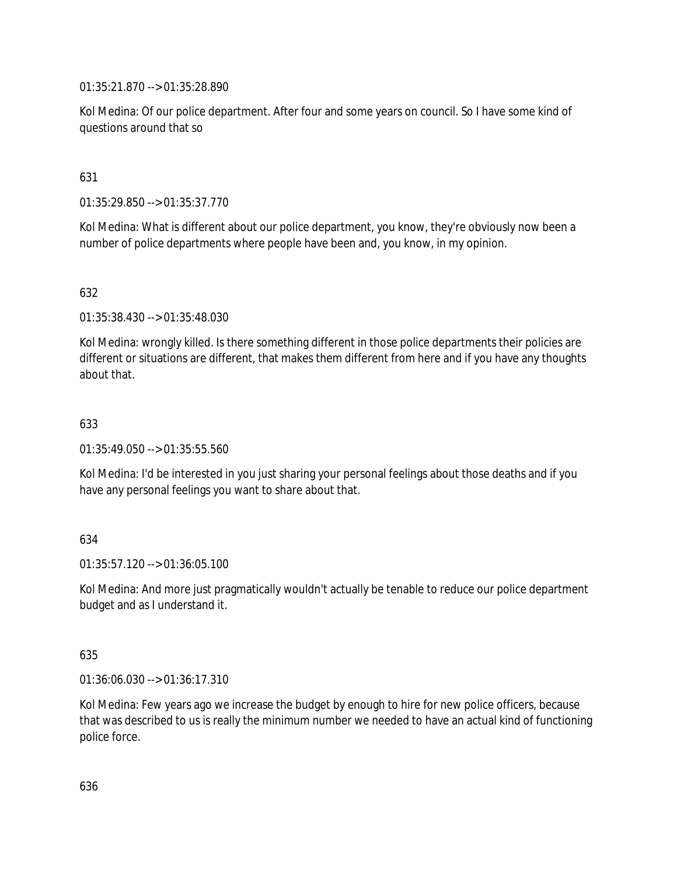01:35:21.870 --> 01:35:28.890

Kol Medina: Of our police department. After four and some years on council. So I have some kind of questions around that so

## 631

01:35:29.850 --> 01:35:37.770

Kol Medina: What is different about our police department, you know, they're obviously now been a number of police departments where people have been and, you know, in my opinion.

## 632

01:35:38.430 --> 01:35:48.030

Kol Medina: wrongly killed. Is there something different in those police departments their policies are different or situations are different, that makes them different from here and if you have any thoughts about that.

## 633

01:35:49.050 --> 01:35:55.560

Kol Medina: I'd be interested in you just sharing your personal feelings about those deaths and if you have any personal feelings you want to share about that.

## 634

01:35:57.120 --> 01:36:05.100

Kol Medina: And more just pragmatically wouldn't actually be tenable to reduce our police department budget and as I understand it.

## 635

01:36:06.030 --> 01:36:17.310

Kol Medina: Few years ago we increase the budget by enough to hire for new police officers, because that was described to us is really the minimum number we needed to have an actual kind of functioning police force.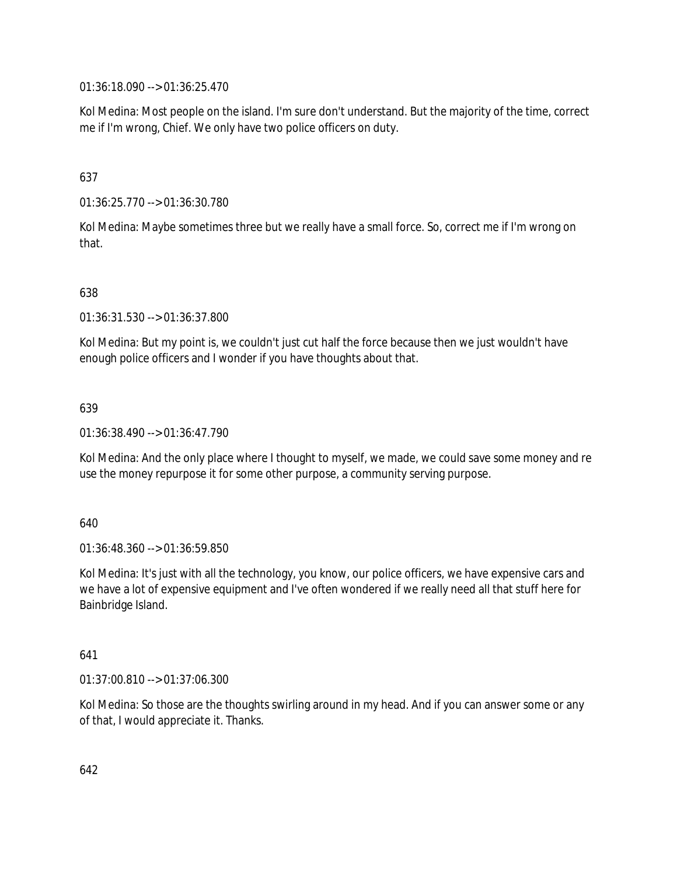01:36:18.090 --> 01:36:25.470

Kol Medina: Most people on the island. I'm sure don't understand. But the majority of the time, correct me if I'm wrong, Chief. We only have two police officers on duty.

# 637

01:36:25.770 --> 01:36:30.780

Kol Medina: Maybe sometimes three but we really have a small force. So, correct me if I'm wrong on that.

## 638

01:36:31.530 --> 01:36:37.800

Kol Medina: But my point is, we couldn't just cut half the force because then we just wouldn't have enough police officers and I wonder if you have thoughts about that.

## 639

01:36:38.490 --> 01:36:47.790

Kol Medina: And the only place where I thought to myself, we made, we could save some money and re use the money repurpose it for some other purpose, a community serving purpose.

## 640

01:36:48.360 --> 01:36:59.850

Kol Medina: It's just with all the technology, you know, our police officers, we have expensive cars and we have a lot of expensive equipment and I've often wondered if we really need all that stuff here for Bainbridge Island.

## 641

01:37:00.810 --> 01:37:06.300

Kol Medina: So those are the thoughts swirling around in my head. And if you can answer some or any of that, I would appreciate it. Thanks.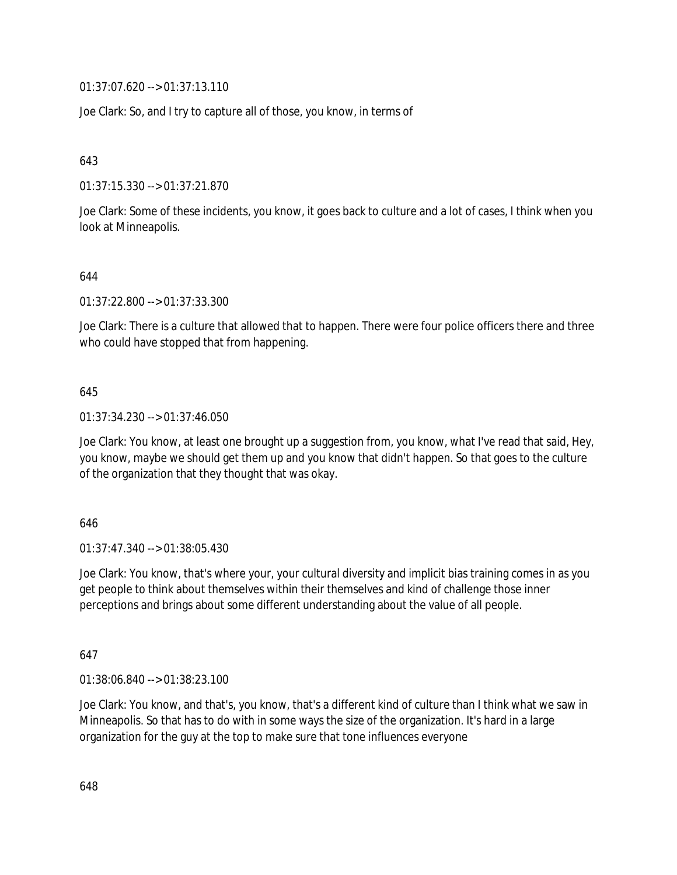01:37:07.620 --> 01:37:13.110

Joe Clark: So, and I try to capture all of those, you know, in terms of

643

01:37:15.330 --> 01:37:21.870

Joe Clark: Some of these incidents, you know, it goes back to culture and a lot of cases, I think when you look at Minneapolis.

644

01:37:22.800 --> 01:37:33.300

Joe Clark: There is a culture that allowed that to happen. There were four police officers there and three who could have stopped that from happening.

645

01:37:34.230 --> 01:37:46.050

Joe Clark: You know, at least one brought up a suggestion from, you know, what I've read that said, Hey, you know, maybe we should get them up and you know that didn't happen. So that goes to the culture of the organization that they thought that was okay.

646

01:37:47.340 --> 01:38:05.430

Joe Clark: You know, that's where your, your cultural diversity and implicit bias training comes in as you get people to think about themselves within their themselves and kind of challenge those inner perceptions and brings about some different understanding about the value of all people.

647

01:38:06.840 --> 01:38:23.100

Joe Clark: You know, and that's, you know, that's a different kind of culture than I think what we saw in Minneapolis. So that has to do with in some ways the size of the organization. It's hard in a large organization for the guy at the top to make sure that tone influences everyone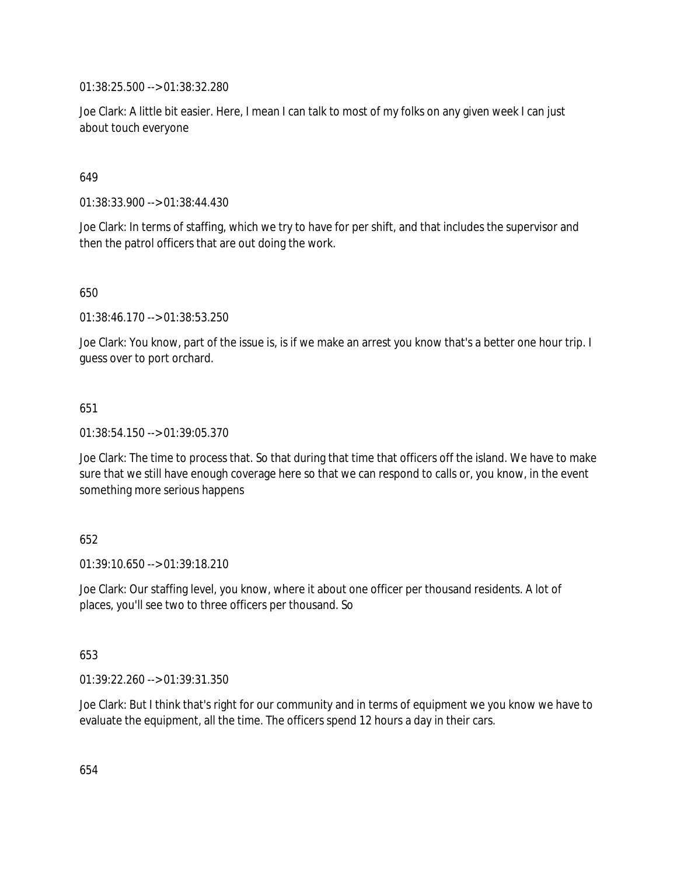01:38:25.500 --> 01:38:32.280

Joe Clark: A little bit easier. Here, I mean I can talk to most of my folks on any given week I can just about touch everyone

## 649

01:38:33.900 --> 01:38:44.430

Joe Clark: In terms of staffing, which we try to have for per shift, and that includes the supervisor and then the patrol officers that are out doing the work.

650

01:38:46.170 --> 01:38:53.250

Joe Clark: You know, part of the issue is, is if we make an arrest you know that's a better one hour trip. I guess over to port orchard.

## 651

01:38:54.150 --> 01:39:05.370

Joe Clark: The time to process that. So that during that time that officers off the island. We have to make sure that we still have enough coverage here so that we can respond to calls or, you know, in the event something more serious happens

## 652

 $01:39:10.650 \rightarrow 01:39:18.210$ 

Joe Clark: Our staffing level, you know, where it about one officer per thousand residents. A lot of places, you'll see two to three officers per thousand. So

## 653

01:39:22.260 --> 01:39:31.350

Joe Clark: But I think that's right for our community and in terms of equipment we you know we have to evaluate the equipment, all the time. The officers spend 12 hours a day in their cars.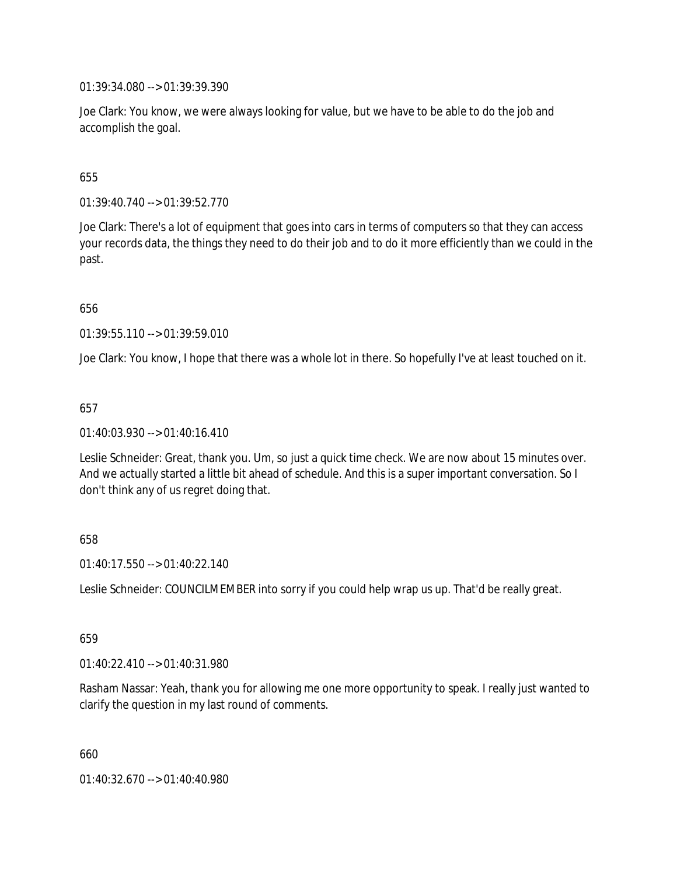01:39:34.080 --> 01:39:39.390

Joe Clark: You know, we were always looking for value, but we have to be able to do the job and accomplish the goal.

655

01:39:40.740 --> 01:39:52.770

Joe Clark: There's a lot of equipment that goes into cars in terms of computers so that they can access your records data, the things they need to do their job and to do it more efficiently than we could in the past.

656

01:39:55.110 --> 01:39:59.010

Joe Clark: You know, I hope that there was a whole lot in there. So hopefully I've at least touched on it.

657

01:40:03.930 --> 01:40:16.410

Leslie Schneider: Great, thank you. Um, so just a quick time check. We are now about 15 minutes over. And we actually started a little bit ahead of schedule. And this is a super important conversation. So I don't think any of us regret doing that.

658

01:40:17.550 --> 01:40:22.140

Leslie Schneider: COUNCILMEMBER into sorry if you could help wrap us up. That'd be really great.

659

01:40:22.410 --> 01:40:31.980

Rasham Nassar: Yeah, thank you for allowing me one more opportunity to speak. I really just wanted to clarify the question in my last round of comments.

660

01:40:32.670 --> 01:40:40.980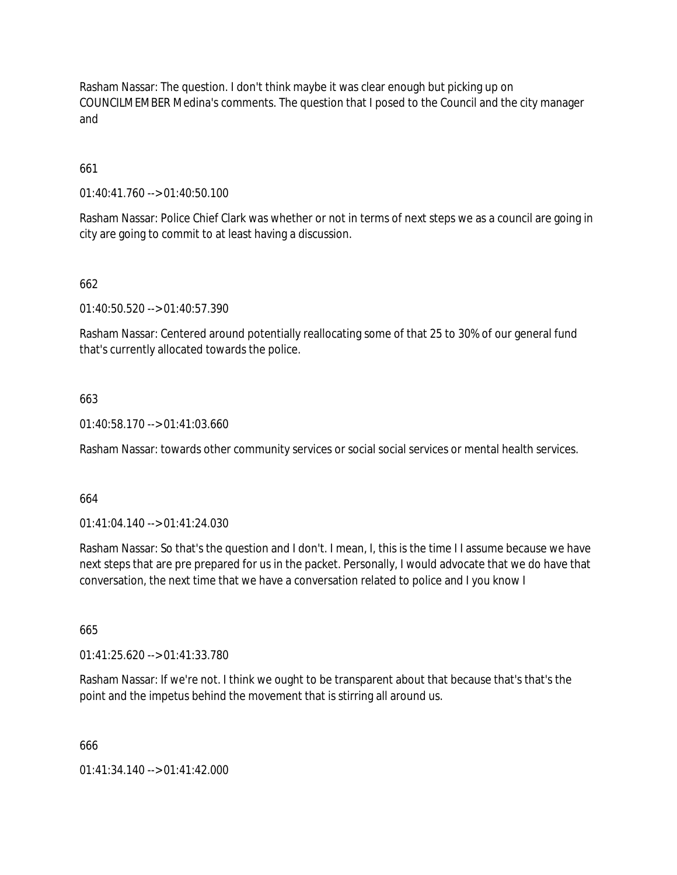Rasham Nassar: The question. I don't think maybe it was clear enough but picking up on COUNCILMEMBER Medina's comments. The question that I posed to the Council and the city manager and

# 661

01:40:41.760 --> 01:40:50.100

Rasham Nassar: Police Chief Clark was whether or not in terms of next steps we as a council are going in city are going to commit to at least having a discussion.

## 662

01:40:50.520 --> 01:40:57.390

Rasham Nassar: Centered around potentially reallocating some of that 25 to 30% of our general fund that's currently allocated towards the police.

## 663

01:40:58.170 --> 01:41:03.660

Rasham Nassar: towards other community services or social social services or mental health services.

## 664

01:41:04.140 --> 01:41:24.030

Rasham Nassar: So that's the question and I don't. I mean, I, this is the time I I assume because we have next steps that are pre prepared for us in the packet. Personally, I would advocate that we do have that conversation, the next time that we have a conversation related to police and I you know I

665

01:41:25.620 --> 01:41:33.780

Rasham Nassar: If we're not. I think we ought to be transparent about that because that's that's the point and the impetus behind the movement that is stirring all around us.

666

01:41:34.140 --> 01:41:42.000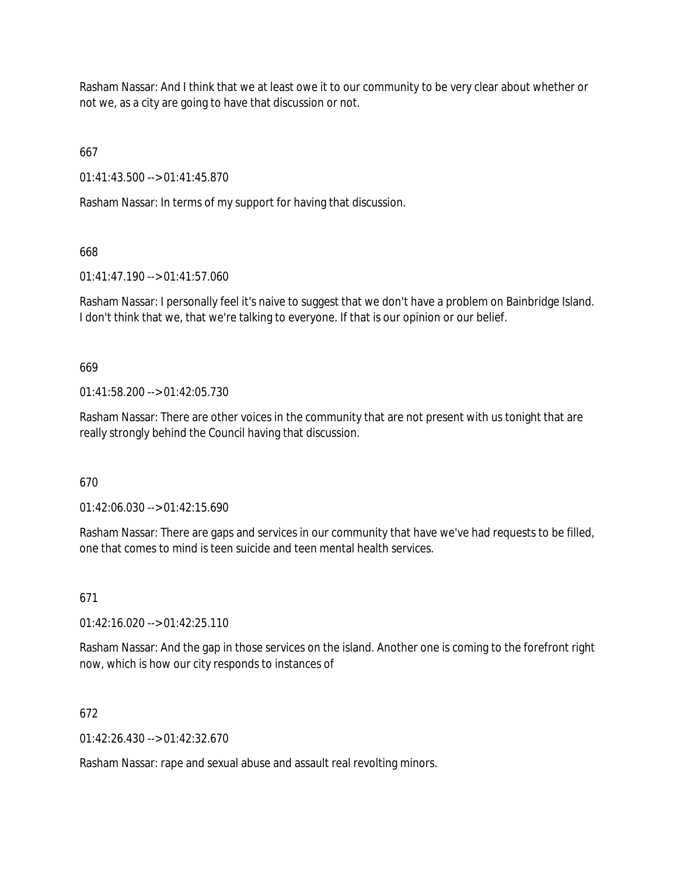Rasham Nassar: And I think that we at least owe it to our community to be very clear about whether or not we, as a city are going to have that discussion or not.

667

01:41:43.500 --> 01:41:45.870

Rasham Nassar: In terms of my support for having that discussion.

668

01:41:47.190 --> 01:41:57.060

Rasham Nassar: I personally feel it's naive to suggest that we don't have a problem on Bainbridge Island. I don't think that we, that we're talking to everyone. If that is our opinion or our belief.

669

 $01:41:58.200 \rightarrow 01:42:05.730$ 

Rasham Nassar: There are other voices in the community that are not present with us tonight that are really strongly behind the Council having that discussion.

670

01:42:06.030 --> 01:42:15.690

Rasham Nassar: There are gaps and services in our community that have we've had requests to be filled, one that comes to mind is teen suicide and teen mental health services.

671

01:42:16.020 --> 01:42:25.110

Rasham Nassar: And the gap in those services on the island. Another one is coming to the forefront right now, which is how our city responds to instances of

672

 $01:42:26.430 \rightarrow 01:42:32.670$ 

Rasham Nassar: rape and sexual abuse and assault real revolting minors.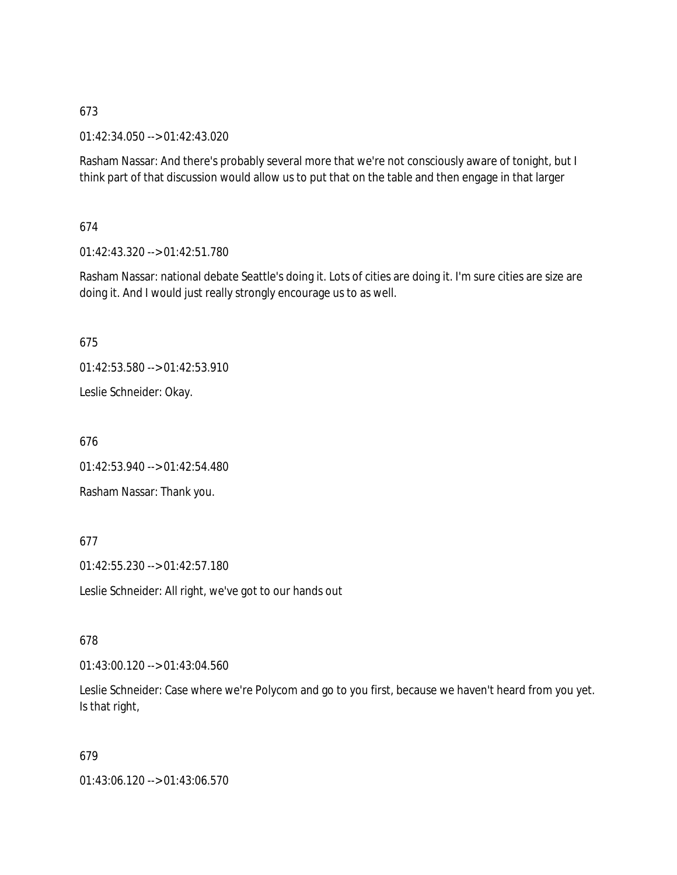01:42:34.050 --> 01:42:43.020

Rasham Nassar: And there's probably several more that we're not consciously aware of tonight, but I think part of that discussion would allow us to put that on the table and then engage in that larger

674

01:42:43.320 --> 01:42:51.780

Rasham Nassar: national debate Seattle's doing it. Lots of cities are doing it. I'm sure cities are size are doing it. And I would just really strongly encourage us to as well.

675

01:42:53.580 --> 01:42:53.910

Leslie Schneider: Okay.

676

01:42:53.940 --> 01:42:54.480

Rasham Nassar: Thank you.

## 677

01:42:55.230 --> 01:42:57.180

Leslie Schneider: All right, we've got to our hands out

678

01:43:00.120 --> 01:43:04.560

Leslie Schneider: Case where we're Polycom and go to you first, because we haven't heard from you yet. Is that right,

679

01:43:06.120 --> 01:43:06.570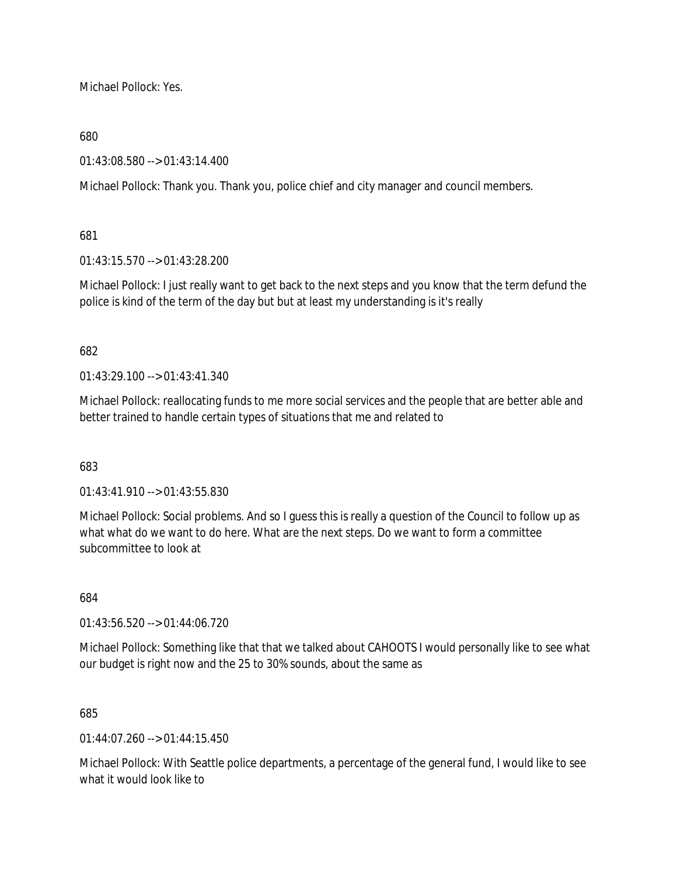Michael Pollock: Yes.

## 680

01:43:08.580 --> 01:43:14.400

Michael Pollock: Thank you. Thank you, police chief and city manager and council members.

## 681

01:43:15.570 --> 01:43:28.200

Michael Pollock: I just really want to get back to the next steps and you know that the term defund the police is kind of the term of the day but but at least my understanding is it's really

## 682

01:43:29.100 --> 01:43:41.340

Michael Pollock: reallocating funds to me more social services and the people that are better able and better trained to handle certain types of situations that me and related to

#### 683

 $01.43.41.910 -> 01.43.55.830$ 

Michael Pollock: Social problems. And so I guess this is really a question of the Council to follow up as what what do we want to do here. What are the next steps. Do we want to form a committee subcommittee to look at

#### 684

01:43:56.520 --> 01:44:06.720

Michael Pollock: Something like that that we talked about CAHOOTS I would personally like to see what our budget is right now and the 25 to 30% sounds, about the same as

#### 685

01:44:07.260 --> 01:44:15.450

Michael Pollock: With Seattle police departments, a percentage of the general fund, I would like to see what it would look like to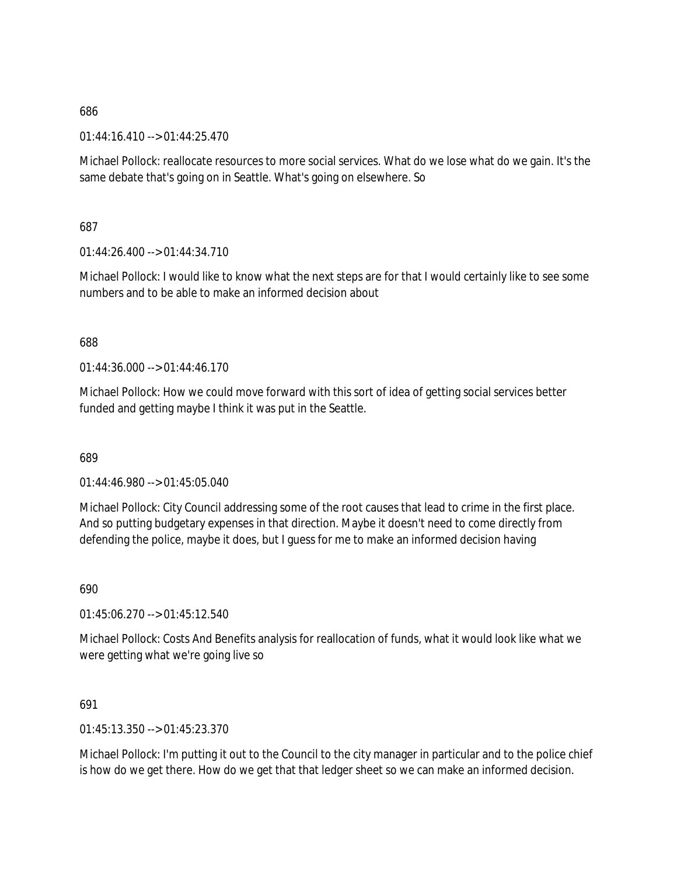01:44:16.410 --> 01:44:25.470

Michael Pollock: reallocate resources to more social services. What do we lose what do we gain. It's the same debate that's going on in Seattle. What's going on elsewhere. So

687

 $01:44:26.400 \rightarrow 01:44:34.710$ 

Michael Pollock: I would like to know what the next steps are for that I would certainly like to see some numbers and to be able to make an informed decision about

688

 $01:44:36:000 \rightarrow 01:44:46:170$ 

Michael Pollock: How we could move forward with this sort of idea of getting social services better funded and getting maybe I think it was put in the Seattle.

689

01:44:46.980 --> 01:45:05.040

Michael Pollock: City Council addressing some of the root causes that lead to crime in the first place. And so putting budgetary expenses in that direction. Maybe it doesn't need to come directly from defending the police, maybe it does, but I guess for me to make an informed decision having

690

01:45:06.270 --> 01:45:12.540

Michael Pollock: Costs And Benefits analysis for reallocation of funds, what it would look like what we were getting what we're going live so

691

01:45:13.350 --> 01:45:23.370

Michael Pollock: I'm putting it out to the Council to the city manager in particular and to the police chief is how do we get there. How do we get that that ledger sheet so we can make an informed decision.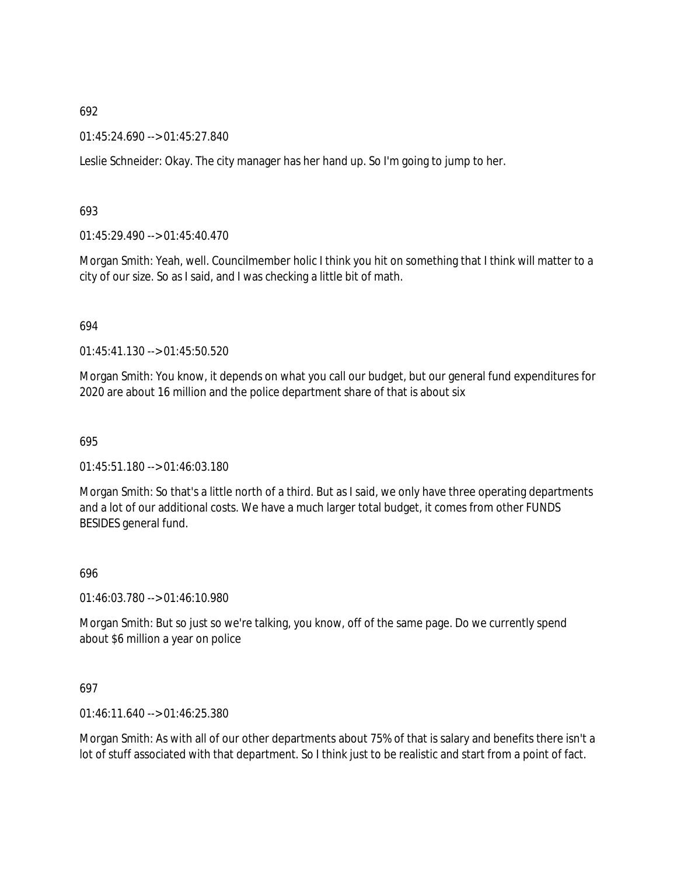01:45:24.690 --> 01:45:27.840

Leslie Schneider: Okay. The city manager has her hand up. So I'm going to jump to her.

#### 693

01:45:29.490 --> 01:45:40.470

Morgan Smith: Yeah, well. Councilmember holic I think you hit on something that I think will matter to a city of our size. So as I said, and I was checking a little bit of math.

#### 694

01:45:41.130 --> 01:45:50.520

Morgan Smith: You know, it depends on what you call our budget, but our general fund expenditures for 2020 are about 16 million and the police department share of that is about six

#### 695

01:45:51.180 --> 01:46:03.180

Morgan Smith: So that's a little north of a third. But as I said, we only have three operating departments and a lot of our additional costs. We have a much larger total budget, it comes from other FUNDS BESIDES general fund.

#### 696

01:46:03.780 --> 01:46:10.980

Morgan Smith: But so just so we're talking, you know, off of the same page. Do we currently spend about \$6 million a year on police

#### 697

01:46:11.640 --> 01:46:25.380

Morgan Smith: As with all of our other departments about 75% of that is salary and benefits there isn't a lot of stuff associated with that department. So I think just to be realistic and start from a point of fact.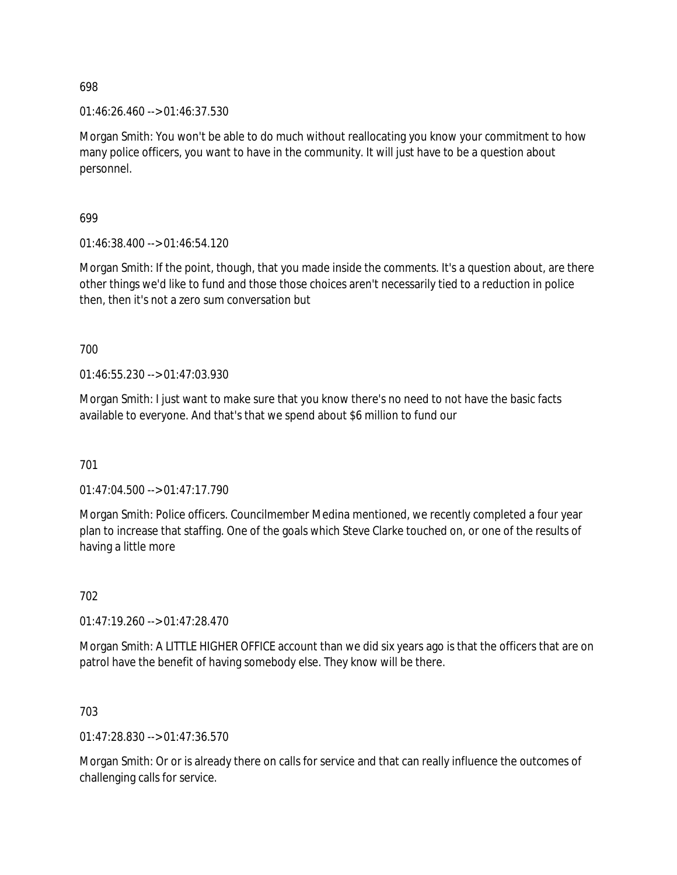01:46:26.460 --> 01:46:37.530

Morgan Smith: You won't be able to do much without reallocating you know your commitment to how many police officers, you want to have in the community. It will just have to be a question about personnel.

699

01:46:38.400 --> 01:46:54.120

Morgan Smith: If the point, though, that you made inside the comments. It's a question about, are there other things we'd like to fund and those those choices aren't necessarily tied to a reduction in police then, then it's not a zero sum conversation but

700

01:46:55.230 --> 01:47:03.930

Morgan Smith: I just want to make sure that you know there's no need to not have the basic facts available to everyone. And that's that we spend about \$6 million to fund our

701

 $01:47:04.500 \rightarrow 01:47:17.790$ 

Morgan Smith: Police officers. Councilmember Medina mentioned, we recently completed a four year plan to increase that staffing. One of the goals which Steve Clarke touched on, or one of the results of having a little more

702

01:47:19.260 --> 01:47:28.470

Morgan Smith: A LITTLE HIGHER OFFICE account than we did six years ago is that the officers that are on patrol have the benefit of having somebody else. They know will be there.

703

01:47:28.830 --> 01:47:36.570

Morgan Smith: Or or is already there on calls for service and that can really influence the outcomes of challenging calls for service.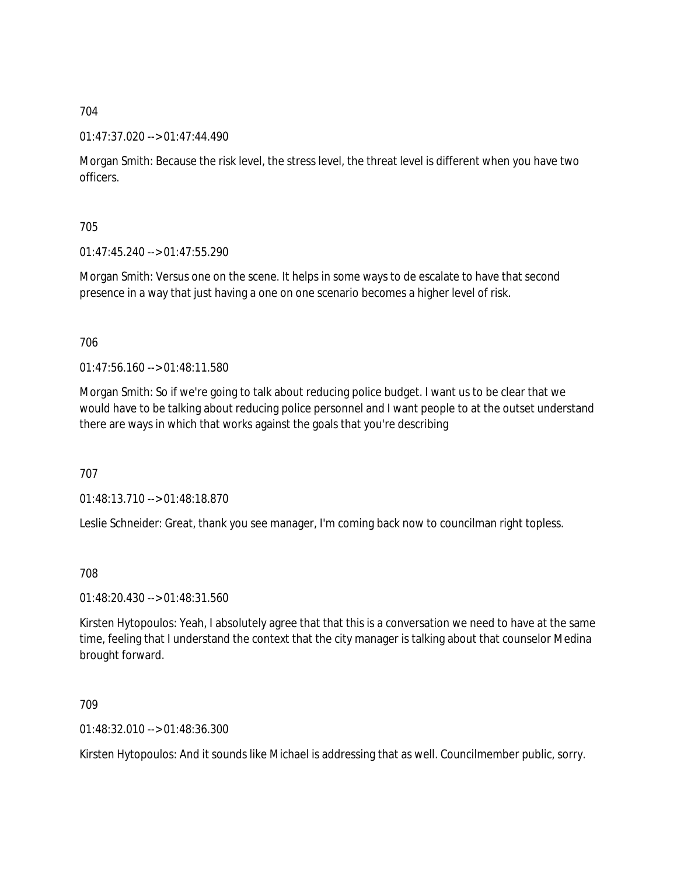#### 01:47:37.020 --> 01:47:44.490

Morgan Smith: Because the risk level, the stress level, the threat level is different when you have two officers.

705

 $01:47:45.240 \rightarrow 01:47:55.290$ 

Morgan Smith: Versus one on the scene. It helps in some ways to de escalate to have that second presence in a way that just having a one on one scenario becomes a higher level of risk.

706

01:47:56.160 --> 01:48:11.580

Morgan Smith: So if we're going to talk about reducing police budget. I want us to be clear that we would have to be talking about reducing police personnel and I want people to at the outset understand there are ways in which that works against the goals that you're describing

707

01:48:13.710 --> 01:48:18.870

Leslie Schneider: Great, thank you see manager, I'm coming back now to councilman right topless.

708

01:48:20.430 --> 01:48:31.560

Kirsten Hytopoulos: Yeah, I absolutely agree that that this is a conversation we need to have at the same time, feeling that I understand the context that the city manager is talking about that counselor Medina brought forward.

709

01:48:32.010 --> 01:48:36.300

Kirsten Hytopoulos: And it sounds like Michael is addressing that as well. Councilmember public, sorry.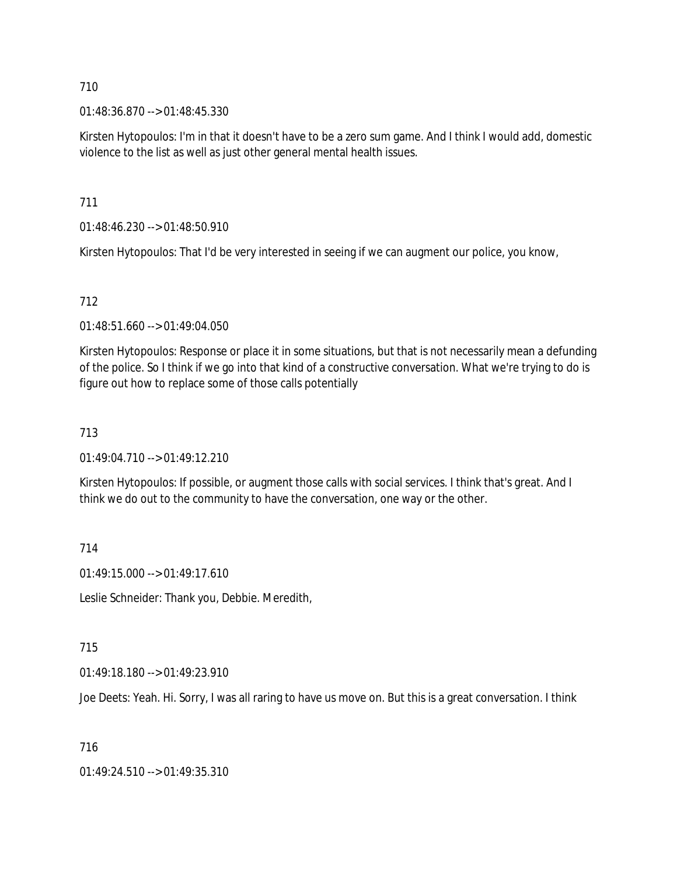01:48:36.870 --> 01:48:45.330

Kirsten Hytopoulos: I'm in that it doesn't have to be a zero sum game. And I think I would add, domestic violence to the list as well as just other general mental health issues.

711

01:48:46.230 --> 01:48:50.910

Kirsten Hytopoulos: That I'd be very interested in seeing if we can augment our police, you know,

## 712

01:48:51.660 --> 01:49:04.050

Kirsten Hytopoulos: Response or place it in some situations, but that is not necessarily mean a defunding of the police. So I think if we go into that kind of a constructive conversation. What we're trying to do is figure out how to replace some of those calls potentially

## 713

 $01:49:04.710 \rightarrow 01:49:12.210$ 

Kirsten Hytopoulos: If possible, or augment those calls with social services. I think that's great. And I think we do out to the community to have the conversation, one way or the other.

#### 714

01:49:15.000 --> 01:49:17.610

Leslie Schneider: Thank you, Debbie. Meredith,

#### 715

01:49:18.180 --> 01:49:23.910

Joe Deets: Yeah. Hi. Sorry, I was all raring to have us move on. But this is a great conversation. I think

#### 716

01:49:24.510 --> 01:49:35.310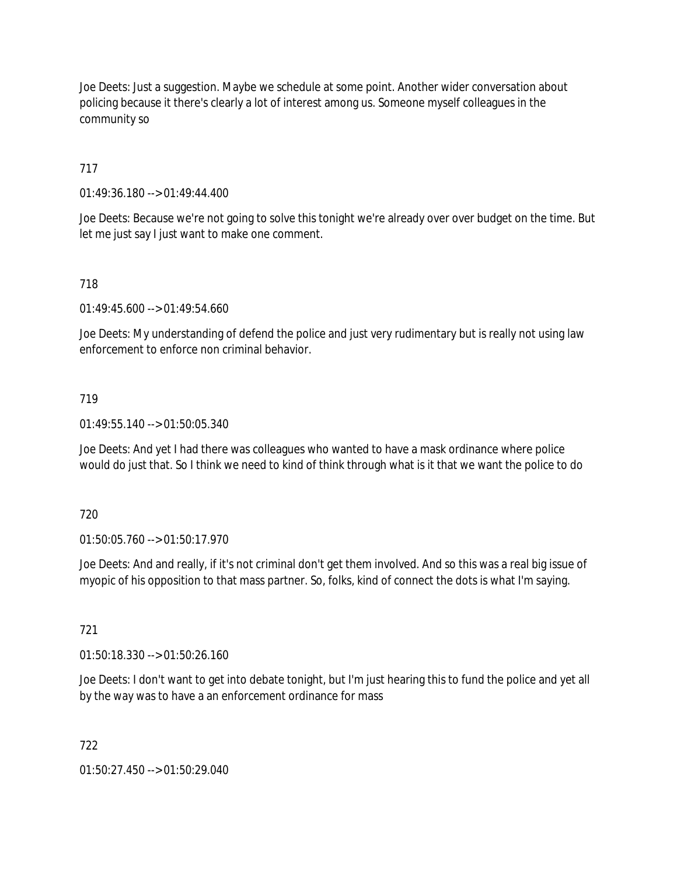Joe Deets: Just a suggestion. Maybe we schedule at some point. Another wider conversation about policing because it there's clearly a lot of interest among us. Someone myself colleagues in the community so

717

01:49:36.180 --> 01:49:44.400

Joe Deets: Because we're not going to solve this tonight we're already over over budget on the time. But let me just say I just want to make one comment.

# 718

01:49:45.600 --> 01:49:54.660

Joe Deets: My understanding of defend the police and just very rudimentary but is really not using law enforcement to enforce non criminal behavior.

## 719

01:49:55.140 --> 01:50:05.340

Joe Deets: And yet I had there was colleagues who wanted to have a mask ordinance where police would do just that. So I think we need to kind of think through what is it that we want the police to do

720

01:50:05.760 --> 01:50:17.970

Joe Deets: And and really, if it's not criminal don't get them involved. And so this was a real big issue of myopic of his opposition to that mass partner. So, folks, kind of connect the dots is what I'm saying.

#### 721

01:50:18.330 --> 01:50:26.160

Joe Deets: I don't want to get into debate tonight, but I'm just hearing this to fund the police and yet all by the way was to have a an enforcement ordinance for mass

# 722

01:50:27.450 --> 01:50:29.040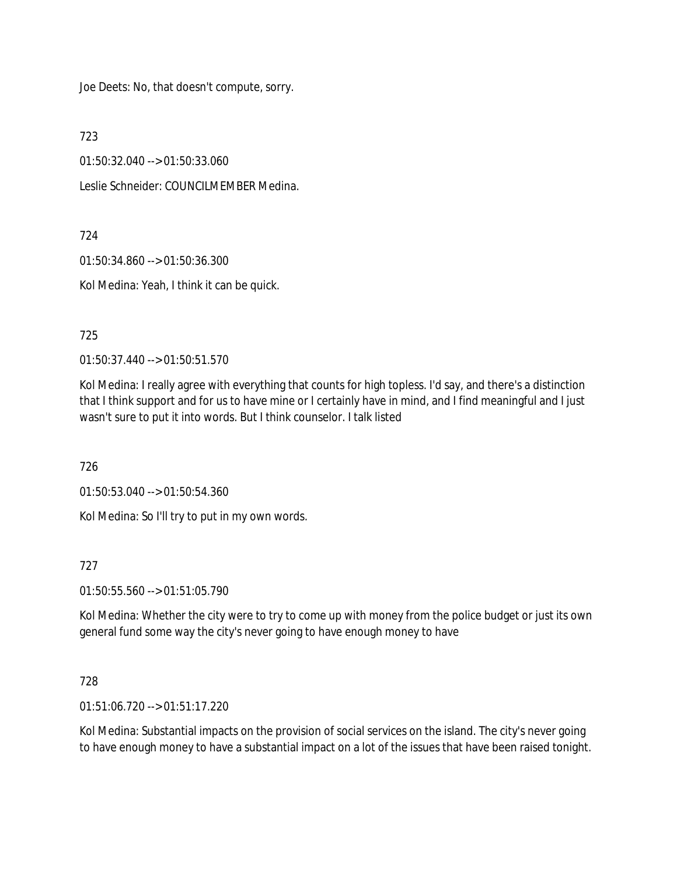Joe Deets: No, that doesn't compute, sorry.

723

01:50:32.040 --> 01:50:33.060

Leslie Schneider: COUNCILMEMBER Medina.

724

01:50:34.860 --> 01:50:36.300

Kol Medina: Yeah, I think it can be quick.

725

01:50:37.440 --> 01:50:51.570

Kol Medina: I really agree with everything that counts for high topless. I'd say, and there's a distinction that I think support and for us to have mine or I certainly have in mind, and I find meaningful and I just wasn't sure to put it into words. But I think counselor. I talk listed

726

01:50:53.040 --> 01:50:54.360

Kol Medina: So I'll try to put in my own words.

727

01:50:55.560 --> 01:51:05.790

Kol Medina: Whether the city were to try to come up with money from the police budget or just its own general fund some way the city's never going to have enough money to have

728

01:51:06.720 --> 01:51:17.220

Kol Medina: Substantial impacts on the provision of social services on the island. The city's never going to have enough money to have a substantial impact on a lot of the issues that have been raised tonight.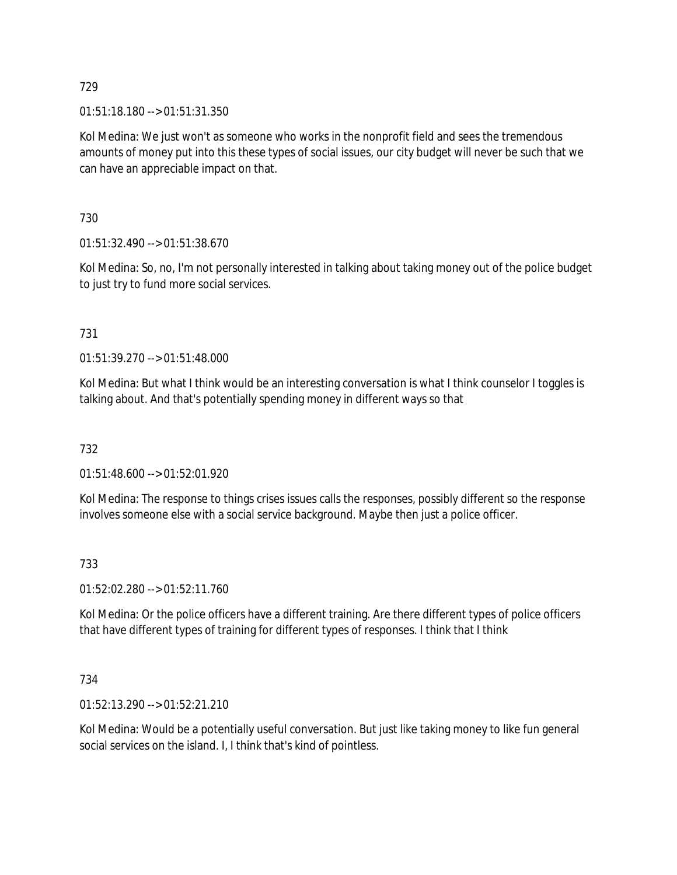01:51:18.180 --> 01:51:31.350

Kol Medina: We just won't as someone who works in the nonprofit field and sees the tremendous amounts of money put into this these types of social issues, our city budget will never be such that we can have an appreciable impact on that.

730

01:51:32.490 --> 01:51:38.670

Kol Medina: So, no, I'm not personally interested in talking about taking money out of the police budget to just try to fund more social services.

## 731

01:51:39.270 --> 01:51:48.000

Kol Medina: But what I think would be an interesting conversation is what I think counselor I toggles is talking about. And that's potentially spending money in different ways so that

732

01:51:48.600 --> 01:52:01.920

Kol Medina: The response to things crises issues calls the responses, possibly different so the response involves someone else with a social service background. Maybe then just a police officer.

#### 733

01:52:02.280 --> 01:52:11.760

Kol Medina: Or the police officers have a different training. Are there different types of police officers that have different types of training for different types of responses. I think that I think

#### 734

01:52:13.290 --> 01:52:21.210

Kol Medina: Would be a potentially useful conversation. But just like taking money to like fun general social services on the island. I, I think that's kind of pointless.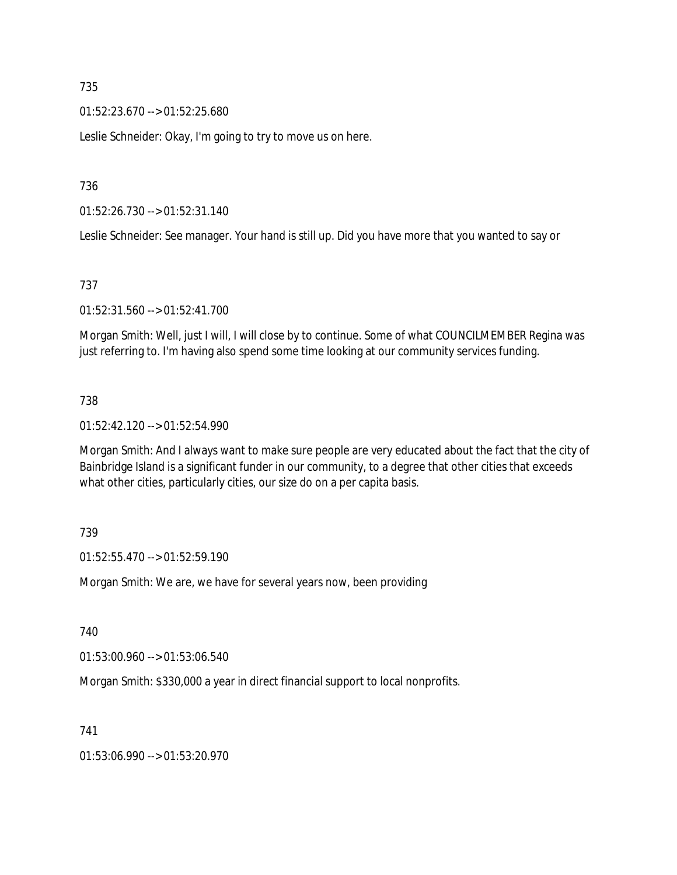01:52:23.670 --> 01:52:25.680

Leslie Schneider: Okay, I'm going to try to move us on here.

736

01:52:26.730 --> 01:52:31.140

Leslie Schneider: See manager. Your hand is still up. Did you have more that you wanted to say or

#### 737

01:52:31.560 --> 01:52:41.700

Morgan Smith: Well, just I will, I will close by to continue. Some of what COUNCILMEMBER Regina was just referring to. I'm having also spend some time looking at our community services funding.

#### 738

01:52:42.120 --> 01:52:54.990

Morgan Smith: And I always want to make sure people are very educated about the fact that the city of Bainbridge Island is a significant funder in our community, to a degree that other cities that exceeds what other cities, particularly cities, our size do on a per capita basis.

#### 739

01:52:55.470 --> 01:52:59.190

Morgan Smith: We are, we have for several years now, been providing

740

01:53:00.960 --> 01:53:06.540

Morgan Smith: \$330,000 a year in direct financial support to local nonprofits.

741

01:53:06.990 --> 01:53:20.970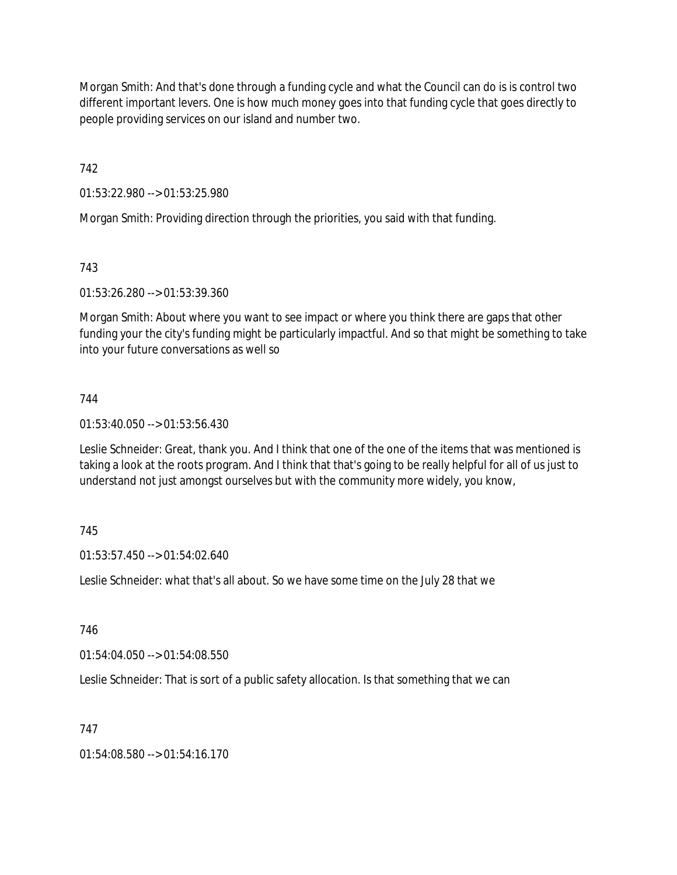Morgan Smith: And that's done through a funding cycle and what the Council can do is is control two different important levers. One is how much money goes into that funding cycle that goes directly to people providing services on our island and number two.

742

01:53:22.980 --> 01:53:25.980

Morgan Smith: Providing direction through the priorities, you said with that funding.

# 743

01:53:26.280 --> 01:53:39.360

Morgan Smith: About where you want to see impact or where you think there are gaps that other funding your the city's funding might be particularly impactful. And so that might be something to take into your future conversations as well so

# 744

01:53:40.050 --> 01:53:56.430

Leslie Schneider: Great, thank you. And I think that one of the one of the items that was mentioned is taking a look at the roots program. And I think that that's going to be really helpful for all of us just to understand not just amongst ourselves but with the community more widely, you know,

# 745

01:53:57.450 --> 01:54:02.640

Leslie Schneider: what that's all about. So we have some time on the July 28 that we

# 746

01:54:04.050 --> 01:54:08.550

Leslie Schneider: That is sort of a public safety allocation. Is that something that we can

# 747

01:54:08.580 --> 01:54:16.170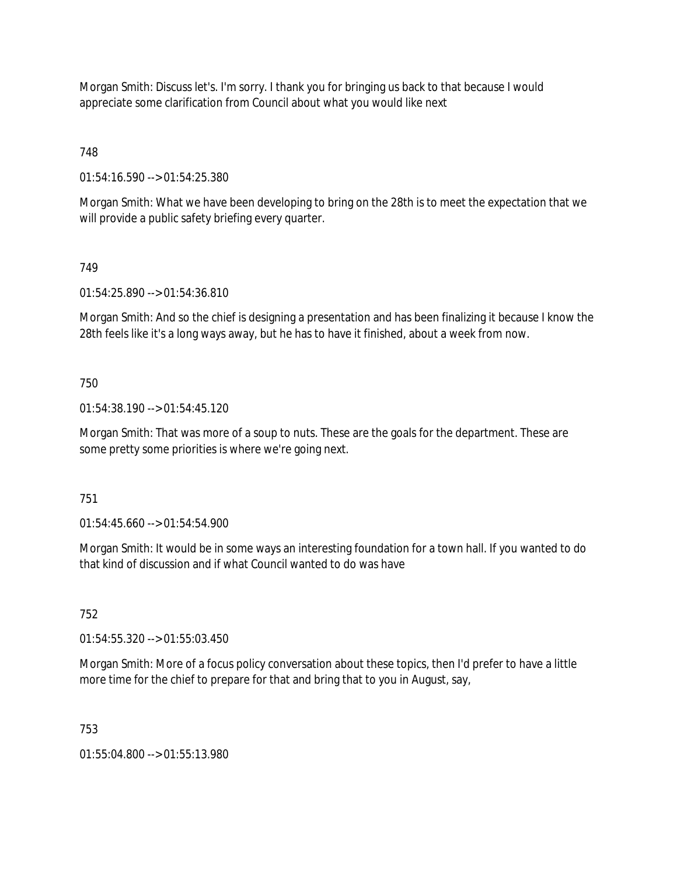Morgan Smith: Discuss let's. I'm sorry. I thank you for bringing us back to that because I would appreciate some clarification from Council about what you would like next

748

01:54:16.590 --> 01:54:25.380

Morgan Smith: What we have been developing to bring on the 28th is to meet the expectation that we will provide a public safety briefing every quarter.

## 749

01:54:25.890 --> 01:54:36.810

Morgan Smith: And so the chief is designing a presentation and has been finalizing it because I know the 28th feels like it's a long ways away, but he has to have it finished, about a week from now.

## 750

01:54:38.190 --> 01:54:45.120

Morgan Smith: That was more of a soup to nuts. These are the goals for the department. These are some pretty some priorities is where we're going next.

#### 751

01:54:45.660 --> 01:54:54.900

Morgan Smith: It would be in some ways an interesting foundation for a town hall. If you wanted to do that kind of discussion and if what Council wanted to do was have

#### 752

01:54:55.320 --> 01:55:03.450

Morgan Smith: More of a focus policy conversation about these topics, then I'd prefer to have a little more time for the chief to prepare for that and bring that to you in August, say,

#### 753

01:55:04.800 --> 01:55:13.980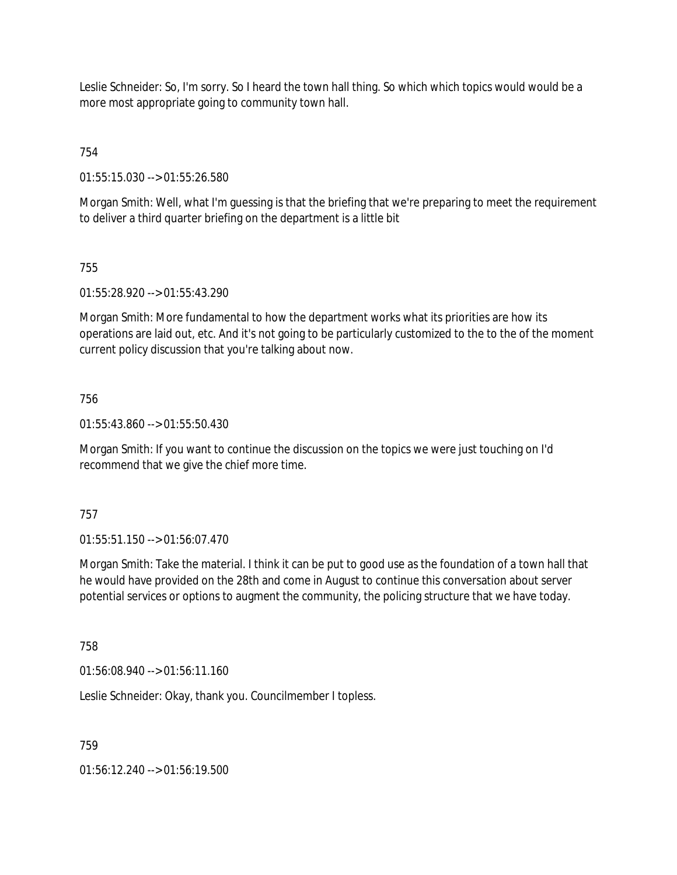Leslie Schneider: So, I'm sorry. So I heard the town hall thing. So which which topics would would be a more most appropriate going to community town hall.

754

01:55:15.030 --> 01:55:26.580

Morgan Smith: Well, what I'm guessing is that the briefing that we're preparing to meet the requirement to deliver a third quarter briefing on the department is a little bit

## 755

01:55:28.920 --> 01:55:43.290

Morgan Smith: More fundamental to how the department works what its priorities are how its operations are laid out, etc. And it's not going to be particularly customized to the to the of the moment current policy discussion that you're talking about now.

## 756

01:55:43.860 --> 01:55:50.430

Morgan Smith: If you want to continue the discussion on the topics we were just touching on I'd recommend that we give the chief more time.

#### 757

01:55:51.150 --> 01:56:07.470

Morgan Smith: Take the material. I think it can be put to good use as the foundation of a town hall that he would have provided on the 28th and come in August to continue this conversation about server potential services or options to augment the community, the policing structure that we have today.

758

01:56:08.940 --> 01:56:11.160

Leslie Schneider: Okay, thank you. Councilmember I topless.

759

01:56:12.240 --> 01:56:19.500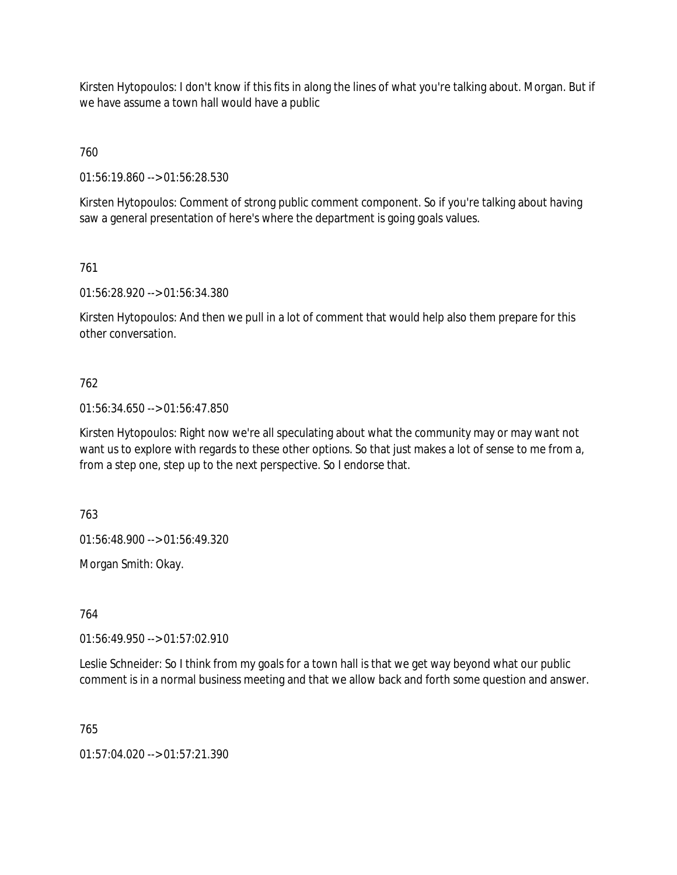Kirsten Hytopoulos: I don't know if this fits in along the lines of what you're talking about. Morgan. But if we have assume a town hall would have a public

760

01:56:19.860 --> 01:56:28.530

Kirsten Hytopoulos: Comment of strong public comment component. So if you're talking about having saw a general presentation of here's where the department is going goals values.

761

01:56:28.920 --> 01:56:34.380

Kirsten Hytopoulos: And then we pull in a lot of comment that would help also them prepare for this other conversation.

#### 762

01:56:34.650 --> 01:56:47.850

Kirsten Hytopoulos: Right now we're all speculating about what the community may or may want not want us to explore with regards to these other options. So that just makes a lot of sense to me from a, from a step one, step up to the next perspective. So I endorse that.

763

01:56:48.900 --> 01:56:49.320

Morgan Smith: Okay.

764

01:56:49.950 --> 01:57:02.910

Leslie Schneider: So I think from my goals for a town hall is that we get way beyond what our public comment is in a normal business meeting and that we allow back and forth some question and answer.

765

01:57:04.020 --> 01:57:21.390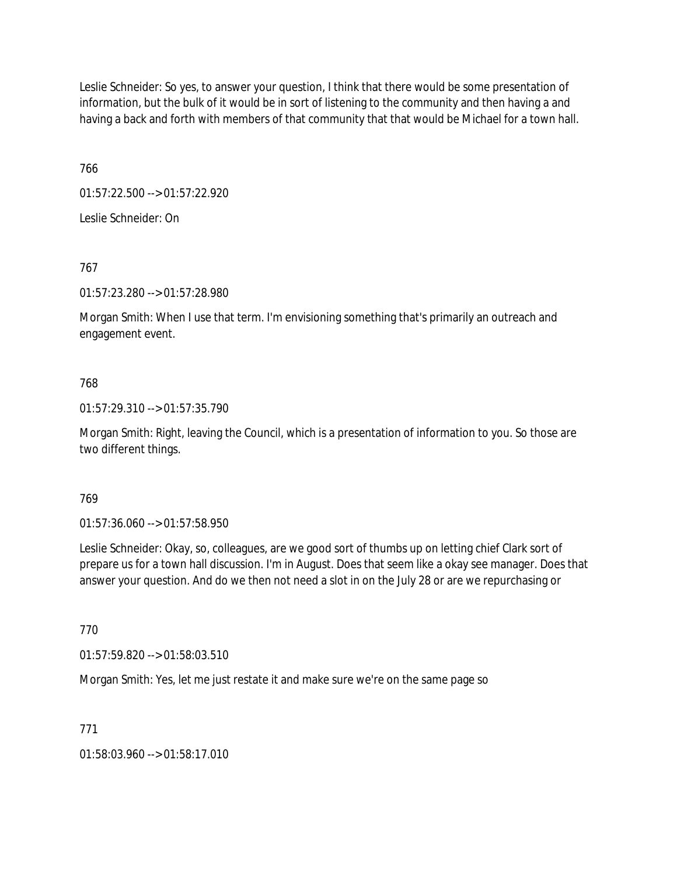Leslie Schneider: So yes, to answer your question, I think that there would be some presentation of information, but the bulk of it would be in sort of listening to the community and then having a and having a back and forth with members of that community that that would be Michael for a town hall.

766

01:57:22.500 --> 01:57:22.920

Leslie Schneider: On

767

01:57:23.280 --> 01:57:28.980

Morgan Smith: When I use that term. I'm envisioning something that's primarily an outreach and engagement event.

## 768

01:57:29.310 --> 01:57:35.790

Morgan Smith: Right, leaving the Council, which is a presentation of information to you. So those are two different things.

#### 769

01:57:36.060 --> 01:57:58.950

Leslie Schneider: Okay, so, colleagues, are we good sort of thumbs up on letting chief Clark sort of prepare us for a town hall discussion. I'm in August. Does that seem like a okay see manager. Does that answer your question. And do we then not need a slot in on the July 28 or are we repurchasing or

770

01:57:59.820 --> 01:58:03.510

Morgan Smith: Yes, let me just restate it and make sure we're on the same page so

#### 771

01:58:03.960 --> 01:58:17.010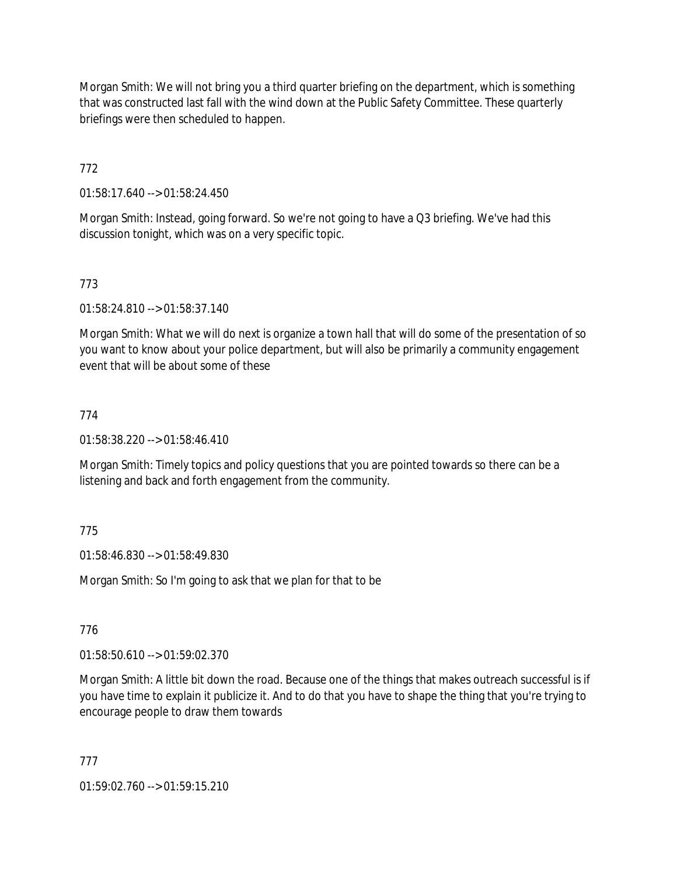Morgan Smith: We will not bring you a third quarter briefing on the department, which is something that was constructed last fall with the wind down at the Public Safety Committee. These quarterly briefings were then scheduled to happen.

772

01:58:17.640 --> 01:58:24.450

Morgan Smith: Instead, going forward. So we're not going to have a Q3 briefing. We've had this discussion tonight, which was on a very specific topic.

# 773

01:58:24.810 --> 01:58:37.140

Morgan Smith: What we will do next is organize a town hall that will do some of the presentation of so you want to know about your police department, but will also be primarily a community engagement event that will be about some of these

## 774

01:58:38.220 --> 01:58:46.410

Morgan Smith: Timely topics and policy questions that you are pointed towards so there can be a listening and back and forth engagement from the community.

# 775

01:58:46.830 --> 01:58:49.830

Morgan Smith: So I'm going to ask that we plan for that to be

#### 776

01:58:50.610 --> 01:59:02.370

Morgan Smith: A little bit down the road. Because one of the things that makes outreach successful is if you have time to explain it publicize it. And to do that you have to shape the thing that you're trying to encourage people to draw them towards

777

01:59:02.760 --> 01:59:15.210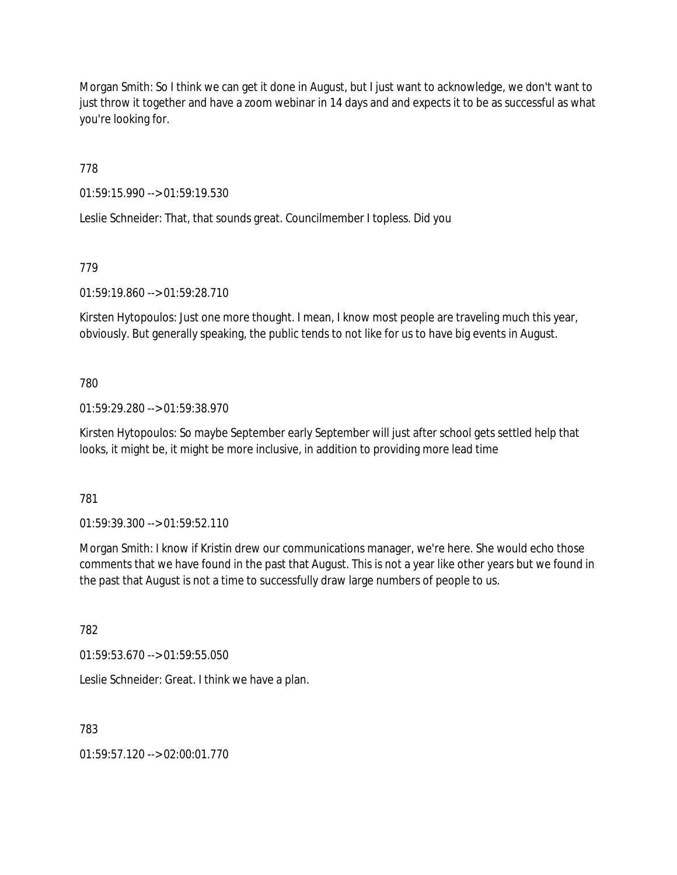Morgan Smith: So I think we can get it done in August, but I just want to acknowledge, we don't want to just throw it together and have a zoom webinar in 14 days and and expects it to be as successful as what you're looking for.

778

01:59:15.990 --> 01:59:19.530

Leslie Schneider: That, that sounds great. Councilmember I topless. Did you

# 779

01:59:19.860 --> 01:59:28.710

Kirsten Hytopoulos: Just one more thought. I mean, I know most people are traveling much this year, obviously. But generally speaking, the public tends to not like for us to have big events in August.

## 780

01:59:29.280 --> 01:59:38.970

Kirsten Hytopoulos: So maybe September early September will just after school gets settled help that looks, it might be, it might be more inclusive, in addition to providing more lead time

781

01:59:39.300 --> 01:59:52.110

Morgan Smith: I know if Kristin drew our communications manager, we're here. She would echo those comments that we have found in the past that August. This is not a year like other years but we found in the past that August is not a time to successfully draw large numbers of people to us.

782

01:59:53.670 --> 01:59:55.050

Leslie Schneider: Great. I think we have a plan.

783

01:59:57.120 --> 02:00:01.770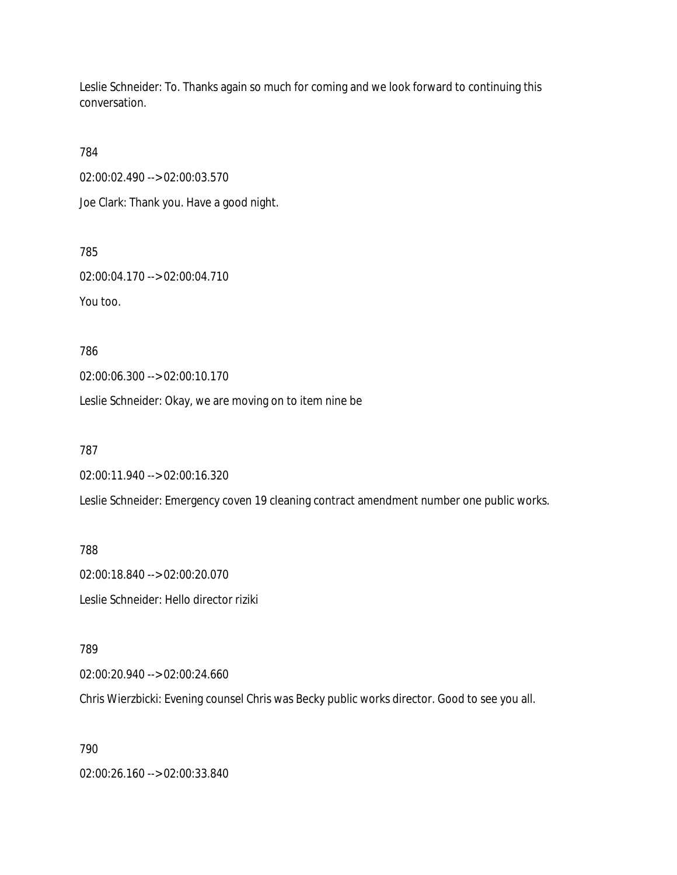Leslie Schneider: To. Thanks again so much for coming and we look forward to continuing this conversation.

784

02:00:02.490 --> 02:00:03.570

Joe Clark: Thank you. Have a good night.

785

02:00:04.170 --> 02:00:04.710

You too.

786

02:00:06.300 --> 02:00:10.170

Leslie Schneider: Okay, we are moving on to item nine be

787

02:00:11.940 --> 02:00:16.320

Leslie Schneider: Emergency coven 19 cleaning contract amendment number one public works.

788

02:00:18.840 --> 02:00:20.070 Leslie Schneider: Hello director riziki

789

02:00:20.940 --> 02:00:24.660

Chris Wierzbicki: Evening counsel Chris was Becky public works director. Good to see you all.

790

02:00:26.160 --> 02:00:33.840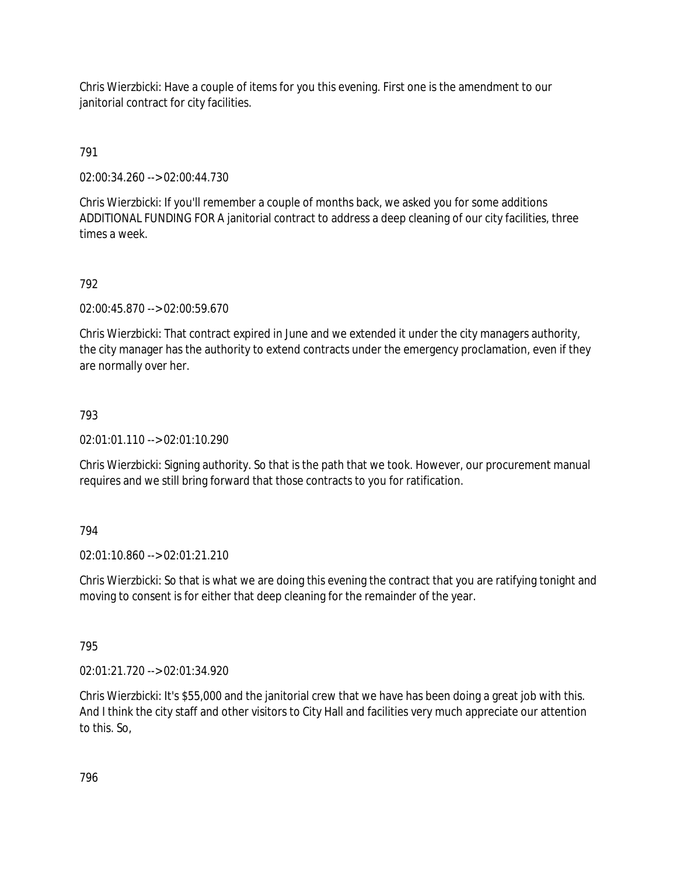Chris Wierzbicki: Have a couple of items for you this evening. First one is the amendment to our janitorial contract for city facilities.

791

02:00:34.260 --> 02:00:44.730

Chris Wierzbicki: If you'll remember a couple of months back, we asked you for some additions ADDITIONAL FUNDING FOR A janitorial contract to address a deep cleaning of our city facilities, three times a week.

#### 792

02:00:45.870 --> 02:00:59.670

Chris Wierzbicki: That contract expired in June and we extended it under the city managers authority, the city manager has the authority to extend contracts under the emergency proclamation, even if they are normally over her.

#### 793

02:01:01.110 --> 02:01:10.290

Chris Wierzbicki: Signing authority. So that is the path that we took. However, our procurement manual requires and we still bring forward that those contracts to you for ratification.

#### 794

02:01:10.860 --> 02:01:21.210

Chris Wierzbicki: So that is what we are doing this evening the contract that you are ratifying tonight and moving to consent is for either that deep cleaning for the remainder of the year.

795

02:01:21.720 --> 02:01:34.920

Chris Wierzbicki: It's \$55,000 and the janitorial crew that we have has been doing a great job with this. And I think the city staff and other visitors to City Hall and facilities very much appreciate our attention to this. So,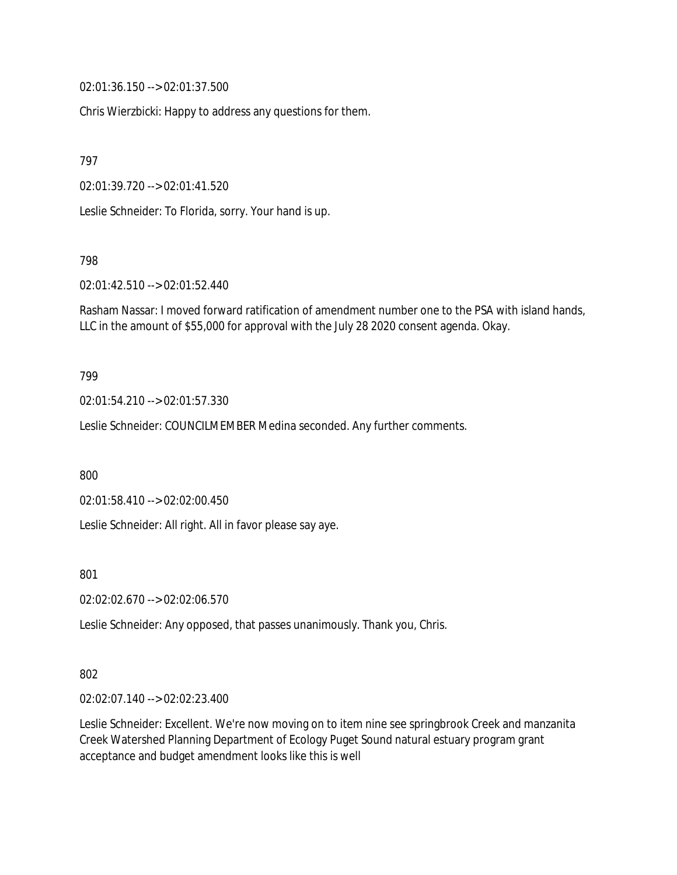02:01:36.150 --> 02:01:37.500

Chris Wierzbicki: Happy to address any questions for them.

797

02:01:39.720 --> 02:01:41.520

Leslie Schneider: To Florida, sorry. Your hand is up.

798

02:01:42.510 --> 02:01:52.440

Rasham Nassar: I moved forward ratification of amendment number one to the PSA with island hands, LLC in the amount of \$55,000 for approval with the July 28 2020 consent agenda. Okay.

#### 799

02:01:54.210 --> 02:01:57.330

Leslie Schneider: COUNCILMEMBER Medina seconded. Any further comments.

800

02:01:58.410 --> 02:02:00.450

Leslie Schneider: All right. All in favor please say aye.

801

02:02:02.670 --> 02:02:06.570

Leslie Schneider: Any opposed, that passes unanimously. Thank you, Chris.

#### 802

02:02:07.140 --> 02:02:23.400

Leslie Schneider: Excellent. We're now moving on to item nine see springbrook Creek and manzanita Creek Watershed Planning Department of Ecology Puget Sound natural estuary program grant acceptance and budget amendment looks like this is well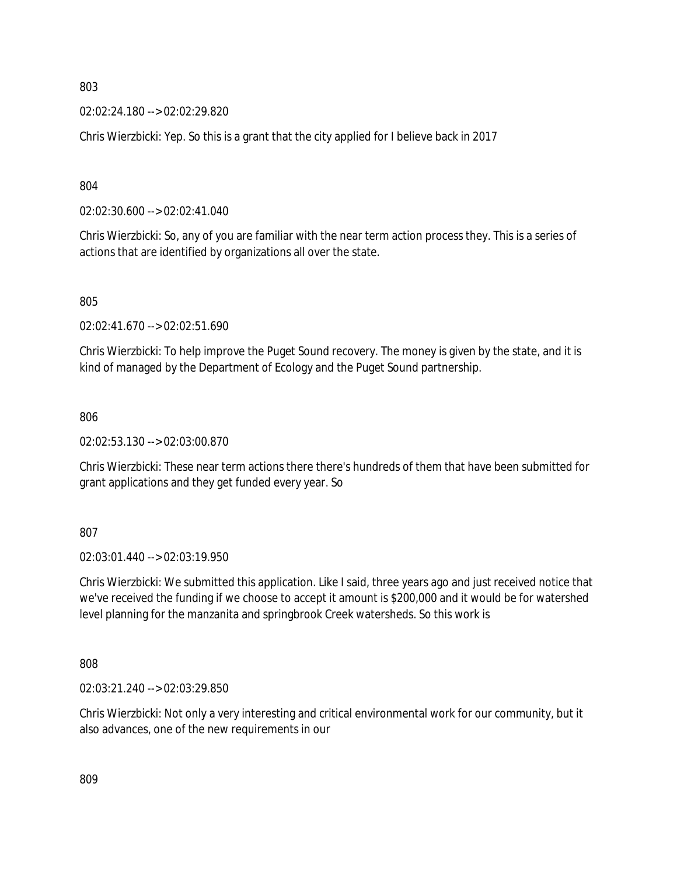02:02:24.180 --> 02:02:29.820

Chris Wierzbicki: Yep. So this is a grant that the city applied for I believe back in 2017

804

02:02:30.600 --> 02:02:41.040

Chris Wierzbicki: So, any of you are familiar with the near term action process they. This is a series of actions that are identified by organizations all over the state.

805

02:02:41.670 --> 02:02:51.690

Chris Wierzbicki: To help improve the Puget Sound recovery. The money is given by the state, and it is kind of managed by the Department of Ecology and the Puget Sound partnership.

806

02:02:53.130 --> 02:03:00.870

Chris Wierzbicki: These near term actions there there's hundreds of them that have been submitted for grant applications and they get funded every year. So

807

02:03:01.440 --> 02:03:19.950

Chris Wierzbicki: We submitted this application. Like I said, three years ago and just received notice that we've received the funding if we choose to accept it amount is \$200,000 and it would be for watershed level planning for the manzanita and springbrook Creek watersheds. So this work is

808

02:03:21.240 --> 02:03:29.850

Chris Wierzbicki: Not only a very interesting and critical environmental work for our community, but it also advances, one of the new requirements in our

809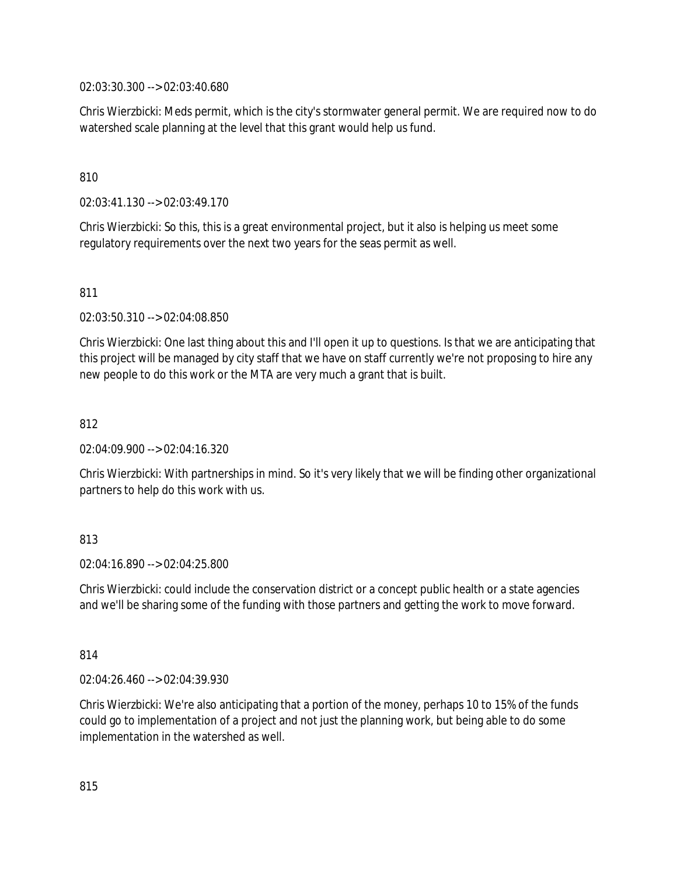02:03:30.300 --> 02:03:40.680

Chris Wierzbicki: Meds permit, which is the city's stormwater general permit. We are required now to do watershed scale planning at the level that this grant would help us fund.

#### 810

02:03:41.130 --> 02:03:49.170

Chris Wierzbicki: So this, this is a great environmental project, but it also is helping us meet some regulatory requirements over the next two years for the seas permit as well.

#### 811

02:03:50.310 --> 02:04:08.850

Chris Wierzbicki: One last thing about this and I'll open it up to questions. Is that we are anticipating that this project will be managed by city staff that we have on staff currently we're not proposing to hire any new people to do this work or the MTA are very much a grant that is built.

#### 812

02:04:09.900 --> 02:04:16.320

Chris Wierzbicki: With partnerships in mind. So it's very likely that we will be finding other organizational partners to help do this work with us.

#### 813

02:04:16.890 --> 02:04:25.800

Chris Wierzbicki: could include the conservation district or a concept public health or a state agencies and we'll be sharing some of the funding with those partners and getting the work to move forward.

#### 814

02:04:26.460 --> 02:04:39.930

Chris Wierzbicki: We're also anticipating that a portion of the money, perhaps 10 to 15% of the funds could go to implementation of a project and not just the planning work, but being able to do some implementation in the watershed as well.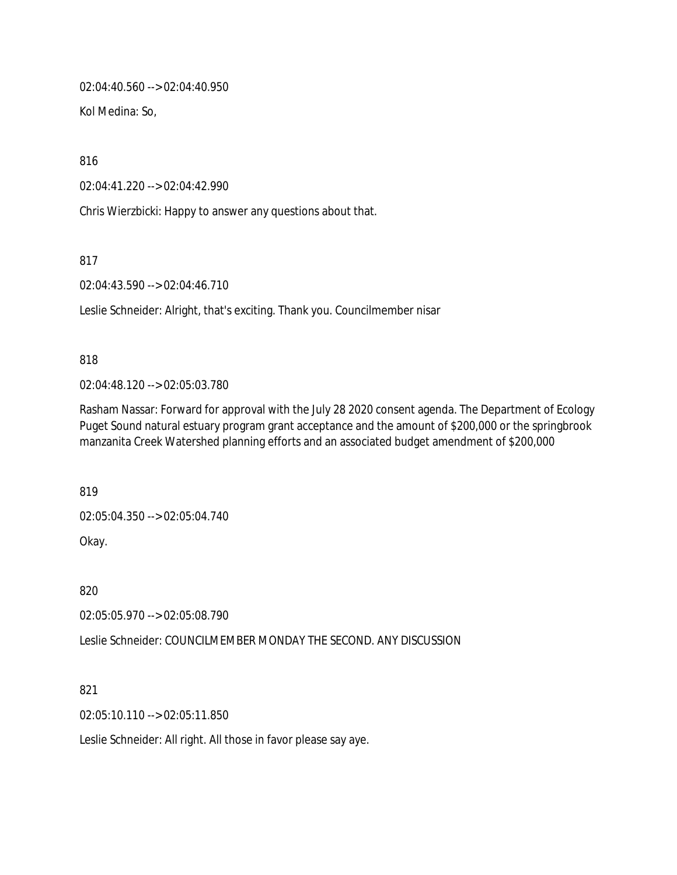02:04:40.560 --> 02:04:40.950

Kol Medina: So,

816

02:04:41.220 --> 02:04:42.990

Chris Wierzbicki: Happy to answer any questions about that.

817

02:04:43.590 --> 02:04:46.710

Leslie Schneider: Alright, that's exciting. Thank you. Councilmember nisar

#### 818

02:04:48.120 --> 02:05:03.780

Rasham Nassar: Forward for approval with the July 28 2020 consent agenda. The Department of Ecology Puget Sound natural estuary program grant acceptance and the amount of \$200,000 or the springbrook manzanita Creek Watershed planning efforts and an associated budget amendment of \$200,000

819

02:05:04.350 --> 02:05:04.740

Okay.

820

02:05:05.970 --> 02:05:08.790

Leslie Schneider: COUNCILMEMBER MONDAY THE SECOND. ANY DISCUSSION

821

02:05:10.110 --> 02:05:11.850

Leslie Schneider: All right. All those in favor please say aye.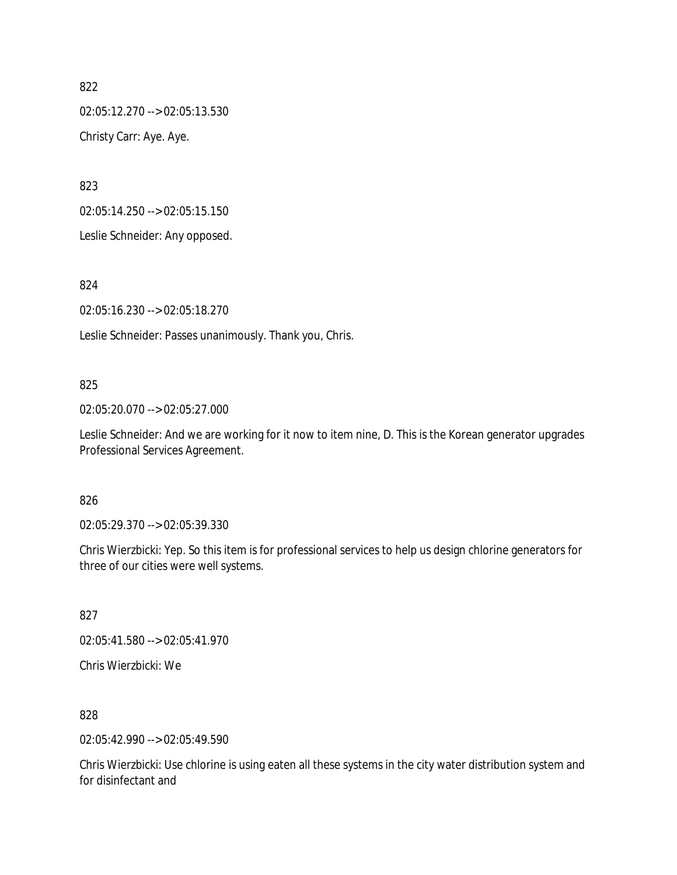02:05:12.270 --> 02:05:13.530 Christy Carr: Aye. Aye.

823

02:05:14.250 --> 02:05:15.150

Leslie Schneider: Any opposed.

824

02:05:16.230 --> 02:05:18.270

Leslie Schneider: Passes unanimously. Thank you, Chris.

#### 825

02:05:20.070 --> 02:05:27.000

Leslie Schneider: And we are working for it now to item nine, D. This is the Korean generator upgrades Professional Services Agreement.

#### 826

02:05:29.370 --> 02:05:39.330

Chris Wierzbicki: Yep. So this item is for professional services to help us design chlorine generators for three of our cities were well systems.

827

02:05:41.580 --> 02:05:41.970

Chris Wierzbicki: We

828

02:05:42.990 --> 02:05:49.590

Chris Wierzbicki: Use chlorine is using eaten all these systems in the city water distribution system and for disinfectant and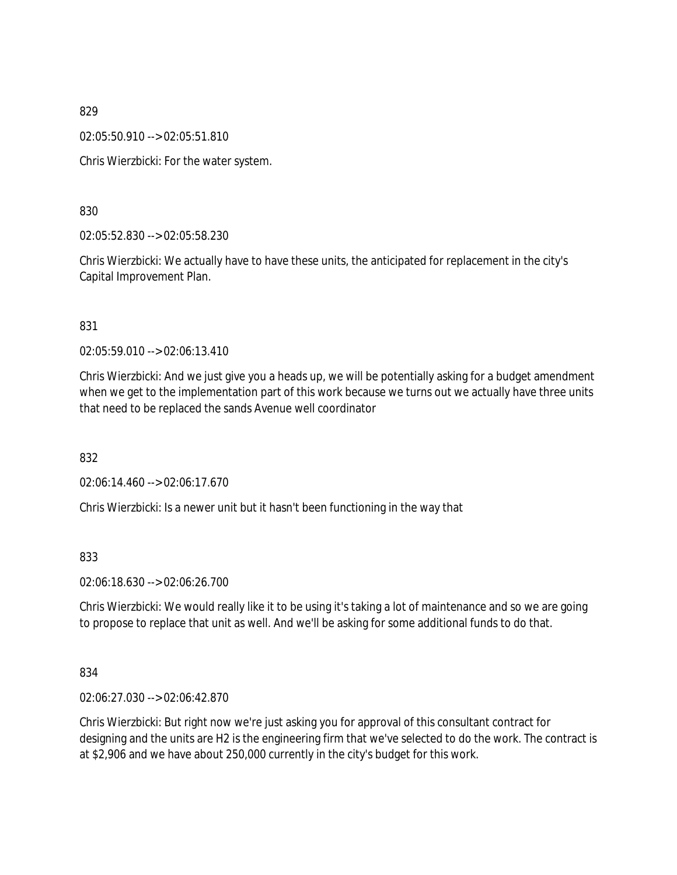02:05:50.910 --> 02:05:51.810

Chris Wierzbicki: For the water system.

830

02:05:52.830 --> 02:05:58.230

Chris Wierzbicki: We actually have to have these units, the anticipated for replacement in the city's Capital Improvement Plan.

831

02:05:59.010 --> 02:06:13.410

Chris Wierzbicki: And we just give you a heads up, we will be potentially asking for a budget amendment when we get to the implementation part of this work because we turns out we actually have three units that need to be replaced the sands Avenue well coordinator

832

02:06:14.460 --> 02:06:17.670

Chris Wierzbicki: Is a newer unit but it hasn't been functioning in the way that

833

02:06:18.630 --> 02:06:26.700

Chris Wierzbicki: We would really like it to be using it's taking a lot of maintenance and so we are going to propose to replace that unit as well. And we'll be asking for some additional funds to do that.

834

02:06:27.030 --> 02:06:42.870

Chris Wierzbicki: But right now we're just asking you for approval of this consultant contract for designing and the units are H2 is the engineering firm that we've selected to do the work. The contract is at \$2,906 and we have about 250,000 currently in the city's budget for this work.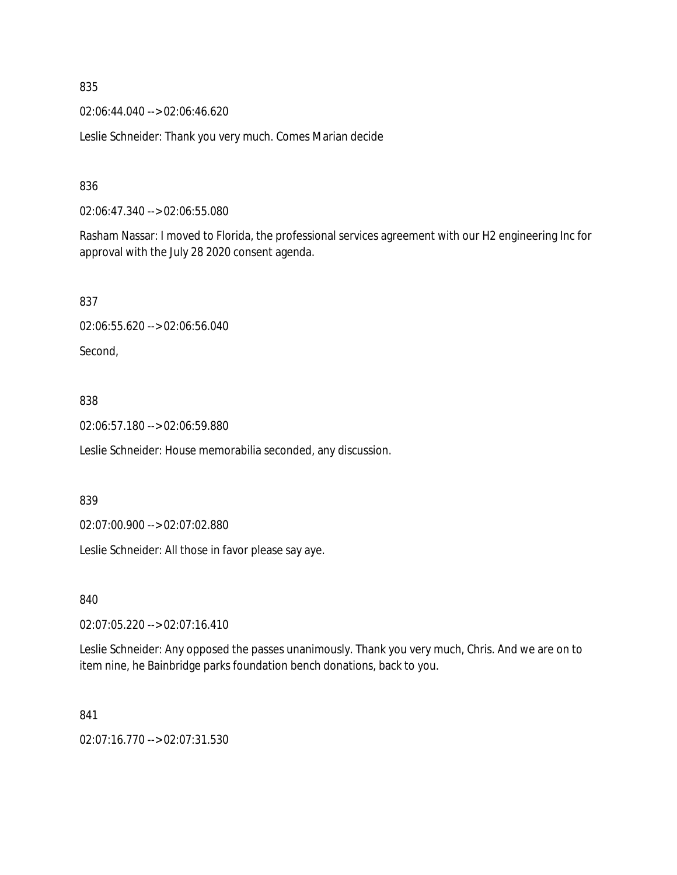02:06:44.040 --> 02:06:46.620

Leslie Schneider: Thank you very much. Comes Marian decide

## 836

02:06:47.340 --> 02:06:55.080

Rasham Nassar: I moved to Florida, the professional services agreement with our H2 engineering Inc for approval with the July 28 2020 consent agenda.

#### 837

02:06:55.620 --> 02:06:56.040

Second,

#### 838

02:06:57.180 --> 02:06:59.880

Leslie Schneider: House memorabilia seconded, any discussion.

#### 839

02:07:00.900 --> 02:07:02.880

Leslie Schneider: All those in favor please say aye.

840

02:07:05.220 --> 02:07:16.410

Leslie Schneider: Any opposed the passes unanimously. Thank you very much, Chris. And we are on to item nine, he Bainbridge parks foundation bench donations, back to you.

#### 841

02:07:16.770 --> 02:07:31.530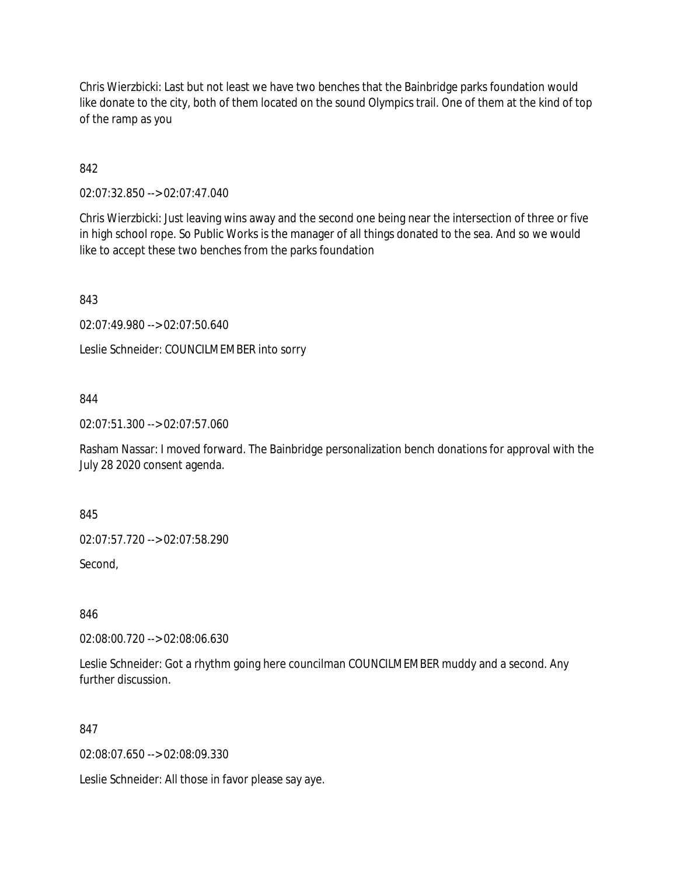Chris Wierzbicki: Last but not least we have two benches that the Bainbridge parks foundation would like donate to the city, both of them located on the sound Olympics trail. One of them at the kind of top of the ramp as you

# 842

02:07:32.850 --> 02:07:47.040

Chris Wierzbicki: Just leaving wins away and the second one being near the intersection of three or five in high school rope. So Public Works is the manager of all things donated to the sea. And so we would like to accept these two benches from the parks foundation

843

02:07:49.980 --> 02:07:50.640

Leslie Schneider: COUNCILMEMBER into sorry

#### 844

02:07:51.300 --> 02:07:57.060

Rasham Nassar: I moved forward. The Bainbridge personalization bench donations for approval with the July 28 2020 consent agenda.

845

02:07:57.720 --> 02:07:58.290

Second,

846

02:08:00.720 --> 02:08:06.630

Leslie Schneider: Got a rhythm going here councilman COUNCILMEMBER muddy and a second. Any further discussion.

#### 847

02:08:07.650 --> 02:08:09.330

Leslie Schneider: All those in favor please say aye.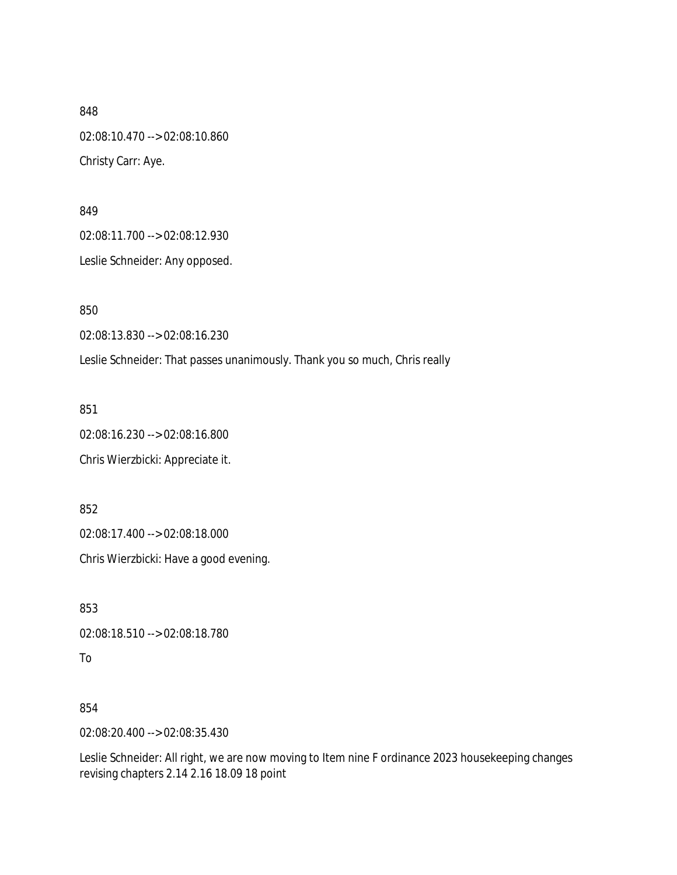848 02:08:10.470 --> 02:08:10.860 Christy Carr: Aye.

849 02:08:11.700 --> 02:08:12.930

Leslie Schneider: Any opposed.

850

02:08:13.830 --> 02:08:16.230

Leslie Schneider: That passes unanimously. Thank you so much, Chris really

851

02:08:16.230 --> 02:08:16.800

Chris Wierzbicki: Appreciate it.

852

02:08:17.400 --> 02:08:18.000

Chris Wierzbicki: Have a good evening.

853

02:08:18.510 --> 02:08:18.780

To

854

02:08:20.400 --> 02:08:35.430

Leslie Schneider: All right, we are now moving to Item nine F ordinance 2023 housekeeping changes revising chapters 2.14 2.16 18.09 18 point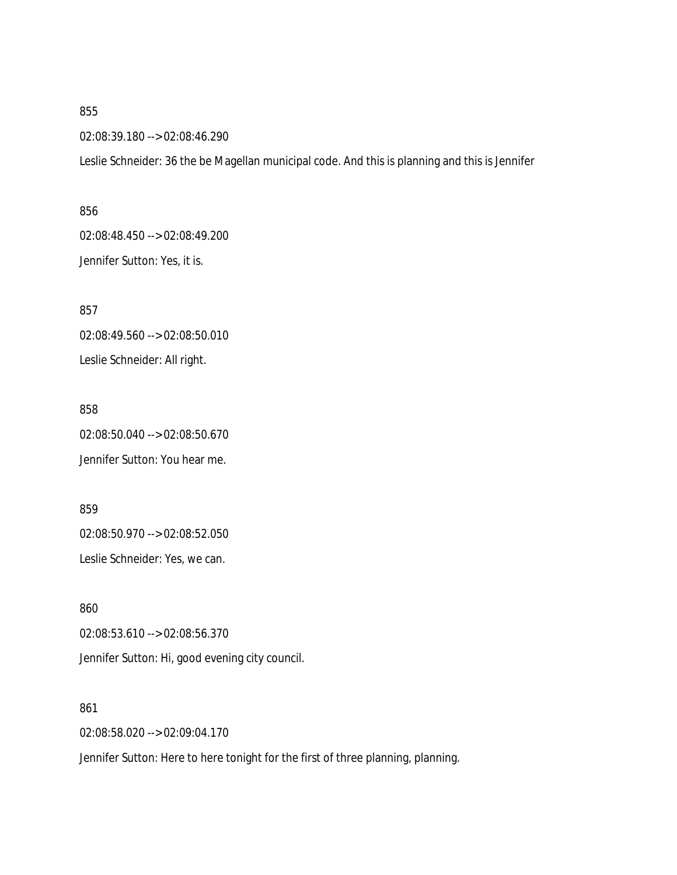02:08:39.180 --> 02:08:46.290

Leslie Schneider: 36 the be Magellan municipal code. And this is planning and this is Jennifer

# 856 02:08:48.450 --> 02:08:49.200 Jennifer Sutton: Yes, it is.

857 02:08:49.560 --> 02:08:50.010 Leslie Schneider: All right.

858 02:08:50.040 --> 02:08:50.670 Jennifer Sutton: You hear me.

859 02:08:50.970 --> 02:08:52.050

Leslie Schneider: Yes, we can.

860 02:08:53.610 --> 02:08:56.370 Jennifer Sutton: Hi, good evening city council.

861 02:08:58.020 --> 02:09:04.170

Jennifer Sutton: Here to here tonight for the first of three planning, planning.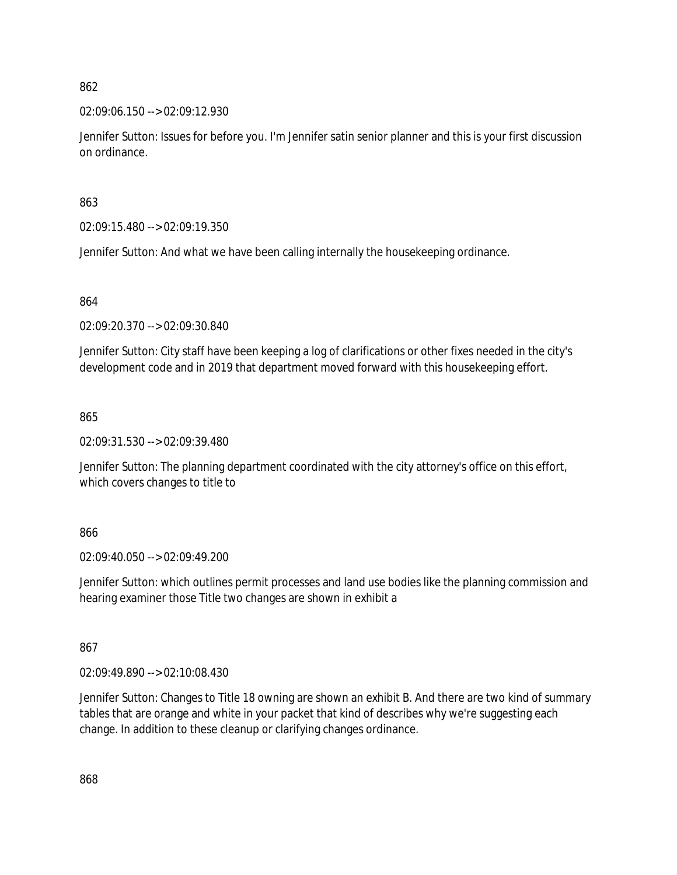02:09:06.150 --> 02:09:12.930

Jennifer Sutton: Issues for before you. I'm Jennifer satin senior planner and this is your first discussion on ordinance.

863

02:09:15.480 --> 02:09:19.350

Jennifer Sutton: And what we have been calling internally the housekeeping ordinance.

864

02:09:20.370 --> 02:09:30.840

Jennifer Sutton: City staff have been keeping a log of clarifications or other fixes needed in the city's development code and in 2019 that department moved forward with this housekeeping effort.

865

02:09:31.530 --> 02:09:39.480

Jennifer Sutton: The planning department coordinated with the city attorney's office on this effort, which covers changes to title to

866

02:09:40.050 --> 02:09:49.200

Jennifer Sutton: which outlines permit processes and land use bodies like the planning commission and hearing examiner those Title two changes are shown in exhibit a

867

02:09:49.890 --> 02:10:08.430

Jennifer Sutton: Changes to Title 18 owning are shown an exhibit B. And there are two kind of summary tables that are orange and white in your packet that kind of describes why we're suggesting each change. In addition to these cleanup or clarifying changes ordinance.

868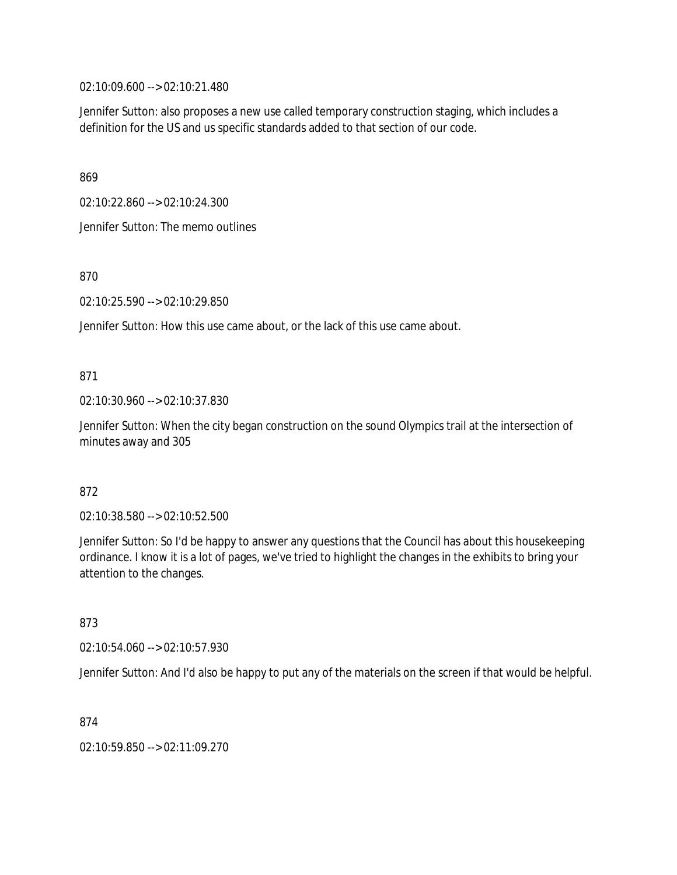02:10:09.600 --> 02:10:21.480

Jennifer Sutton: also proposes a new use called temporary construction staging, which includes a definition for the US and us specific standards added to that section of our code.

869

02:10:22.860 --> 02:10:24.300

Jennifer Sutton: The memo outlines

870

02:10:25.590 --> 02:10:29.850

Jennifer Sutton: How this use came about, or the lack of this use came about.

871

02:10:30.960 --> 02:10:37.830

Jennifer Sutton: When the city began construction on the sound Olympics trail at the intersection of minutes away and 305

872

02:10:38.580 --> 02:10:52.500

Jennifer Sutton: So I'd be happy to answer any questions that the Council has about this housekeeping ordinance. I know it is a lot of pages, we've tried to highlight the changes in the exhibits to bring your attention to the changes.

873

02:10:54.060 --> 02:10:57.930

Jennifer Sutton: And I'd also be happy to put any of the materials on the screen if that would be helpful.

874

02:10:59.850 --> 02:11:09.270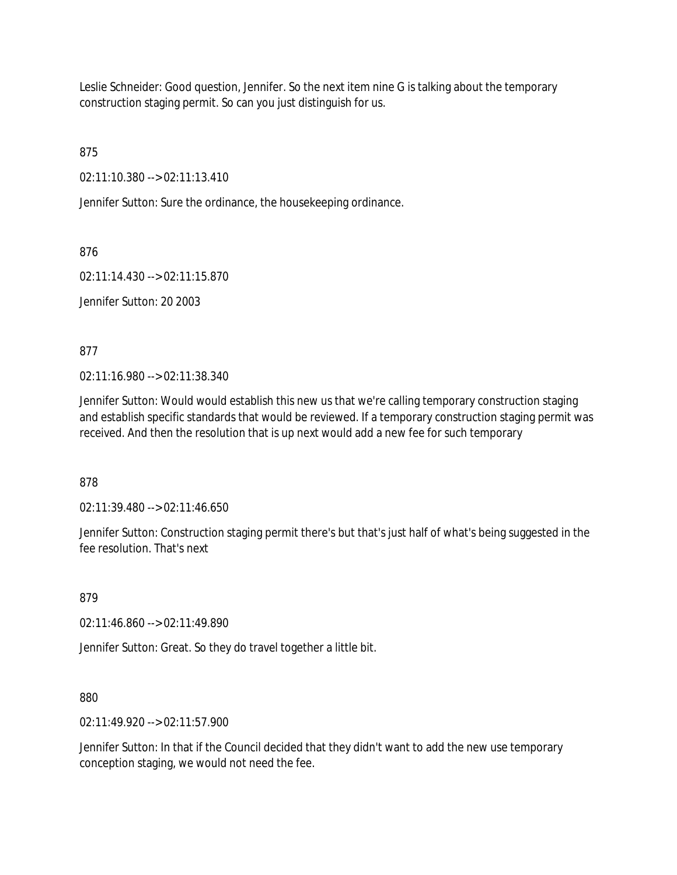Leslie Schneider: Good question, Jennifer. So the next item nine G is talking about the temporary construction staging permit. So can you just distinguish for us.

875

02:11:10.380 --> 02:11:13.410

Jennifer Sutton: Sure the ordinance, the housekeeping ordinance.

876

02:11:14.430 --> 02:11:15.870

Jennifer Sutton: 20 2003

877

02:11:16.980 --> 02:11:38.340

Jennifer Sutton: Would would establish this new us that we're calling temporary construction staging and establish specific standards that would be reviewed. If a temporary construction staging permit was received. And then the resolution that is up next would add a new fee for such temporary

878

02:11:39.480 --> 02:11:46.650

Jennifer Sutton: Construction staging permit there's but that's just half of what's being suggested in the fee resolution. That's next

879

02:11:46.860 --> 02:11:49.890

Jennifer Sutton: Great. So they do travel together a little bit.

880

02:11:49.920 --> 02:11:57.900

Jennifer Sutton: In that if the Council decided that they didn't want to add the new use temporary conception staging, we would not need the fee.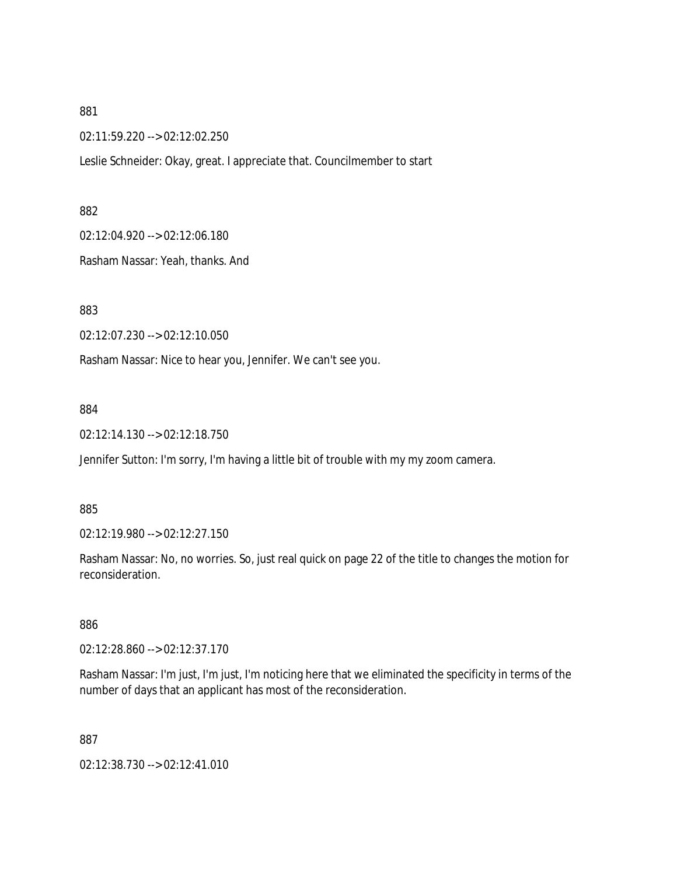02:11:59.220 --> 02:12:02.250

Leslie Schneider: Okay, great. I appreciate that. Councilmember to start

882

02:12:04.920 --> 02:12:06.180

Rasham Nassar: Yeah, thanks. And

883

02:12:07.230 --> 02:12:10.050

Rasham Nassar: Nice to hear you, Jennifer. We can't see you.

884

02:12:14.130 --> 02:12:18.750

Jennifer Sutton: I'm sorry, I'm having a little bit of trouble with my my zoom camera.

885

02:12:19.980 --> 02:12:27.150

Rasham Nassar: No, no worries. So, just real quick on page 22 of the title to changes the motion for reconsideration.

886

02:12:28.860 --> 02:12:37.170

Rasham Nassar: I'm just, I'm just, I'm noticing here that we eliminated the specificity in terms of the number of days that an applicant has most of the reconsideration.

887

02:12:38.730 --> 02:12:41.010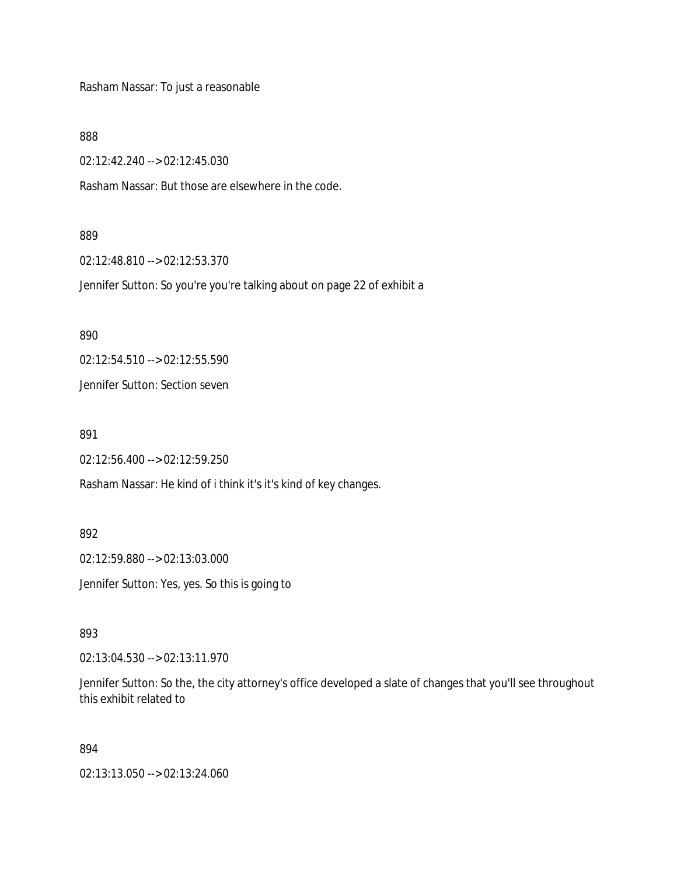Rasham Nassar: To just a reasonable

888

02:12:42.240 --> 02:12:45.030

Rasham Nassar: But those are elsewhere in the code.

#### 889

02:12:48.810 --> 02:12:53.370

Jennifer Sutton: So you're you're talking about on page 22 of exhibit a

890

02:12:54.510 --> 02:12:55.590

Jennifer Sutton: Section seven

891

02:12:56.400 --> 02:12:59.250

Rasham Nassar: He kind of i think it's it's kind of key changes.

892

02:12:59.880 --> 02:13:03.000 Jennifer Sutton: Yes, yes. So this is going to

893

02:13:04.530 --> 02:13:11.970

Jennifer Sutton: So the, the city attorney's office developed a slate of changes that you'll see throughout this exhibit related to

#### 894

02:13:13.050 --> 02:13:24.060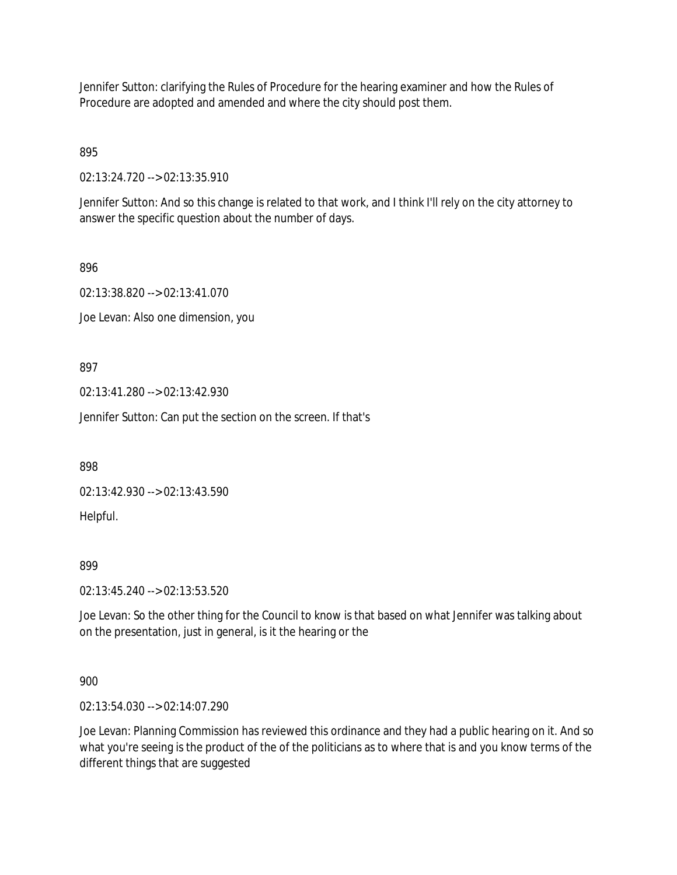Jennifer Sutton: clarifying the Rules of Procedure for the hearing examiner and how the Rules of Procedure are adopted and amended and where the city should post them.

895

02:13:24.720 --> 02:13:35.910

Jennifer Sutton: And so this change is related to that work, and I think I'll rely on the city attorney to answer the specific question about the number of days.

896

02:13:38.820 --> 02:13:41.070 Joe Levan: Also one dimension, you

897

02:13:41.280 --> 02:13:42.930

Jennifer Sutton: Can put the section on the screen. If that's

898

02:13:42.930 --> 02:13:43.590

Helpful.

899

02:13:45.240 --> 02:13:53.520

Joe Levan: So the other thing for the Council to know is that based on what Jennifer was talking about on the presentation, just in general, is it the hearing or the

900

02:13:54.030 --> 02:14:07.290

Joe Levan: Planning Commission has reviewed this ordinance and they had a public hearing on it. And so what you're seeing is the product of the of the politicians as to where that is and you know terms of the different things that are suggested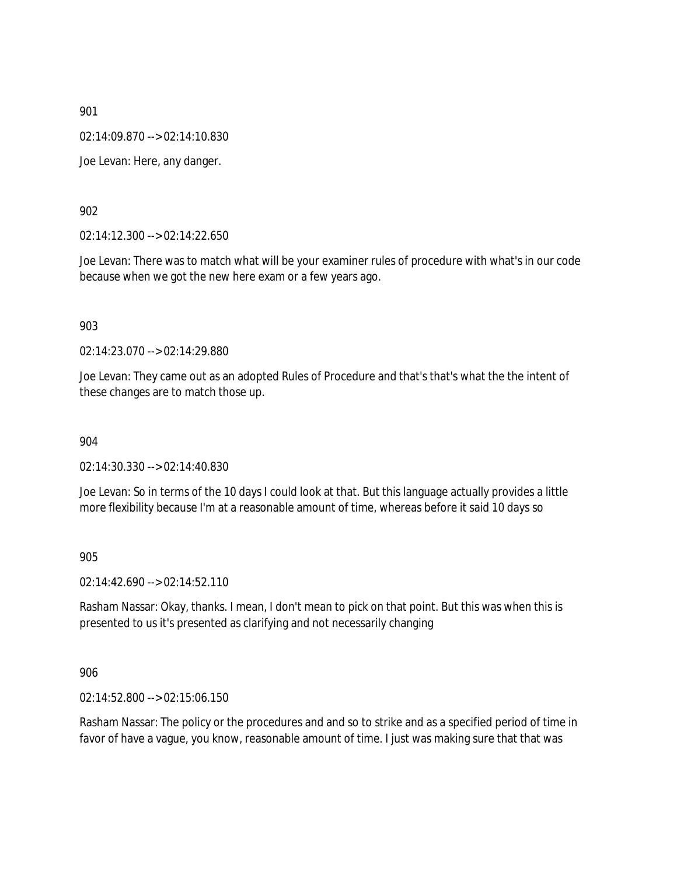02:14:09.870 --> 02:14:10.830

Joe Levan: Here, any danger.

902

02:14:12.300 --> 02:14:22.650

Joe Levan: There was to match what will be your examiner rules of procedure with what's in our code because when we got the new here exam or a few years ago.

903

02:14:23.070 --> 02:14:29.880

Joe Levan: They came out as an adopted Rules of Procedure and that's that's what the the intent of these changes are to match those up.

904

02:14:30.330 --> 02:14:40.830

Joe Levan: So in terms of the 10 days I could look at that. But this language actually provides a little more flexibility because I'm at a reasonable amount of time, whereas before it said 10 days so

905

02:14:42.690 --> 02:14:52.110

Rasham Nassar: Okay, thanks. I mean, I don't mean to pick on that point. But this was when this is presented to us it's presented as clarifying and not necessarily changing

906

02:14:52.800 --> 02:15:06.150

Rasham Nassar: The policy or the procedures and and so to strike and as a specified period of time in favor of have a vague, you know, reasonable amount of time. I just was making sure that that was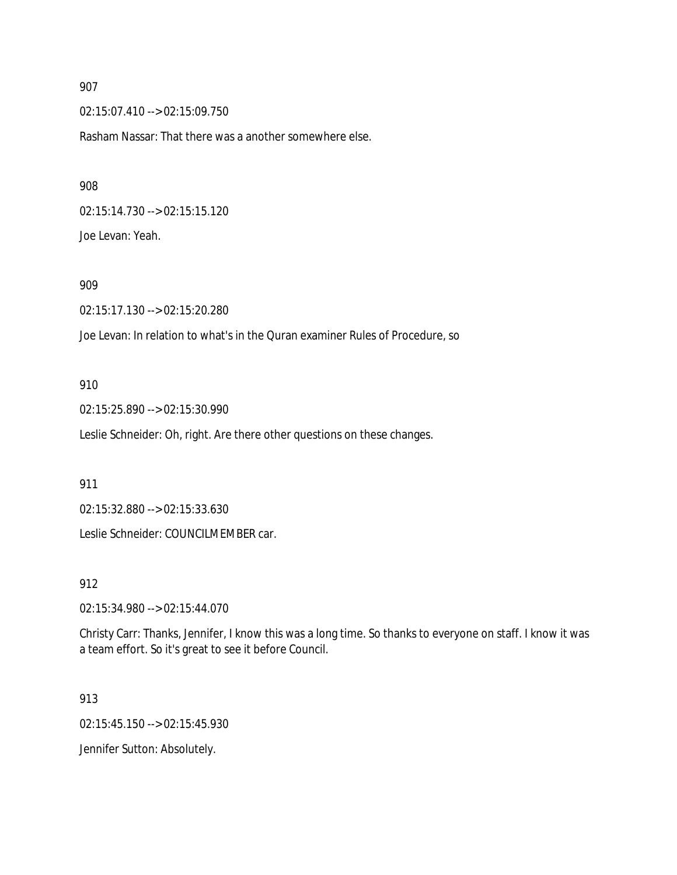02:15:07.410 --> 02:15:09.750

Rasham Nassar: That there was a another somewhere else.

908

02:15:14.730 --> 02:15:15.120 Joe Levan: Yeah.

909

02:15:17.130 --> 02:15:20.280

Joe Levan: In relation to what's in the Quran examiner Rules of Procedure, so

910

02:15:25.890 --> 02:15:30.990

Leslie Schneider: Oh, right. Are there other questions on these changes.

911

02:15:32.880 --> 02:15:33.630

Leslie Schneider: COUNCILMEMBER car.

912

02:15:34.980 --> 02:15:44.070

Christy Carr: Thanks, Jennifer, I know this was a long time. So thanks to everyone on staff. I know it was a team effort. So it's great to see it before Council.

913

02:15:45.150 --> 02:15:45.930

Jennifer Sutton: Absolutely.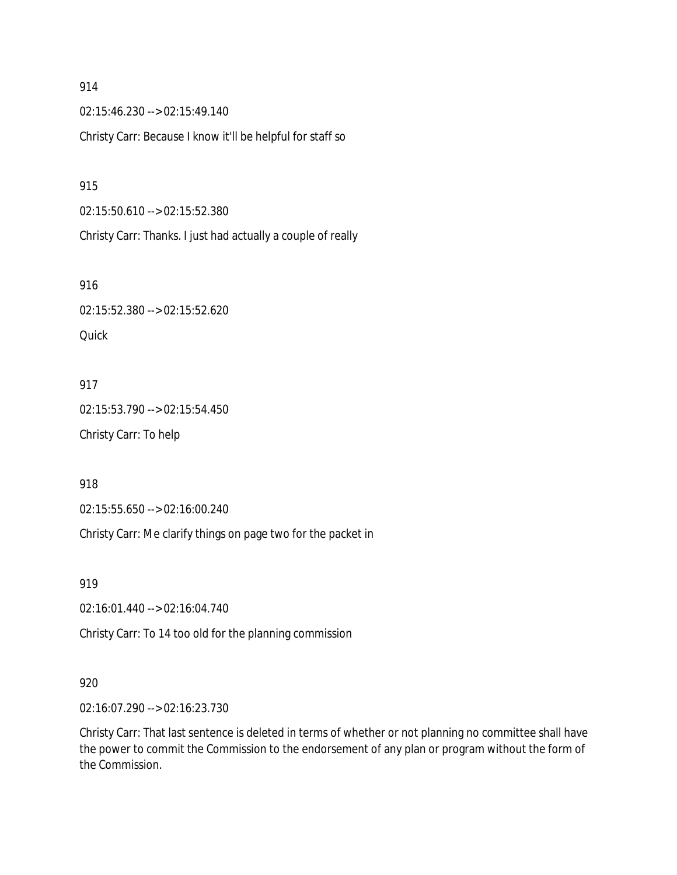02:15:46.230 --> 02:15:49.140 Christy Carr: Because I know it'll be helpful for staff so

915

02:15:50.610 --> 02:15:52.380

Christy Carr: Thanks. I just had actually a couple of really

916

02:15:52.380 --> 02:15:52.620 **Quick** 

917 02:15:53.790 --> 02:15:54.450 Christy Carr: To help

918

02:15:55.650 --> 02:16:00.240

Christy Carr: Me clarify things on page two for the packet in

919

02:16:01.440 --> 02:16:04.740

Christy Carr: To 14 too old for the planning commission

### 920

02:16:07.290 --> 02:16:23.730

Christy Carr: That last sentence is deleted in terms of whether or not planning no committee shall have the power to commit the Commission to the endorsement of any plan or program without the form of the Commission.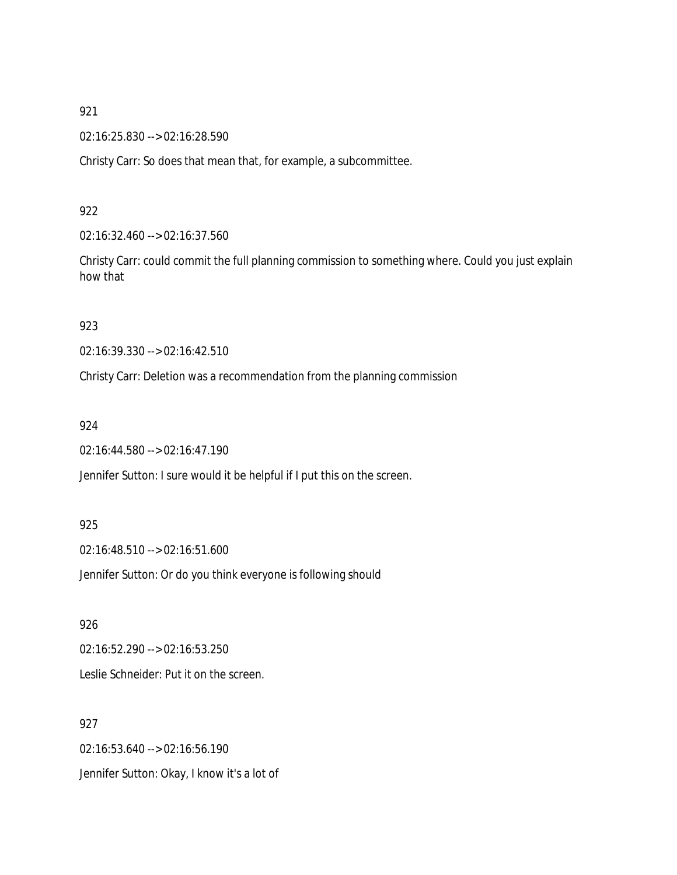02:16:25.830 --> 02:16:28.590

Christy Carr: So does that mean that, for example, a subcommittee.

## 922

02:16:32.460 --> 02:16:37.560

Christy Carr: could commit the full planning commission to something where. Could you just explain how that

## 923

02:16:39.330 --> 02:16:42.510

Christy Carr: Deletion was a recommendation from the planning commission

## 924

02:16:44.580 --> 02:16:47.190

Jennifer Sutton: I sure would it be helpful if I put this on the screen.

## 925

02:16:48.510 --> 02:16:51.600

Jennifer Sutton: Or do you think everyone is following should

# 926

02:16:52.290 --> 02:16:53.250 Leslie Schneider: Put it on the screen.

## 927

02:16:53.640 --> 02:16:56.190 Jennifer Sutton: Okay, I know it's a lot of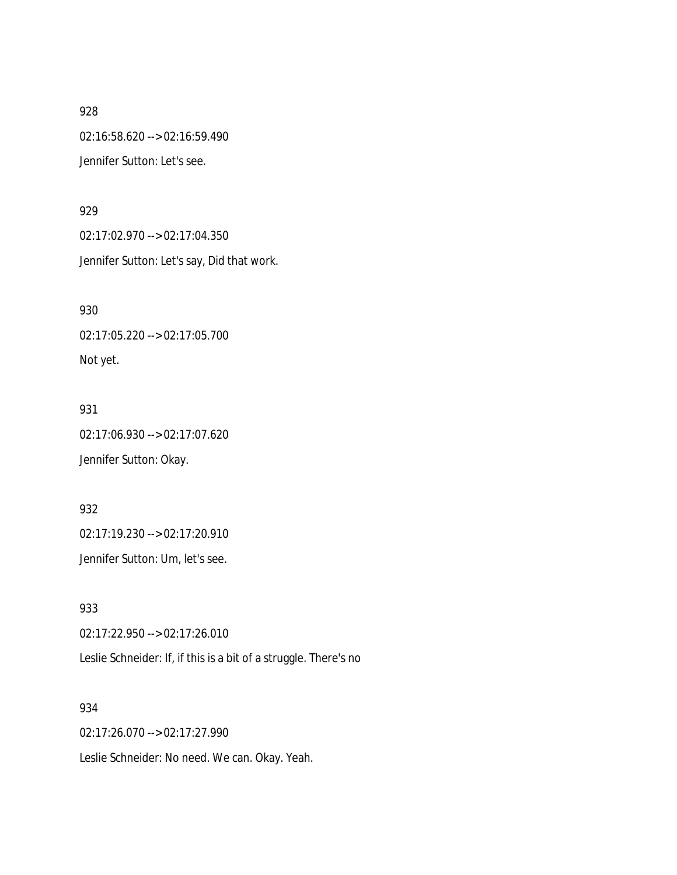02:16:58.620 --> 02:16:59.490 Jennifer Sutton: Let's see.

#### 929

02:17:02.970 --> 02:17:04.350 Jennifer Sutton: Let's say, Did that work.

930 02:17:05.220 --> 02:17:05.700 Not yet.

931 02:17:06.930 --> 02:17:07.620 Jennifer Sutton: Okay.

932 02:17:19.230 --> 02:17:20.910 Jennifer Sutton: Um, let's see.

933 02:17:22.950 --> 02:17:26.010 Leslie Schneider: If, if this is a bit of a struggle. There's no

934 02:17:26.070 --> 02:17:27.990 Leslie Schneider: No need. We can. Okay. Yeah.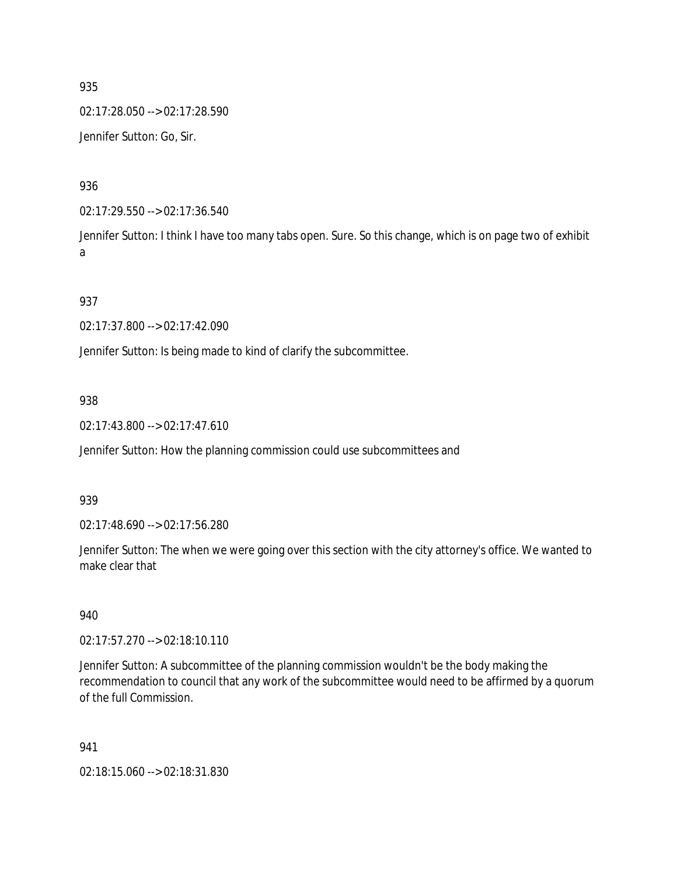02:17:28.050 --> 02:17:28.590 Jennifer Sutton: Go, Sir.

936

02:17:29.550 --> 02:17:36.540

Jennifer Sutton: I think I have too many tabs open. Sure. So this change, which is on page two of exhibit a

## 937

02:17:37.800 --> 02:17:42.090

Jennifer Sutton: Is being made to kind of clarify the subcommittee.

## 938

02:17:43.800 --> 02:17:47.610

Jennifer Sutton: How the planning commission could use subcommittees and

### 939

02:17:48.690 --> 02:17:56.280

Jennifer Sutton: The when we were going over this section with the city attorney's office. We wanted to make clear that

### 940

02:17:57.270 --> 02:18:10.110

Jennifer Sutton: A subcommittee of the planning commission wouldn't be the body making the recommendation to council that any work of the subcommittee would need to be affirmed by a quorum of the full Commission.

#### 941

02:18:15.060 --> 02:18:31.830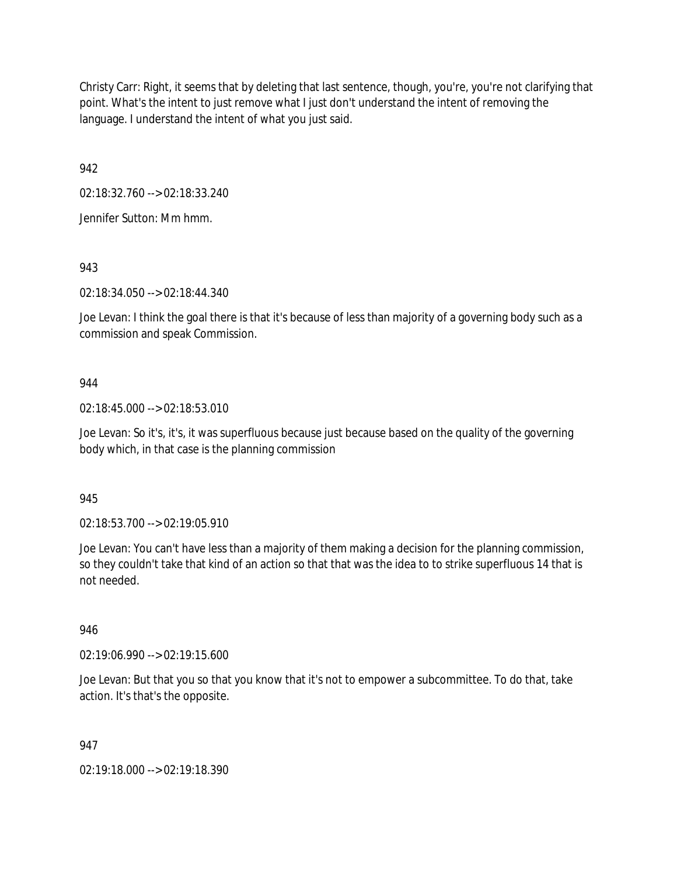Christy Carr: Right, it seems that by deleting that last sentence, though, you're, you're not clarifying that point. What's the intent to just remove what I just don't understand the intent of removing the language. I understand the intent of what you just said.

942

02:18:32.760 --> 02:18:33.240

Jennifer Sutton: Mm hmm.

943

02:18:34.050 --> 02:18:44.340

Joe Levan: I think the goal there is that it's because of less than majority of a governing body such as a commission and speak Commission.

## 944

02:18:45.000 --> 02:18:53.010

Joe Levan: So it's, it's, it was superfluous because just because based on the quality of the governing body which, in that case is the planning commission

945

02:18:53.700 --> 02:19:05.910

Joe Levan: You can't have less than a majority of them making a decision for the planning commission, so they couldn't take that kind of an action so that that was the idea to to strike superfluous 14 that is not needed.

946

02:19:06.990 --> 02:19:15.600

Joe Levan: But that you so that you know that it's not to empower a subcommittee. To do that, take action. It's that's the opposite.

947

02:19:18.000 --> 02:19:18.390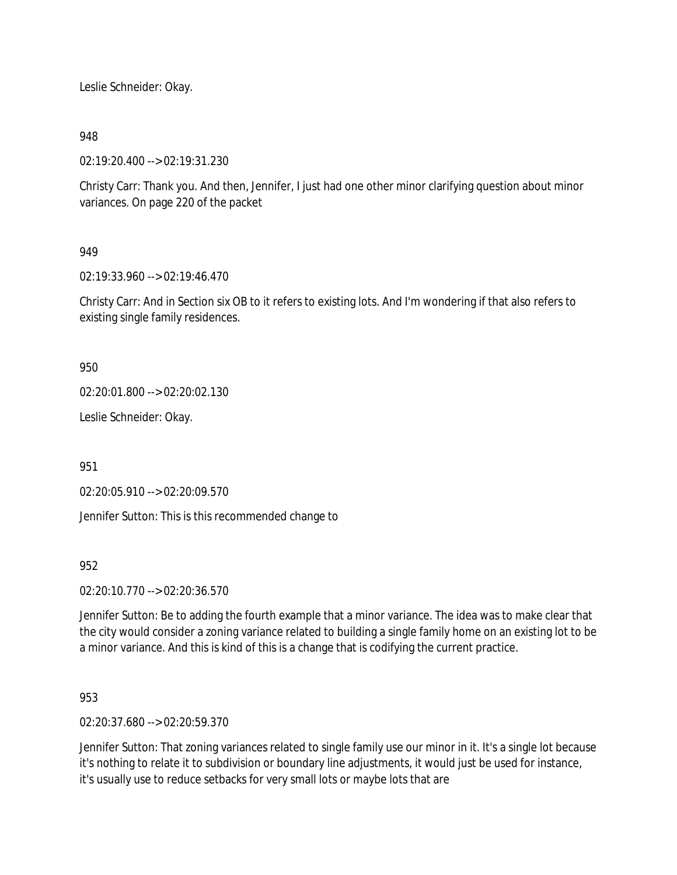Leslie Schneider: Okay.

## 948

02:19:20.400 --> 02:19:31.230

Christy Carr: Thank you. And then, Jennifer, I just had one other minor clarifying question about minor variances. On page 220 of the packet

## 949

02:19:33.960 --> 02:19:46.470

Christy Carr: And in Section six OB to it refers to existing lots. And I'm wondering if that also refers to existing single family residences.

950

02:20:01.800 --> 02:20:02.130

Leslie Schneider: Okay.

951

02:20:05.910 --> 02:20:09.570

Jennifer Sutton: This is this recommended change to

## 952

02:20:10.770 --> 02:20:36.570

Jennifer Sutton: Be to adding the fourth example that a minor variance. The idea was to make clear that the city would consider a zoning variance related to building a single family home on an existing lot to be a minor variance. And this is kind of this is a change that is codifying the current practice.

953

02:20:37.680 --> 02:20:59.370

Jennifer Sutton: That zoning variances related to single family use our minor in it. It's a single lot because it's nothing to relate it to subdivision or boundary line adjustments, it would just be used for instance, it's usually use to reduce setbacks for very small lots or maybe lots that are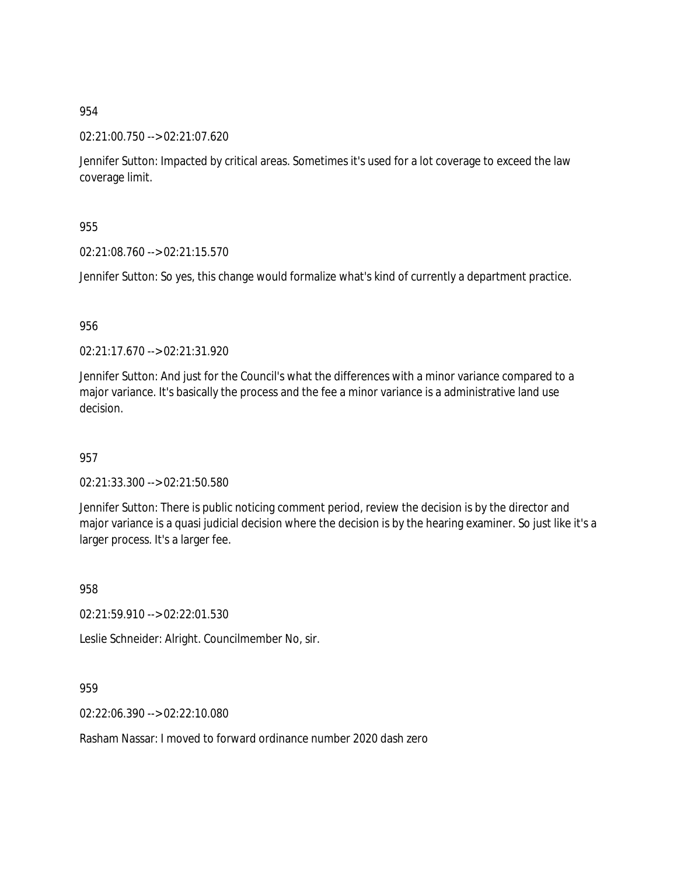02:21:00.750 --> 02:21:07.620

Jennifer Sutton: Impacted by critical areas. Sometimes it's used for a lot coverage to exceed the law coverage limit.

955

02:21:08.760 --> 02:21:15.570

Jennifer Sutton: So yes, this change would formalize what's kind of currently a department practice.

956

02:21:17.670 --> 02:21:31.920

Jennifer Sutton: And just for the Council's what the differences with a minor variance compared to a major variance. It's basically the process and the fee a minor variance is a administrative land use decision.

957

02:21:33.300 --> 02:21:50.580

Jennifer Sutton: There is public noticing comment period, review the decision is by the director and major variance is a quasi judicial decision where the decision is by the hearing examiner. So just like it's a larger process. It's a larger fee.

958

02:21:59.910 --> 02:22:01.530

Leslie Schneider: Alright. Councilmember No, sir.

959

02:22:06.390 --> 02:22:10.080

Rasham Nassar: I moved to forward ordinance number 2020 dash zero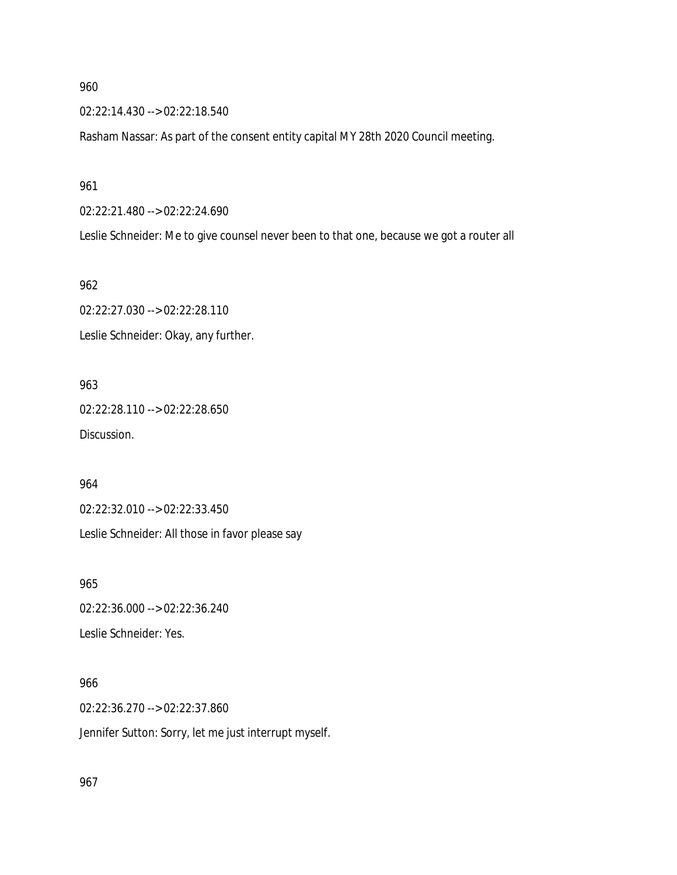02:22:14.430 --> 02:22:18.540

Rasham Nassar: As part of the consent entity capital MY 28th 2020 Council meeting.

961

02:22:21.480 --> 02:22:24.690

Leslie Schneider: Me to give counsel never been to that one, because we got a router all

962

02:22:27.030 --> 02:22:28.110 Leslie Schneider: Okay, any further.

963 02:22:28.110 --> 02:22:28.650 Discussion.

964

02:22:32.010 --> 02:22:33.450

Leslie Schneider: All those in favor please say

965

02:22:36.000 --> 02:22:36.240 Leslie Schneider: Yes.

966

02:22:36.270 --> 02:22:37.860 Jennifer Sutton: Sorry, let me just interrupt myself.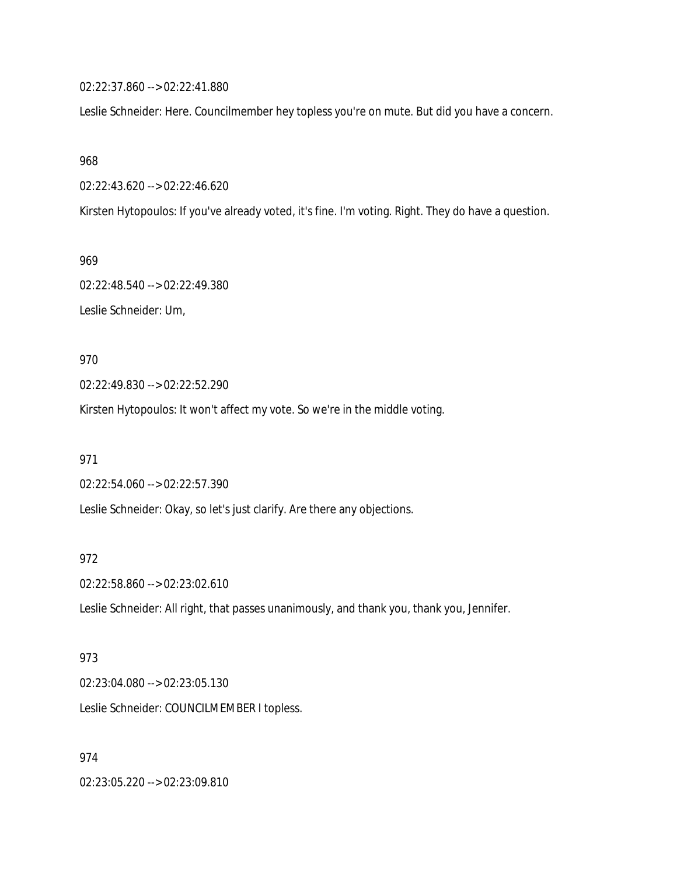02:22:37.860 --> 02:22:41.880

Leslie Schneider: Here. Councilmember hey topless you're on mute. But did you have a concern.

968

02:22:43.620 --> 02:22:46.620

Kirsten Hytopoulos: If you've already voted, it's fine. I'm voting. Right. They do have a question.

969

02:22:48.540 --> 02:22:49.380 Leslie Schneider: Um,

970

02:22:49.830 --> 02:22:52.290

Kirsten Hytopoulos: It won't affect my vote. So we're in the middle voting.

971

02:22:54.060 --> 02:22:57.390 Leslie Schneider: Okay, so let's just clarify. Are there any objections.

### 972

02:22:58.860 --> 02:23:02.610

Leslie Schneider: All right, that passes unanimously, and thank you, thank you, Jennifer.

## 973

02:23:04.080 --> 02:23:05.130

Leslie Schneider: COUNCILMEMBER I topless.

## 974

02:23:05.220 --> 02:23:09.810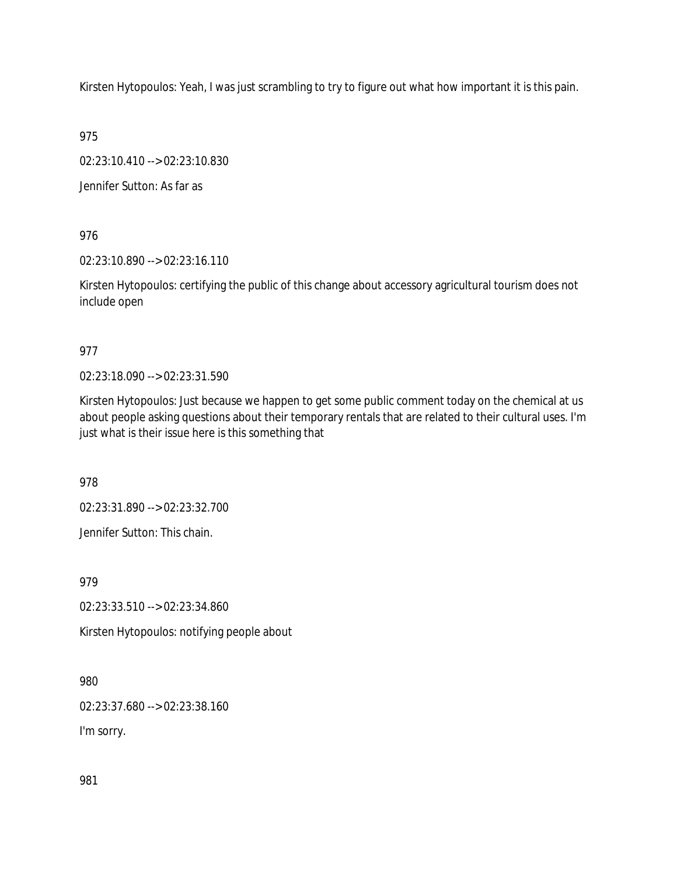Kirsten Hytopoulos: Yeah, I was just scrambling to try to figure out what how important it is this pain.

975

02:23:10.410 --> 02:23:10.830

Jennifer Sutton: As far as

976

02:23:10.890 --> 02:23:16.110

Kirsten Hytopoulos: certifying the public of this change about accessory agricultural tourism does not include open

977

02:23:18.090 --> 02:23:31.590

Kirsten Hytopoulos: Just because we happen to get some public comment today on the chemical at us about people asking questions about their temporary rentals that are related to their cultural uses. I'm just what is their issue here is this something that

978

02:23:31.890 --> 02:23:32.700

Jennifer Sutton: This chain.

979

02:23:33.510 --> 02:23:34.860

Kirsten Hytopoulos: notifying people about

980

02:23:37.680 --> 02:23:38.160

I'm sorry.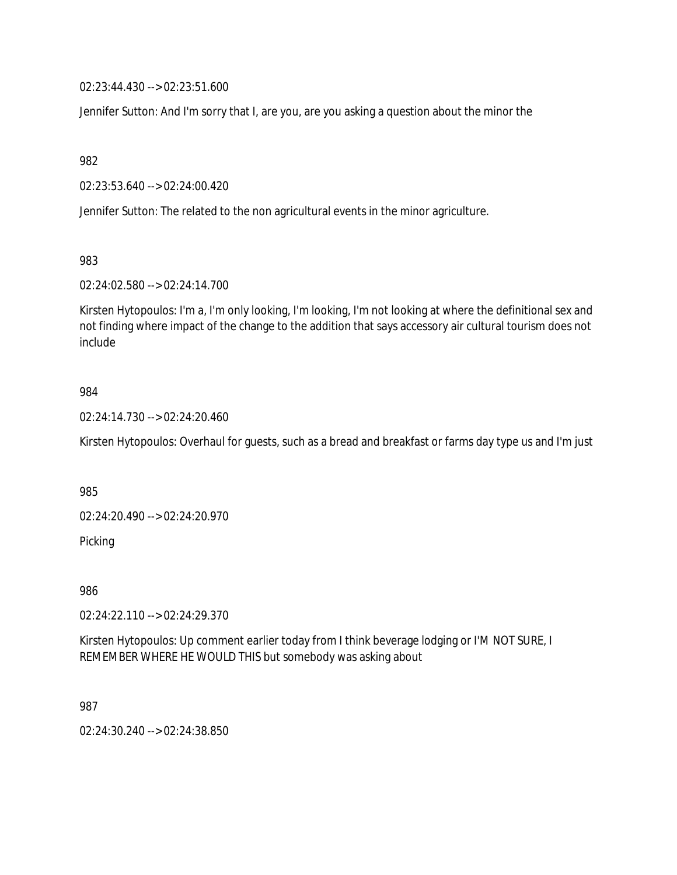02:23:44.430 --> 02:23:51.600

Jennifer Sutton: And I'm sorry that I, are you, are you asking a question about the minor the

982

02:23:53.640 --> 02:24:00.420

Jennifer Sutton: The related to the non agricultural events in the minor agriculture.

983

02:24:02.580 --> 02:24:14.700

Kirsten Hytopoulos: I'm a, I'm only looking, I'm looking, I'm not looking at where the definitional sex and not finding where impact of the change to the addition that says accessory air cultural tourism does not include

#### 984

02:24:14.730 --> 02:24:20.460

Kirsten Hytopoulos: Overhaul for guests, such as a bread and breakfast or farms day type us and I'm just

985

02:24:20.490 --> 02:24:20.970

Picking

986

02:24:22.110 --> 02:24:29.370

Kirsten Hytopoulos: Up comment earlier today from I think beverage lodging or I'M NOT SURE, I REMEMBER WHERE HE WOULD THIS but somebody was asking about

987

02:24:30.240 --> 02:24:38.850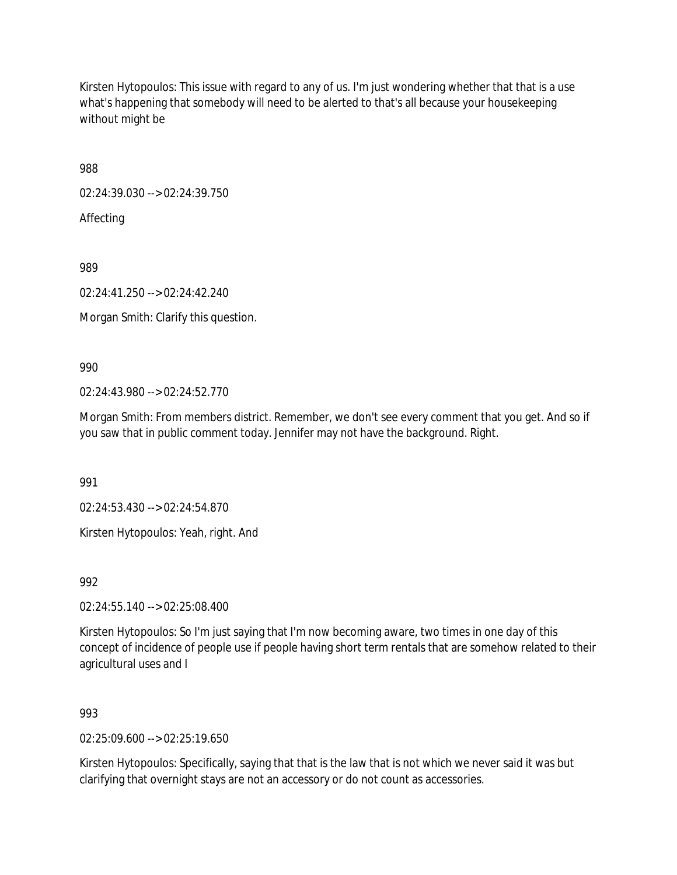Kirsten Hytopoulos: This issue with regard to any of us. I'm just wondering whether that that is a use what's happening that somebody will need to be alerted to that's all because your housekeeping without might be

988

02:24:39.030 --> 02:24:39.750

Affecting

989

02:24:41.250 --> 02:24:42.240

Morgan Smith: Clarify this question.

990

02:24:43.980 --> 02:24:52.770

Morgan Smith: From members district. Remember, we don't see every comment that you get. And so if you saw that in public comment today. Jennifer may not have the background. Right.

991

02:24:53.430 --> 02:24:54.870

Kirsten Hytopoulos: Yeah, right. And

992

02:24:55.140 --> 02:25:08.400

Kirsten Hytopoulos: So I'm just saying that I'm now becoming aware, two times in one day of this concept of incidence of people use if people having short term rentals that are somehow related to their agricultural uses and I

993

02:25:09.600 --> 02:25:19.650

Kirsten Hytopoulos: Specifically, saying that that is the law that is not which we never said it was but clarifying that overnight stays are not an accessory or do not count as accessories.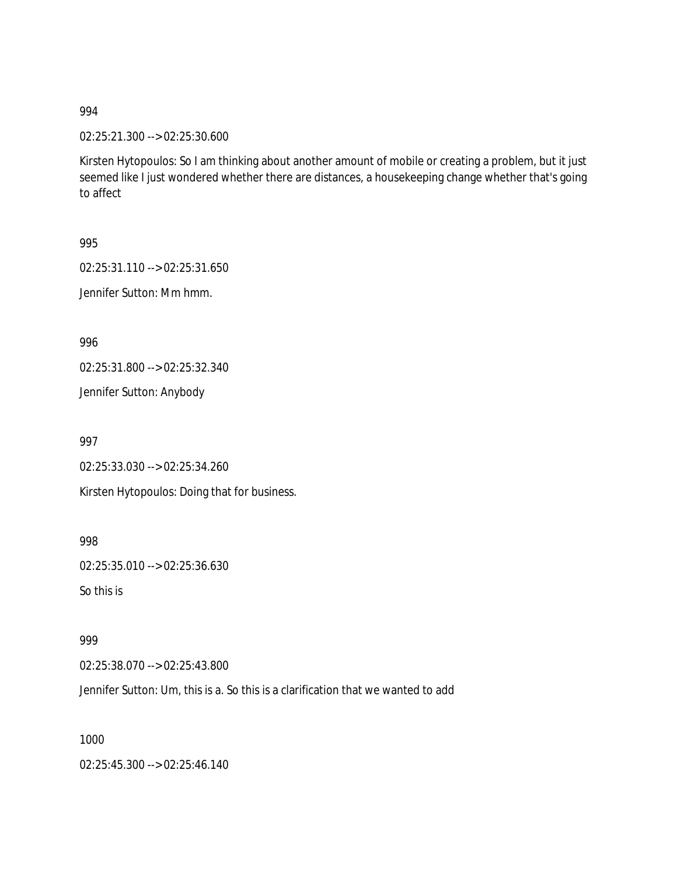02:25:21.300 --> 02:25:30.600

Kirsten Hytopoulos: So I am thinking about another amount of mobile or creating a problem, but it just seemed like I just wondered whether there are distances, a housekeeping change whether that's going to affect

995

02:25:31.110 --> 02:25:31.650

Jennifer Sutton: Mm hmm.

996

02:25:31.800 --> 02:25:32.340

Jennifer Sutton: Anybody

997

02:25:33.030 --> 02:25:34.260

Kirsten Hytopoulos: Doing that for business.

998

02:25:35.010 --> 02:25:36.630

So this is

999

02:25:38.070 --> 02:25:43.800

Jennifer Sutton: Um, this is a. So this is a clarification that we wanted to add

1000

02:25:45.300 --> 02:25:46.140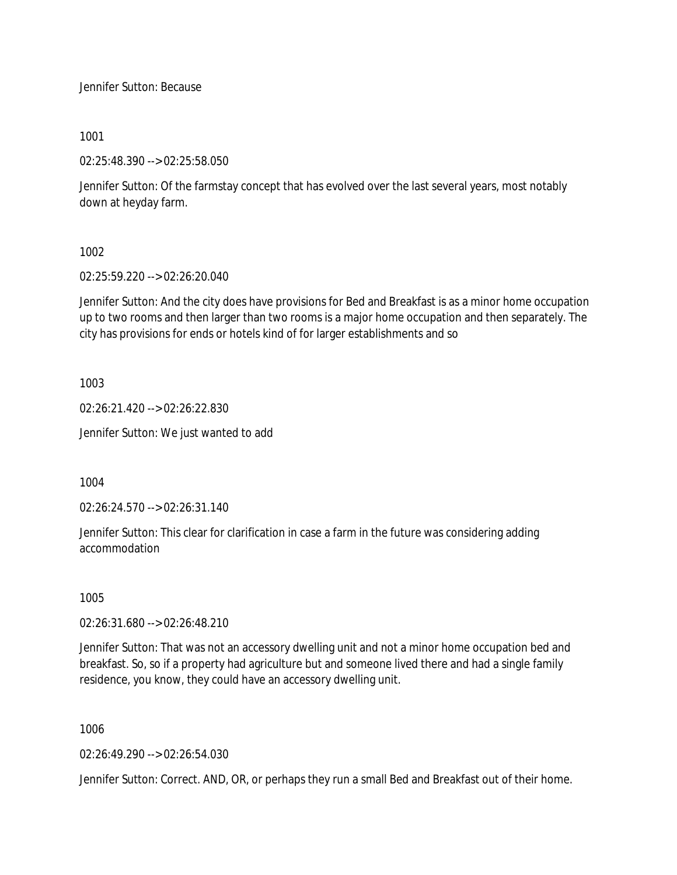Jennifer Sutton: Because

1001

02:25:48.390 --> 02:25:58.050

Jennifer Sutton: Of the farmstay concept that has evolved over the last several years, most notably down at heyday farm.

1002

02:25:59.220 --> 02:26:20.040

Jennifer Sutton: And the city does have provisions for Bed and Breakfast is as a minor home occupation up to two rooms and then larger than two rooms is a major home occupation and then separately. The city has provisions for ends or hotels kind of for larger establishments and so

1003

02:26:21.420 --> 02:26:22.830

Jennifer Sutton: We just wanted to add

1004

02:26:24.570 --> 02:26:31.140

Jennifer Sutton: This clear for clarification in case a farm in the future was considering adding accommodation

1005

02:26:31.680 --> 02:26:48.210

Jennifer Sutton: That was not an accessory dwelling unit and not a minor home occupation bed and breakfast. So, so if a property had agriculture but and someone lived there and had a single family residence, you know, they could have an accessory dwelling unit.

1006

02:26:49.290 --> 02:26:54.030

Jennifer Sutton: Correct. AND, OR, or perhaps they run a small Bed and Breakfast out of their home.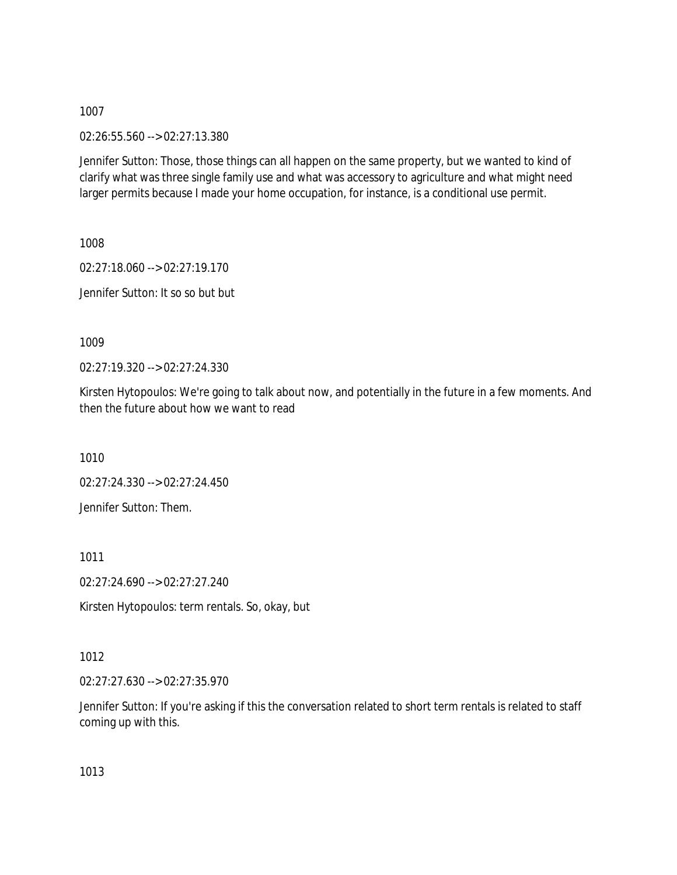02:26:55.560 --> 02:27:13.380

Jennifer Sutton: Those, those things can all happen on the same property, but we wanted to kind of clarify what was three single family use and what was accessory to agriculture and what might need larger permits because I made your home occupation, for instance, is a conditional use permit.

1008

02:27:18.060 --> 02:27:19.170 Jennifer Sutton: It so so but but

1009

02:27:19.320 --> 02:27:24.330

Kirsten Hytopoulos: We're going to talk about now, and potentially in the future in a few moments. And then the future about how we want to read

1010

02:27:24.330 --> 02:27:24.450

Jennifer Sutton: Them.

1011

02:27:24.690 --> 02:27:27.240

Kirsten Hytopoulos: term rentals. So, okay, but

1012

02:27:27.630 --> 02:27:35.970

Jennifer Sutton: If you're asking if this the conversation related to short term rentals is related to staff coming up with this.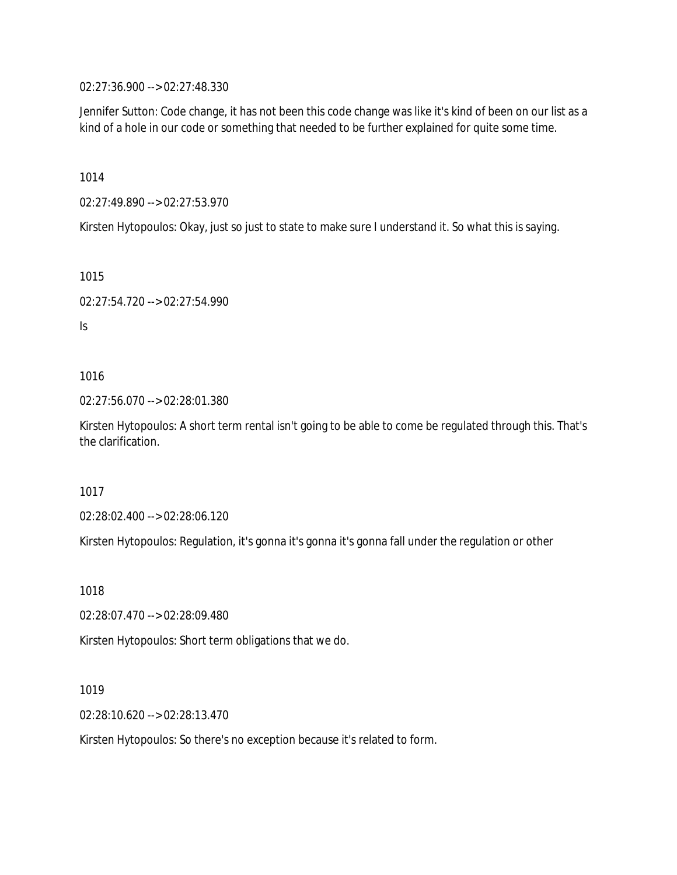02:27:36.900 --> 02:27:48.330

Jennifer Sutton: Code change, it has not been this code change was like it's kind of been on our list as a kind of a hole in our code or something that needed to be further explained for quite some time.

1014

02:27:49.890 --> 02:27:53.970

Kirsten Hytopoulos: Okay, just so just to state to make sure I understand it. So what this is saying.

1015

```
02:27:54.720 --> 02:27:54.990
```
Is

1016

02:27:56.070 --> 02:28:01.380

Kirsten Hytopoulos: A short term rental isn't going to be able to come be regulated through this. That's the clarification.

1017

02:28:02.400 --> 02:28:06.120

Kirsten Hytopoulos: Regulation, it's gonna it's gonna it's gonna fall under the regulation or other

1018

02:28:07.470 --> 02:28:09.480

Kirsten Hytopoulos: Short term obligations that we do.

1019

02:28:10.620 --> 02:28:13.470

Kirsten Hytopoulos: So there's no exception because it's related to form.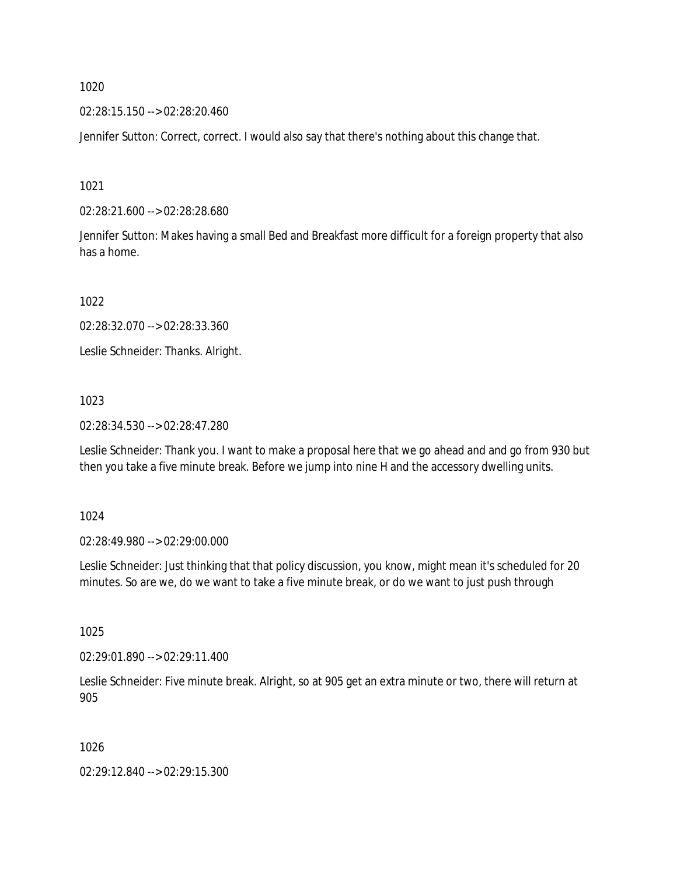02:28:15.150 --> 02:28:20.460

Jennifer Sutton: Correct, correct. I would also say that there's nothing about this change that.

1021

02:28:21.600 --> 02:28:28.680

Jennifer Sutton: Makes having a small Bed and Breakfast more difficult for a foreign property that also has a home.

1022

02:28:32.070 --> 02:28:33.360

Leslie Schneider: Thanks. Alright.

1023

02:28:34.530 --> 02:28:47.280

Leslie Schneider: Thank you. I want to make a proposal here that we go ahead and and go from 930 but then you take a five minute break. Before we jump into nine H and the accessory dwelling units.

1024

02:28:49.980 --> 02:29:00.000

Leslie Schneider: Just thinking that that policy discussion, you know, might mean it's scheduled for 20 minutes. So are we, do we want to take a five minute break, or do we want to just push through

1025

02:29:01.890 --> 02:29:11.400

Leslie Schneider: Five minute break. Alright, so at 905 get an extra minute or two, there will return at 905

1026

02:29:12.840 --> 02:29:15.300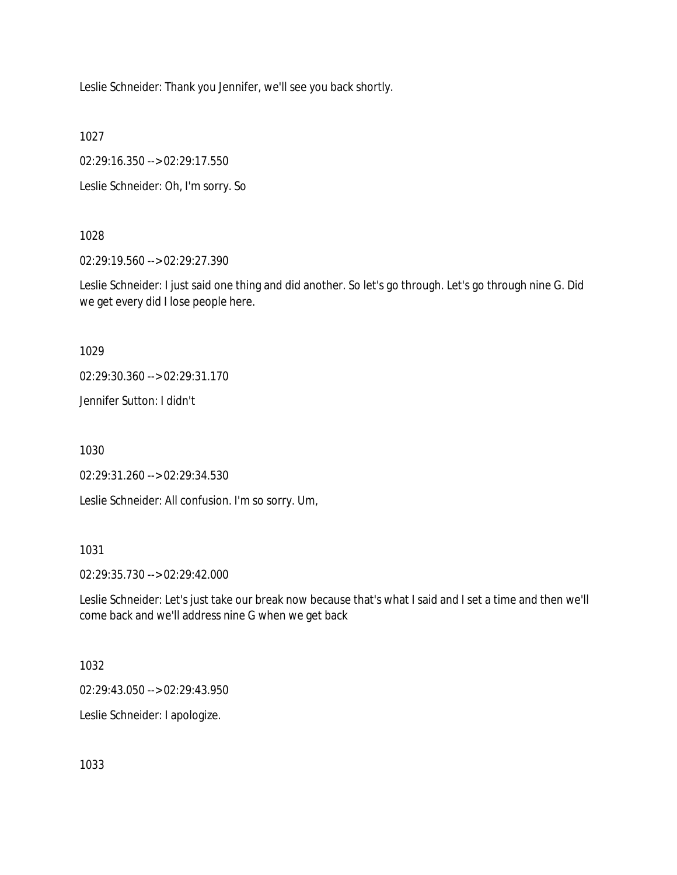Leslie Schneider: Thank you Jennifer, we'll see you back shortly.

1027

02:29:16.350 --> 02:29:17.550

Leslie Schneider: Oh, I'm sorry. So

## 1028

02:29:19.560 --> 02:29:27.390

Leslie Schneider: I just said one thing and did another. So let's go through. Let's go through nine G. Did we get every did I lose people here.

1029

02:29:30.360 --> 02:29:31.170

Jennifer Sutton: I didn't

1030

02:29:31.260 --> 02:29:34.530

Leslie Schneider: All confusion. I'm so sorry. Um,

1031

02:29:35.730 --> 02:29:42.000

Leslie Schneider: Let's just take our break now because that's what I said and I set a time and then we'll come back and we'll address nine G when we get back

1032

02:29:43.050 --> 02:29:43.950

Leslie Schneider: I apologize.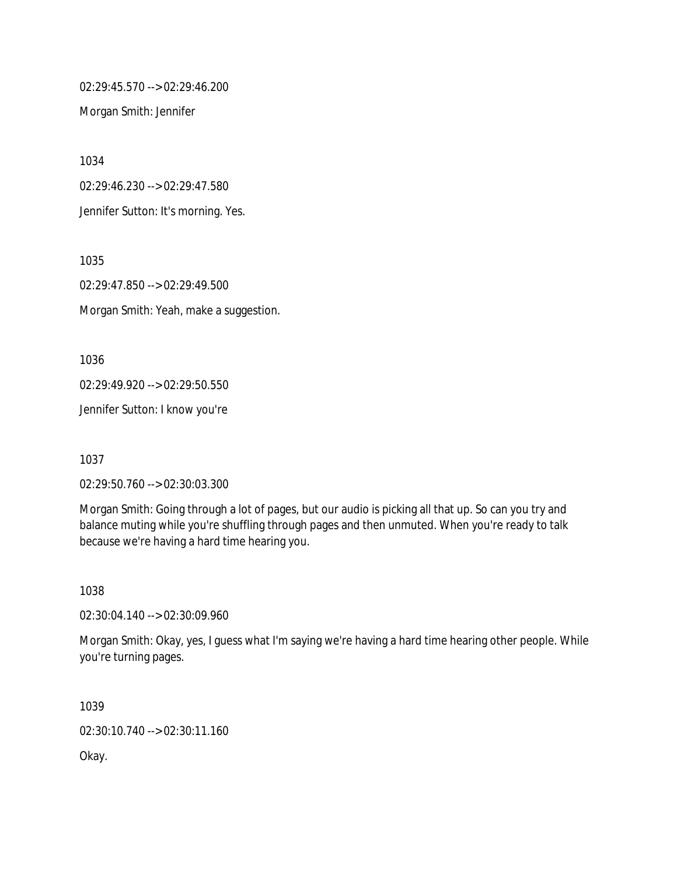02:29:45.570 --> 02:29:46.200

Morgan Smith: Jennifer

1034

02:29:46.230 --> 02:29:47.580

Jennifer Sutton: It's morning. Yes.

1035

02:29:47.850 --> 02:29:49.500 Morgan Smith: Yeah, make a suggestion.

1036

02:29:49.920 --> 02:29:50.550

Jennifer Sutton: I know you're

1037

02:29:50.760 --> 02:30:03.300

Morgan Smith: Going through a lot of pages, but our audio is picking all that up. So can you try and balance muting while you're shuffling through pages and then unmuted. When you're ready to talk because we're having a hard time hearing you.

1038

02:30:04.140 --> 02:30:09.960

Morgan Smith: Okay, yes, I guess what I'm saying we're having a hard time hearing other people. While you're turning pages.

1039 02:30:10.740 --> 02:30:11.160 Okay.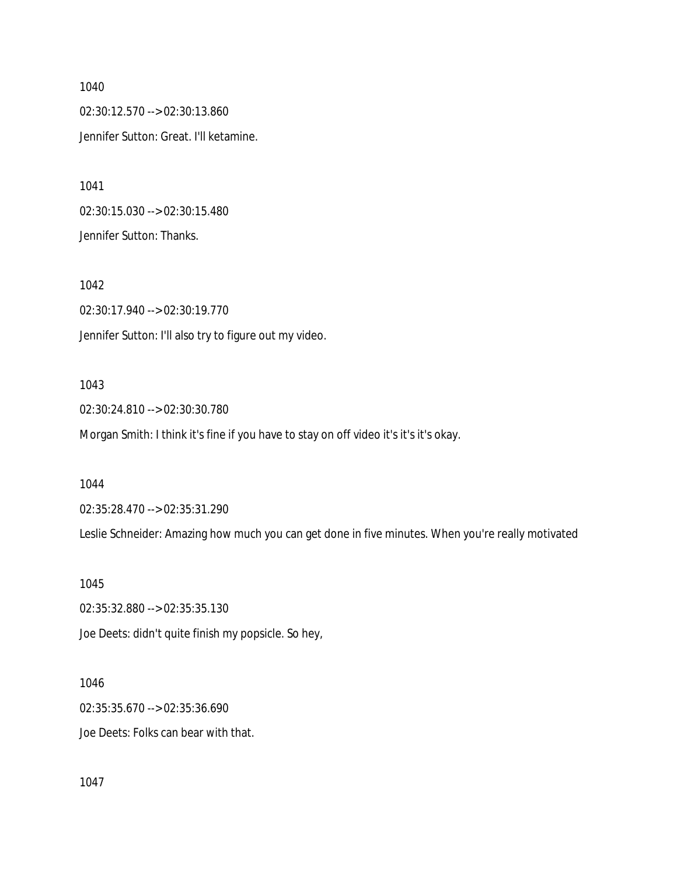02:30:12.570 --> 02:30:13.860 Jennifer Sutton: Great. I'll ketamine.

1041 02:30:15.030 --> 02:30:15.480 Jennifer Sutton: Thanks.

1042 02:30:17.940 --> 02:30:19.770 Jennifer Sutton: I'll also try to figure out my video.

## 1043

02:30:24.810 --> 02:30:30.780

Morgan Smith: I think it's fine if you have to stay on off video it's it's it's okay.

1044

02:35:28.470 --> 02:35:31.290

Leslie Schneider: Amazing how much you can get done in five minutes. When you're really motivated

1045

02:35:32.880 --> 02:35:35.130

Joe Deets: didn't quite finish my popsicle. So hey,

1046

02:35:35.670 --> 02:35:36.690 Joe Deets: Folks can bear with that.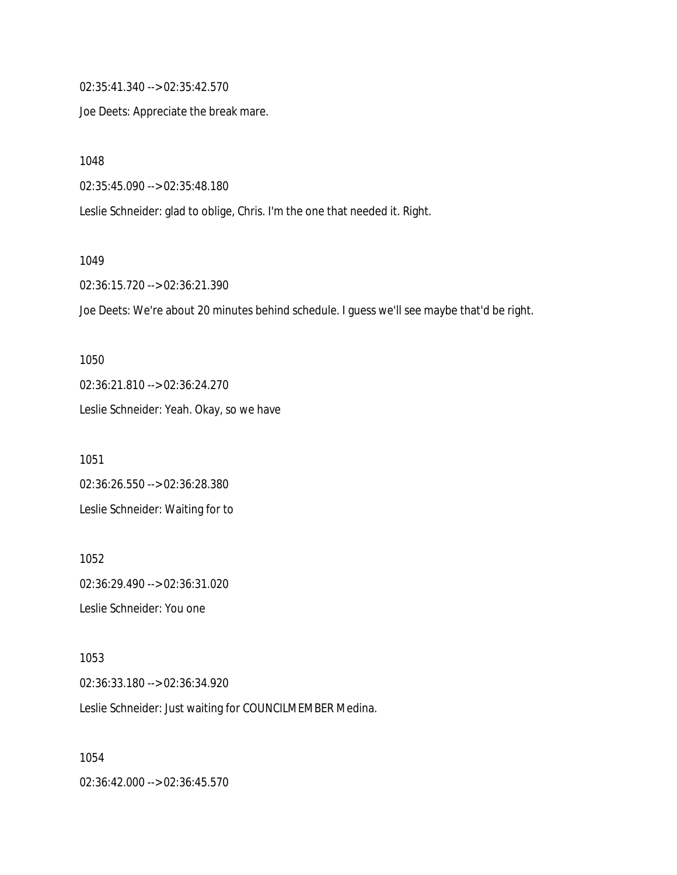02:35:41.340 --> 02:35:42.570

Joe Deets: Appreciate the break mare.

1048

02:35:45.090 --> 02:35:48.180

Leslie Schneider: glad to oblige, Chris. I'm the one that needed it. Right.

#### 1049

02:36:15.720 --> 02:36:21.390

Joe Deets: We're about 20 minutes behind schedule. I guess we'll see maybe that'd be right.

1050 02:36:21.810 --> 02:36:24.270 Leslie Schneider: Yeah. Okay, so we have

1051 02:36:26.550 --> 02:36:28.380 Leslie Schneider: Waiting for to

1052 02:36:29.490 --> 02:36:31.020 Leslie Schneider: You one

1053 02:36:33.180 --> 02:36:34.920 Leslie Schneider: Just waiting for COUNCILMEMBER Medina.

1054 02:36:42.000 --> 02:36:45.570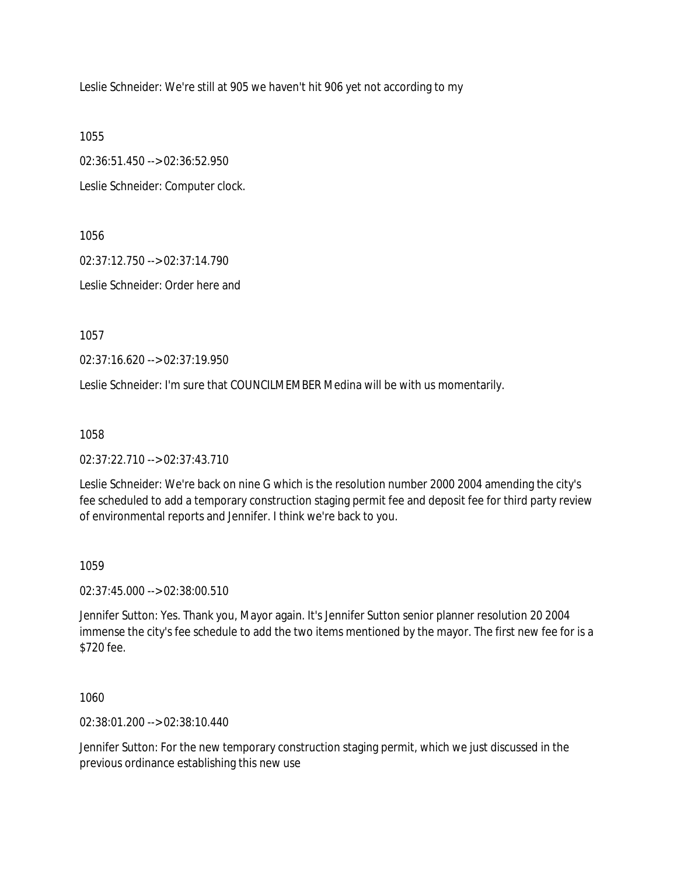Leslie Schneider: We're still at 905 we haven't hit 906 yet not according to my

1055

02:36:51.450 --> 02:36:52.950

Leslie Schneider: Computer clock.

1056

02:37:12.750 --> 02:37:14.790

Leslie Schneider: Order here and

1057

02:37:16.620 --> 02:37:19.950

Leslie Schneider: I'm sure that COUNCILMEMBER Medina will be with us momentarily.

1058

02:37:22.710 --> 02:37:43.710

Leslie Schneider: We're back on nine G which is the resolution number 2000 2004 amending the city's fee scheduled to add a temporary construction staging permit fee and deposit fee for third party review of environmental reports and Jennifer. I think we're back to you.

1059

02:37:45.000 --> 02:38:00.510

Jennifer Sutton: Yes. Thank you, Mayor again. It's Jennifer Sutton senior planner resolution 20 2004 immense the city's fee schedule to add the two items mentioned by the mayor. The first new fee for is a \$720 fee.

1060

02:38:01.200 --> 02:38:10.440

Jennifer Sutton: For the new temporary construction staging permit, which we just discussed in the previous ordinance establishing this new use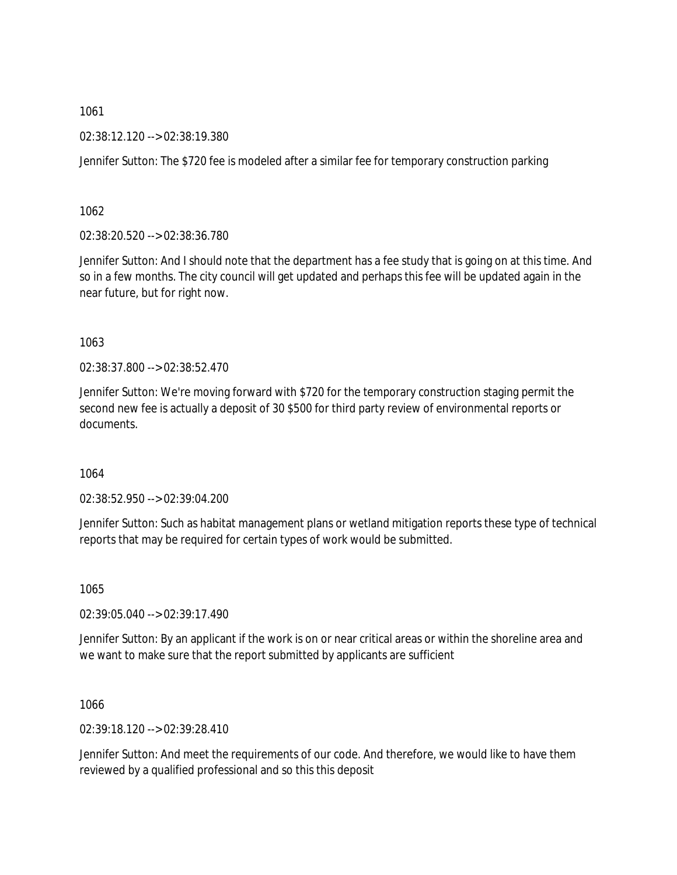02:38:12.120 --> 02:38:19.380

Jennifer Sutton: The \$720 fee is modeled after a similar fee for temporary construction parking

1062

02:38:20.520 --> 02:38:36.780

Jennifer Sutton: And I should note that the department has a fee study that is going on at this time. And so in a few months. The city council will get updated and perhaps this fee will be updated again in the near future, but for right now.

1063

02:38:37.800 --> 02:38:52.470

Jennifer Sutton: We're moving forward with \$720 for the temporary construction staging permit the second new fee is actually a deposit of 30 \$500 for third party review of environmental reports or documents.

1064

02:38:52.950 --> 02:39:04.200

Jennifer Sutton: Such as habitat management plans or wetland mitigation reports these type of technical reports that may be required for certain types of work would be submitted.

1065

02:39:05.040 --> 02:39:17.490

Jennifer Sutton: By an applicant if the work is on or near critical areas or within the shoreline area and we want to make sure that the report submitted by applicants are sufficient

1066

02:39:18.120 --> 02:39:28.410

Jennifer Sutton: And meet the requirements of our code. And therefore, we would like to have them reviewed by a qualified professional and so this this deposit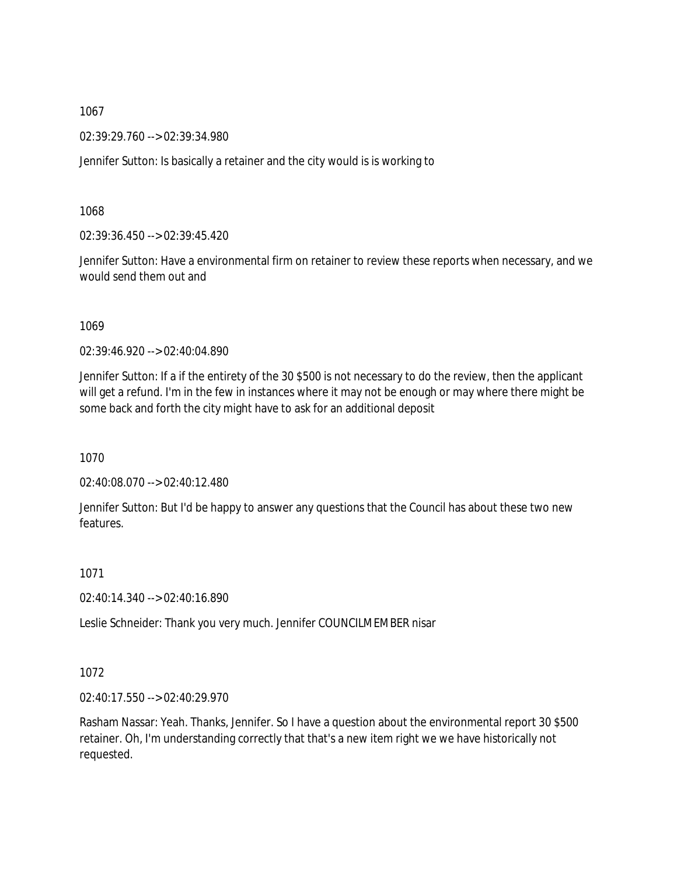02:39:29.760 --> 02:39:34.980

Jennifer Sutton: Is basically a retainer and the city would is is working to

1068

02:39:36.450 --> 02:39:45.420

Jennifer Sutton: Have a environmental firm on retainer to review these reports when necessary, and we would send them out and

1069

02:39:46.920 --> 02:40:04.890

Jennifer Sutton: If a if the entirety of the 30 \$500 is not necessary to do the review, then the applicant will get a refund. I'm in the few in instances where it may not be enough or may where there might be some back and forth the city might have to ask for an additional deposit

1070

02:40:08.070 --> 02:40:12.480

Jennifer Sutton: But I'd be happy to answer any questions that the Council has about these two new features.

1071

02:40:14.340 --> 02:40:16.890

Leslie Schneider: Thank you very much. Jennifer COUNCILMEMBER nisar

1072

02:40:17.550 --> 02:40:29.970

Rasham Nassar: Yeah. Thanks, Jennifer. So I have a question about the environmental report 30 \$500 retainer. Oh, I'm understanding correctly that that's a new item right we we have historically not requested.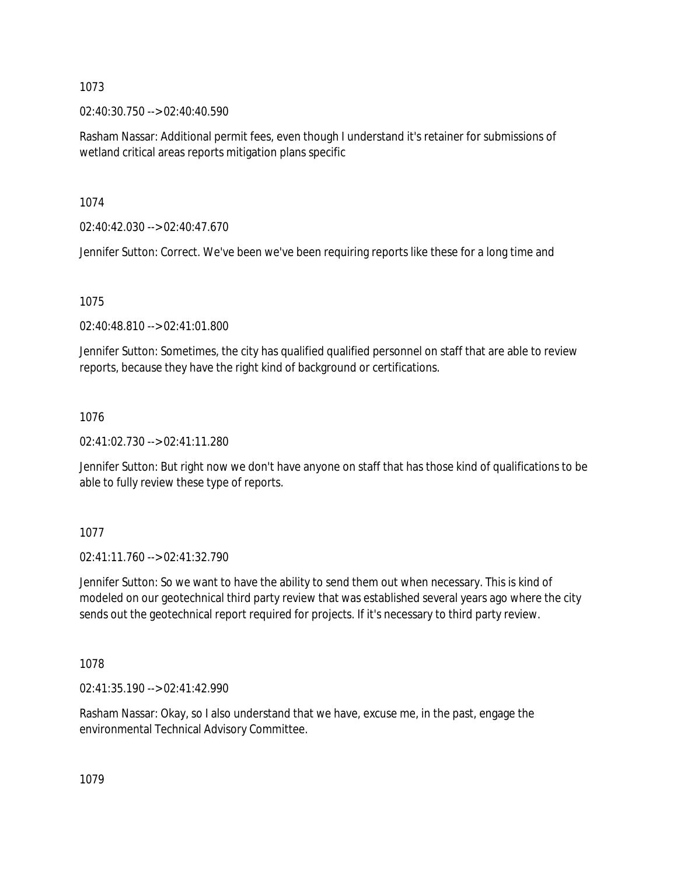02:40:30.750 --> 02:40:40.590

Rasham Nassar: Additional permit fees, even though I understand it's retainer for submissions of wetland critical areas reports mitigation plans specific

1074

02:40:42.030 --> 02:40:47.670

Jennifer Sutton: Correct. We've been we've been requiring reports like these for a long time and

1075

02:40:48.810 --> 02:41:01.800

Jennifer Sutton: Sometimes, the city has qualified qualified personnel on staff that are able to review reports, because they have the right kind of background or certifications.

## 1076

02:41:02.730 --> 02:41:11.280

Jennifer Sutton: But right now we don't have anyone on staff that has those kind of qualifications to be able to fully review these type of reports.

1077

02:41:11.760 --> 02:41:32.790

Jennifer Sutton: So we want to have the ability to send them out when necessary. This is kind of modeled on our geotechnical third party review that was established several years ago where the city sends out the geotechnical report required for projects. If it's necessary to third party review.

1078

02:41:35.190 --> 02:41:42.990

Rasham Nassar: Okay, so I also understand that we have, excuse me, in the past, engage the environmental Technical Advisory Committee.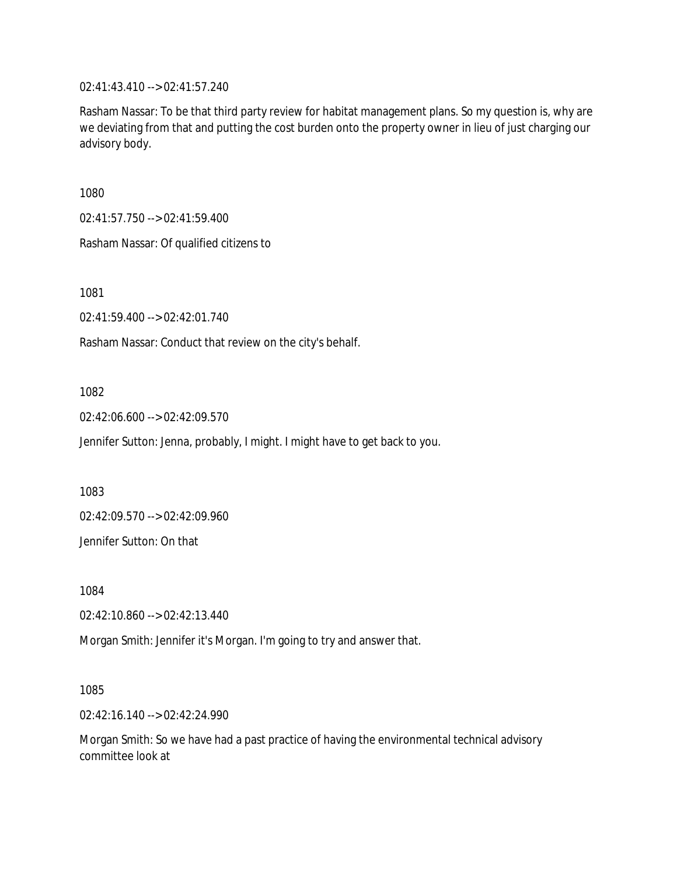02:41:43.410 --> 02:41:57.240

Rasham Nassar: To be that third party review for habitat management plans. So my question is, why are we deviating from that and putting the cost burden onto the property owner in lieu of just charging our advisory body.

1080

02:41:57.750 --> 02:41:59.400

Rasham Nassar: Of qualified citizens to

1081

02:41:59.400 --> 02:42:01.740

Rasham Nassar: Conduct that review on the city's behalf.

## 1082

02:42:06.600 --> 02:42:09.570

Jennifer Sutton: Jenna, probably, I might. I might have to get back to you.

1083

02:42:09.570 --> 02:42:09.960

Jennifer Sutton: On that

1084

02:42:10.860 --> 02:42:13.440

Morgan Smith: Jennifer it's Morgan. I'm going to try and answer that.

1085

02:42:16.140 --> 02:42:24.990

Morgan Smith: So we have had a past practice of having the environmental technical advisory committee look at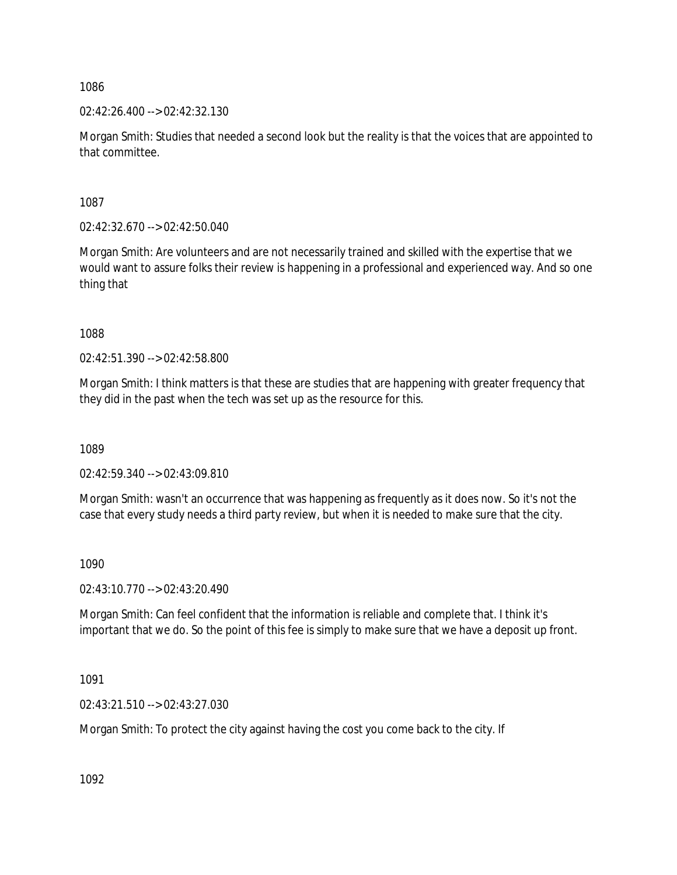02:42:26.400 --> 02:42:32.130

Morgan Smith: Studies that needed a second look but the reality is that the voices that are appointed to that committee.

1087

02:42:32.670 --> 02:42:50.040

Morgan Smith: Are volunteers and are not necessarily trained and skilled with the expertise that we would want to assure folks their review is happening in a professional and experienced way. And so one thing that

1088

02:42:51.390 --> 02:42:58.800

Morgan Smith: I think matters is that these are studies that are happening with greater frequency that they did in the past when the tech was set up as the resource for this.

1089

02:42:59.340 --> 02:43:09.810

Morgan Smith: wasn't an occurrence that was happening as frequently as it does now. So it's not the case that every study needs a third party review, but when it is needed to make sure that the city.

1090

02:43:10.770 --> 02:43:20.490

Morgan Smith: Can feel confident that the information is reliable and complete that. I think it's important that we do. So the point of this fee is simply to make sure that we have a deposit up front.

1091

02:43:21.510 --> 02:43:27.030

Morgan Smith: To protect the city against having the cost you come back to the city. If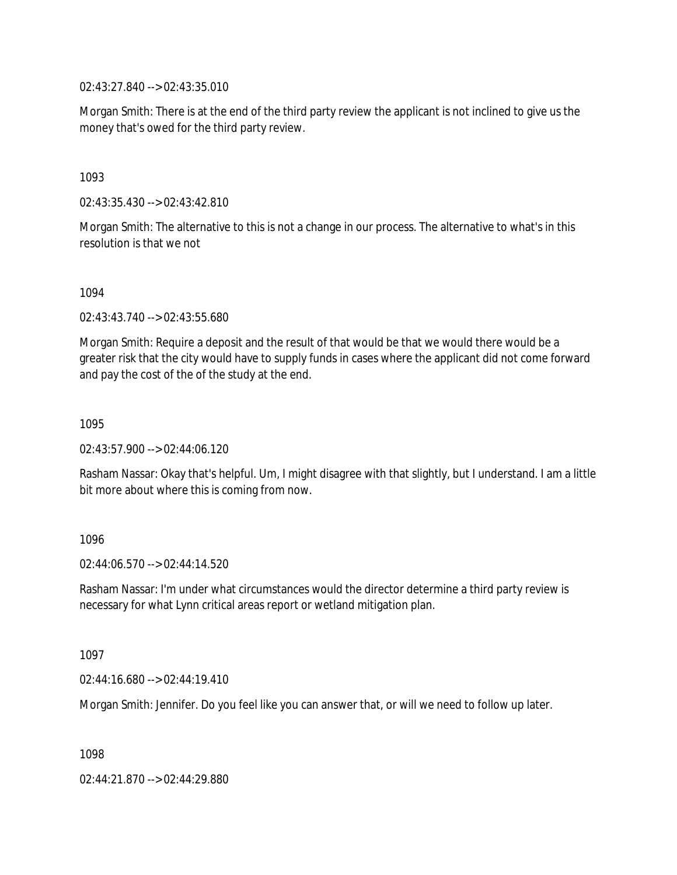02:43:27.840 --> 02:43:35.010

Morgan Smith: There is at the end of the third party review the applicant is not inclined to give us the money that's owed for the third party review.

1093

02:43:35.430 --> 02:43:42.810

Morgan Smith: The alternative to this is not a change in our process. The alternative to what's in this resolution is that we not

1094

02:43:43.740 --> 02:43:55.680

Morgan Smith: Require a deposit and the result of that would be that we would there would be a greater risk that the city would have to supply funds in cases where the applicant did not come forward and pay the cost of the of the study at the end.

1095

02:43:57.900 --> 02:44:06.120

Rasham Nassar: Okay that's helpful. Um, I might disagree with that slightly, but I understand. I am a little bit more about where this is coming from now.

1096

 $02.44.06570 -> 02.44.14520$ 

Rasham Nassar: I'm under what circumstances would the director determine a third party review is necessary for what Lynn critical areas report or wetland mitigation plan.

1097

02:44:16.680 --> 02:44:19.410

Morgan Smith: Jennifer. Do you feel like you can answer that, or will we need to follow up later.

1098

02:44:21.870 --> 02:44:29.880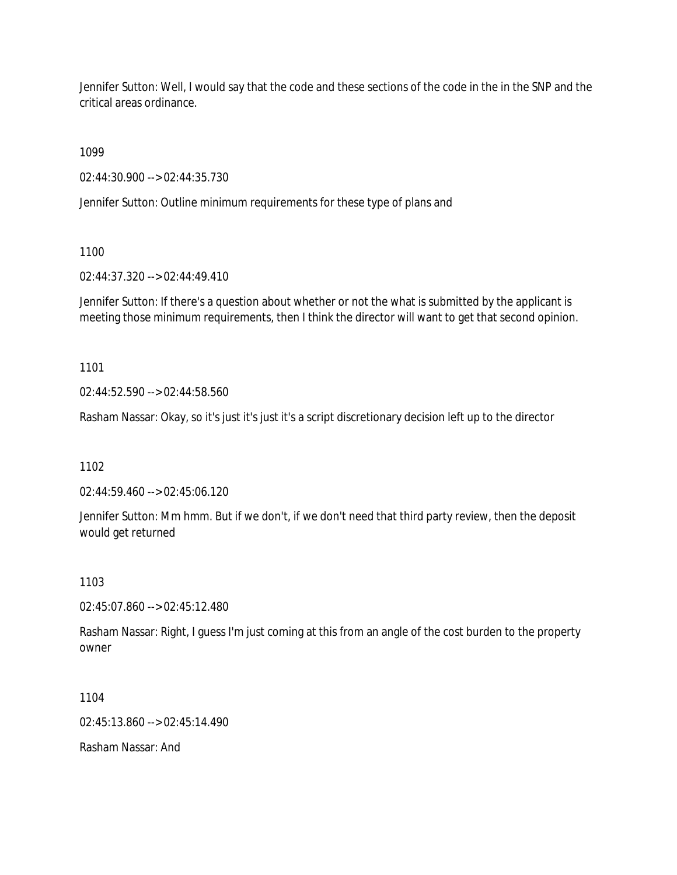Jennifer Sutton: Well, I would say that the code and these sections of the code in the in the SNP and the critical areas ordinance.

1099

02:44:30.900 --> 02:44:35.730

Jennifer Sutton: Outline minimum requirements for these type of plans and

1100

02:44:37.320 --> 02:44:49.410

Jennifer Sutton: If there's a question about whether or not the what is submitted by the applicant is meeting those minimum requirements, then I think the director will want to get that second opinion.

1101

02:44:52.590 --> 02:44:58.560

Rasham Nassar: Okay, so it's just it's just it's a script discretionary decision left up to the director

1102

02:44:59.460 --> 02:45:06.120

Jennifer Sutton: Mm hmm. But if we don't, if we don't need that third party review, then the deposit would get returned

1103

02:45:07.860 --> 02:45:12.480

Rasham Nassar: Right, I guess I'm just coming at this from an angle of the cost burden to the property owner

1104

02:45:13.860 --> 02:45:14.490

Rasham Nassar: And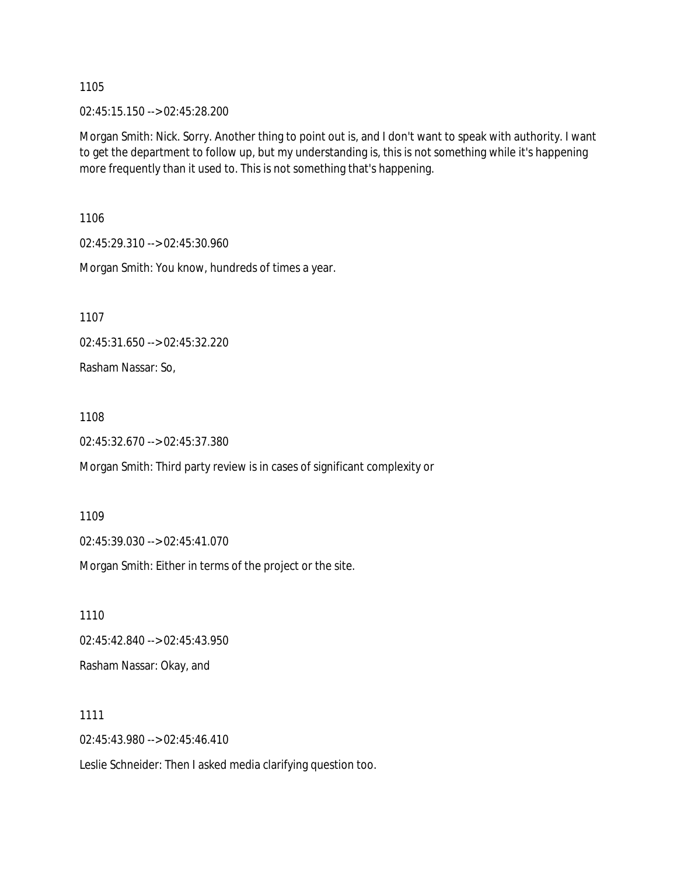02:45:15.150 --> 02:45:28.200

Morgan Smith: Nick. Sorry. Another thing to point out is, and I don't want to speak with authority. I want to get the department to follow up, but my understanding is, this is not something while it's happening more frequently than it used to. This is not something that's happening.

1106

02:45:29.310 --> 02:45:30.960

Morgan Smith: You know, hundreds of times a year.

1107

02:45:31.650 --> 02:45:32.220

Rasham Nassar: So,

1108

02:45:32.670 --> 02:45:37.380

Morgan Smith: Third party review is in cases of significant complexity or

1109

02:45:39.030 --> 02:45:41.070

Morgan Smith: Either in terms of the project or the site.

1110 02:45:42.840 --> 02:45:43.950 Rasham Nassar: Okay, and

1111

02:45:43.980 --> 02:45:46.410

Leslie Schneider: Then I asked media clarifying question too.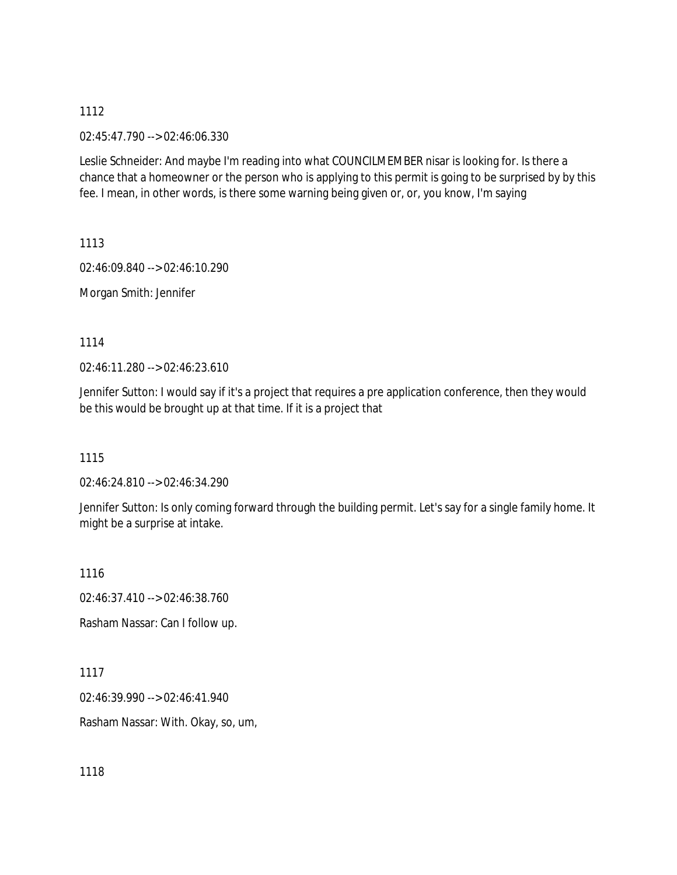02:45:47.790 --> 02:46:06.330

Leslie Schneider: And maybe I'm reading into what COUNCILMEMBER nisar is looking for. Is there a chance that a homeowner or the person who is applying to this permit is going to be surprised by by this fee. I mean, in other words, is there some warning being given or, or, you know, I'm saying

1113

02:46:09.840 --> 02:46:10.290

Morgan Smith: Jennifer

1114

02:46:11.280 --> 02:46:23.610

Jennifer Sutton: I would say if it's a project that requires a pre application conference, then they would be this would be brought up at that time. If it is a project that

1115

02:46:24.810 --> 02:46:34.290

Jennifer Sutton: Is only coming forward through the building permit. Let's say for a single family home. It might be a surprise at intake.

1116

02:46:37.410 --> 02:46:38.760

Rasham Nassar: Can I follow up.

1117

02:46:39.990 --> 02:46:41.940

Rasham Nassar: With. Okay, so, um,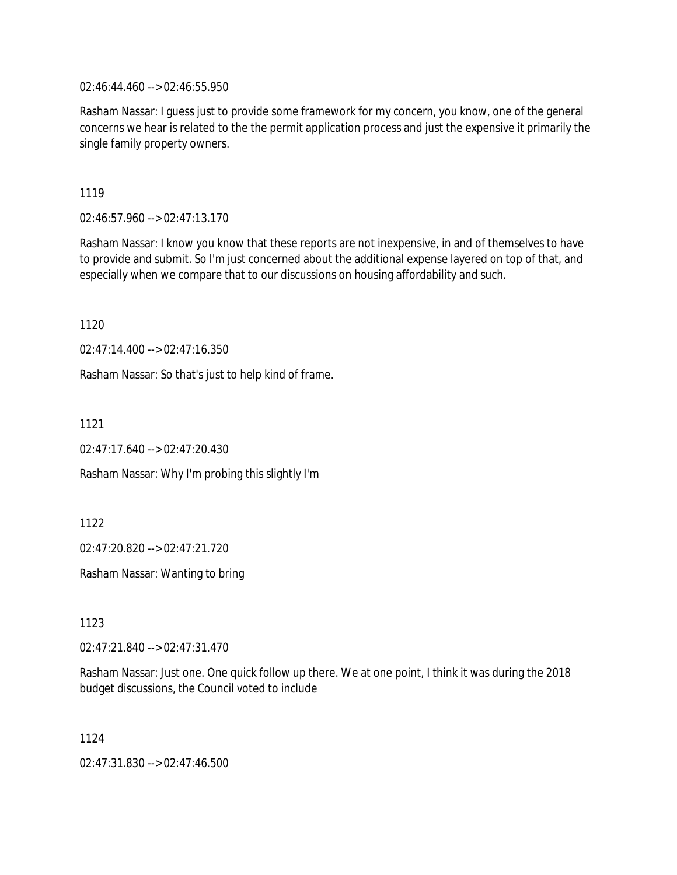02:46:44.460 --> 02:46:55.950

Rasham Nassar: I guess just to provide some framework for my concern, you know, one of the general concerns we hear is related to the the permit application process and just the expensive it primarily the single family property owners.

1119

02:46:57.960 --> 02:47:13.170

Rasham Nassar: I know you know that these reports are not inexpensive, in and of themselves to have to provide and submit. So I'm just concerned about the additional expense layered on top of that, and especially when we compare that to our discussions on housing affordability and such.

1120

02:47:14.400 --> 02:47:16.350

Rasham Nassar: So that's just to help kind of frame.

1121

02:47:17.640 --> 02:47:20.430

Rasham Nassar: Why I'm probing this slightly I'm

1122

02:47:20.820 --> 02:47:21.720

Rasham Nassar: Wanting to bring

1123

02:47:21.840 --> 02:47:31.470

Rasham Nassar: Just one. One quick follow up there. We at one point, I think it was during the 2018 budget discussions, the Council voted to include

1124

02:47:31.830 --> 02:47:46.500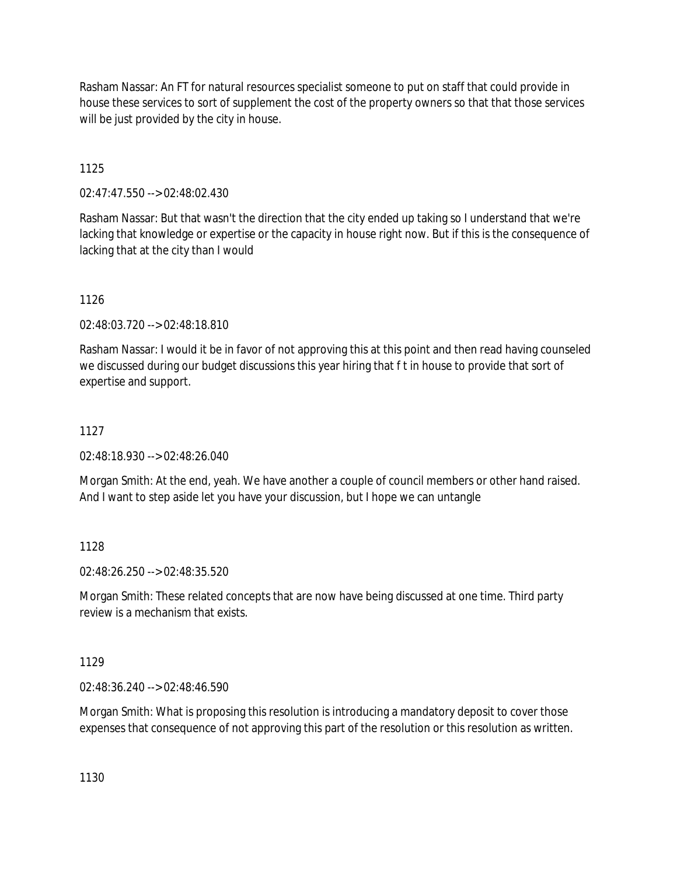Rasham Nassar: An FT for natural resources specialist someone to put on staff that could provide in house these services to sort of supplement the cost of the property owners so that that those services will be just provided by the city in house.

1125

02:47:47.550 --> 02:48:02.430

Rasham Nassar: But that wasn't the direction that the city ended up taking so I understand that we're lacking that knowledge or expertise or the capacity in house right now. But if this is the consequence of lacking that at the city than I would

1126

02:48:03.720 --> 02:48:18.810

Rasham Nassar: I would it be in favor of not approving this at this point and then read having counseled we discussed during our budget discussions this year hiring that f t in house to provide that sort of expertise and support.

# 1127

02:48:18.930 --> 02:48:26.040

Morgan Smith: At the end, yeah. We have another a couple of council members or other hand raised. And I want to step aside let you have your discussion, but I hope we can untangle

## 1128

02:48:26.250 --> 02:48:35.520

Morgan Smith: These related concepts that are now have being discussed at one time. Third party review is a mechanism that exists.

1129

02:48:36.240 --> 02:48:46.590

Morgan Smith: What is proposing this resolution is introducing a mandatory deposit to cover those expenses that consequence of not approving this part of the resolution or this resolution as written.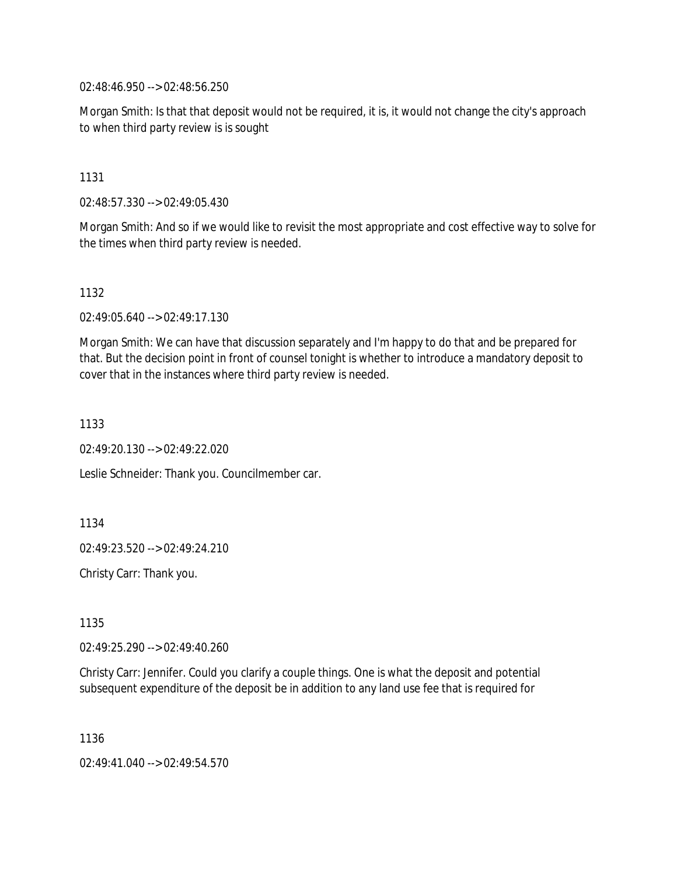02:48:46.950 --> 02:48:56.250

Morgan Smith: Is that that deposit would not be required, it is, it would not change the city's approach to when third party review is is sought

1131

02:48:57.330 --> 02:49:05.430

Morgan Smith: And so if we would like to revisit the most appropriate and cost effective way to solve for the times when third party review is needed.

1132

02:49:05.640 --> 02:49:17.130

Morgan Smith: We can have that discussion separately and I'm happy to do that and be prepared for that. But the decision point in front of counsel tonight is whether to introduce a mandatory deposit to cover that in the instances where third party review is needed.

1133

02:49:20.130 --> 02:49:22.020

Leslie Schneider: Thank you. Councilmember car.

1134

02:49:23.520 --> 02:49:24.210

Christy Carr: Thank you.

1135

02:49:25.290 --> 02:49:40.260

Christy Carr: Jennifer. Could you clarify a couple things. One is what the deposit and potential subsequent expenditure of the deposit be in addition to any land use fee that is required for

1136

02:49:41.040 --> 02:49:54.570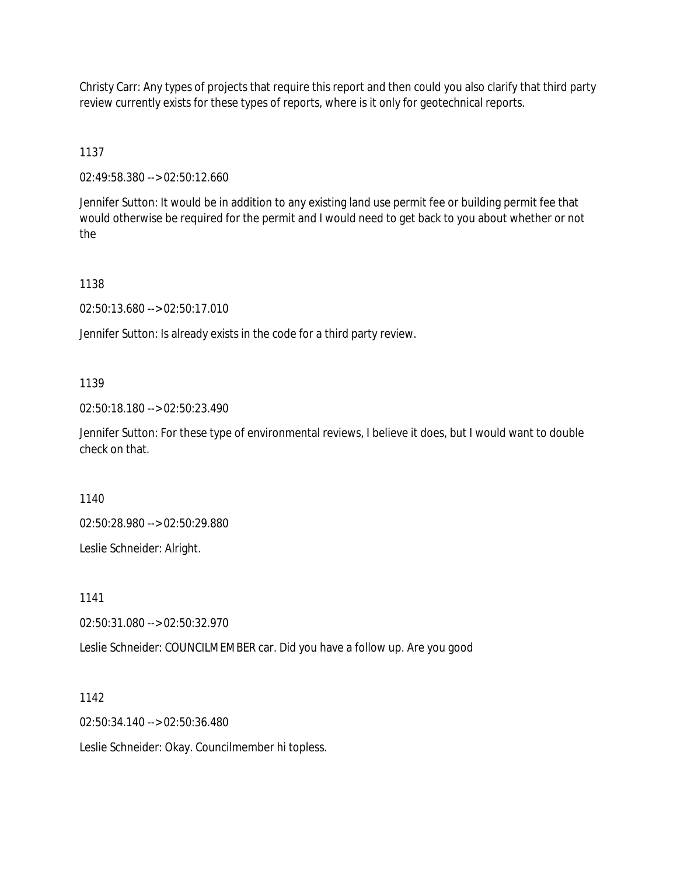Christy Carr: Any types of projects that require this report and then could you also clarify that third party review currently exists for these types of reports, where is it only for geotechnical reports.

1137

02:49:58.380 --> 02:50:12.660

Jennifer Sutton: It would be in addition to any existing land use permit fee or building permit fee that would otherwise be required for the permit and I would need to get back to you about whether or not the

1138

02:50:13.680 --> 02:50:17.010

Jennifer Sutton: Is already exists in the code for a third party review.

1139

02:50:18.180 --> 02:50:23.490

Jennifer Sutton: For these type of environmental reviews, I believe it does, but I would want to double check on that.

1140

02:50:28.980 --> 02:50:29.880

Leslie Schneider: Alright.

1141

02:50:31.080 --> 02:50:32.970

Leslie Schneider: COUNCILMEMBER car. Did you have a follow up. Are you good

1142

02:50:34.140 --> 02:50:36.480

Leslie Schneider: Okay. Councilmember hi topless.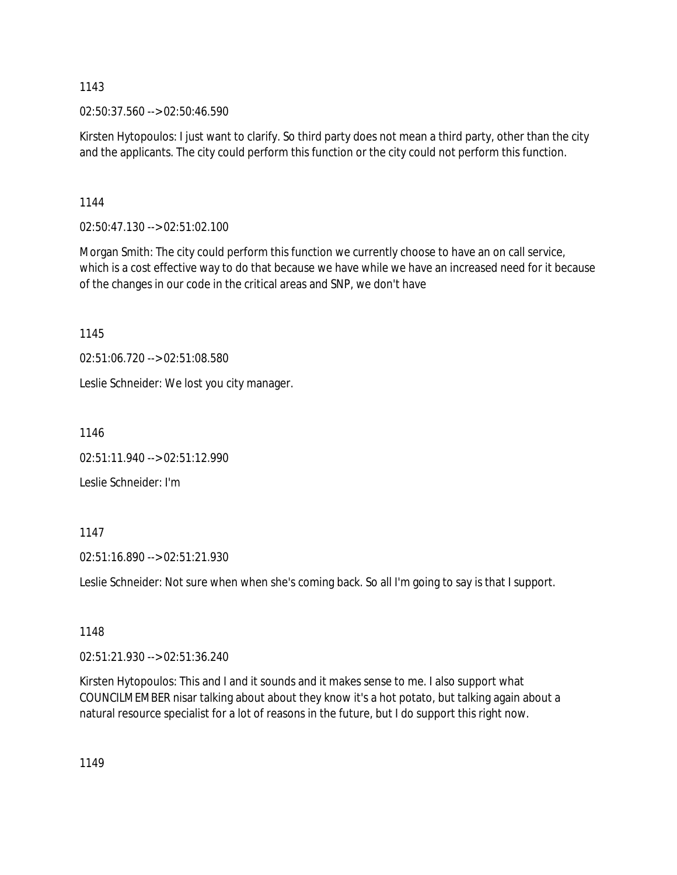02:50:37.560 --> 02:50:46.590

Kirsten Hytopoulos: I just want to clarify. So third party does not mean a third party, other than the city and the applicants. The city could perform this function or the city could not perform this function.

1144

02:50:47.130 --> 02:51:02.100

Morgan Smith: The city could perform this function we currently choose to have an on call service, which is a cost effective way to do that because we have while we have an increased need for it because of the changes in our code in the critical areas and SNP, we don't have

1145

02:51:06.720 --> 02:51:08.580

Leslie Schneider: We lost you city manager.

1146

02:51:11.940 --> 02:51:12.990

Leslie Schneider: I'm

1147

02:51:16.890 --> 02:51:21.930

Leslie Schneider: Not sure when when she's coming back. So all I'm going to say is that I support.

1148

02:51:21.930 --> 02:51:36.240

Kirsten Hytopoulos: This and I and it sounds and it makes sense to me. I also support what COUNCILMEMBER nisar talking about about they know it's a hot potato, but talking again about a natural resource specialist for a lot of reasons in the future, but I do support this right now.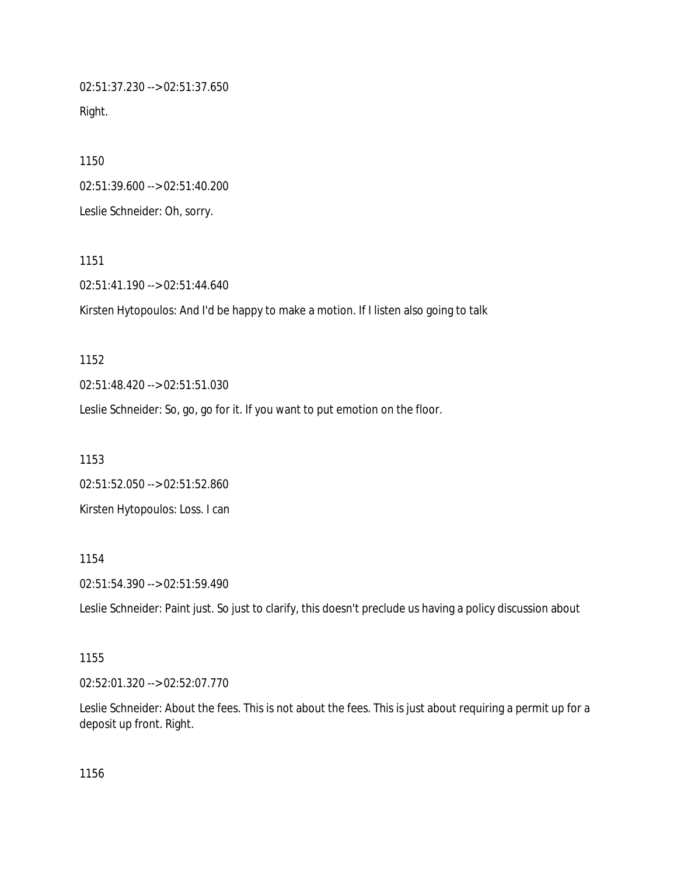02:51:37.230 --> 02:51:37.650 Right.

1150 02:51:39.600 --> 02:51:40.200 Leslie Schneider: Oh, sorry.

1151

02:51:41.190 --> 02:51:44.640

Kirsten Hytopoulos: And I'd be happy to make a motion. If I listen also going to talk

1152 02:51:48.420 --> 02:51:51.030 Leslie Schneider: So, go, go for it. If you want to put emotion on the floor.

1153 02:51:52.050 --> 02:51:52.860 Kirsten Hytopoulos: Loss. I can

1154

02:51:54.390 --> 02:51:59.490

Leslie Schneider: Paint just. So just to clarify, this doesn't preclude us having a policy discussion about

1155

02:52:01.320 --> 02:52:07.770

Leslie Schneider: About the fees. This is not about the fees. This is just about requiring a permit up for a deposit up front. Right.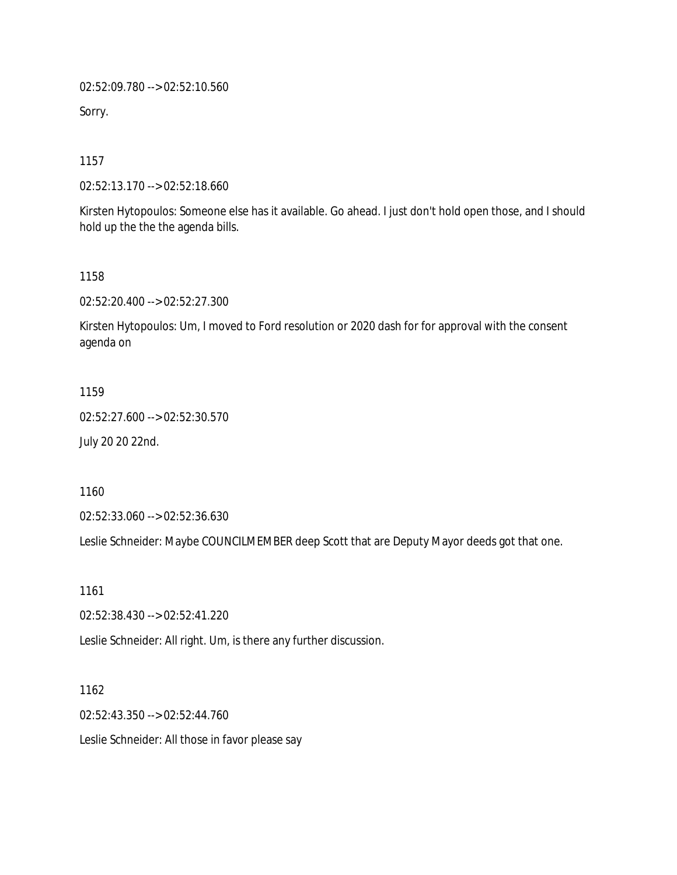02:52:09.780 --> 02:52:10.560

Sorry.

1157

02:52:13.170 --> 02:52:18.660

Kirsten Hytopoulos: Someone else has it available. Go ahead. I just don't hold open those, and I should hold up the the the agenda bills.

1158

02:52:20.400 --> 02:52:27.300

Kirsten Hytopoulos: Um, I moved to Ford resolution or 2020 dash for for approval with the consent agenda on

1159

02:52:27.600 --> 02:52:30.570

July 20 20 22nd.

1160

02:52:33.060 --> 02:52:36.630

Leslie Schneider: Maybe COUNCILMEMBER deep Scott that are Deputy Mayor deeds got that one.

1161

02:52:38.430 --> 02:52:41.220

Leslie Schneider: All right. Um, is there any further discussion.

1162

02:52:43.350 --> 02:52:44.760

Leslie Schneider: All those in favor please say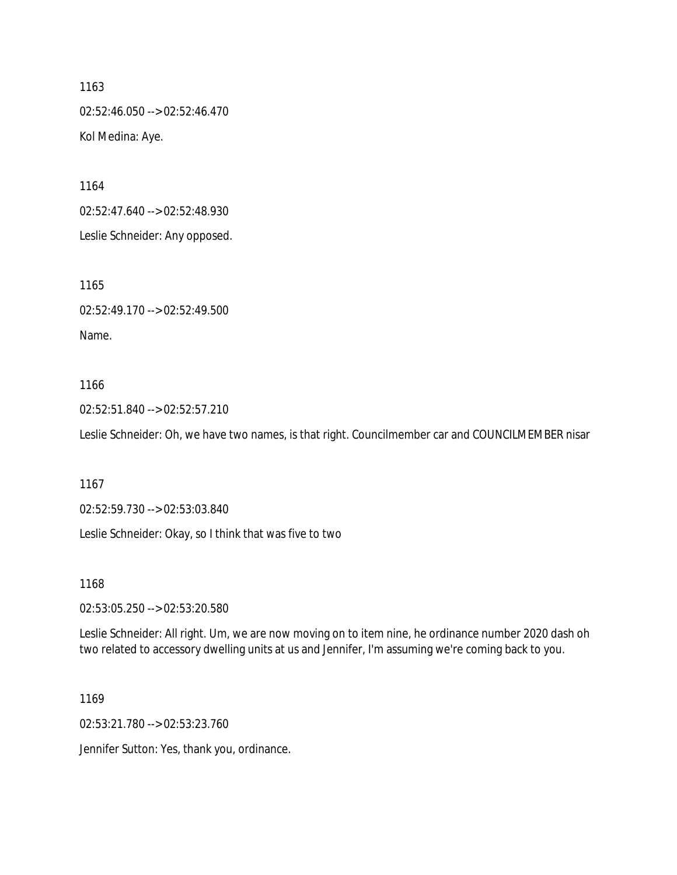02:52:46.050 --> 02:52:46.470 Kol Medina: Aye.

1164

02:52:47.640 --> 02:52:48.930

Leslie Schneider: Any opposed.

1165

02:52:49.170 --> 02:52:49.500

Name.

### 1166

02:52:51.840 --> 02:52:57.210

Leslie Schneider: Oh, we have two names, is that right. Councilmember car and COUNCILMEMBER nisar

1167

02:52:59.730 --> 02:53:03.840

Leslie Schneider: Okay, so I think that was five to two

1168

02:53:05.250 --> 02:53:20.580

Leslie Schneider: All right. Um, we are now moving on to item nine, he ordinance number 2020 dash oh two related to accessory dwelling units at us and Jennifer, I'm assuming we're coming back to you.

1169

02:53:21.780 --> 02:53:23.760

Jennifer Sutton: Yes, thank you, ordinance.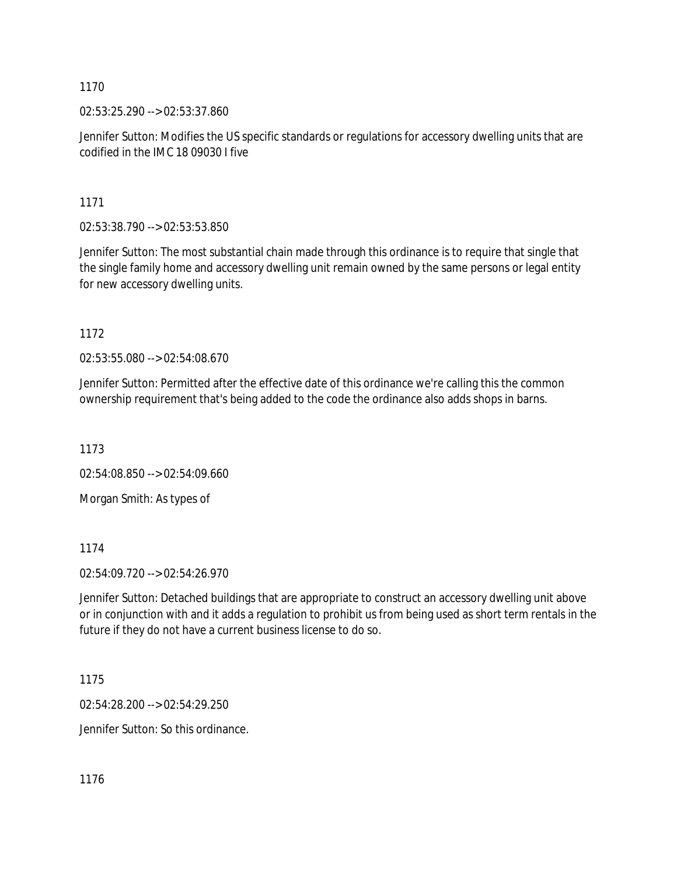02:53:25.290 --> 02:53:37.860

Jennifer Sutton: Modifies the US specific standards or regulations for accessory dwelling units that are codified in the IMC 18 09030 I five

1171

02:53:38.790 --> 02:53:53.850

Jennifer Sutton: The most substantial chain made through this ordinance is to require that single that the single family home and accessory dwelling unit remain owned by the same persons or legal entity for new accessory dwelling units.

1172

02:53:55.080 --> 02:54:08.670

Jennifer Sutton: Permitted after the effective date of this ordinance we're calling this the common ownership requirement that's being added to the code the ordinance also adds shops in barns.

1173

02:54:08.850 --> 02:54:09.660

Morgan Smith: As types of

1174

02:54:09.720 --> 02:54:26.970

Jennifer Sutton: Detached buildings that are appropriate to construct an accessory dwelling unit above or in conjunction with and it adds a regulation to prohibit us from being used as short term rentals in the future if they do not have a current business license to do so.

1175

02:54:28.200 --> 02:54:29.250

Jennifer Sutton: So this ordinance.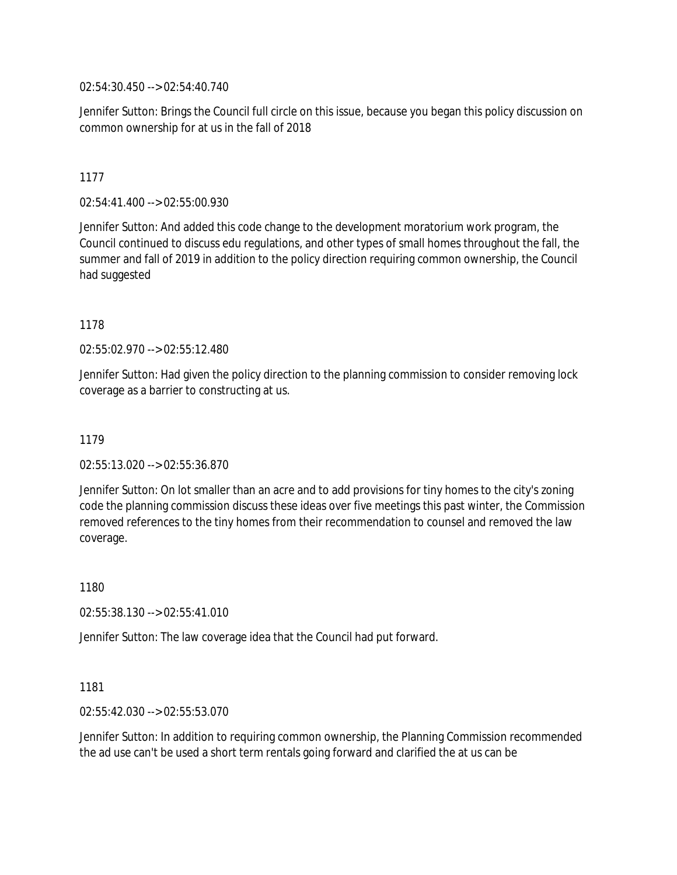02:54:30.450 --> 02:54:40.740

Jennifer Sutton: Brings the Council full circle on this issue, because you began this policy discussion on common ownership for at us in the fall of 2018

# 1177

02:54:41.400 --> 02:55:00.930

Jennifer Sutton: And added this code change to the development moratorium work program, the Council continued to discuss edu regulations, and other types of small homes throughout the fall, the summer and fall of 2019 in addition to the policy direction requiring common ownership, the Council had suggested

### 1178

02:55:02.970 --> 02:55:12.480

Jennifer Sutton: Had given the policy direction to the planning commission to consider removing lock coverage as a barrier to constructing at us.

### 1179

02:55:13.020 --> 02:55:36.870

Jennifer Sutton: On lot smaller than an acre and to add provisions for tiny homes to the city's zoning code the planning commission discuss these ideas over five meetings this past winter, the Commission removed references to the tiny homes from their recommendation to counsel and removed the law coverage.

1180

02:55:38.130 --> 02:55:41.010

Jennifer Sutton: The law coverage idea that the Council had put forward.

1181

02:55:42.030 --> 02:55:53.070

Jennifer Sutton: In addition to requiring common ownership, the Planning Commission recommended the ad use can't be used a short term rentals going forward and clarified the at us can be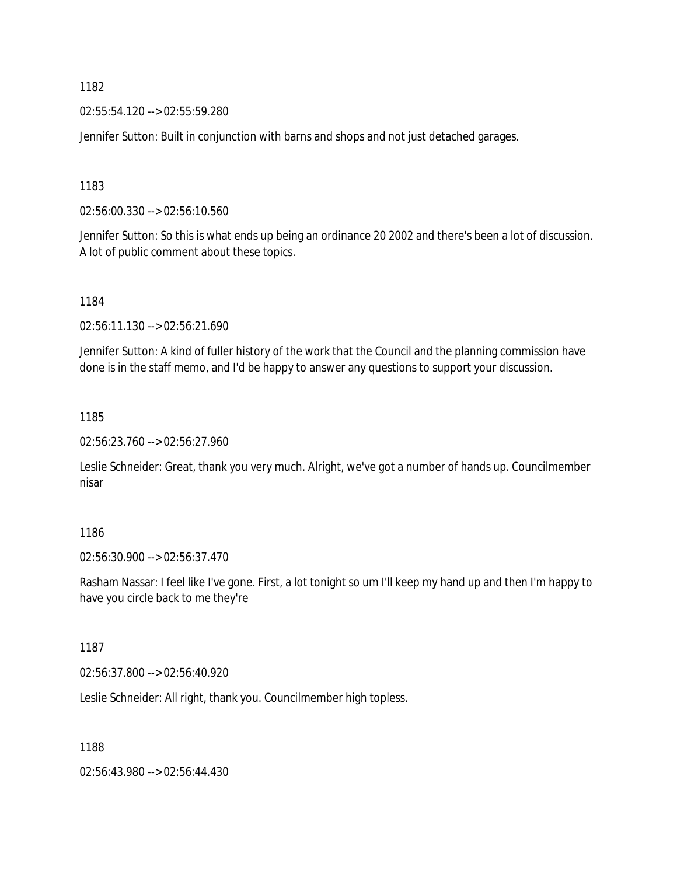02:55:54.120 --> 02:55:59.280

Jennifer Sutton: Built in conjunction with barns and shops and not just detached garages.

1183

02:56:00.330 --> 02:56:10.560

Jennifer Sutton: So this is what ends up being an ordinance 20 2002 and there's been a lot of discussion. A lot of public comment about these topics.

1184

02:56:11.130 --> 02:56:21.690

Jennifer Sutton: A kind of fuller history of the work that the Council and the planning commission have done is in the staff memo, and I'd be happy to answer any questions to support your discussion.

1185

02:56:23.760 --> 02:56:27.960

Leslie Schneider: Great, thank you very much. Alright, we've got a number of hands up. Councilmember nisar

### 1186

02:56:30.900 --> 02:56:37.470

Rasham Nassar: I feel like I've gone. First, a lot tonight so um I'll keep my hand up and then I'm happy to have you circle back to me they're

### 1187

02:56:37.800 --> 02:56:40.920

Leslie Schneider: All right, thank you. Councilmember high topless.

1188

02:56:43.980 --> 02:56:44.430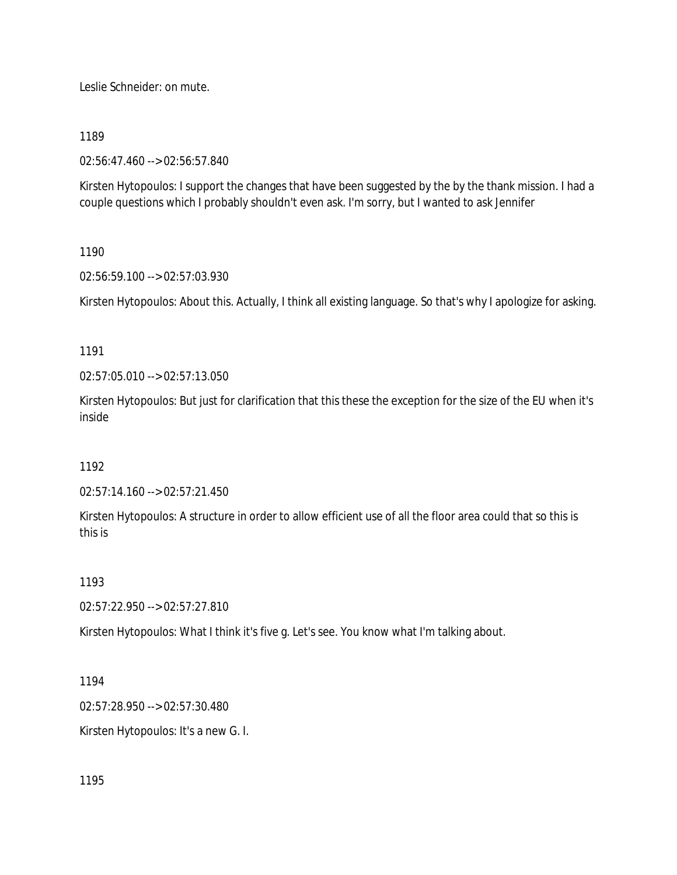Leslie Schneider: on mute.

1189

02:56:47.460 --> 02:56:57.840

Kirsten Hytopoulos: I support the changes that have been suggested by the by the thank mission. I had a couple questions which I probably shouldn't even ask. I'm sorry, but I wanted to ask Jennifer

# 1190

02:56:59.100 --> 02:57:03.930

Kirsten Hytopoulos: About this. Actually, I think all existing language. So that's why I apologize for asking.

# 1191

02:57:05.010 --> 02:57:13.050

Kirsten Hytopoulos: But just for clarification that this these the exception for the size of the EU when it's inside

# 1192

02:57:14.160 --> 02:57:21.450

Kirsten Hytopoulos: A structure in order to allow efficient use of all the floor area could that so this is this is

# 1193

02:57:22.950 --> 02:57:27.810

Kirsten Hytopoulos: What I think it's five g. Let's see. You know what I'm talking about.

# 1194

02:57:28.950 --> 02:57:30.480

Kirsten Hytopoulos: It's a new G. I.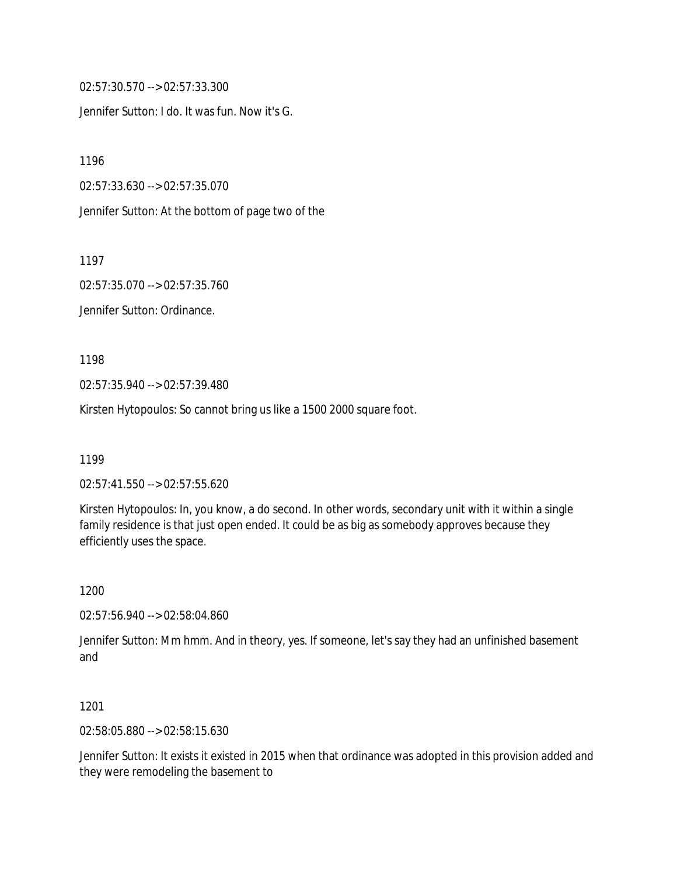02:57:30.570 --> 02:57:33.300

Jennifer Sutton: I do. It was fun. Now it's G.

1196

02:57:33.630 --> 02:57:35.070

Jennifer Sutton: At the bottom of page two of the

1197

02:57:35.070 --> 02:57:35.760

Jennifer Sutton: Ordinance.

1198

02:57:35.940 --> 02:57:39.480

Kirsten Hytopoulos: So cannot bring us like a 1500 2000 square foot.

1199

02:57:41.550 --> 02:57:55.620

Kirsten Hytopoulos: In, you know, a do second. In other words, secondary unit with it within a single family residence is that just open ended. It could be as big as somebody approves because they efficiently uses the space.

1200

02:57:56.940 --> 02:58:04.860

Jennifer Sutton: Mm hmm. And in theory, yes. If someone, let's say they had an unfinished basement and

1201

02:58:05.880 --> 02:58:15.630

Jennifer Sutton: It exists it existed in 2015 when that ordinance was adopted in this provision added and they were remodeling the basement to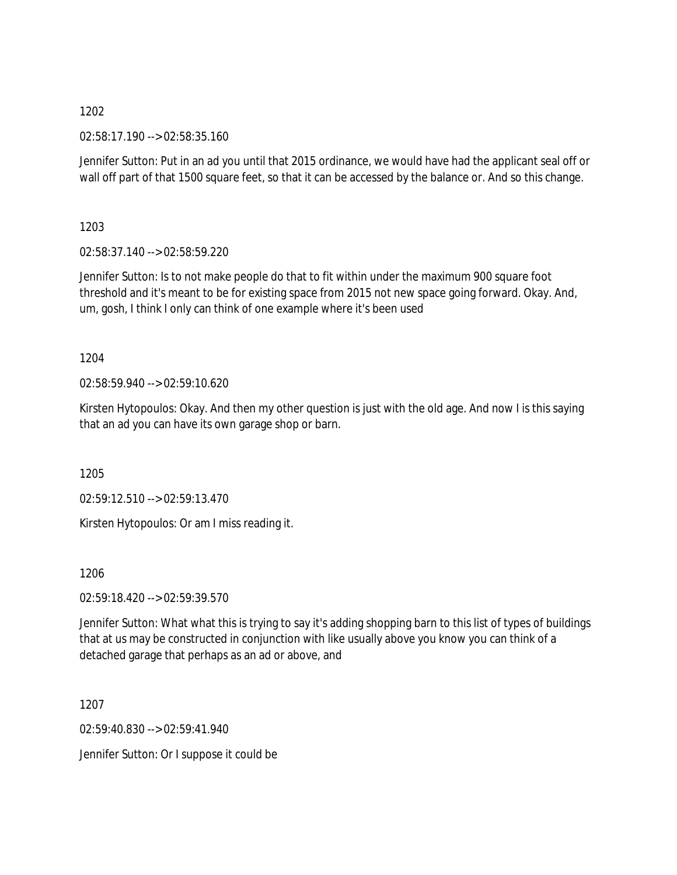02:58:17.190 --> 02:58:35.160

Jennifer Sutton: Put in an ad you until that 2015 ordinance, we would have had the applicant seal off or wall off part of that 1500 square feet, so that it can be accessed by the balance or. And so this change.

1203

02:58:37.140 --> 02:58:59.220

Jennifer Sutton: Is to not make people do that to fit within under the maximum 900 square foot threshold and it's meant to be for existing space from 2015 not new space going forward. Okay. And, um, gosh, I think I only can think of one example where it's been used

1204

02:58:59.940 --> 02:59:10.620

Kirsten Hytopoulos: Okay. And then my other question is just with the old age. And now I is this saying that an ad you can have its own garage shop or barn.

1205

02:59:12.510 --> 02:59:13.470

Kirsten Hytopoulos: Or am I miss reading it.

1206

02:59:18.420 --> 02:59:39.570

Jennifer Sutton: What what this is trying to say it's adding shopping barn to this list of types of buildings that at us may be constructed in conjunction with like usually above you know you can think of a detached garage that perhaps as an ad or above, and

1207

02:59:40.830 --> 02:59:41.940

Jennifer Sutton: Or I suppose it could be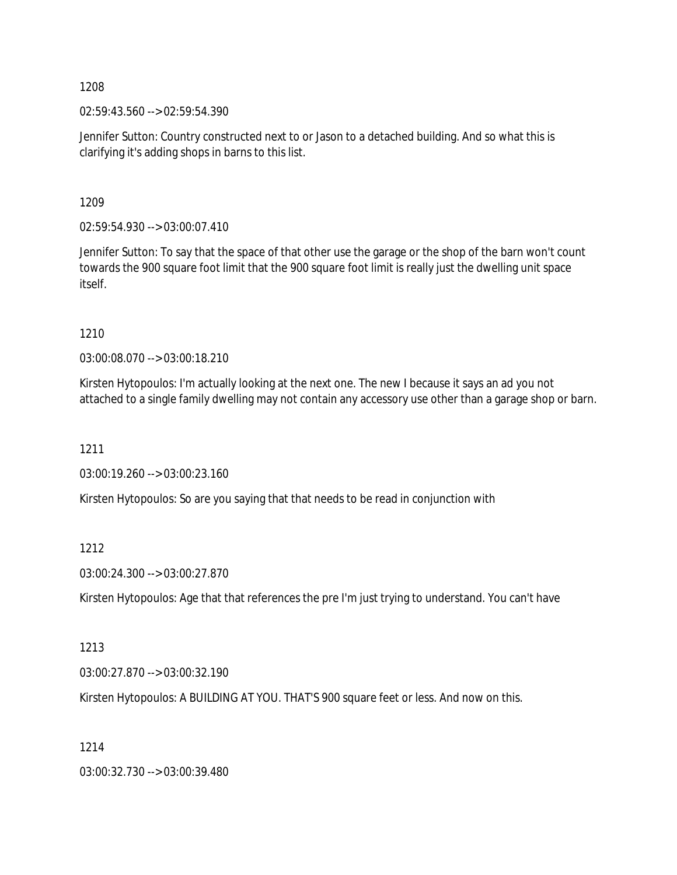02:59:43.560 --> 02:59:54.390

Jennifer Sutton: Country constructed next to or Jason to a detached building. And so what this is clarifying it's adding shops in barns to this list.

1209

02:59:54.930 --> 03:00:07.410

Jennifer Sutton: To say that the space of that other use the garage or the shop of the barn won't count towards the 900 square foot limit that the 900 square foot limit is really just the dwelling unit space itself.

1210

03:00:08.070 --> 03:00:18.210

Kirsten Hytopoulos: I'm actually looking at the next one. The new I because it says an ad you not attached to a single family dwelling may not contain any accessory use other than a garage shop or barn.

1211

03:00:19.260 --> 03:00:23.160

Kirsten Hytopoulos: So are you saying that that needs to be read in conjunction with

1212

03:00:24.300 --> 03:00:27.870

Kirsten Hytopoulos: Age that that references the pre I'm just trying to understand. You can't have

1213

03:00:27.870 --> 03:00:32.190

Kirsten Hytopoulos: A BUILDING AT YOU. THAT'S 900 square feet or less. And now on this.

1214

03:00:32.730 --> 03:00:39.480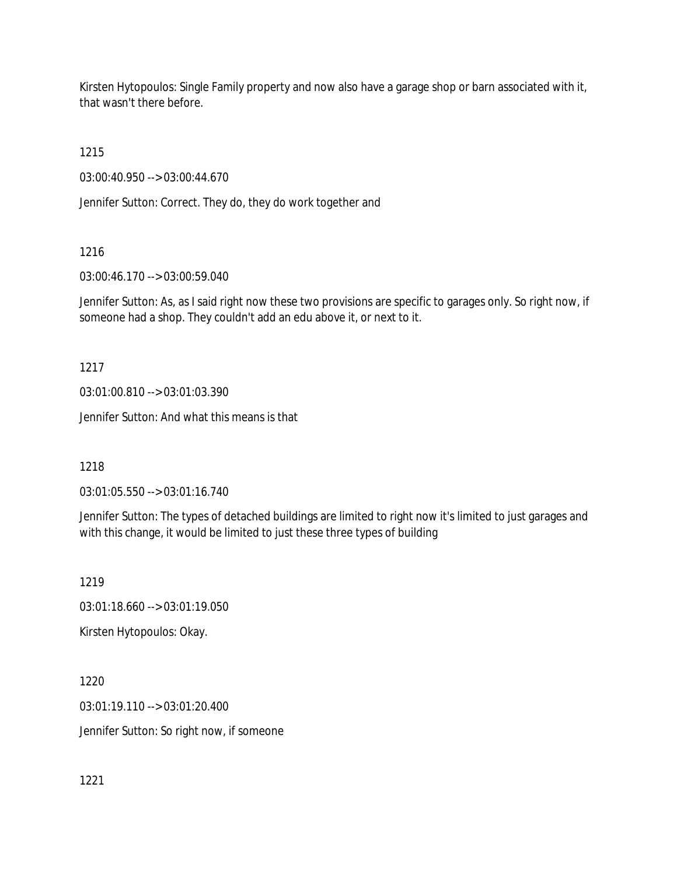Kirsten Hytopoulos: Single Family property and now also have a garage shop or barn associated with it, that wasn't there before.

1215

03:00:40.950 --> 03:00:44.670

Jennifer Sutton: Correct. They do, they do work together and

1216

03:00:46.170 --> 03:00:59.040

Jennifer Sutton: As, as I said right now these two provisions are specific to garages only. So right now, if someone had a shop. They couldn't add an edu above it, or next to it.

1217

03:01:00.810 --> 03:01:03.390

Jennifer Sutton: And what this means is that

1218

03:01:05.550 --> 03:01:16.740

Jennifer Sutton: The types of detached buildings are limited to right now it's limited to just garages and with this change, it would be limited to just these three types of building

1219

03:01:18.660 --> 03:01:19.050

Kirsten Hytopoulos: Okay.

1220 03:01:19.110 --> 03:01:20.400 Jennifer Sutton: So right now, if someone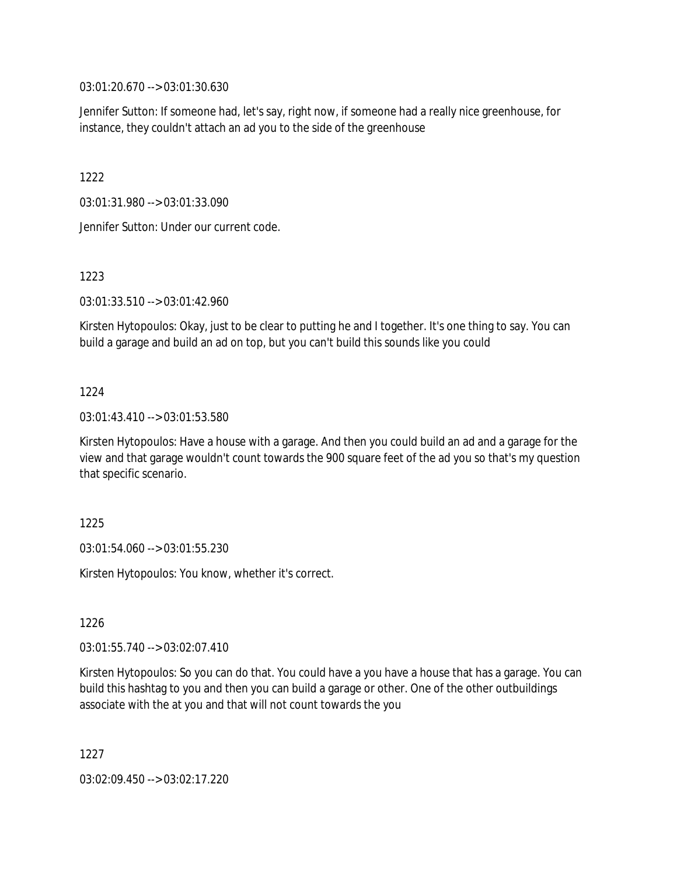03:01:20.670 --> 03:01:30.630

Jennifer Sutton: If someone had, let's say, right now, if someone had a really nice greenhouse, for instance, they couldn't attach an ad you to the side of the greenhouse

1222

03:01:31.980 --> 03:01:33.090

Jennifer Sutton: Under our current code.

1223

03:01:33.510 --> 03:01:42.960

Kirsten Hytopoulos: Okay, just to be clear to putting he and I together. It's one thing to say. You can build a garage and build an ad on top, but you can't build this sounds like you could

# 1224

03:01:43.410 --> 03:01:53.580

Kirsten Hytopoulos: Have a house with a garage. And then you could build an ad and a garage for the view and that garage wouldn't count towards the 900 square feet of the ad you so that's my question that specific scenario.

1225

03:01:54.060 --> 03:01:55.230

Kirsten Hytopoulos: You know, whether it's correct.

1226

 $03:01:55.740 \rightarrow 03:02:07.410$ 

Kirsten Hytopoulos: So you can do that. You could have a you have a house that has a garage. You can build this hashtag to you and then you can build a garage or other. One of the other outbuildings associate with the at you and that will not count towards the you

1227

03:02:09.450 --> 03:02:17.220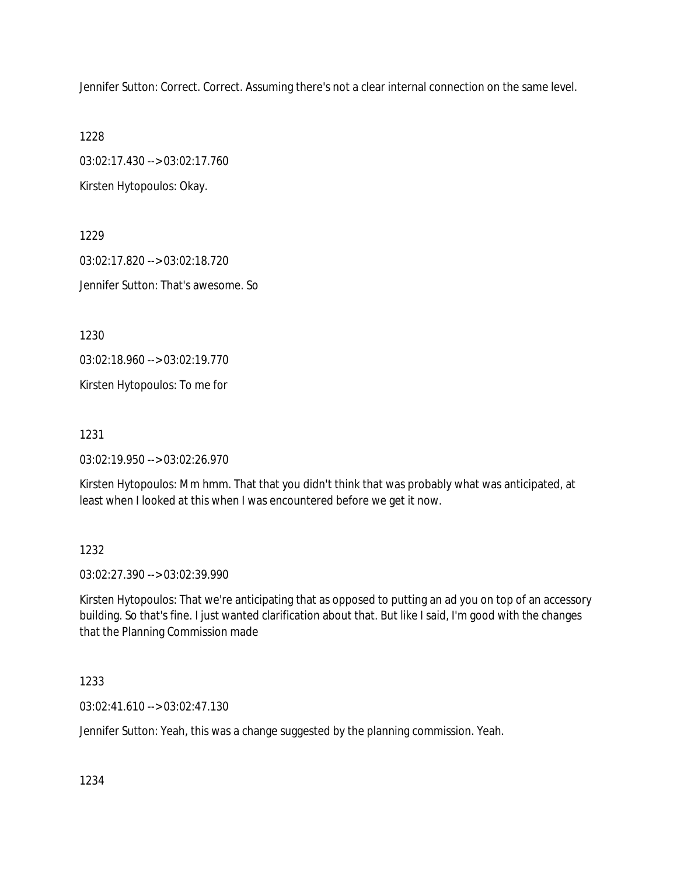Jennifer Sutton: Correct. Correct. Assuming there's not a clear internal connection on the same level.

1228

03:02:17.430 --> 03:02:17.760

Kirsten Hytopoulos: Okay.

1229 03:02:17.820 --> 03:02:18.720 Jennifer Sutton: That's awesome. So

1230

03:02:18.960 --> 03:02:19.770

Kirsten Hytopoulos: To me for

1231

03:02:19.950 --> 03:02:26.970

Kirsten Hytopoulos: Mm hmm. That that you didn't think that was probably what was anticipated, at least when I looked at this when I was encountered before we get it now.

1232

03:02:27.390 --> 03:02:39.990

Kirsten Hytopoulos: That we're anticipating that as opposed to putting an ad you on top of an accessory building. So that's fine. I just wanted clarification about that. But like I said, I'm good with the changes that the Planning Commission made

1233

03:02:41.610 --> 03:02:47.130

Jennifer Sutton: Yeah, this was a change suggested by the planning commission. Yeah.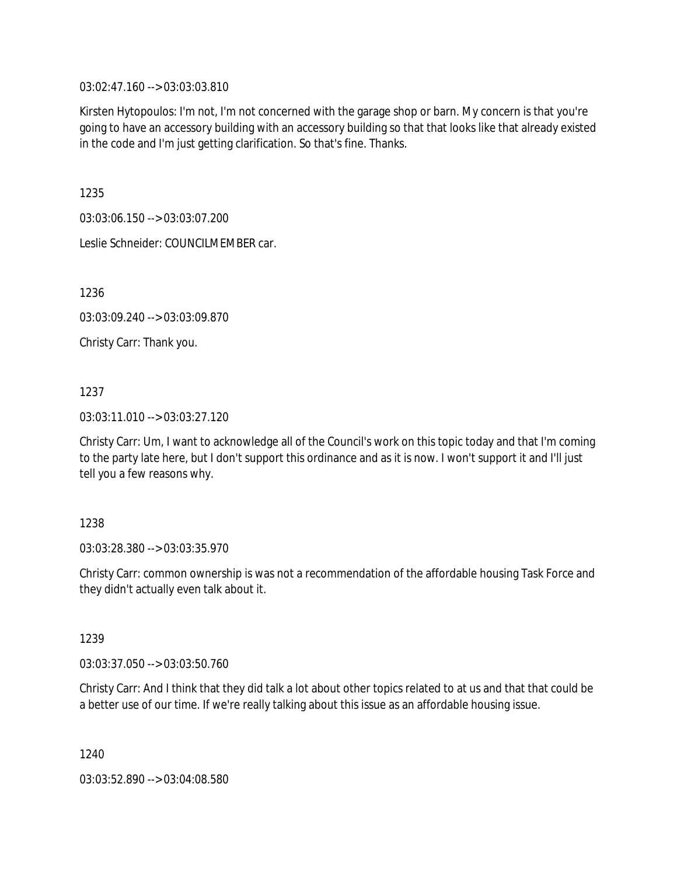03:02:47.160 --> 03:03:03.810

Kirsten Hytopoulos: I'm not, I'm not concerned with the garage shop or barn. My concern is that you're going to have an accessory building with an accessory building so that that looks like that already existed in the code and I'm just getting clarification. So that's fine. Thanks.

1235

03:03:06.150 --> 03:03:07.200

Leslie Schneider: COUNCILMEMBER car.

1236

03:03:09.240 --> 03:03:09.870

Christy Carr: Thank you.

1237

03:03:11.010 --> 03:03:27.120

Christy Carr: Um, I want to acknowledge all of the Council's work on this topic today and that I'm coming to the party late here, but I don't support this ordinance and as it is now. I won't support it and I'll just tell you a few reasons why.

1238

03:03:28.380 --> 03:03:35.970

Christy Carr: common ownership is was not a recommendation of the affordable housing Task Force and they didn't actually even talk about it.

1239

03:03:37.050 --> 03:03:50.760

Christy Carr: And I think that they did talk a lot about other topics related to at us and that that could be a better use of our time. If we're really talking about this issue as an affordable housing issue.

1240

03:03:52.890 --> 03:04:08.580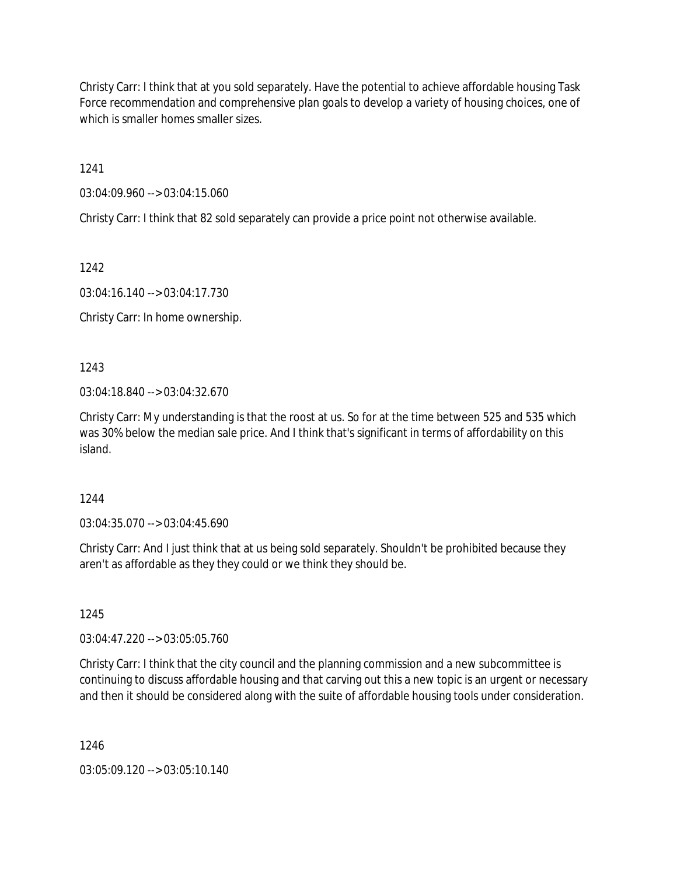Christy Carr: I think that at you sold separately. Have the potential to achieve affordable housing Task Force recommendation and comprehensive plan goals to develop a variety of housing choices, one of which is smaller homes smaller sizes.

1241

03:04:09.960 --> 03:04:15.060

Christy Carr: I think that 82 sold separately can provide a price point not otherwise available.

1242

03:04:16.140 --> 03:04:17.730

Christy Carr: In home ownership.

1243

03:04:18.840 --> 03:04:32.670

Christy Carr: My understanding is that the roost at us. So for at the time between 525 and 535 which was 30% below the median sale price. And I think that's significant in terms of affordability on this island.

1244

03:04:35.070 --> 03:04:45.690

Christy Carr: And I just think that at us being sold separately. Shouldn't be prohibited because they aren't as affordable as they they could or we think they should be.

1245

03:04:47.220 --> 03:05:05.760

Christy Carr: I think that the city council and the planning commission and a new subcommittee is continuing to discuss affordable housing and that carving out this a new topic is an urgent or necessary and then it should be considered along with the suite of affordable housing tools under consideration.

1246

03:05:09.120 --> 03:05:10.140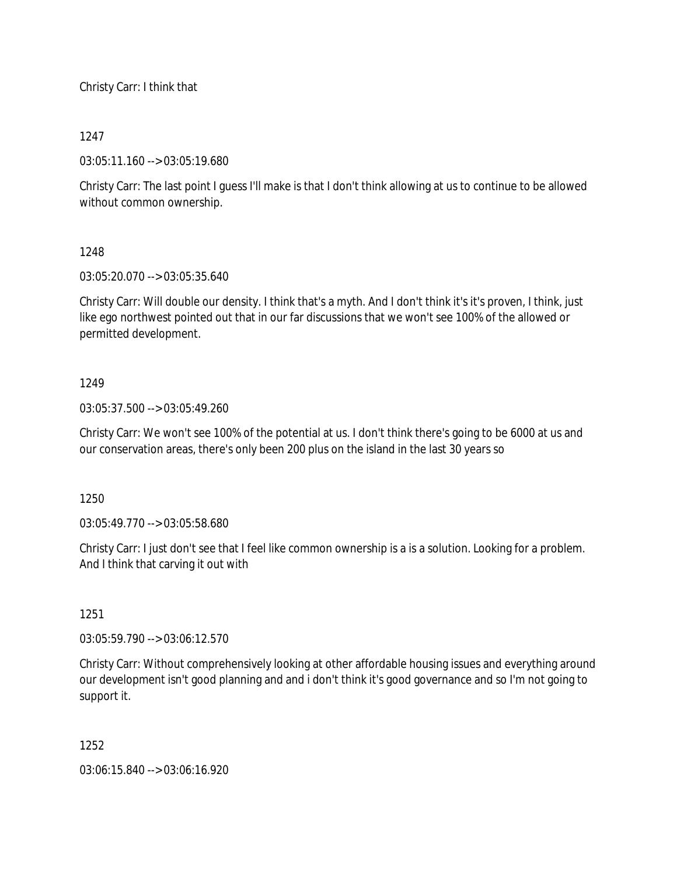Christy Carr: I think that

# 1247

03:05:11.160 --> 03:05:19.680

Christy Carr: The last point I guess I'll make is that I don't think allowing at us to continue to be allowed without common ownership.

# 1248

03:05:20.070 --> 03:05:35.640

Christy Carr: Will double our density. I think that's a myth. And I don't think it's it's proven, I think, just like ego northwest pointed out that in our far discussions that we won't see 100% of the allowed or permitted development.

# 1249

03:05:37.500 --> 03:05:49.260

Christy Carr: We won't see 100% of the potential at us. I don't think there's going to be 6000 at us and our conservation areas, there's only been 200 plus on the island in the last 30 years so

1250

03:05:49.770 --> 03:05:58.680

Christy Carr: I just don't see that I feel like common ownership is a is a solution. Looking for a problem. And I think that carving it out with

### 1251

03:05:59.790 --> 03:06:12.570

Christy Carr: Without comprehensively looking at other affordable housing issues and everything around our development isn't good planning and and i don't think it's good governance and so I'm not going to support it.

1252

03:06:15.840 --> 03:06:16.920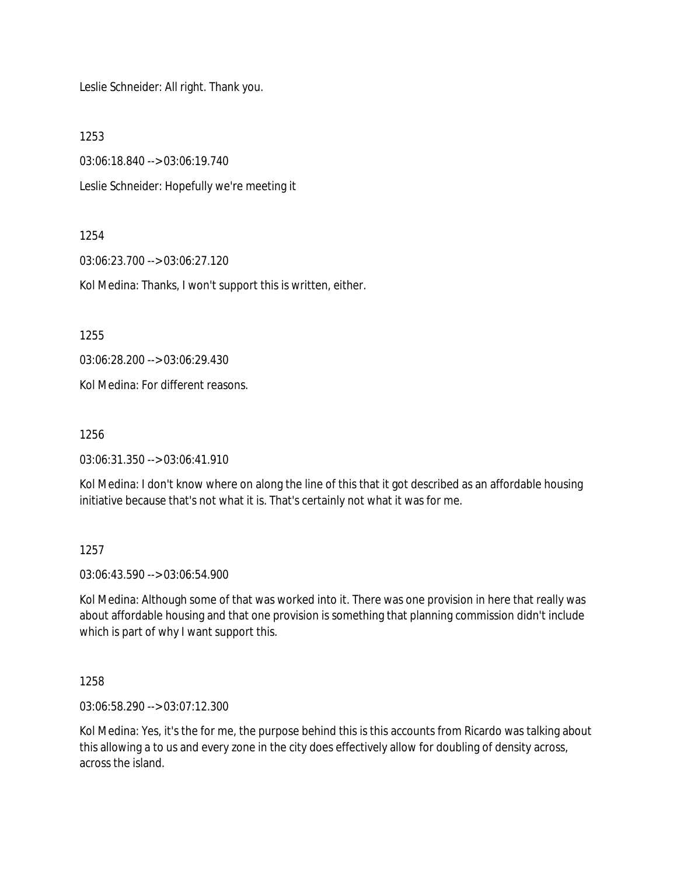Leslie Schneider: All right. Thank you.

1253

03:06:18.840 --> 03:06:19.740

Leslie Schneider: Hopefully we're meeting it

### 1254

03:06:23.700 --> 03:06:27.120

Kol Medina: Thanks, I won't support this is written, either.

1255

03:06:28.200 --> 03:06:29.430

Kol Medina: For different reasons.

1256

03:06:31.350 --> 03:06:41.910

Kol Medina: I don't know where on along the line of this that it got described as an affordable housing initiative because that's not what it is. That's certainly not what it was for me.

### 1257

03:06:43.590 --> 03:06:54.900

Kol Medina: Although some of that was worked into it. There was one provision in here that really was about affordable housing and that one provision is something that planning commission didn't include which is part of why I want support this.

1258

03:06:58.290 --> 03:07:12.300

Kol Medina: Yes, it's the for me, the purpose behind this is this accounts from Ricardo was talking about this allowing a to us and every zone in the city does effectively allow for doubling of density across, across the island.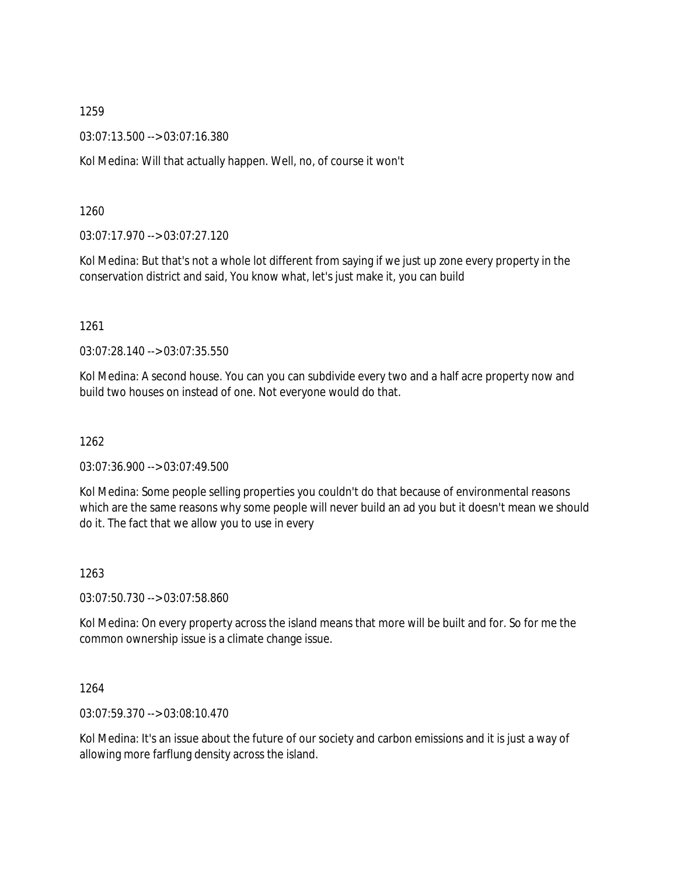03:07:13.500 --> 03:07:16.380

Kol Medina: Will that actually happen. Well, no, of course it won't

1260

03:07:17.970 --> 03:07:27.120

Kol Medina: But that's not a whole lot different from saying if we just up zone every property in the conservation district and said, You know what, let's just make it, you can build

1261

03:07:28.140 --> 03:07:35.550

Kol Medina: A second house. You can you can subdivide every two and a half acre property now and build two houses on instead of one. Not everyone would do that.

1262

03:07:36.900 --> 03:07:49.500

Kol Medina: Some people selling properties you couldn't do that because of environmental reasons which are the same reasons why some people will never build an ad you but it doesn't mean we should do it. The fact that we allow you to use in every

1263

03:07:50.730 --> 03:07:58.860

Kol Medina: On every property across the island means that more will be built and for. So for me the common ownership issue is a climate change issue.

1264

03:07:59.370 --> 03:08:10.470

Kol Medina: It's an issue about the future of our society and carbon emissions and it is just a way of allowing more farflung density across the island.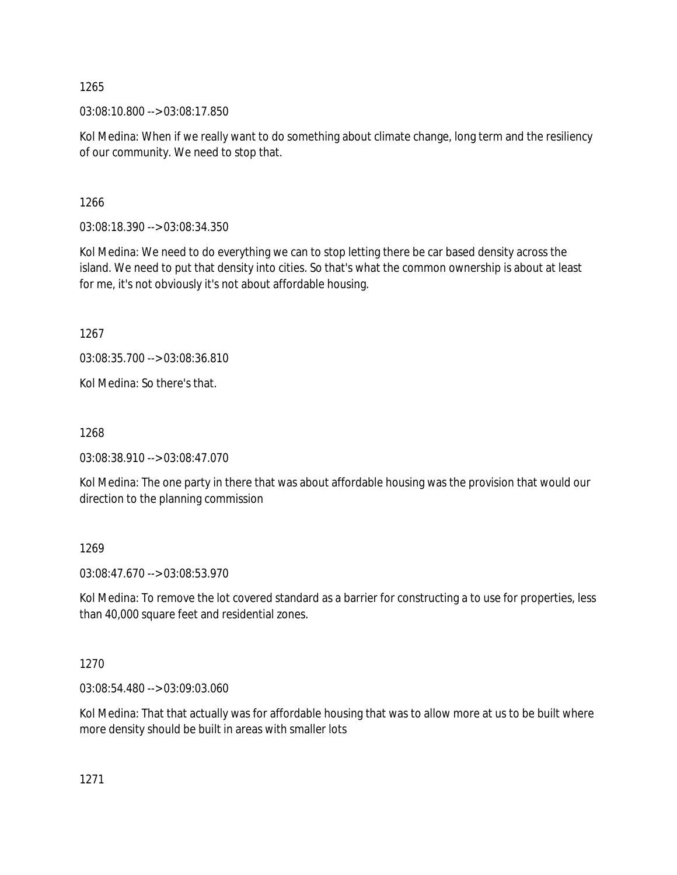03:08:10.800 --> 03:08:17.850

Kol Medina: When if we really want to do something about climate change, long term and the resiliency of our community. We need to stop that.

1266

03:08:18.390 --> 03:08:34.350

Kol Medina: We need to do everything we can to stop letting there be car based density across the island. We need to put that density into cities. So that's what the common ownership is about at least for me, it's not obviously it's not about affordable housing.

1267

03:08:35.700 --> 03:08:36.810

Kol Medina: So there's that.

1268

03:08:38.910 --> 03:08:47.070

Kol Medina: The one party in there that was about affordable housing was the provision that would our direction to the planning commission

1269

03:08:47.670 --> 03:08:53.970

Kol Medina: To remove the lot covered standard as a barrier for constructing a to use for properties, less than 40,000 square feet and residential zones.

1270

03:08:54.480 --> 03:09:03.060

Kol Medina: That that actually was for affordable housing that was to allow more at us to be built where more density should be built in areas with smaller lots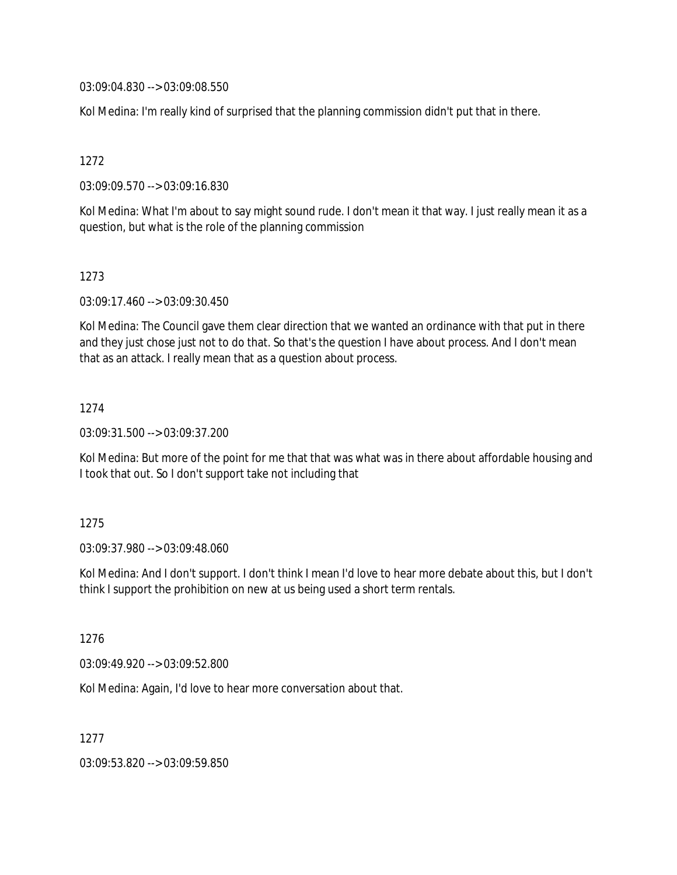03:09:04.830 --> 03:09:08.550

Kol Medina: I'm really kind of surprised that the planning commission didn't put that in there.

1272

03:09:09.570 --> 03:09:16.830

Kol Medina: What I'm about to say might sound rude. I don't mean it that way. I just really mean it as a question, but what is the role of the planning commission

1273

03:09:17.460 --> 03:09:30.450

Kol Medina: The Council gave them clear direction that we wanted an ordinance with that put in there and they just chose just not to do that. So that's the question I have about process. And I don't mean that as an attack. I really mean that as a question about process.

1274

03:09:31.500 --> 03:09:37.200

Kol Medina: But more of the point for me that that was what was in there about affordable housing and I took that out. So I don't support take not including that

1275

03:09:37.980 --> 03:09:48.060

Kol Medina: And I don't support. I don't think I mean I'd love to hear more debate about this, but I don't think I support the prohibition on new at us being used a short term rentals.

1276

03:09:49.920 --> 03:09:52.800

Kol Medina: Again, I'd love to hear more conversation about that.

1277

03:09:53.820 --> 03:09:59.850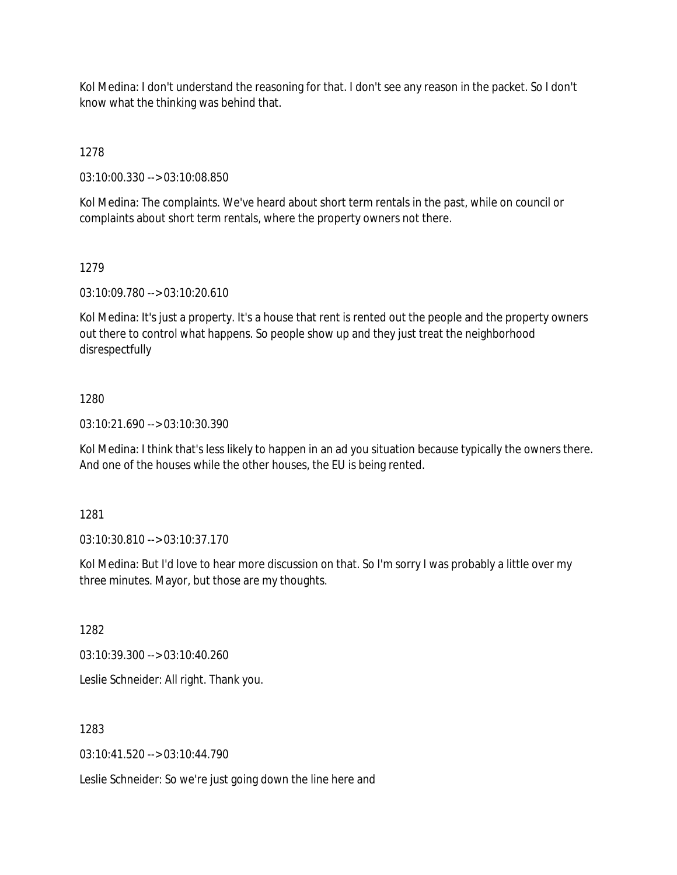Kol Medina: I don't understand the reasoning for that. I don't see any reason in the packet. So I don't know what the thinking was behind that.

1278

03:10:00.330 --> 03:10:08.850

Kol Medina: The complaints. We've heard about short term rentals in the past, while on council or complaints about short term rentals, where the property owners not there.

# 1279

03:10:09.780 --> 03:10:20.610

Kol Medina: It's just a property. It's a house that rent is rented out the people and the property owners out there to control what happens. So people show up and they just treat the neighborhood disrespectfully

# 1280

03:10:21.690 --> 03:10:30.390

Kol Medina: I think that's less likely to happen in an ad you situation because typically the owners there. And one of the houses while the other houses, the EU is being rented.

### 1281

03:10:30.810 --> 03:10:37.170

Kol Medina: But I'd love to hear more discussion on that. So I'm sorry I was probably a little over my three minutes. Mayor, but those are my thoughts.

1282

03:10:39.300 --> 03:10:40.260

Leslie Schneider: All right. Thank you.

1283

03:10:41.520 --> 03:10:44.790

Leslie Schneider: So we're just going down the line here and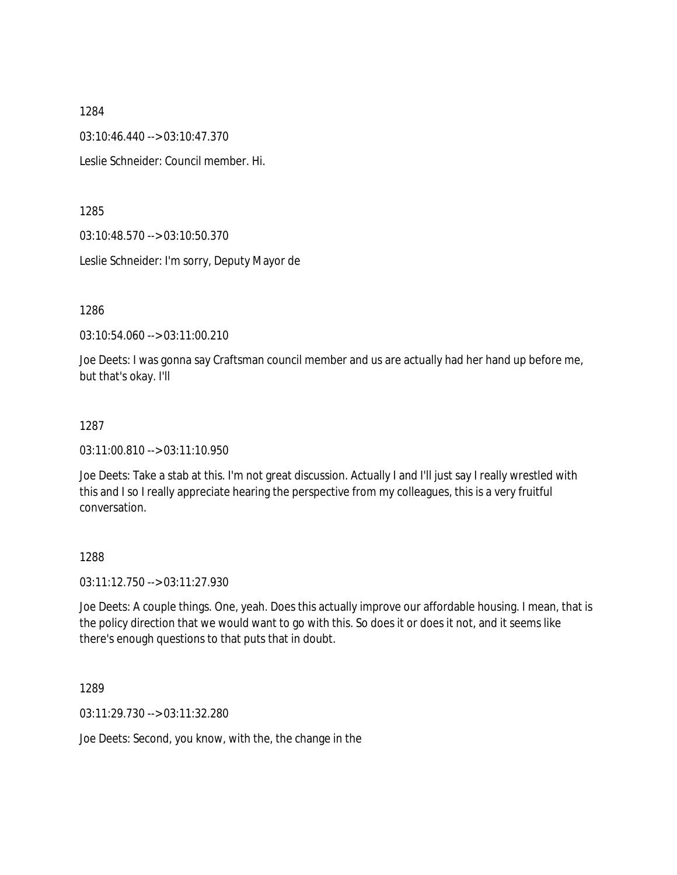03:10:46.440 --> 03:10:47.370

Leslie Schneider: Council member. Hi.

1285

03:10:48.570 --> 03:10:50.370

Leslie Schneider: I'm sorry, Deputy Mayor de

1286

03:10:54.060 --> 03:11:00.210

Joe Deets: I was gonna say Craftsman council member and us are actually had her hand up before me, but that's okay. I'll

#### 1287

03:11:00.810 --> 03:11:10.950

Joe Deets: Take a stab at this. I'm not great discussion. Actually I and I'll just say I really wrestled with this and I so I really appreciate hearing the perspective from my colleagues, this is a very fruitful conversation.

### 1288

03:11:12.750 --> 03:11:27.930

Joe Deets: A couple things. One, yeah. Does this actually improve our affordable housing. I mean, that is the policy direction that we would want to go with this. So does it or does it not, and it seems like there's enough questions to that puts that in doubt.

1289

03:11:29.730 --> 03:11:32.280

Joe Deets: Second, you know, with the, the change in the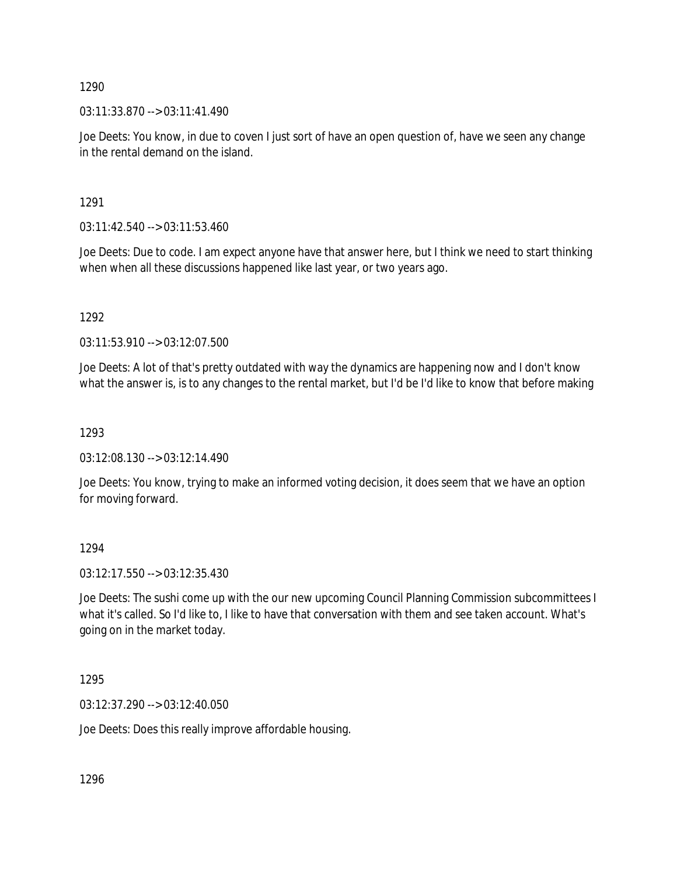03:11:33.870 --> 03:11:41.490

Joe Deets: You know, in due to coven I just sort of have an open question of, have we seen any change in the rental demand on the island.

1291

03:11:42.540 --> 03:11:53.460

Joe Deets: Due to code. I am expect anyone have that answer here, but I think we need to start thinking when when all these discussions happened like last year, or two years ago.

1292

03:11:53.910 --> 03:12:07.500

Joe Deets: A lot of that's pretty outdated with way the dynamics are happening now and I don't know what the answer is, is to any changes to the rental market, but I'd be I'd like to know that before making

1293

03:12:08.130 --> 03:12:14.490

Joe Deets: You know, trying to make an informed voting decision, it does seem that we have an option for moving forward.

1294

03:12:17.550 --> 03:12:35.430

Joe Deets: The sushi come up with the our new upcoming Council Planning Commission subcommittees I what it's called. So I'd like to, I like to have that conversation with them and see taken account. What's going on in the market today.

1295

03:12:37.290 --> 03:12:40.050

Joe Deets: Does this really improve affordable housing.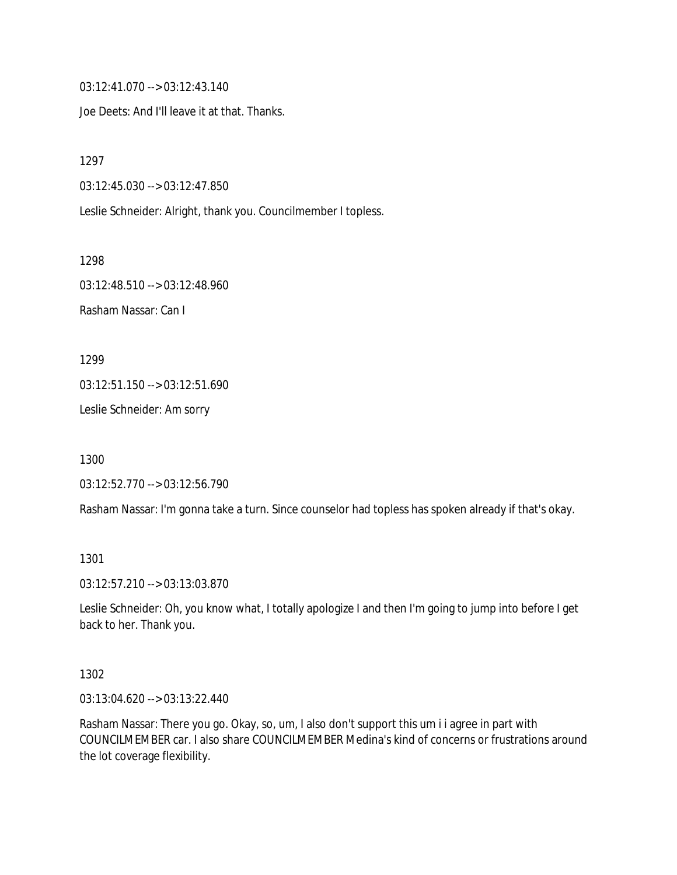03:12:41.070 --> 03:12:43.140

Joe Deets: And I'll leave it at that. Thanks.

1297

03:12:45.030 --> 03:12:47.850

Leslie Schneider: Alright, thank you. Councilmember I topless.

1298 03:12:48.510 --> 03:12:48.960 Rasham Nassar: Can I

1299

03:12:51.150 --> 03:12:51.690

Leslie Schneider: Am sorry

1300

03:12:52.770 --> 03:12:56.790

Rasham Nassar: I'm gonna take a turn. Since counselor had topless has spoken already if that's okay.

1301

03:12:57.210 --> 03:13:03.870

Leslie Schneider: Oh, you know what, I totally apologize I and then I'm going to jump into before I get back to her. Thank you.

1302

03:13:04.620 --> 03:13:22.440

Rasham Nassar: There you go. Okay, so, um, I also don't support this um i i agree in part with COUNCILMEMBER car. I also share COUNCILMEMBER Medina's kind of concerns or frustrations around the lot coverage flexibility.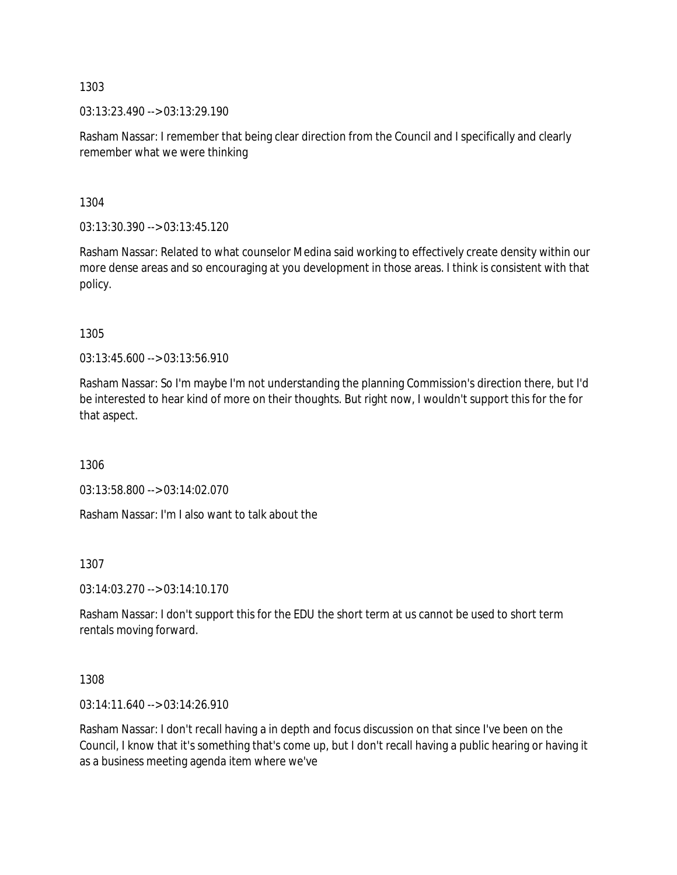03:13:23.490 --> 03:13:29.190

Rasham Nassar: I remember that being clear direction from the Council and I specifically and clearly remember what we were thinking

1304

03:13:30.390 --> 03:13:45.120

Rasham Nassar: Related to what counselor Medina said working to effectively create density within our more dense areas and so encouraging at you development in those areas. I think is consistent with that policy.

1305

03:13:45.600 --> 03:13:56.910

Rasham Nassar: So I'm maybe I'm not understanding the planning Commission's direction there, but I'd be interested to hear kind of more on their thoughts. But right now, I wouldn't support this for the for that aspect.

1306

03:13:58.800 --> 03:14:02.070

Rasham Nassar: I'm I also want to talk about the

1307

03:14:03.270 --> 03:14:10.170

Rasham Nassar: I don't support this for the EDU the short term at us cannot be used to short term rentals moving forward.

1308

03:14:11.640 --> 03:14:26.910

Rasham Nassar: I don't recall having a in depth and focus discussion on that since I've been on the Council, I know that it's something that's come up, but I don't recall having a public hearing or having it as a business meeting agenda item where we've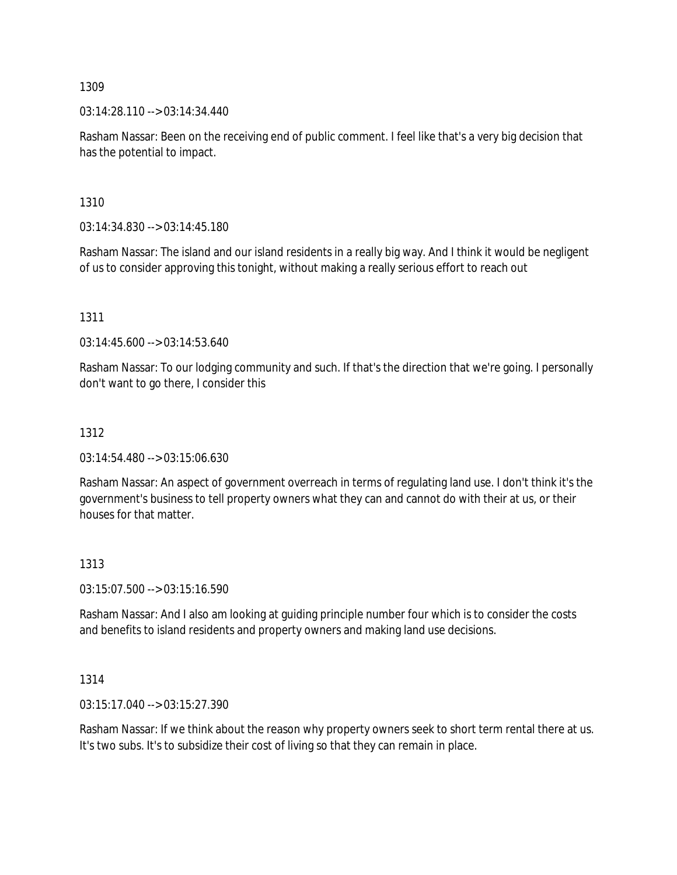03:14:28.110 --> 03:14:34.440

Rasham Nassar: Been on the receiving end of public comment. I feel like that's a very big decision that has the potential to impact.

1310

03:14:34.830 --> 03:14:45.180

Rasham Nassar: The island and our island residents in a really big way. And I think it would be negligent of us to consider approving this tonight, without making a really serious effort to reach out

1311

03:14:45.600 --> 03:14:53.640

Rasham Nassar: To our lodging community and such. If that's the direction that we're going. I personally don't want to go there, I consider this

# 1312

03:14:54.480 --> 03:15:06.630

Rasham Nassar: An aspect of government overreach in terms of regulating land use. I don't think it's the government's business to tell property owners what they can and cannot do with their at us, or their houses for that matter.

### 1313

03:15:07.500 --> 03:15:16.590

Rasham Nassar: And I also am looking at guiding principle number four which is to consider the costs and benefits to island residents and property owners and making land use decisions.

### 1314

03:15:17.040 --> 03:15:27.390

Rasham Nassar: If we think about the reason why property owners seek to short term rental there at us. It's two subs. It's to subsidize their cost of living so that they can remain in place.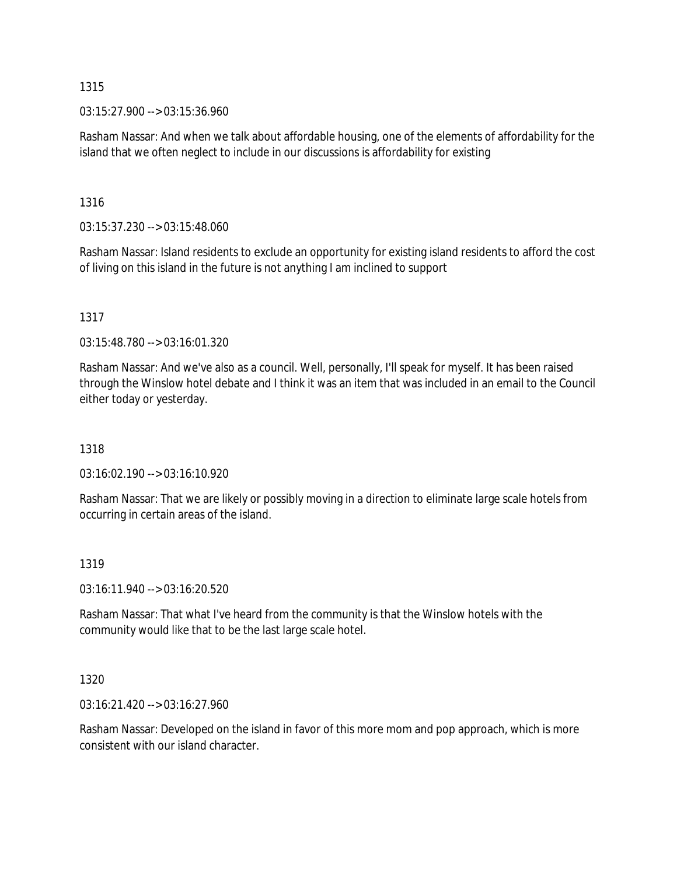03:15:27.900 --> 03:15:36.960

Rasham Nassar: And when we talk about affordable housing, one of the elements of affordability for the island that we often neglect to include in our discussions is affordability for existing

1316

03:15:37.230 --> 03:15:48.060

Rasham Nassar: Island residents to exclude an opportunity for existing island residents to afford the cost of living on this island in the future is not anything I am inclined to support

1317

03:15:48.780 --> 03:16:01.320

Rasham Nassar: And we've also as a council. Well, personally, I'll speak for myself. It has been raised through the Winslow hotel debate and I think it was an item that was included in an email to the Council either today or yesterday.

1318

03:16:02.190 --> 03:16:10.920

Rasham Nassar: That we are likely or possibly moving in a direction to eliminate large scale hotels from occurring in certain areas of the island.

### 1319

03:16:11.940 --> 03:16:20.520

Rasham Nassar: That what I've heard from the community is that the Winslow hotels with the community would like that to be the last large scale hotel.

1320

03:16:21.420 --> 03:16:27.960

Rasham Nassar: Developed on the island in favor of this more mom and pop approach, which is more consistent with our island character.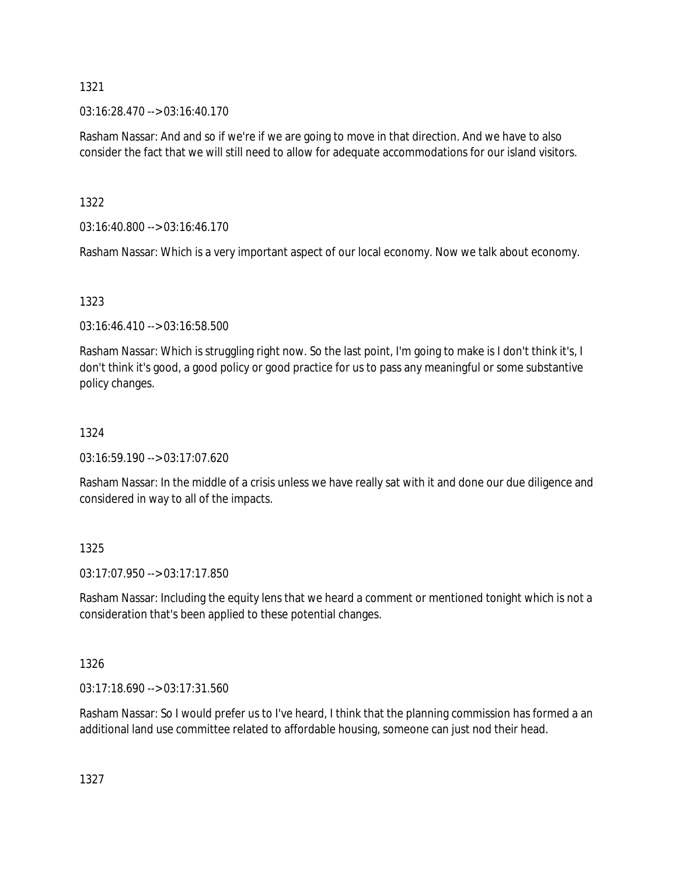03:16:28.470 --> 03:16:40.170

Rasham Nassar: And and so if we're if we are going to move in that direction. And we have to also consider the fact that we will still need to allow for adequate accommodations for our island visitors.

1322

03:16:40.800 --> 03:16:46.170

Rasham Nassar: Which is a very important aspect of our local economy. Now we talk about economy.

# 1323

03:16:46.410 --> 03:16:58.500

Rasham Nassar: Which is struggling right now. So the last point, I'm going to make is I don't think it's, I don't think it's good, a good policy or good practice for us to pass any meaningful or some substantive policy changes.

# 1324

03:16:59.190 --> 03:17:07.620

Rasham Nassar: In the middle of a crisis unless we have really sat with it and done our due diligence and considered in way to all of the impacts.

### 1325

03:17:07.950 --> 03:17:17.850

Rasham Nassar: Including the equity lens that we heard a comment or mentioned tonight which is not a consideration that's been applied to these potential changes.

# 1326

03:17:18.690 --> 03:17:31.560

Rasham Nassar: So I would prefer us to I've heard, I think that the planning commission has formed a an additional land use committee related to affordable housing, someone can just nod their head.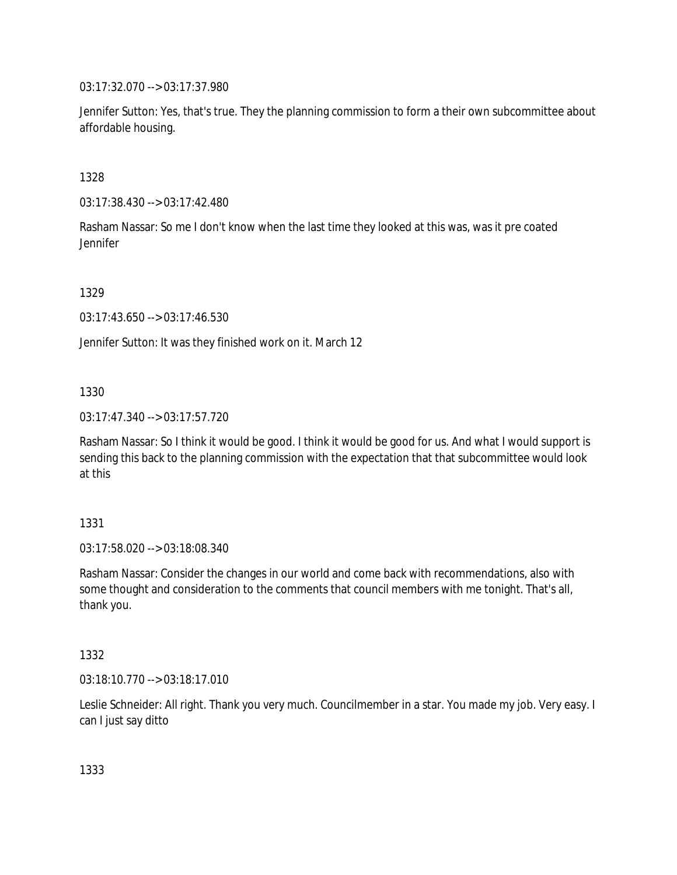03:17:32.070 --> 03:17:37.980

Jennifer Sutton: Yes, that's true. They the planning commission to form a their own subcommittee about affordable housing.

1328

03:17:38.430 --> 03:17:42.480

Rasham Nassar: So me I don't know when the last time they looked at this was, was it pre coated Jennifer

1329

03:17:43.650 --> 03:17:46.530

Jennifer Sutton: It was they finished work on it. March 12

1330

03:17:47.340 --> 03:17:57.720

Rasham Nassar: So I think it would be good. I think it would be good for us. And what I would support is sending this back to the planning commission with the expectation that that subcommittee would look at this

1331

03:17:58.020 --> 03:18:08.340

Rasham Nassar: Consider the changes in our world and come back with recommendations, also with some thought and consideration to the comments that council members with me tonight. That's all, thank you.

1332

03:18:10.770 --> 03:18:17.010

Leslie Schneider: All right. Thank you very much. Councilmember in a star. You made my job. Very easy. I can I just say ditto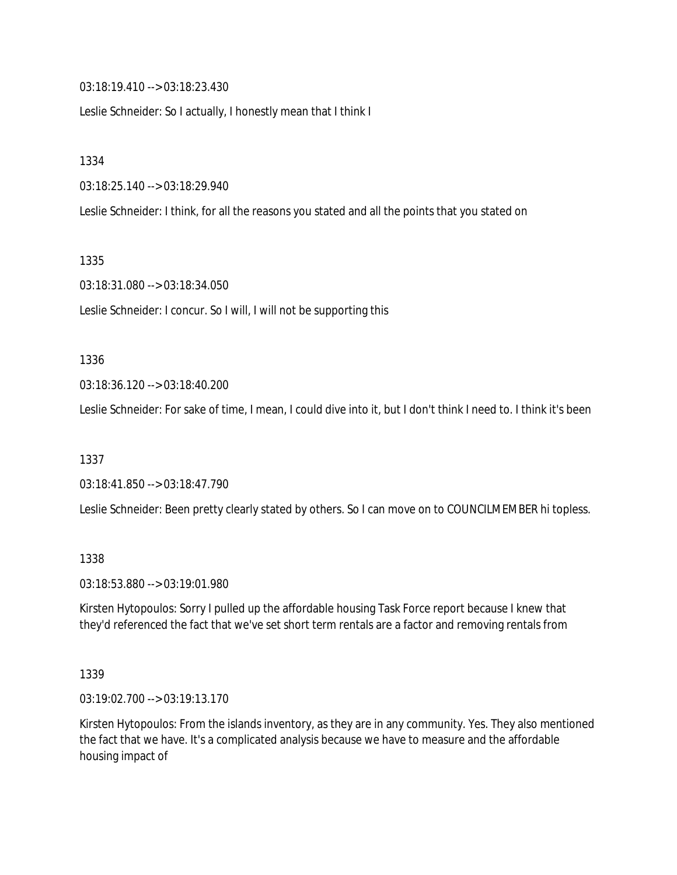03:18:19.410 --> 03:18:23.430

Leslie Schneider: So I actually, I honestly mean that I think I

1334

03:18:25.140 --> 03:18:29.940

Leslie Schneider: I think, for all the reasons you stated and all the points that you stated on

1335

03:18:31.080 --> 03:18:34.050

Leslie Schneider: I concur. So I will, I will not be supporting this

#### 1336

03:18:36.120 --> 03:18:40.200

Leslie Schneider: For sake of time, I mean, I could dive into it, but I don't think I need to. I think it's been

1337

03:18:41.850 --> 03:18:47.790

Leslie Schneider: Been pretty clearly stated by others. So I can move on to COUNCILMEMBER hi topless.

#### 1338

03:18:53.880 --> 03:19:01.980

Kirsten Hytopoulos: Sorry I pulled up the affordable housing Task Force report because I knew that they'd referenced the fact that we've set short term rentals are a factor and removing rentals from

#### 1339

03:19:02.700 --> 03:19:13.170

Kirsten Hytopoulos: From the islands inventory, as they are in any community. Yes. They also mentioned the fact that we have. It's a complicated analysis because we have to measure and the affordable housing impact of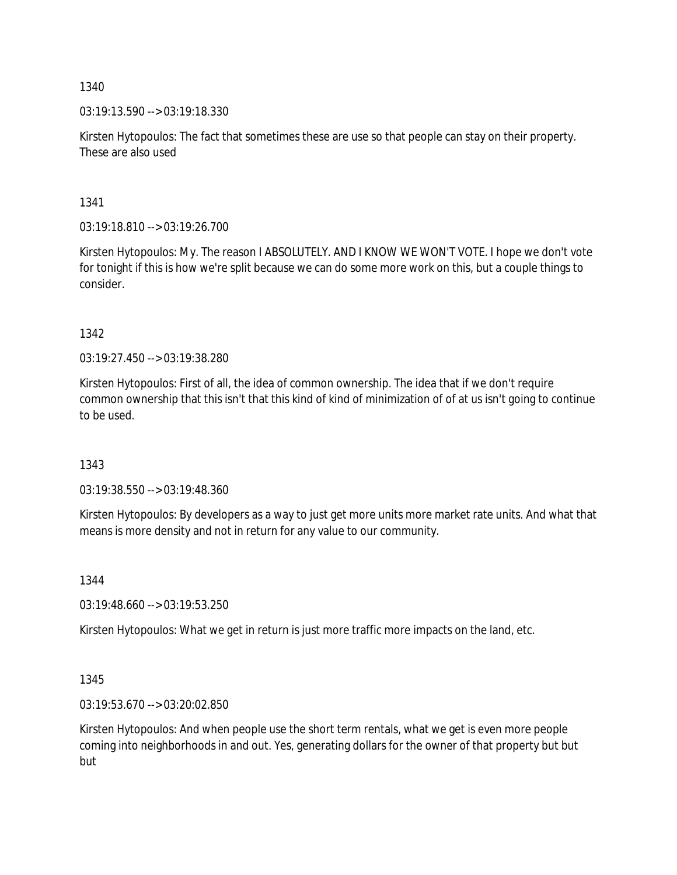03:19:13.590 --> 03:19:18.330

Kirsten Hytopoulos: The fact that sometimes these are use so that people can stay on their property. These are also used

1341

03:19:18.810 --> 03:19:26.700

Kirsten Hytopoulos: My. The reason I ABSOLUTELY. AND I KNOW WE WON'T VOTE. I hope we don't vote for tonight if this is how we're split because we can do some more work on this, but a couple things to consider.

1342

03:19:27.450 --> 03:19:38.280

Kirsten Hytopoulos: First of all, the idea of common ownership. The idea that if we don't require common ownership that this isn't that this kind of kind of minimization of of at us isn't going to continue to be used.

1343

03:19:38.550 --> 03:19:48.360

Kirsten Hytopoulos: By developers as a way to just get more units more market rate units. And what that means is more density and not in return for any value to our community.

1344

03:19:48.660 --> 03:19:53.250

Kirsten Hytopoulos: What we get in return is just more traffic more impacts on the land, etc.

1345

03:19:53.670 --> 03:20:02.850

Kirsten Hytopoulos: And when people use the short term rentals, what we get is even more people coming into neighborhoods in and out. Yes, generating dollars for the owner of that property but but but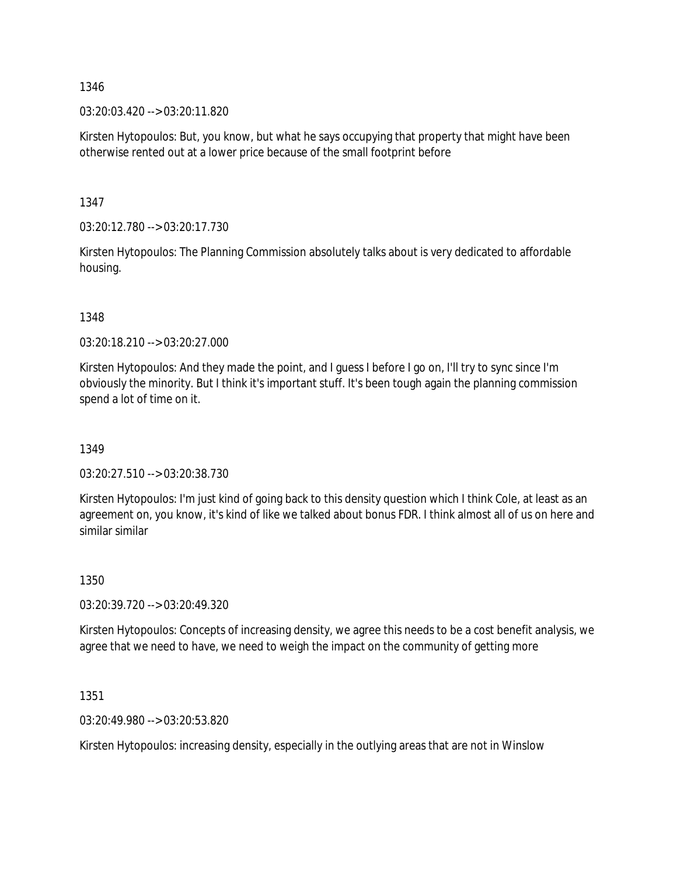03:20:03.420 --> 03:20:11.820

Kirsten Hytopoulos: But, you know, but what he says occupying that property that might have been otherwise rented out at a lower price because of the small footprint before

1347

03:20:12.780 --> 03:20:17.730

Kirsten Hytopoulos: The Planning Commission absolutely talks about is very dedicated to affordable housing.

1348

03:20:18.210 --> 03:20:27.000

Kirsten Hytopoulos: And they made the point, and I guess I before I go on, I'll try to sync since I'm obviously the minority. But I think it's important stuff. It's been tough again the planning commission spend a lot of time on it.

1349

03:20:27.510 --> 03:20:38.730

Kirsten Hytopoulos: I'm just kind of going back to this density question which I think Cole, at least as an agreement on, you know, it's kind of like we talked about bonus FDR. I think almost all of us on here and similar similar

1350

03:20:39.720 --> 03:20:49.320

Kirsten Hytopoulos: Concepts of increasing density, we agree this needs to be a cost benefit analysis, we agree that we need to have, we need to weigh the impact on the community of getting more

1351

03:20:49.980 --> 03:20:53.820

Kirsten Hytopoulos: increasing density, especially in the outlying areas that are not in Winslow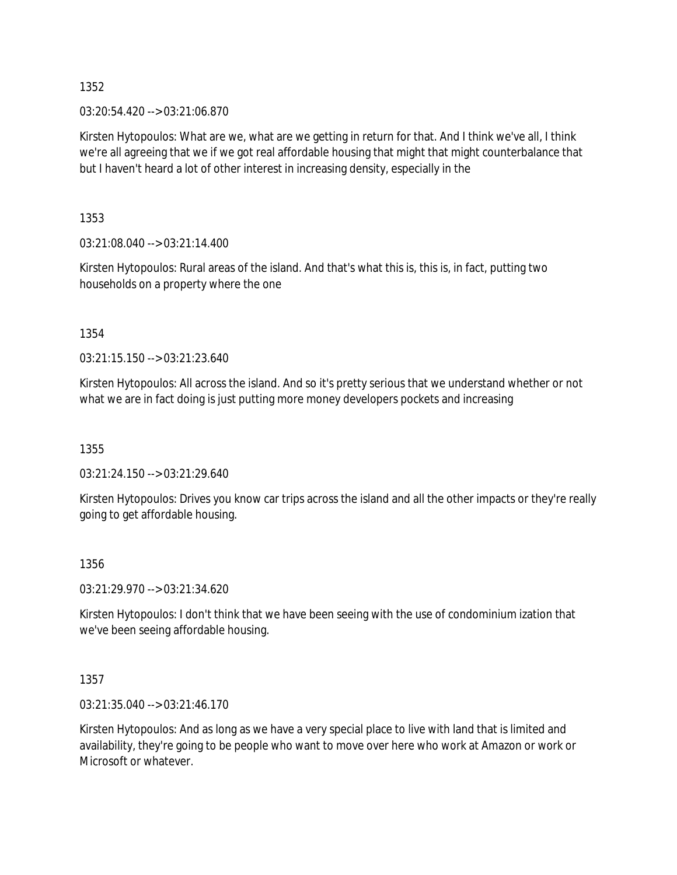03:20:54.420 --> 03:21:06.870

Kirsten Hytopoulos: What are we, what are we getting in return for that. And I think we've all, I think we're all agreeing that we if we got real affordable housing that might that might counterbalance that but I haven't heard a lot of other interest in increasing density, especially in the

1353

03:21:08.040 --> 03:21:14.400

Kirsten Hytopoulos: Rural areas of the island. And that's what this is, this is, in fact, putting two households on a property where the one

1354

03:21:15.150 --> 03:21:23.640

Kirsten Hytopoulos: All across the island. And so it's pretty serious that we understand whether or not what we are in fact doing is just putting more money developers pockets and increasing

1355

03:21:24.150 --> 03:21:29.640

Kirsten Hytopoulos: Drives you know car trips across the island and all the other impacts or they're really going to get affordable housing.

### 1356

03:21:29.970 --> 03:21:34.620

Kirsten Hytopoulos: I don't think that we have been seeing with the use of condominium ization that we've been seeing affordable housing.

1357

03:21:35.040 --> 03:21:46.170

Kirsten Hytopoulos: And as long as we have a very special place to live with land that is limited and availability, they're going to be people who want to move over here who work at Amazon or work or Microsoft or whatever.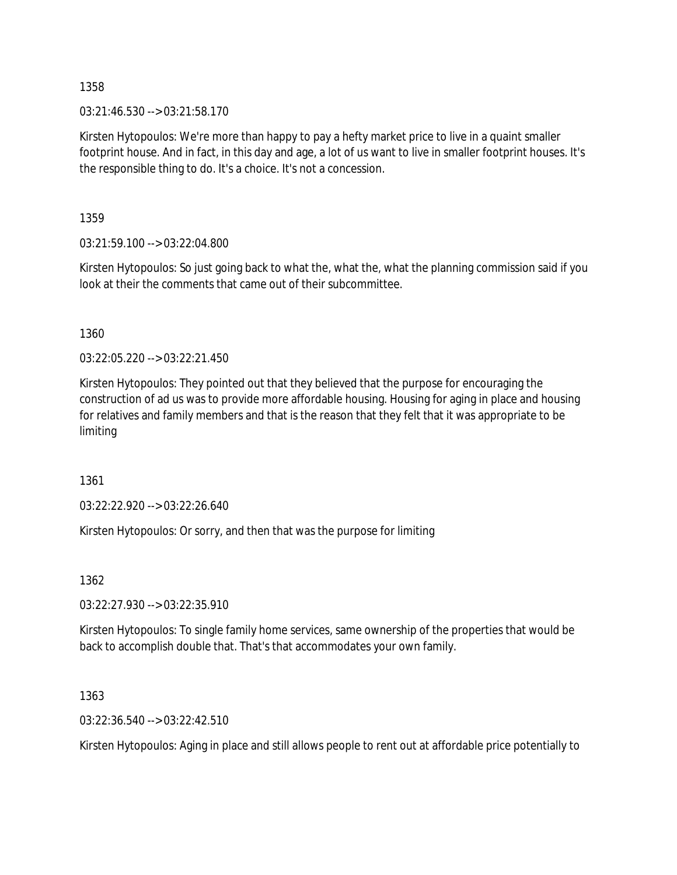03:21:46.530 --> 03:21:58.170

Kirsten Hytopoulos: We're more than happy to pay a hefty market price to live in a quaint smaller footprint house. And in fact, in this day and age, a lot of us want to live in smaller footprint houses. It's the responsible thing to do. It's a choice. It's not a concession.

1359

03:21:59.100 --> 03:22:04.800

Kirsten Hytopoulos: So just going back to what the, what the, what the planning commission said if you look at their the comments that came out of their subcommittee.

1360

03:22:05.220 --> 03:22:21.450

Kirsten Hytopoulos: They pointed out that they believed that the purpose for encouraging the construction of ad us was to provide more affordable housing. Housing for aging in place and housing for relatives and family members and that is the reason that they felt that it was appropriate to be limiting

1361

03:22:22.920 --> 03:22:26.640

Kirsten Hytopoulos: Or sorry, and then that was the purpose for limiting

1362

03:22:27.930 --> 03:22:35.910

Kirsten Hytopoulos: To single family home services, same ownership of the properties that would be back to accomplish double that. That's that accommodates your own family.

1363

03:22:36.540 --> 03:22:42.510

Kirsten Hytopoulos: Aging in place and still allows people to rent out at affordable price potentially to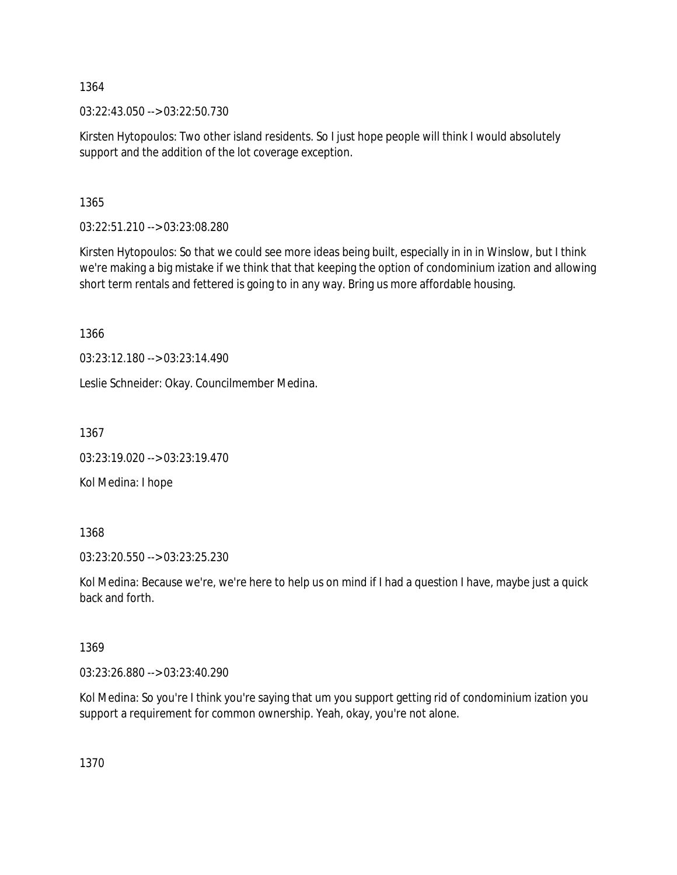03:22:43.050 --> 03:22:50.730

Kirsten Hytopoulos: Two other island residents. So I just hope people will think I would absolutely support and the addition of the lot coverage exception.

1365

03:22:51.210 --> 03:23:08.280

Kirsten Hytopoulos: So that we could see more ideas being built, especially in in in Winslow, but I think we're making a big mistake if we think that that keeping the option of condominium ization and allowing short term rentals and fettered is going to in any way. Bring us more affordable housing.

1366

03:23:12.180 --> 03:23:14.490

Leslie Schneider: Okay. Councilmember Medina.

1367

03:23:19.020 --> 03:23:19.470

Kol Medina: I hope

1368

03:23:20.550 --> 03:23:25.230

Kol Medina: Because we're, we're here to help us on mind if I had a question I have, maybe just a quick back and forth.

1369

03:23:26.880 --> 03:23:40.290

Kol Medina: So you're I think you're saying that um you support getting rid of condominium ization you support a requirement for common ownership. Yeah, okay, you're not alone.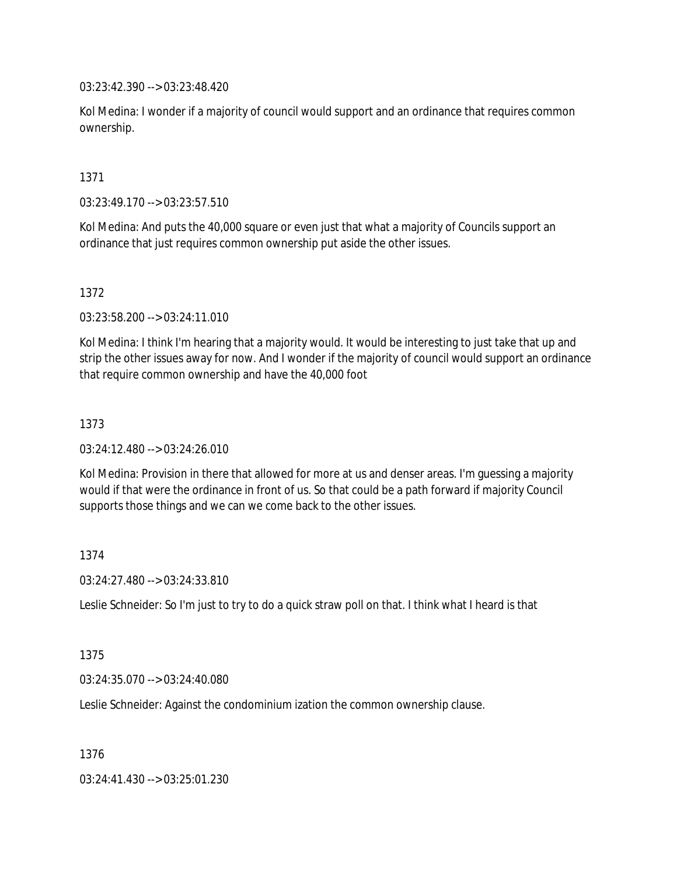03:23:42.390 --> 03:23:48.420

Kol Medina: I wonder if a majority of council would support and an ordinance that requires common ownership.

1371

03:23:49.170 --> 03:23:57.510

Kol Medina: And puts the 40,000 square or even just that what a majority of Councils support an ordinance that just requires common ownership put aside the other issues.

1372

03:23:58.200 --> 03:24:11.010

Kol Medina: I think I'm hearing that a majority would. It would be interesting to just take that up and strip the other issues away for now. And I wonder if the majority of council would support an ordinance that require common ownership and have the 40,000 foot

1373

03:24:12.480 --> 03:24:26.010

Kol Medina: Provision in there that allowed for more at us and denser areas. I'm guessing a majority would if that were the ordinance in front of us. So that could be a path forward if majority Council supports those things and we can we come back to the other issues.

1374

03:24:27.480 --> 03:24:33.810

Leslie Schneider: So I'm just to try to do a quick straw poll on that. I think what I heard is that

1375

03:24:35.070 --> 03:24:40.080

Leslie Schneider: Against the condominium ization the common ownership clause.

1376

03:24:41.430 --> 03:25:01.230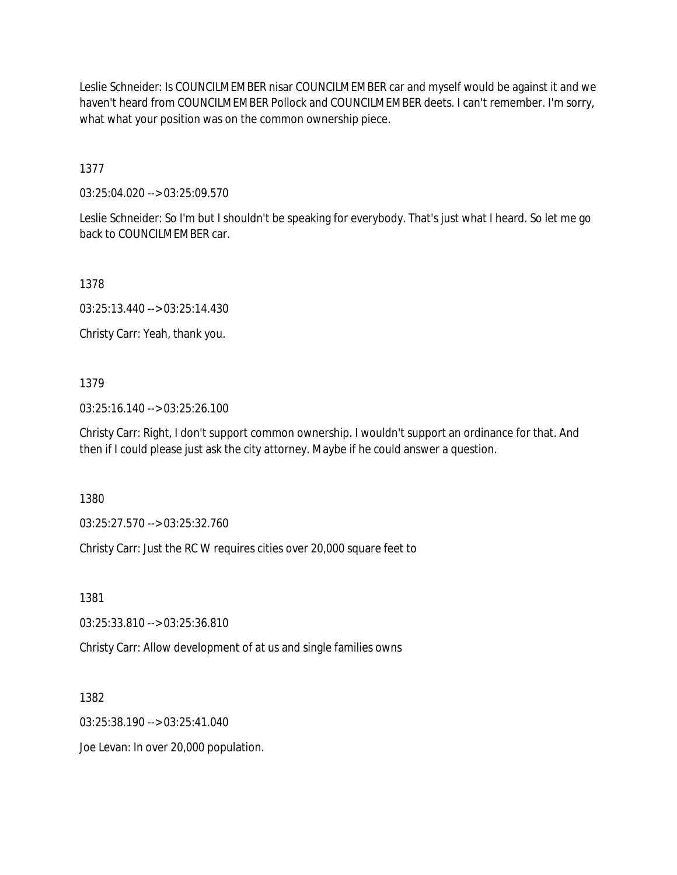Leslie Schneider: Is COUNCILMEMBER nisar COUNCILMEMBER car and myself would be against it and we haven't heard from COUNCILMEMBER Pollock and COUNCILMEMBER deets. I can't remember. I'm sorry, what what your position was on the common ownership piece.

1377

03:25:04.020 --> 03:25:09.570

Leslie Schneider: So I'm but I shouldn't be speaking for everybody. That's just what I heard. So let me go back to COUNCILMEMBER car.

1378

03:25:13.440 --> 03:25:14.430

Christy Carr: Yeah, thank you.

## 1379

03:25:16.140 --> 03:25:26.100

Christy Carr: Right, I don't support common ownership. I wouldn't support an ordinance for that. And then if I could please just ask the city attorney. Maybe if he could answer a question.

1380

03:25:27.570 --> 03:25:32.760

Christy Carr: Just the RC W requires cities over 20,000 square feet to

1381

03:25:33.810 --> 03:25:36.810

Christy Carr: Allow development of at us and single families owns

1382

03:25:38.190 --> 03:25:41.040

Joe Levan: In over 20,000 population.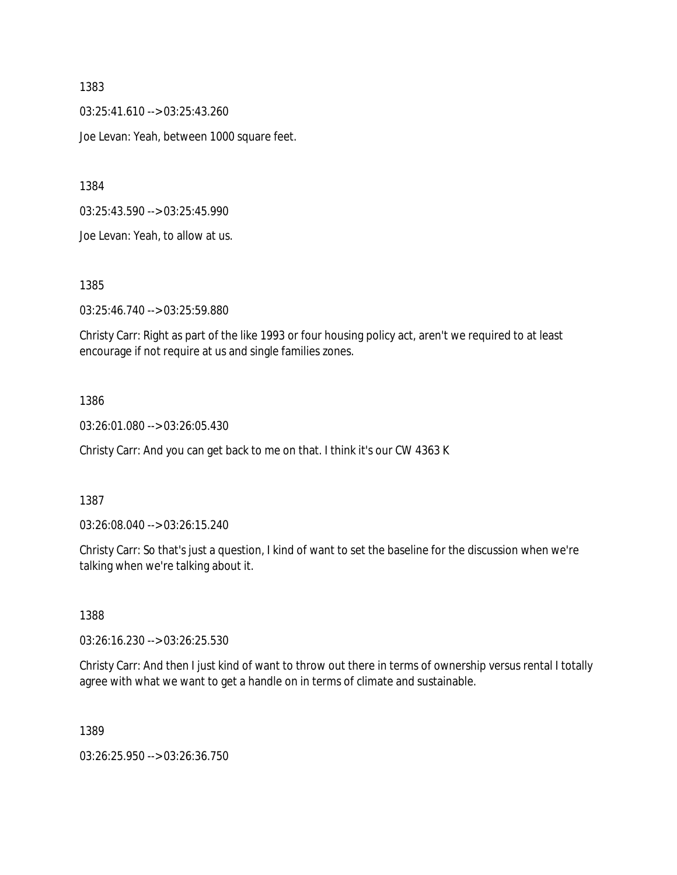03:25:41.610 --> 03:25:43.260 Joe Levan: Yeah, between 1000 square feet.

1384

03:25:43.590 --> 03:25:45.990

Joe Levan: Yeah, to allow at us.

1385

03:25:46.740 --> 03:25:59.880

Christy Carr: Right as part of the like 1993 or four housing policy act, aren't we required to at least encourage if not require at us and single families zones.

## 1386

03:26:01.080 --> 03:26:05.430

Christy Carr: And you can get back to me on that. I think it's our CW 4363 K

## 1387

03:26:08.040 --> 03:26:15.240

Christy Carr: So that's just a question, I kind of want to set the baseline for the discussion when we're talking when we're talking about it.

1388

03:26:16.230 --> 03:26:25.530

Christy Carr: And then I just kind of want to throw out there in terms of ownership versus rental I totally agree with what we want to get a handle on in terms of climate and sustainable.

1389

03:26:25.950 --> 03:26:36.750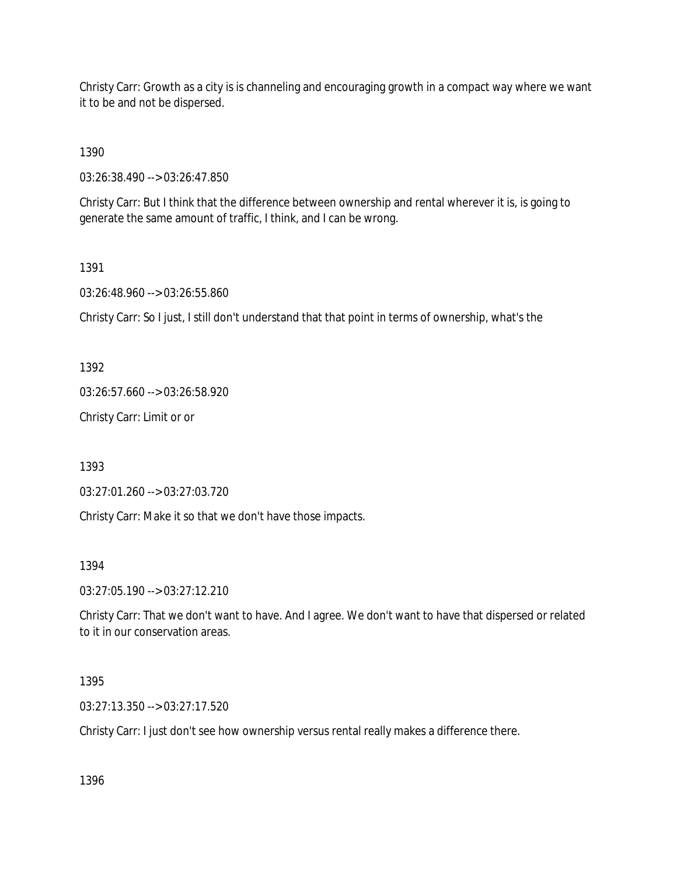Christy Carr: Growth as a city is is channeling and encouraging growth in a compact way where we want it to be and not be dispersed.

1390

03:26:38.490 --> 03:26:47.850

Christy Carr: But I think that the difference between ownership and rental wherever it is, is going to generate the same amount of traffic, I think, and I can be wrong.

1391

03:26:48.960 --> 03:26:55.860

Christy Carr: So I just, I still don't understand that that point in terms of ownership, what's the

1392

03:26:57.660 --> 03:26:58.920

Christy Carr: Limit or or

1393

03:27:01.260 --> 03:27:03.720

Christy Carr: Make it so that we don't have those impacts.

1394

03:27:05.190 --> 03:27:12.210

Christy Carr: That we don't want to have. And I agree. We don't want to have that dispersed or related to it in our conservation areas.

1395

03:27:13.350 --> 03:27:17.520

Christy Carr: I just don't see how ownership versus rental really makes a difference there.

1396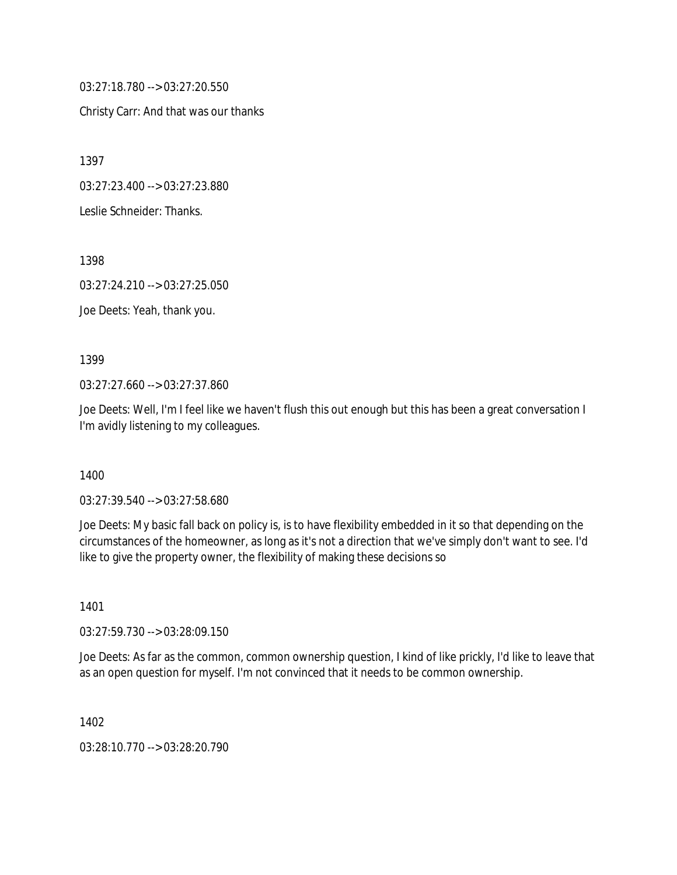03:27:18.780 --> 03:27:20.550

Christy Carr: And that was our thanks

1397

03:27:23.400 --> 03:27:23.880

Leslie Schneider: Thanks.

1398

03:27:24.210 --> 03:27:25.050

Joe Deets: Yeah, thank you.

1399

03:27:27.660 --> 03:27:37.860

Joe Deets: Well, I'm I feel like we haven't flush this out enough but this has been a great conversation I I'm avidly listening to my colleagues.

1400

03:27:39.540 --> 03:27:58.680

Joe Deets: My basic fall back on policy is, is to have flexibility embedded in it so that depending on the circumstances of the homeowner, as long as it's not a direction that we've simply don't want to see. I'd like to give the property owner, the flexibility of making these decisions so

1401

03:27:59.730 --> 03:28:09.150

Joe Deets: As far as the common, common ownership question, I kind of like prickly, I'd like to leave that as an open question for myself. I'm not convinced that it needs to be common ownership.

1402

03:28:10.770 --> 03:28:20.790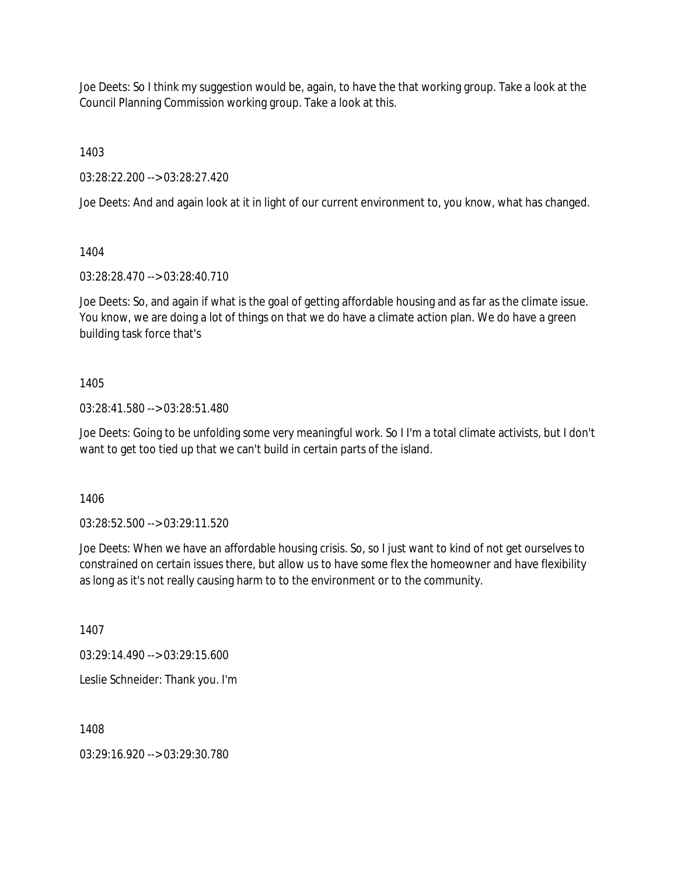Joe Deets: So I think my suggestion would be, again, to have the that working group. Take a look at the Council Planning Commission working group. Take a look at this.

1403

03:28:22.200 --> 03:28:27.420

Joe Deets: And and again look at it in light of our current environment to, you know, what has changed.

1404

03:28:28.470 --> 03:28:40.710

Joe Deets: So, and again if what is the goal of getting affordable housing and as far as the climate issue. You know, we are doing a lot of things on that we do have a climate action plan. We do have a green building task force that's

# 1405

03:28:41.580 --> 03:28:51.480

Joe Deets: Going to be unfolding some very meaningful work. So I I'm a total climate activists, but I don't want to get too tied up that we can't build in certain parts of the island.

1406

03:28:52.500 --> 03:29:11.520

Joe Deets: When we have an affordable housing crisis. So, so I just want to kind of not get ourselves to constrained on certain issues there, but allow us to have some flex the homeowner and have flexibility as long as it's not really causing harm to to the environment or to the community.

1407

03:29:14.490 --> 03:29:15.600

Leslie Schneider: Thank you. I'm

1408

03:29:16.920 --> 03:29:30.780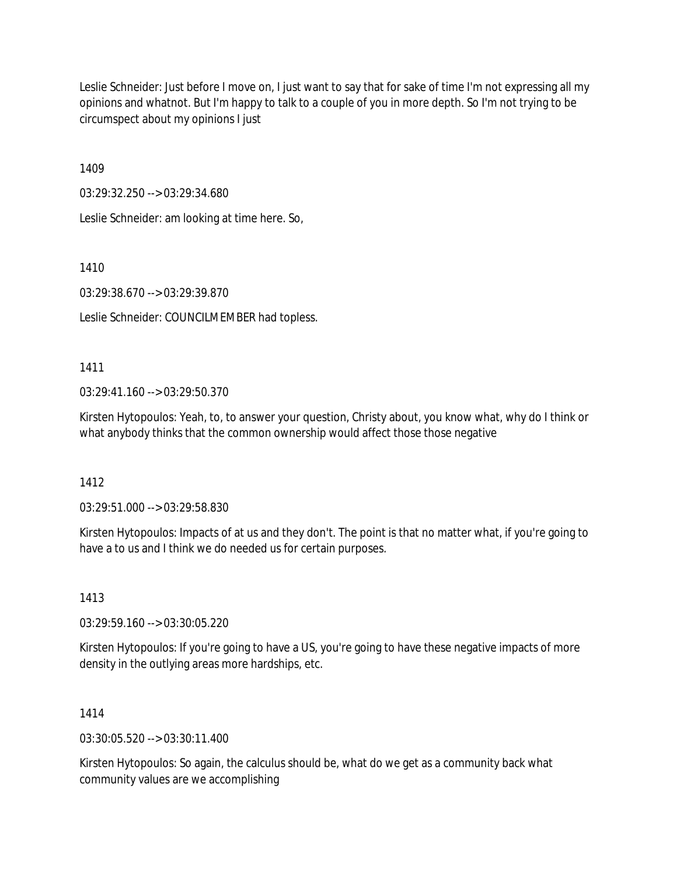Leslie Schneider: Just before I move on, I just want to say that for sake of time I'm not expressing all my opinions and whatnot. But I'm happy to talk to a couple of you in more depth. So I'm not trying to be circumspect about my opinions I just

1409

03:29:32.250 --> 03:29:34.680

Leslie Schneider: am looking at time here. So,

1410

03:29:38.670 --> 03:29:39.870

Leslie Schneider: COUNCILMEMBER had topless.

1411

03:29:41.160 --> 03:29:50.370

Kirsten Hytopoulos: Yeah, to, to answer your question, Christy about, you know what, why do I think or what anybody thinks that the common ownership would affect those those negative

1412

03:29:51.000 --> 03:29:58.830

Kirsten Hytopoulos: Impacts of at us and they don't. The point is that no matter what, if you're going to have a to us and I think we do needed us for certain purposes.

1413

03:29:59.160 --> 03:30:05.220

Kirsten Hytopoulos: If you're going to have a US, you're going to have these negative impacts of more density in the outlying areas more hardships, etc.

1414

 $03:30:05.520 \rightarrow 03:30:11.400$ 

Kirsten Hytopoulos: So again, the calculus should be, what do we get as a community back what community values are we accomplishing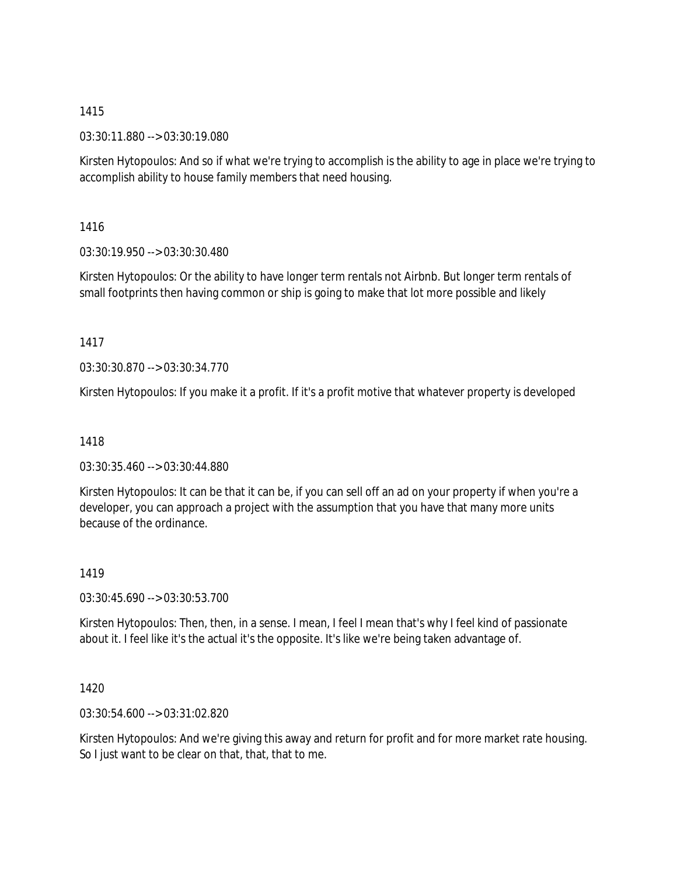03:30:11.880 --> 03:30:19.080

Kirsten Hytopoulos: And so if what we're trying to accomplish is the ability to age in place we're trying to accomplish ability to house family members that need housing.

1416

03:30:19.950 --> 03:30:30.480

Kirsten Hytopoulos: Or the ability to have longer term rentals not Airbnb. But longer term rentals of small footprints then having common or ship is going to make that lot more possible and likely

1417

03:30:30.870 --> 03:30:34.770

Kirsten Hytopoulos: If you make it a profit. If it's a profit motive that whatever property is developed

1418

03:30:35.460 --> 03:30:44.880

Kirsten Hytopoulos: It can be that it can be, if you can sell off an ad on your property if when you're a developer, you can approach a project with the assumption that you have that many more units because of the ordinance.

1419

03:30:45.690 --> 03:30:53.700

Kirsten Hytopoulos: Then, then, in a sense. I mean, I feel I mean that's why I feel kind of passionate about it. I feel like it's the actual it's the opposite. It's like we're being taken advantage of.

1420

03:30:54.600 --> 03:31:02.820

Kirsten Hytopoulos: And we're giving this away and return for profit and for more market rate housing. So I just want to be clear on that, that, that to me.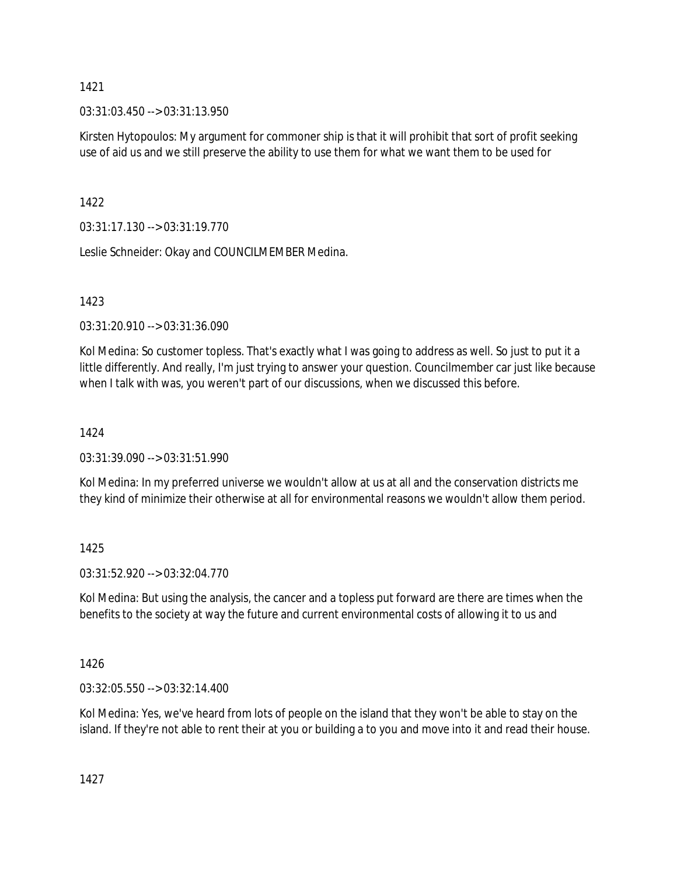03:31:03.450 --> 03:31:13.950

Kirsten Hytopoulos: My argument for commoner ship is that it will prohibit that sort of profit seeking use of aid us and we still preserve the ability to use them for what we want them to be used for

1422

03:31:17.130 --> 03:31:19.770

Leslie Schneider: Okay and COUNCILMEMBER Medina.

1423

03:31:20.910 --> 03:31:36.090

Kol Medina: So customer topless. That's exactly what I was going to address as well. So just to put it a little differently. And really, I'm just trying to answer your question. Councilmember car just like because when I talk with was, you weren't part of our discussions, when we discussed this before.

# 1424

03:31:39.090 --> 03:31:51.990

Kol Medina: In my preferred universe we wouldn't allow at us at all and the conservation districts me they kind of minimize their otherwise at all for environmental reasons we wouldn't allow them period.

## 1425

03:31:52.920 --> 03:32:04.770

Kol Medina: But using the analysis, the cancer and a topless put forward are there are times when the benefits to the society at way the future and current environmental costs of allowing it to us and

1426

03:32:05.550 --> 03:32:14.400

Kol Medina: Yes, we've heard from lots of people on the island that they won't be able to stay on the island. If they're not able to rent their at you or building a to you and move into it and read their house.

1427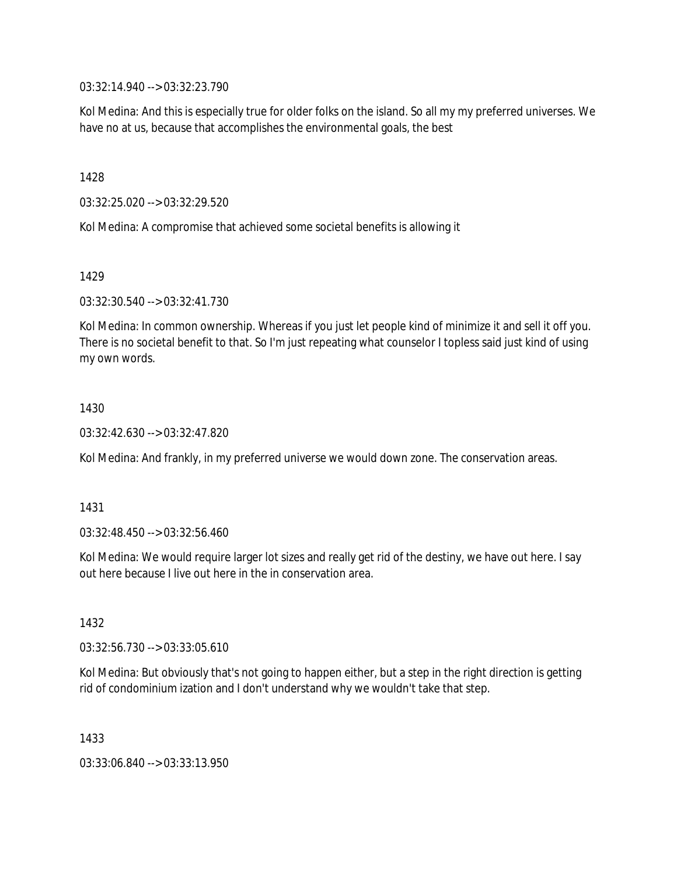03:32:14.940 --> 03:32:23.790

Kol Medina: And this is especially true for older folks on the island. So all my my preferred universes. We have no at us, because that accomplishes the environmental goals, the best

1428

03:32:25.020 --> 03:32:29.520

Kol Medina: A compromise that achieved some societal benefits is allowing it

1429

03:32:30.540 --> 03:32:41.730

Kol Medina: In common ownership. Whereas if you just let people kind of minimize it and sell it off you. There is no societal benefit to that. So I'm just repeating what counselor I topless said just kind of using my own words.

## 1430

03:32:42.630 --> 03:32:47.820

Kol Medina: And frankly, in my preferred universe we would down zone. The conservation areas.

## 1431

03:32:48.450 --> 03:32:56.460

Kol Medina: We would require larger lot sizes and really get rid of the destiny, we have out here. I say out here because I live out here in the in conservation area.

1432

03:32:56.730 --> 03:33:05.610

Kol Medina: But obviously that's not going to happen either, but a step in the right direction is getting rid of condominium ization and I don't understand why we wouldn't take that step.

1433

03:33:06.840 --> 03:33:13.950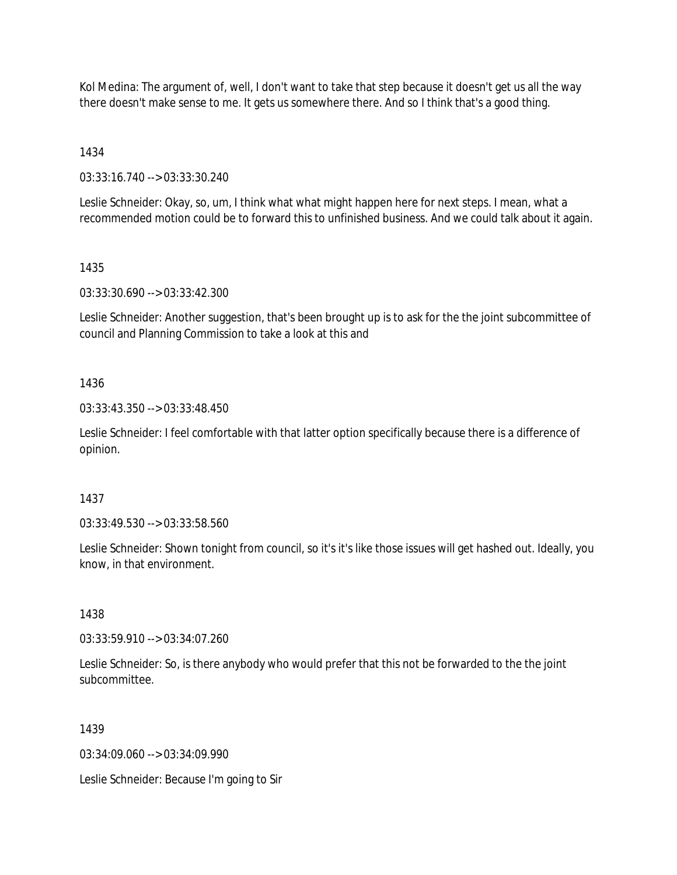Kol Medina: The argument of, well, I don't want to take that step because it doesn't get us all the way there doesn't make sense to me. It gets us somewhere there. And so I think that's a good thing.

1434

03:33:16.740 --> 03:33:30.240

Leslie Schneider: Okay, so, um, I think what what might happen here for next steps. I mean, what a recommended motion could be to forward this to unfinished business. And we could talk about it again.

# 1435

03:33:30.690 --> 03:33:42.300

Leslie Schneider: Another suggestion, that's been brought up is to ask for the the joint subcommittee of council and Planning Commission to take a look at this and

# 1436

03:33:43.350 --> 03:33:48.450

Leslie Schneider: I feel comfortable with that latter option specifically because there is a difference of opinion.

## 1437

03:33:49.530 --> 03:33:58.560

Leslie Schneider: Shown tonight from council, so it's it's like those issues will get hashed out. Ideally, you know, in that environment.

## 1438

03:33:59.910 --> 03:34:07.260

Leslie Schneider: So, is there anybody who would prefer that this not be forwarded to the the joint subcommittee.

## 1439

03:34:09.060 --> 03:34:09.990

Leslie Schneider: Because I'm going to Sir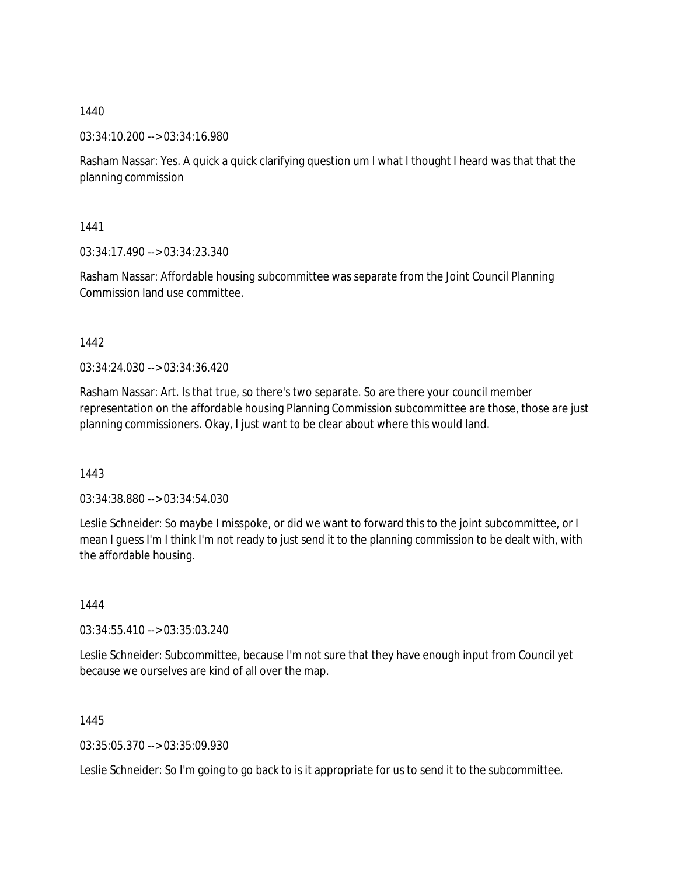03:34:10.200 --> 03:34:16.980

Rasham Nassar: Yes. A quick a quick clarifying question um I what I thought I heard was that that the planning commission

1441

03:34:17.490 --> 03:34:23.340

Rasham Nassar: Affordable housing subcommittee was separate from the Joint Council Planning Commission land use committee.

1442

03:34:24.030 --> 03:34:36.420

Rasham Nassar: Art. Is that true, so there's two separate. So are there your council member representation on the affordable housing Planning Commission subcommittee are those, those are just planning commissioners. Okay, I just want to be clear about where this would land.

1443

03:34:38.880 --> 03:34:54.030

Leslie Schneider: So maybe I misspoke, or did we want to forward this to the joint subcommittee, or I mean I guess I'm I think I'm not ready to just send it to the planning commission to be dealt with, with the affordable housing.

1444

03:34:55.410 --> 03:35:03.240

Leslie Schneider: Subcommittee, because I'm not sure that they have enough input from Council yet because we ourselves are kind of all over the map.

1445

03:35:05.370 --> 03:35:09.930

Leslie Schneider: So I'm going to go back to is it appropriate for us to send it to the subcommittee.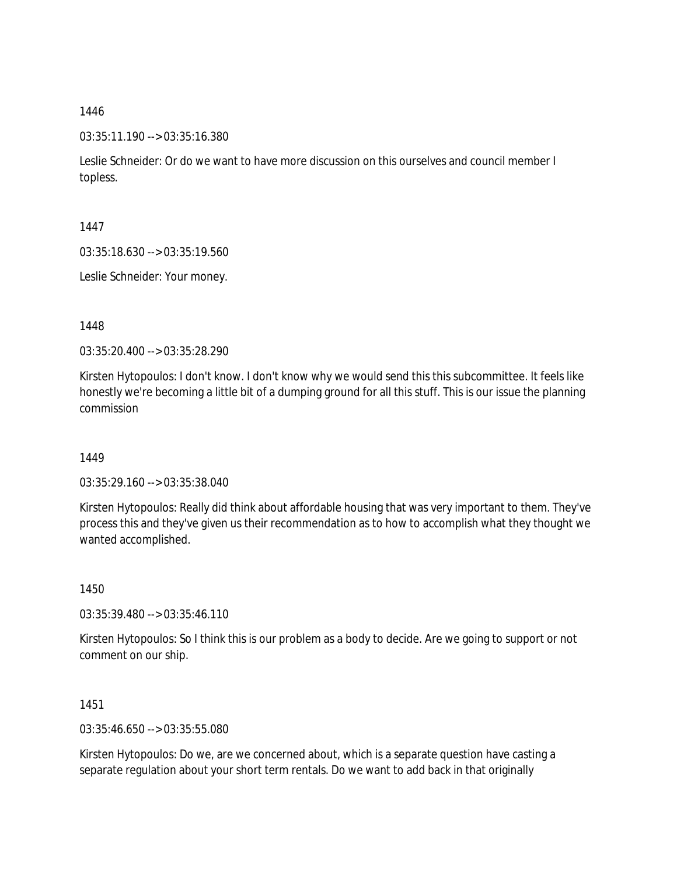03:35:11.190 --> 03:35:16.380

Leslie Schneider: Or do we want to have more discussion on this ourselves and council member I topless.

1447

03:35:18.630 --> 03:35:19.560

Leslie Schneider: Your money.

1448

03:35:20.400 --> 03:35:28.290

Kirsten Hytopoulos: I don't know. I don't know why we would send this this subcommittee. It feels like honestly we're becoming a little bit of a dumping ground for all this stuff. This is our issue the planning commission

1449

03:35:29.160 --> 03:35:38.040

Kirsten Hytopoulos: Really did think about affordable housing that was very important to them. They've process this and they've given us their recommendation as to how to accomplish what they thought we wanted accomplished.

1450

03:35:39.480 --> 03:35:46.110

Kirsten Hytopoulos: So I think this is our problem as a body to decide. Are we going to support or not comment on our ship.

1451

03:35:46.650 --> 03:35:55.080

Kirsten Hytopoulos: Do we, are we concerned about, which is a separate question have casting a separate regulation about your short term rentals. Do we want to add back in that originally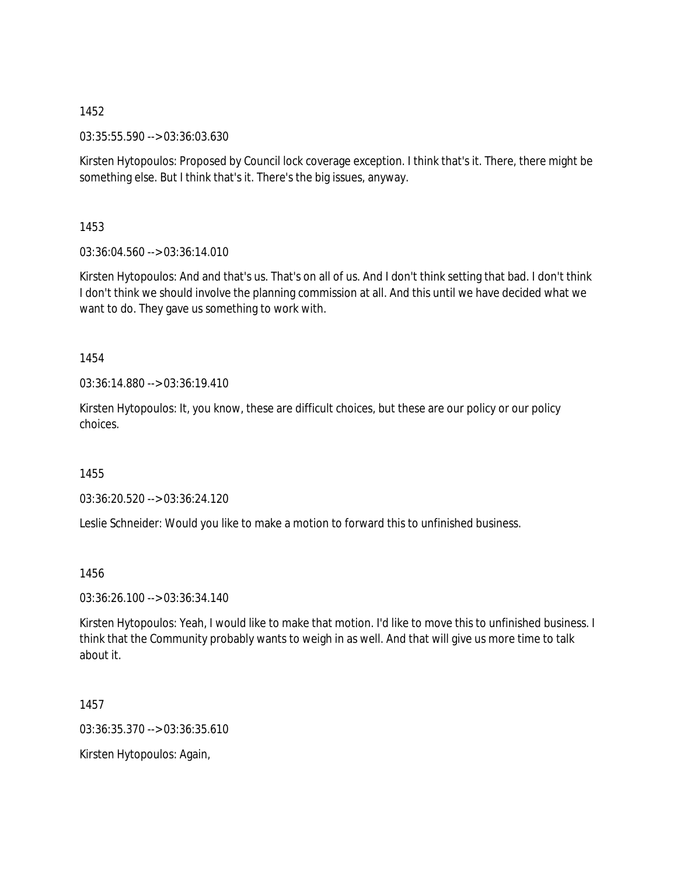03:35:55.590 --> 03:36:03.630

Kirsten Hytopoulos: Proposed by Council lock coverage exception. I think that's it. There, there might be something else. But I think that's it. There's the big issues, anyway.

1453

03:36:04.560 --> 03:36:14.010

Kirsten Hytopoulos: And and that's us. That's on all of us. And I don't think setting that bad. I don't think I don't think we should involve the planning commission at all. And this until we have decided what we want to do. They gave us something to work with.

1454

03:36:14.880 --> 03:36:19.410

Kirsten Hytopoulos: It, you know, these are difficult choices, but these are our policy or our policy choices.

1455

03:36:20.520 --> 03:36:24.120

Leslie Schneider: Would you like to make a motion to forward this to unfinished business.

1456

03:36:26.100 --> 03:36:34.140

Kirsten Hytopoulos: Yeah, I would like to make that motion. I'd like to move this to unfinished business. I think that the Community probably wants to weigh in as well. And that will give us more time to talk about it.

1457

03:36:35.370 --> 03:36:35.610

Kirsten Hytopoulos: Again,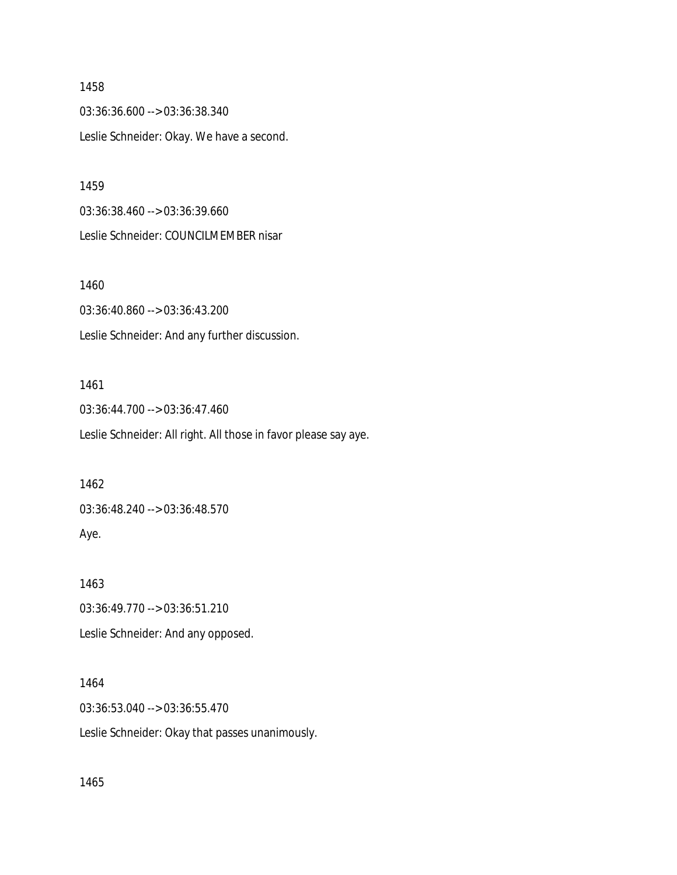03:36:36.600 --> 03:36:38.340 Leslie Schneider: Okay. We have a second.

1459

03:36:38.460 --> 03:36:39.660 Leslie Schneider: COUNCILMEMBER nisar

1460

03:36:40.860 --> 03:36:43.200 Leslie Schneider: And any further discussion.

# 1461

03:36:44.700 --> 03:36:47.460 Leslie Schneider: All right. All those in favor please say aye.

1462

03:36:48.240 --> 03:36:48.570

Aye.

1463 03:36:49.770 --> 03:36:51.210 Leslie Schneider: And any opposed.

## 1464

03:36:53.040 --> 03:36:55.470

Leslie Schneider: Okay that passes unanimously.

1465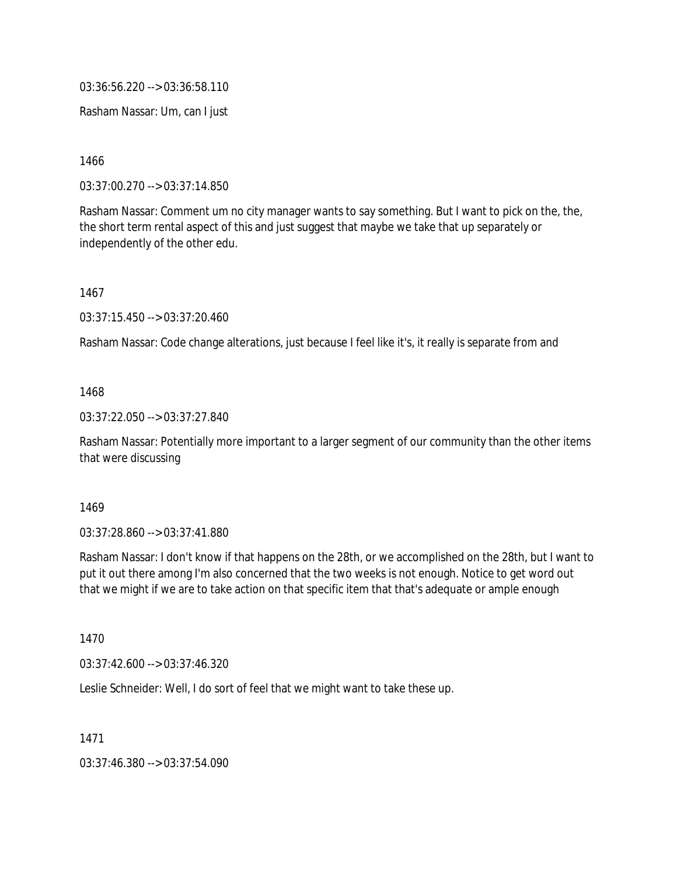03:36:56.220 --> 03:36:58.110

Rasham Nassar: Um, can I just

1466

03:37:00.270 --> 03:37:14.850

Rasham Nassar: Comment um no city manager wants to say something. But I want to pick on the, the, the short term rental aspect of this and just suggest that maybe we take that up separately or independently of the other edu.

1467

03:37:15.450 --> 03:37:20.460

Rasham Nassar: Code change alterations, just because I feel like it's, it really is separate from and

1468

03:37:22.050 --> 03:37:27.840

Rasham Nassar: Potentially more important to a larger segment of our community than the other items that were discussing

1469

03:37:28.860 --> 03:37:41.880

Rasham Nassar: I don't know if that happens on the 28th, or we accomplished on the 28th, but I want to put it out there among I'm also concerned that the two weeks is not enough. Notice to get word out that we might if we are to take action on that specific item that that's adequate or ample enough

1470

03:37:42.600 --> 03:37:46.320

Leslie Schneider: Well, I do sort of feel that we might want to take these up.

1471

03:37:46.380 --> 03:37:54.090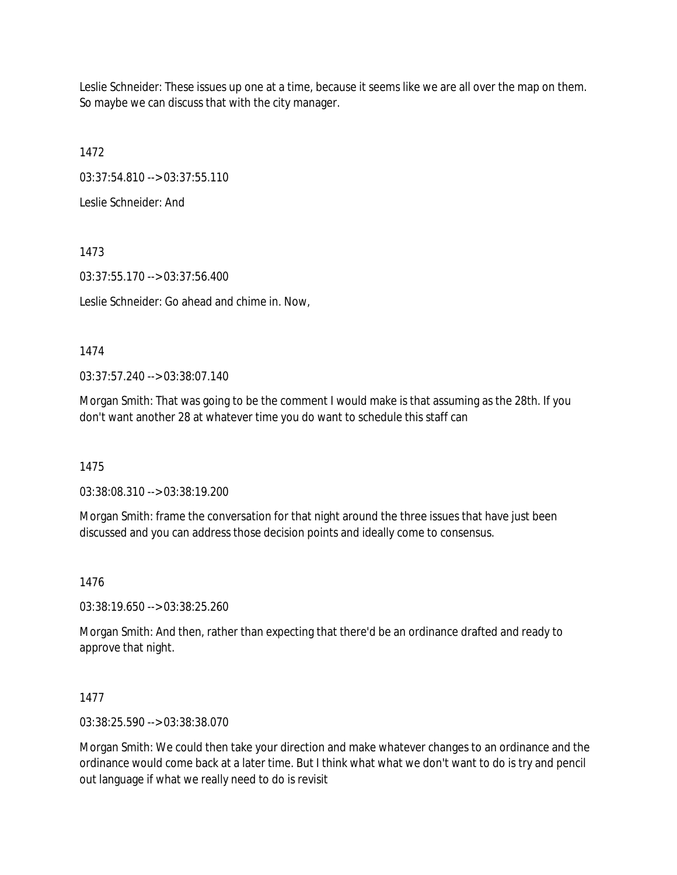Leslie Schneider: These issues up one at a time, because it seems like we are all over the map on them. So maybe we can discuss that with the city manager.

1472

03:37:54.810 --> 03:37:55.110

Leslie Schneider: And

1473

03:37:55.170 --> 03:37:56.400

Leslie Schneider: Go ahead and chime in. Now,

1474

03:37:57.240 --> 03:38:07.140

Morgan Smith: That was going to be the comment I would make is that assuming as the 28th. If you don't want another 28 at whatever time you do want to schedule this staff can

1475

03:38:08.310 --> 03:38:19.200

Morgan Smith: frame the conversation for that night around the three issues that have just been discussed and you can address those decision points and ideally come to consensus.

1476

03:38:19.650 --> 03:38:25.260

Morgan Smith: And then, rather than expecting that there'd be an ordinance drafted and ready to approve that night.

1477

03:38:25.590 --> 03:38:38.070

Morgan Smith: We could then take your direction and make whatever changes to an ordinance and the ordinance would come back at a later time. But I think what what we don't want to do is try and pencil out language if what we really need to do is revisit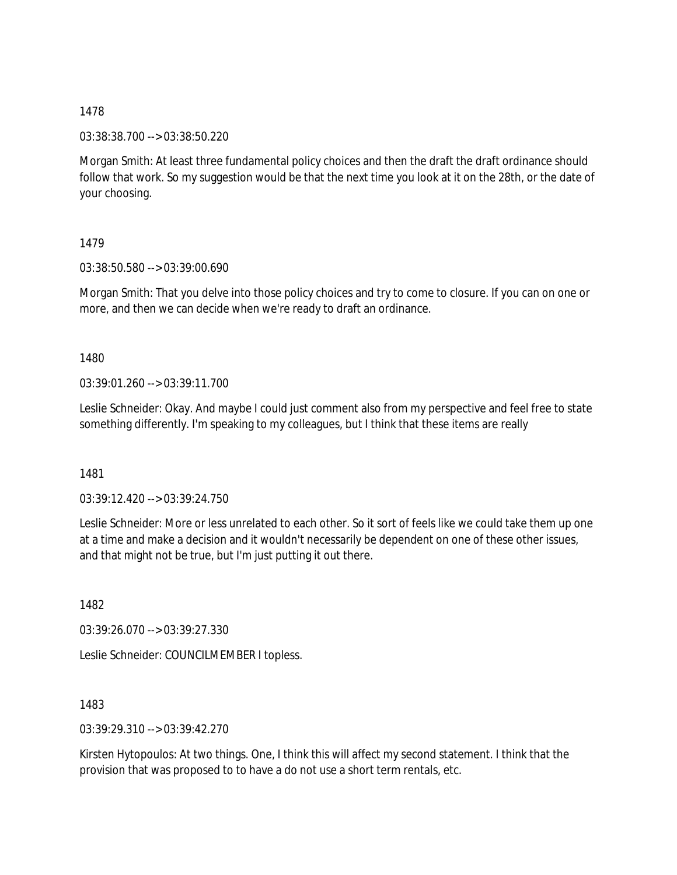03:38:38.700 --> 03:38:50.220

Morgan Smith: At least three fundamental policy choices and then the draft the draft ordinance should follow that work. So my suggestion would be that the next time you look at it on the 28th, or the date of your choosing.

# 1479

03:38:50.580 --> 03:39:00.690

Morgan Smith: That you delve into those policy choices and try to come to closure. If you can on one or more, and then we can decide when we're ready to draft an ordinance.

## 1480

03:39:01.260 --> 03:39:11.700

Leslie Schneider: Okay. And maybe I could just comment also from my perspective and feel free to state something differently. I'm speaking to my colleagues, but I think that these items are really

1481

03:39:12.420 --> 03:39:24.750

Leslie Schneider: More or less unrelated to each other. So it sort of feels like we could take them up one at a time and make a decision and it wouldn't necessarily be dependent on one of these other issues, and that might not be true, but I'm just putting it out there.

1482

03:39:26.070 --> 03:39:27.330

Leslie Schneider: COUNCILMEMBER I topless.

1483

03:39:29.310 --> 03:39:42.270

Kirsten Hytopoulos: At two things. One, I think this will affect my second statement. I think that the provision that was proposed to to have a do not use a short term rentals, etc.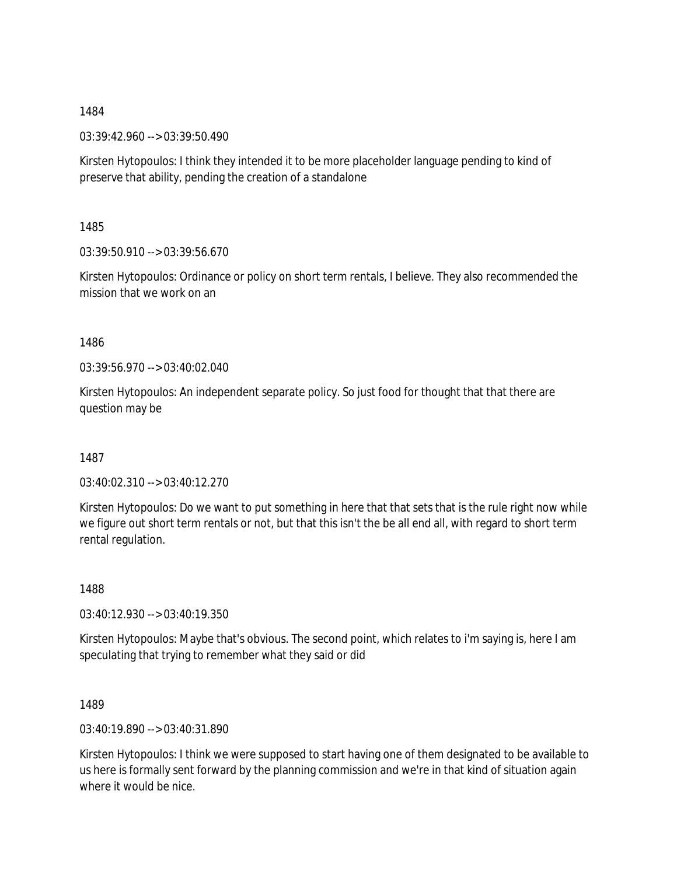03:39:42.960 --> 03:39:50.490

Kirsten Hytopoulos: I think they intended it to be more placeholder language pending to kind of preserve that ability, pending the creation of a standalone

1485

03:39:50.910 --> 03:39:56.670

Kirsten Hytopoulos: Ordinance or policy on short term rentals, I believe. They also recommended the mission that we work on an

1486

03:39:56.970 --> 03:40:02.040

Kirsten Hytopoulos: An independent separate policy. So just food for thought that that there are question may be

1487

03:40:02.310 --> 03:40:12.270

Kirsten Hytopoulos: Do we want to put something in here that that sets that is the rule right now while we figure out short term rentals or not, but that this isn't the be all end all, with regard to short term rental regulation.

1488

03:40:12.930 --> 03:40:19.350

Kirsten Hytopoulos: Maybe that's obvious. The second point, which relates to i'm saying is, here I am speculating that trying to remember what they said or did

1489

03:40:19.890 --> 03:40:31.890

Kirsten Hytopoulos: I think we were supposed to start having one of them designated to be available to us here is formally sent forward by the planning commission and we're in that kind of situation again where it would be nice.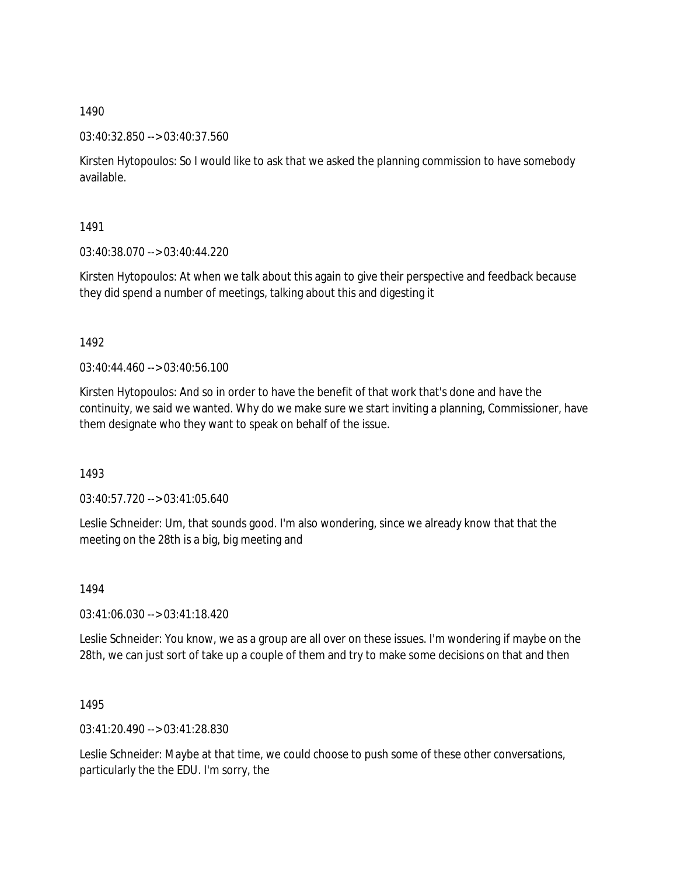## 03:40:32.850 --> 03:40:37.560

Kirsten Hytopoulos: So I would like to ask that we asked the planning commission to have somebody available.

1491

03:40:38.070 --> 03:40:44.220

Kirsten Hytopoulos: At when we talk about this again to give their perspective and feedback because they did spend a number of meetings, talking about this and digesting it

1492

 $03:40:44.460 \rightarrow 03:40:56.100$ 

Kirsten Hytopoulos: And so in order to have the benefit of that work that's done and have the continuity, we said we wanted. Why do we make sure we start inviting a planning, Commissioner, have them designate who they want to speak on behalf of the issue.

1493

03:40:57.720 --> 03:41:05.640

Leslie Schneider: Um, that sounds good. I'm also wondering, since we already know that that the meeting on the 28th is a big, big meeting and

1494

03:41:06.030 --> 03:41:18.420

Leslie Schneider: You know, we as a group are all over on these issues. I'm wondering if maybe on the 28th, we can just sort of take up a couple of them and try to make some decisions on that and then

1495

03:41:20.490 --> 03:41:28.830

Leslie Schneider: Maybe at that time, we could choose to push some of these other conversations, particularly the the EDU. I'm sorry, the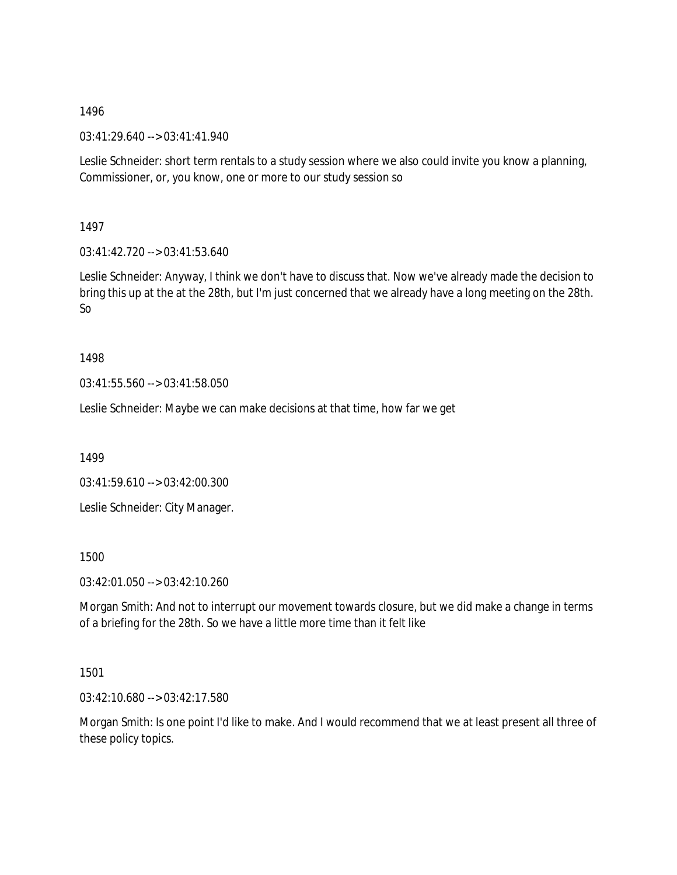03:41:29.640 --> 03:41:41.940

Leslie Schneider: short term rentals to a study session where we also could invite you know a planning, Commissioner, or, you know, one or more to our study session so

1497

03:41:42.720 --> 03:41:53.640

Leslie Schneider: Anyway, I think we don't have to discuss that. Now we've already made the decision to bring this up at the at the 28th, but I'm just concerned that we already have a long meeting on the 28th. So

1498

03:41:55.560 --> 03:41:58.050

Leslie Schneider: Maybe we can make decisions at that time, how far we get

1499

03:41:59.610 --> 03:42:00.300

Leslie Schneider: City Manager.

1500

03:42:01.050 --> 03:42:10.260

Morgan Smith: And not to interrupt our movement towards closure, but we did make a change in terms of a briefing for the 28th. So we have a little more time than it felt like

1501

03:42:10.680 --> 03:42:17.580

Morgan Smith: Is one point I'd like to make. And I would recommend that we at least present all three of these policy topics.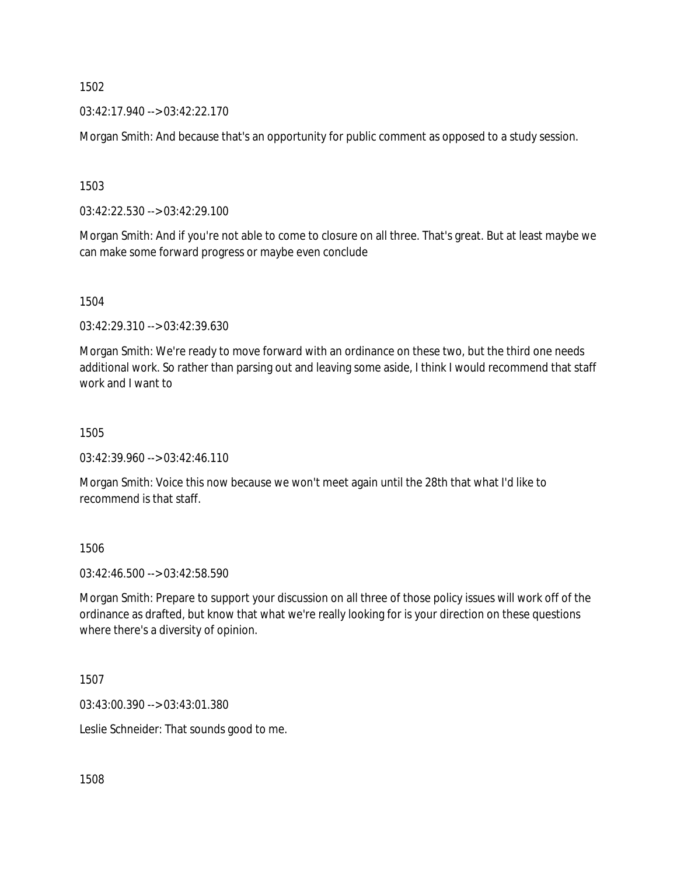$03:42:17.940 \rightarrow 03:42:22.170$ 

Morgan Smith: And because that's an opportunity for public comment as opposed to a study session.

1503

03:42:22.530 --> 03:42:29.100

Morgan Smith: And if you're not able to come to closure on all three. That's great. But at least maybe we can make some forward progress or maybe even conclude

1504

03:42:29.310 --> 03:42:39.630

Morgan Smith: We're ready to move forward with an ordinance on these two, but the third one needs additional work. So rather than parsing out and leaving some aside, I think I would recommend that staff work and I want to

1505

03:42:39.960 --> 03:42:46.110

Morgan Smith: Voice this now because we won't meet again until the 28th that what I'd like to recommend is that staff.

1506

03:42:46.500 --> 03:42:58.590

Morgan Smith: Prepare to support your discussion on all three of those policy issues will work off of the ordinance as drafted, but know that what we're really looking for is your direction on these questions where there's a diversity of opinion.

1507

03:43:00.390 --> 03:43:01.380

Leslie Schneider: That sounds good to me.

1508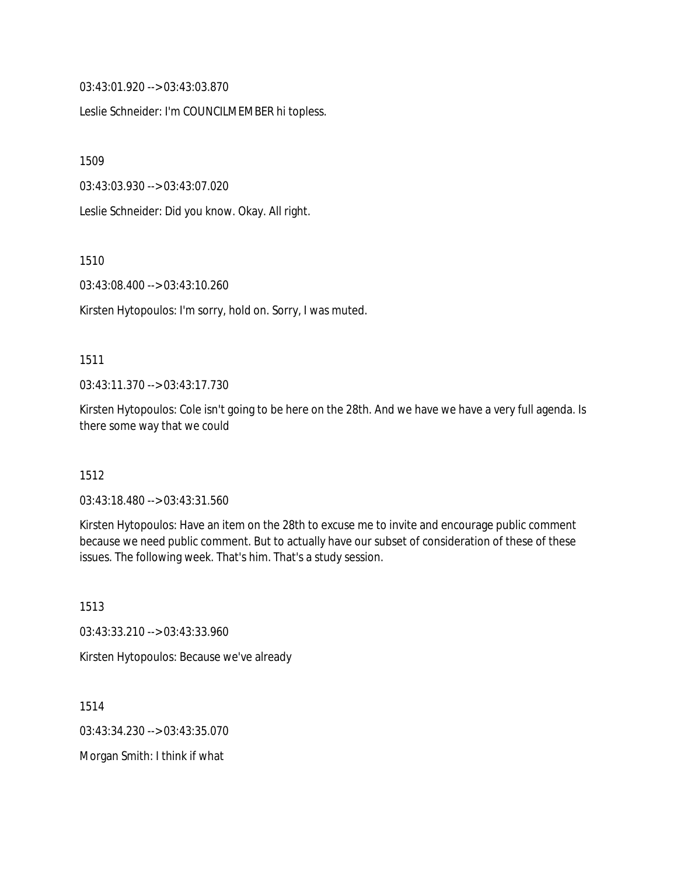03:43:01.920 --> 03:43:03.870

Leslie Schneider: I'm COUNCILMEMBER hi topless.

1509

03:43:03.930 --> 03:43:07.020

Leslie Schneider: Did you know. Okay. All right.

1510

03:43:08.400 --> 03:43:10.260

Kirsten Hytopoulos: I'm sorry, hold on. Sorry, I was muted.

### 1511

03:43:11.370 --> 03:43:17.730

Kirsten Hytopoulos: Cole isn't going to be here on the 28th. And we have we have a very full agenda. Is there some way that we could

## 1512

03:43:18.480 --> 03:43:31.560

Kirsten Hytopoulos: Have an item on the 28th to excuse me to invite and encourage public comment because we need public comment. But to actually have our subset of consideration of these of these issues. The following week. That's him. That's a study session.

1513 03:43:33.210 --> 03:43:33.960 Kirsten Hytopoulos: Because we've already

1514 03:43:34.230 --> 03:43:35.070 Morgan Smith: I think if what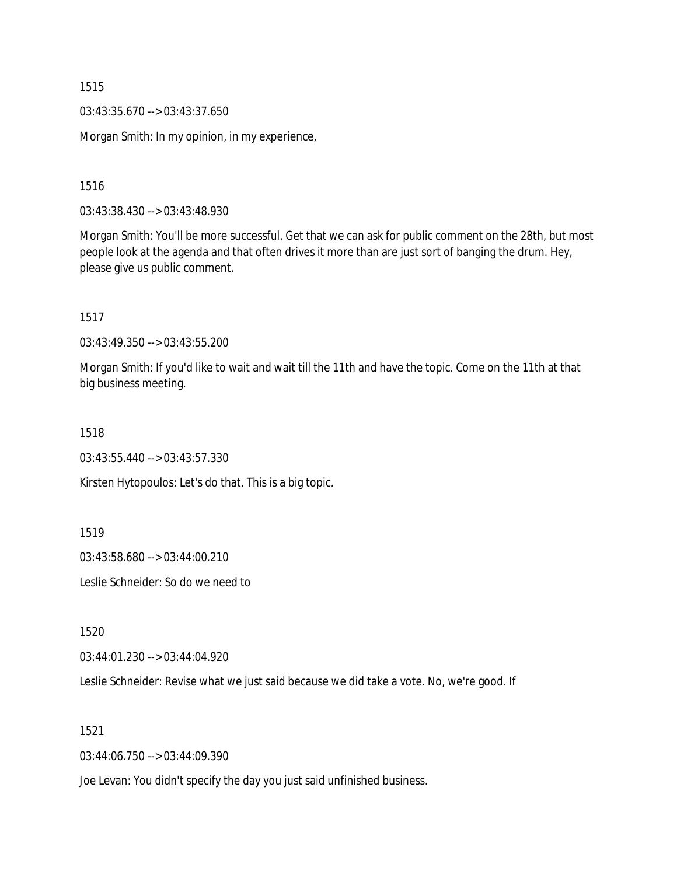03:43:35.670 --> 03:43:37.650

Morgan Smith: In my opinion, in my experience,

1516

03:43:38.430 --> 03:43:48.930

Morgan Smith: You'll be more successful. Get that we can ask for public comment on the 28th, but most people look at the agenda and that often drives it more than are just sort of banging the drum. Hey, please give us public comment.

1517

03:43:49.350 --> 03:43:55.200

Morgan Smith: If you'd like to wait and wait till the 11th and have the topic. Come on the 11th at that big business meeting.

1518

03:43:55.440 --> 03:43:57.330

Kirsten Hytopoulos: Let's do that. This is a big topic.

1519

03:43:58.680 --> 03:44:00.210

Leslie Schneider: So do we need to

1520

03:44:01.230 --> 03:44:04.920

Leslie Schneider: Revise what we just said because we did take a vote. No, we're good. If

1521

03:44:06.750 --> 03:44:09.390

Joe Levan: You didn't specify the day you just said unfinished business.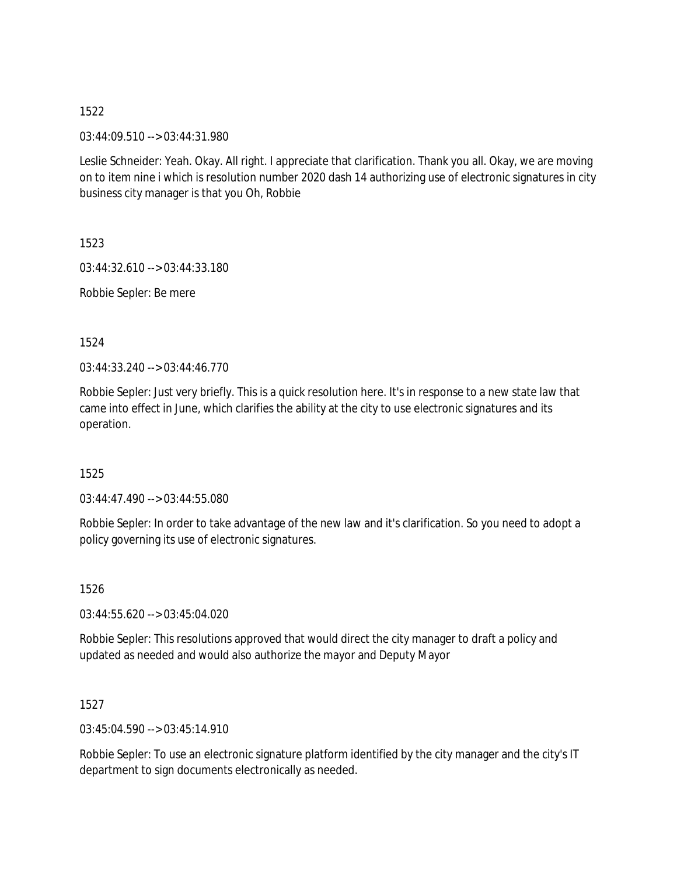03:44:09.510 --> 03:44:31.980

Leslie Schneider: Yeah. Okay. All right. I appreciate that clarification. Thank you all. Okay, we are moving on to item nine i which is resolution number 2020 dash 14 authorizing use of electronic signatures in city business city manager is that you Oh, Robbie

1523

03:44:32.610 --> 03:44:33.180

Robbie Sepler: Be mere

1524

03:44:33.240 --> 03:44:46.770

Robbie Sepler: Just very briefly. This is a quick resolution here. It's in response to a new state law that came into effect in June, which clarifies the ability at the city to use electronic signatures and its operation.

1525

03:44:47.490 --> 03:44:55.080

Robbie Sepler: In order to take advantage of the new law and it's clarification. So you need to adopt a policy governing its use of electronic signatures.

1526

03:44:55.620 --> 03:45:04.020

Robbie Sepler: This resolutions approved that would direct the city manager to draft a policy and updated as needed and would also authorize the mayor and Deputy Mayor

1527

03:45:04.590 --> 03:45:14.910

Robbie Sepler: To use an electronic signature platform identified by the city manager and the city's IT department to sign documents electronically as needed.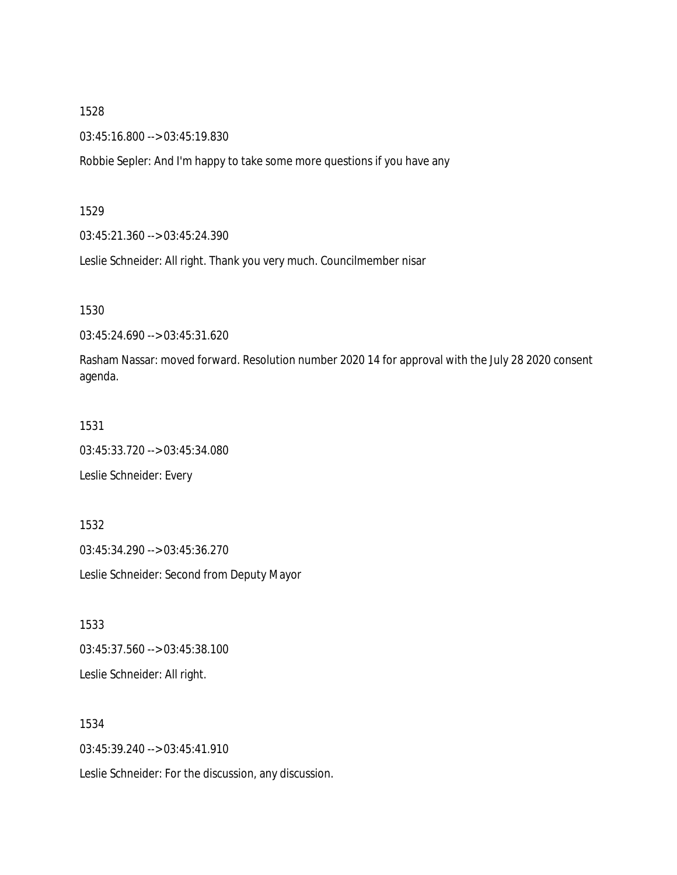03:45:16.800 --> 03:45:19.830

Robbie Sepler: And I'm happy to take some more questions if you have any

### 1529

03:45:21.360 --> 03:45:24.390

Leslie Schneider: All right. Thank you very much. Councilmember nisar

1530

03:45:24.690 --> 03:45:31.620

Rasham Nassar: moved forward. Resolution number 2020 14 for approval with the July 28 2020 consent agenda.

# 1531

03:45:33.720 --> 03:45:34.080

Leslie Schneider: Every

1532 03:45:34.290 --> 03:45:36.270 Leslie Schneider: Second from Deputy Mayor

1533 03:45:37.560 --> 03:45:38.100 Leslie Schneider: All right.

1534 03:45:39.240 --> 03:45:41.910 Leslie Schneider: For the discussion, any discussion.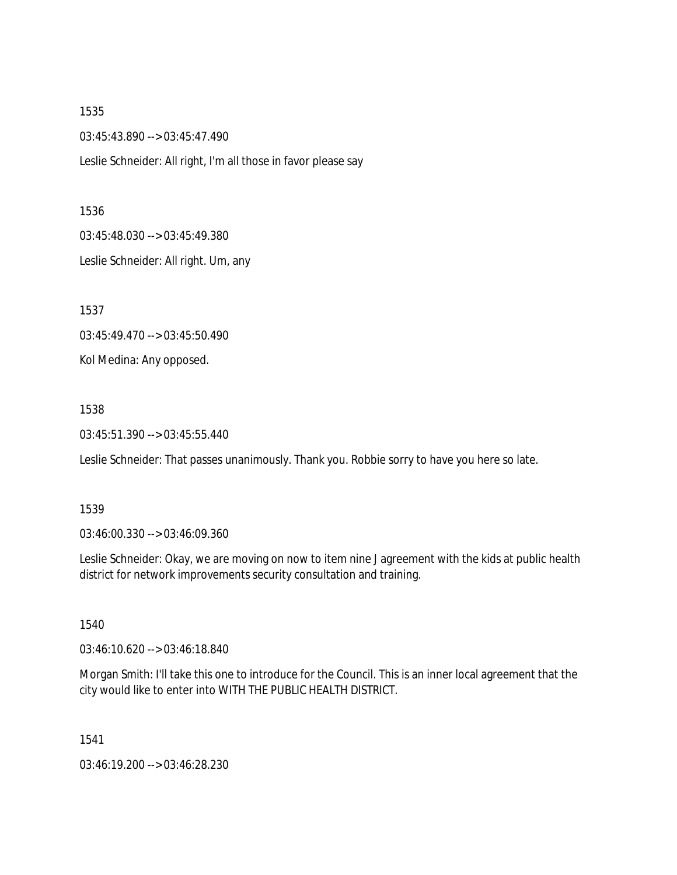1535 03:45:43.890 --> 03:45:47.490 Leslie Schneider: All right, I'm all those in favor please say

1536

03:45:48.030 --> 03:45:49.380

Leslie Schneider: All right. Um, any

1537

03:45:49.470 --> 03:45:50.490

Kol Medina: Any opposed.

1538

03:45:51.390 --> 03:45:55.440

Leslie Schneider: That passes unanimously. Thank you. Robbie sorry to have you here so late.

1539

03:46:00.330 --> 03:46:09.360

Leslie Schneider: Okay, we are moving on now to item nine J agreement with the kids at public health district for network improvements security consultation and training.

1540

03:46:10.620 --> 03:46:18.840

Morgan Smith: I'll take this one to introduce for the Council. This is an inner local agreement that the city would like to enter into WITH THE PUBLIC HEALTH DISTRICT.

1541

03:46:19.200 --> 03:46:28.230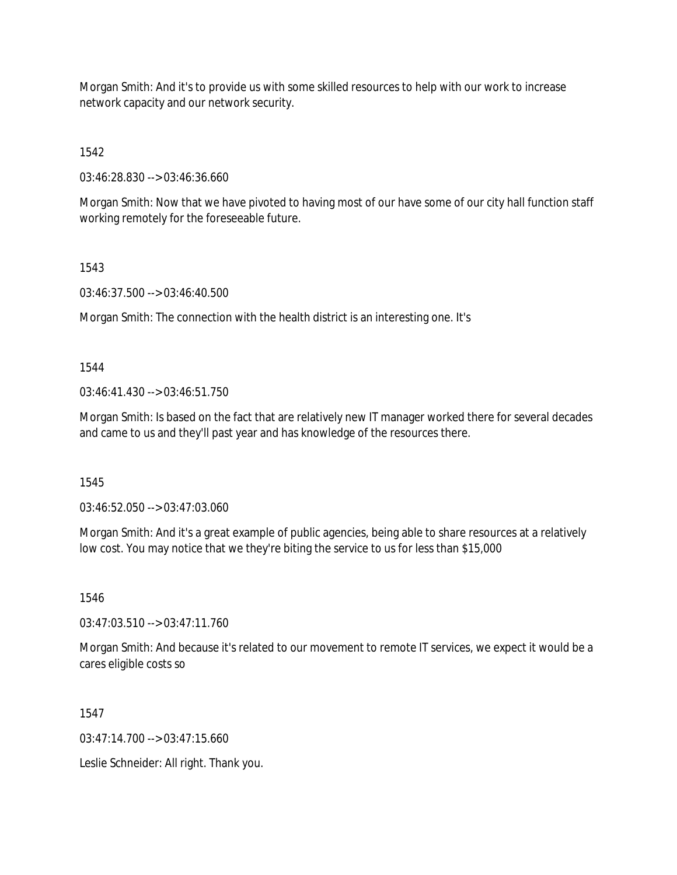Morgan Smith: And it's to provide us with some skilled resources to help with our work to increase network capacity and our network security.

1542

03:46:28.830 --> 03:46:36.660

Morgan Smith: Now that we have pivoted to having most of our have some of our city hall function staff working remotely for the foreseeable future.

1543

03:46:37.500 --> 03:46:40.500

Morgan Smith: The connection with the health district is an interesting one. It's

1544

 $03:46:41.430 \rightarrow 03:46:51.750$ 

Morgan Smith: Is based on the fact that are relatively new IT manager worked there for several decades and came to us and they'll past year and has knowledge of the resources there.

1545

03:46:52.050 --> 03:47:03.060

Morgan Smith: And it's a great example of public agencies, being able to share resources at a relatively low cost. You may notice that we they're biting the service to us for less than \$15,000

1546

 $03:47:03.510 \rightarrow 03:47:11.760$ 

Morgan Smith: And because it's related to our movement to remote IT services, we expect it would be a cares eligible costs so

1547

 $03:47:14.700 \rightarrow 03:47:15.660$ 

Leslie Schneider: All right. Thank you.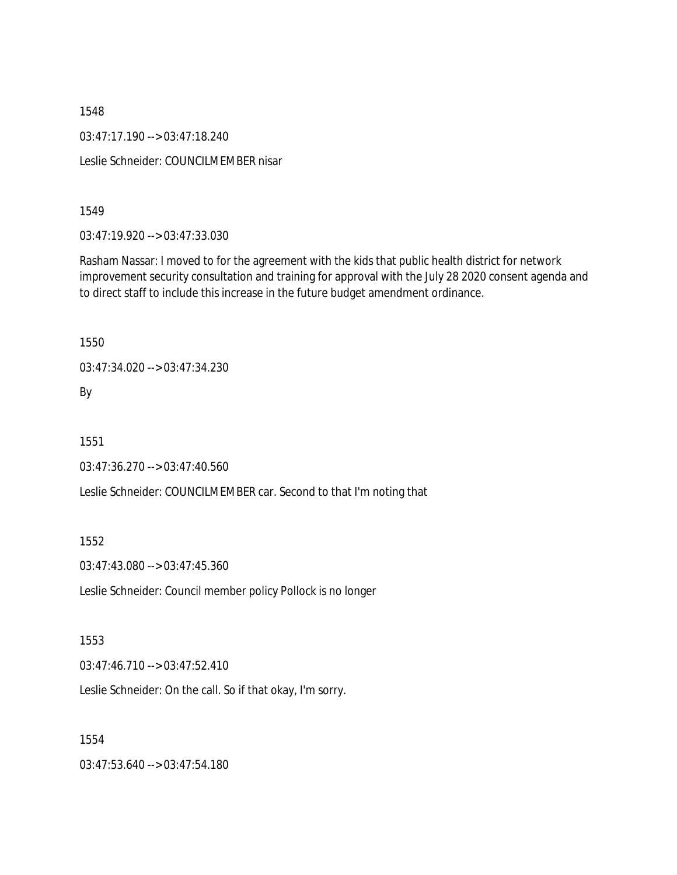03:47:17.190 --> 03:47:18.240

Leslie Schneider: COUNCILMEMBER nisar

1549

03:47:19.920 --> 03:47:33.030

Rasham Nassar: I moved to for the agreement with the kids that public health district for network improvement security consultation and training for approval with the July 28 2020 consent agenda and to direct staff to include this increase in the future budget amendment ordinance.

1550

03:47:34.020 --> 03:47:34.230

By

1551

03:47:36.270 --> 03:47:40.560

Leslie Schneider: COUNCILMEMBER car. Second to that I'm noting that

1552

03:47:43.080 --> 03:47:45.360

Leslie Schneider: Council member policy Pollock is no longer

1553

03:47:46.710 --> 03:47:52.410

Leslie Schneider: On the call. So if that okay, I'm sorry.

1554

03:47:53.640 --> 03:47:54.180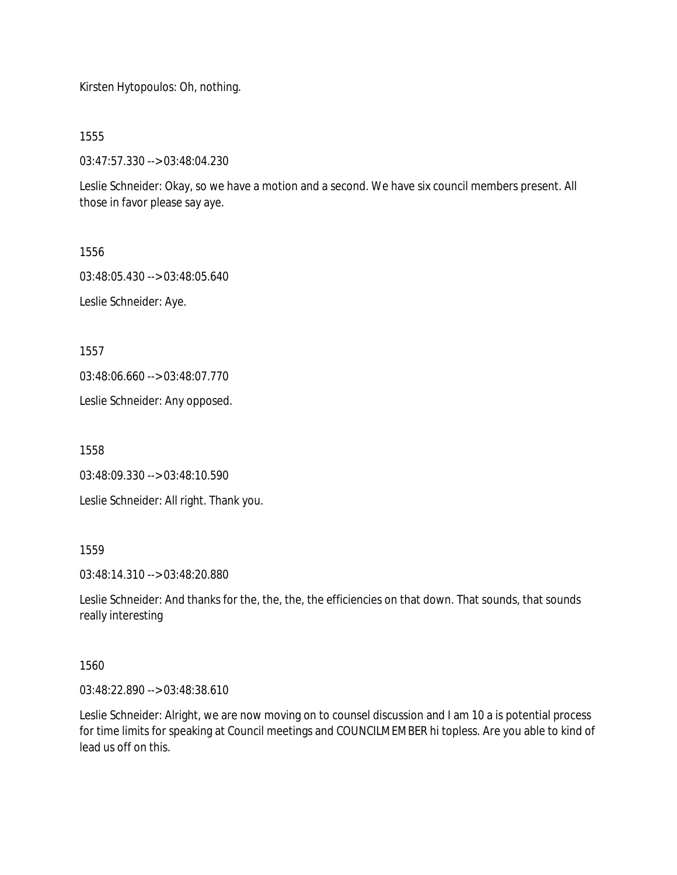Kirsten Hytopoulos: Oh, nothing.

1555

03:47:57.330 --> 03:48:04.230

Leslie Schneider: Okay, so we have a motion and a second. We have six council members present. All those in favor please say aye.

1556

03:48:05.430 --> 03:48:05.640

Leslie Schneider: Aye.

1557

03:48:06.660 --> 03:48:07.770

Leslie Schneider: Any opposed.

1558

03:48:09.330 --> 03:48:10.590

Leslie Schneider: All right. Thank you.

1559

03:48:14.310 --> 03:48:20.880

Leslie Schneider: And thanks for the, the, the, the efficiencies on that down. That sounds, that sounds really interesting

1560

03:48:22.890 --> 03:48:38.610

Leslie Schneider: Alright, we are now moving on to counsel discussion and I am 10 a is potential process for time limits for speaking at Council meetings and COUNCILMEMBER hi topless. Are you able to kind of lead us off on this.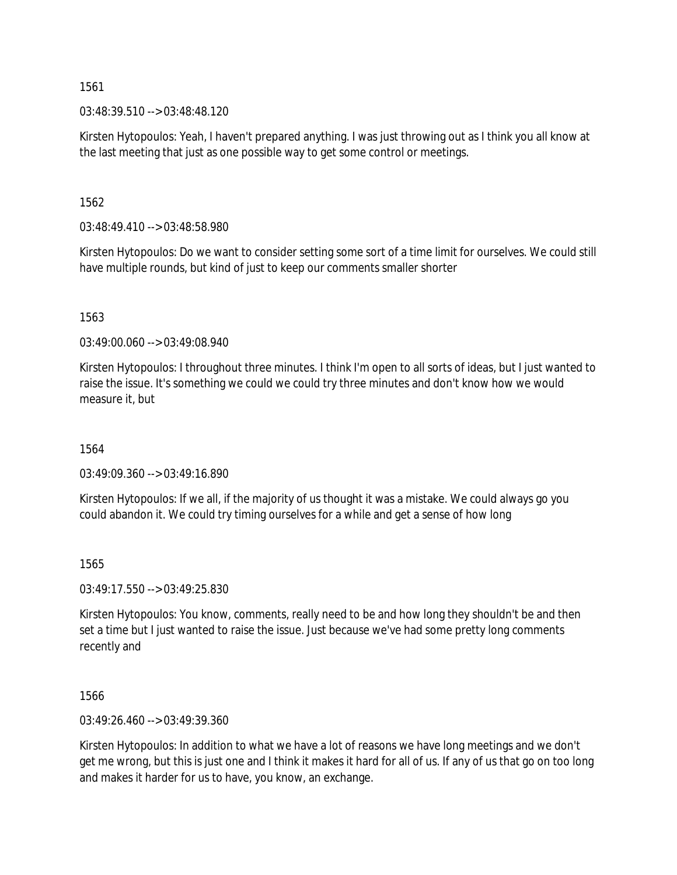03:48:39.510 --> 03:48:48.120

Kirsten Hytopoulos: Yeah, I haven't prepared anything. I was just throwing out as I think you all know at the last meeting that just as one possible way to get some control or meetings.

1562

03:48:49.410 --> 03:48:58.980

Kirsten Hytopoulos: Do we want to consider setting some sort of a time limit for ourselves. We could still have multiple rounds, but kind of just to keep our comments smaller shorter

1563

03:49:00.060 --> 03:49:08.940

Kirsten Hytopoulos: I throughout three minutes. I think I'm open to all sorts of ideas, but I just wanted to raise the issue. It's something we could we could try three minutes and don't know how we would measure it, but

1564

03:49:09.360 --> 03:49:16.890

Kirsten Hytopoulos: If we all, if the majority of us thought it was a mistake. We could always go you could abandon it. We could try timing ourselves for a while and get a sense of how long

1565

03:49:17.550 --> 03:49:25.830

Kirsten Hytopoulos: You know, comments, really need to be and how long they shouldn't be and then set a time but I just wanted to raise the issue. Just because we've had some pretty long comments recently and

1566

03:49:26.460 --> 03:49:39.360

Kirsten Hytopoulos: In addition to what we have a lot of reasons we have long meetings and we don't get me wrong, but this is just one and I think it makes it hard for all of us. If any of us that go on too long and makes it harder for us to have, you know, an exchange.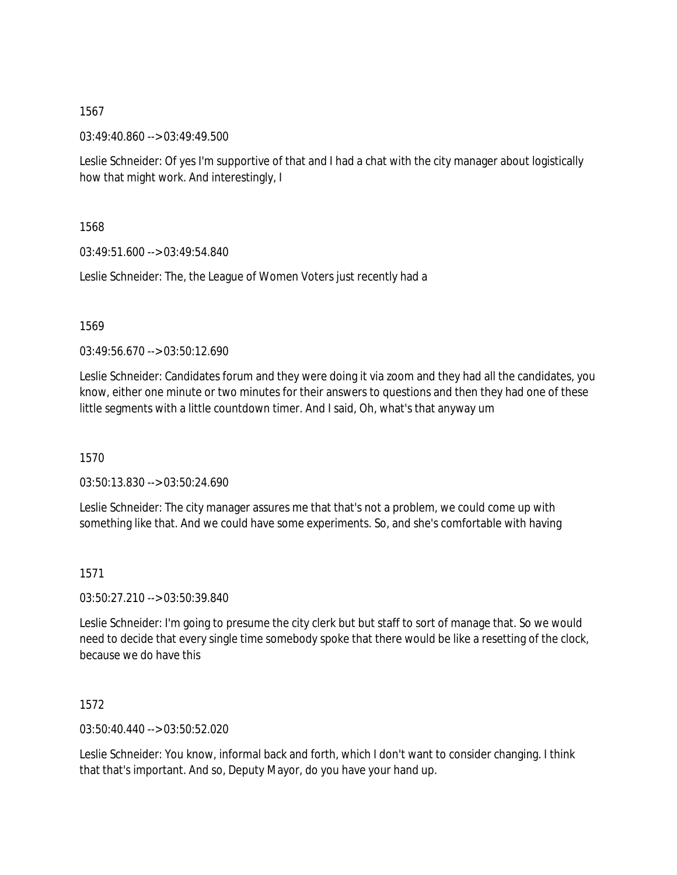03:49:40.860 --> 03:49:49.500

Leslie Schneider: Of yes I'm supportive of that and I had a chat with the city manager about logistically how that might work. And interestingly, I

1568

03:49:51.600 --> 03:49:54.840

Leslie Schneider: The, the League of Women Voters just recently had a

1569

 $03:49:56.670 \rightarrow 03:50:12.690$ 

Leslie Schneider: Candidates forum and they were doing it via zoom and they had all the candidates, you know, either one minute or two minutes for their answers to questions and then they had one of these little segments with a little countdown timer. And I said, Oh, what's that anyway um

1570

03:50:13.830 --> 03:50:24.690

Leslie Schneider: The city manager assures me that that's not a problem, we could come up with something like that. And we could have some experiments. So, and she's comfortable with having

1571

03:50:27.210 --> 03:50:39.840

Leslie Schneider: I'm going to presume the city clerk but but staff to sort of manage that. So we would need to decide that every single time somebody spoke that there would be like a resetting of the clock, because we do have this

1572

03:50:40.440 --> 03:50:52.020

Leslie Schneider: You know, informal back and forth, which I don't want to consider changing. I think that that's important. And so, Deputy Mayor, do you have your hand up.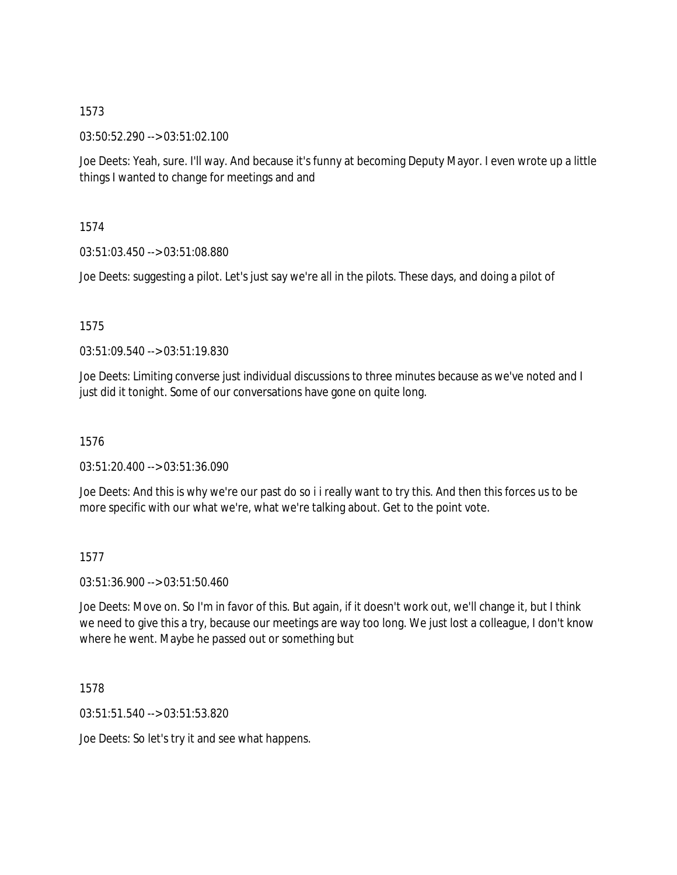03:50:52.290 --> 03:51:02.100

Joe Deets: Yeah, sure. I'll way. And because it's funny at becoming Deputy Mayor. I even wrote up a little things I wanted to change for meetings and and

1574

03:51:03.450 --> 03:51:08.880

Joe Deets: suggesting a pilot. Let's just say we're all in the pilots. These days, and doing a pilot of

1575

03:51:09.540 --> 03:51:19.830

Joe Deets: Limiting converse just individual discussions to three minutes because as we've noted and I just did it tonight. Some of our conversations have gone on quite long.

1576

03:51:20.400 --> 03:51:36.090

Joe Deets: And this is why we're our past do so i i really want to try this. And then this forces us to be more specific with our what we're, what we're talking about. Get to the point vote.

1577

03:51:36.900 --> 03:51:50.460

Joe Deets: Move on. So I'm in favor of this. But again, if it doesn't work out, we'll change it, but I think we need to give this a try, because our meetings are way too long. We just lost a colleague, I don't know where he went. Maybe he passed out or something but

1578

03:51:51.540 --> 03:51:53.820

Joe Deets: So let's try it and see what happens.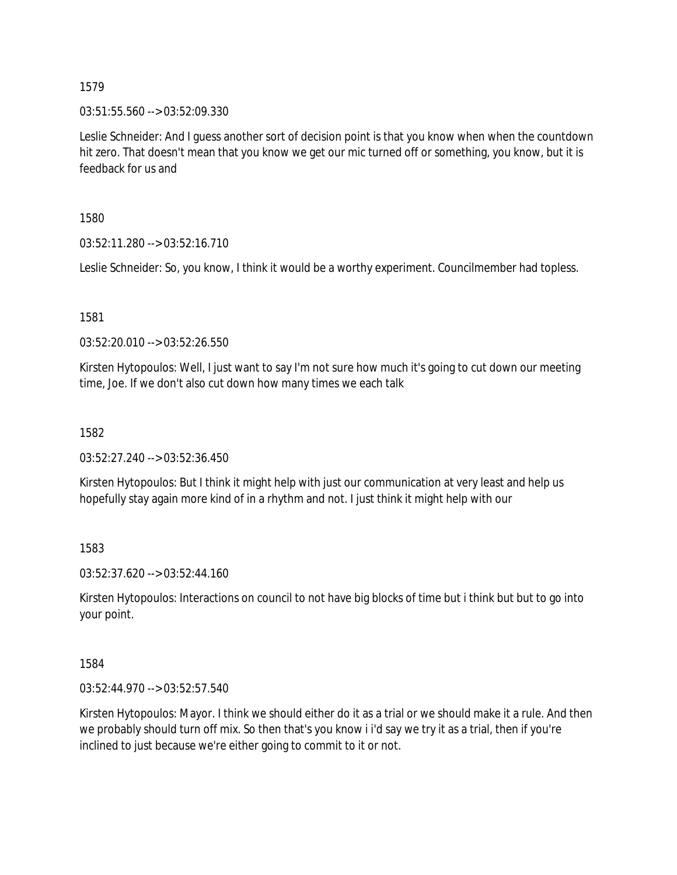03:51:55.560 --> 03:52:09.330

Leslie Schneider: And I guess another sort of decision point is that you know when when the countdown hit zero. That doesn't mean that you know we get our mic turned off or something, you know, but it is feedback for us and

1580

03:52:11.280 --> 03:52:16.710

Leslie Schneider: So, you know, I think it would be a worthy experiment. Councilmember had topless.

1581

03:52:20.010 --> 03:52:26.550

Kirsten Hytopoulos: Well, I just want to say I'm not sure how much it's going to cut down our meeting time, Joe. If we don't also cut down how many times we each talk

1582

03:52:27.240 --> 03:52:36.450

Kirsten Hytopoulos: But I think it might help with just our communication at very least and help us hopefully stay again more kind of in a rhythm and not. I just think it might help with our

1583

03:52:37.620 --> 03:52:44.160

Kirsten Hytopoulos: Interactions on council to not have big blocks of time but i think but but to go into your point.

1584

03:52:44.970 --> 03:52:57.540

Kirsten Hytopoulos: Mayor. I think we should either do it as a trial or we should make it a rule. And then we probably should turn off mix. So then that's you know i i'd say we try it as a trial, then if you're inclined to just because we're either going to commit to it or not.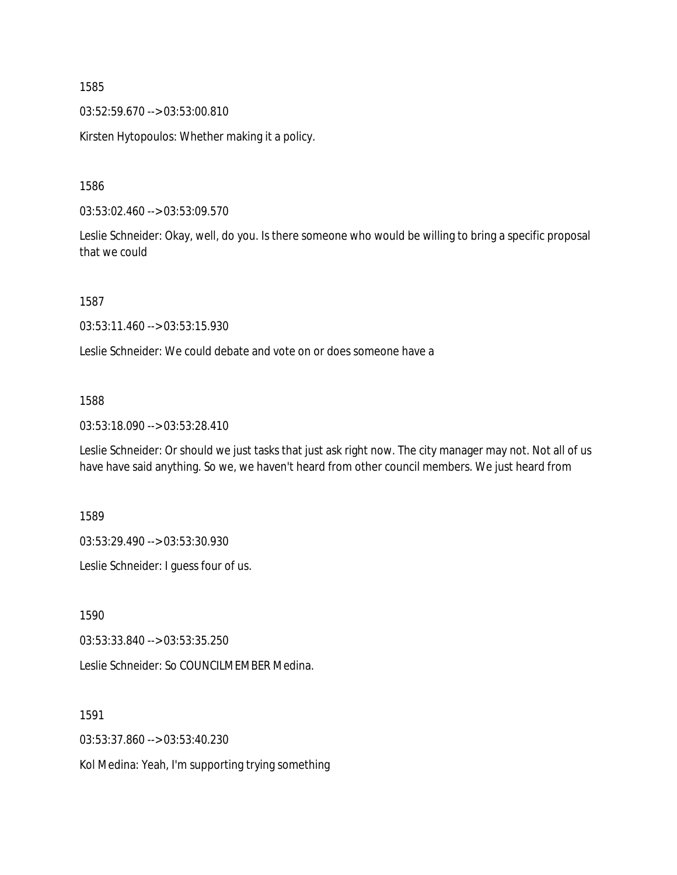03:52:59.670 --> 03:53:00.810

Kirsten Hytopoulos: Whether making it a policy.

1586

03:53:02.460 --> 03:53:09.570

Leslie Schneider: Okay, well, do you. Is there someone who would be willing to bring a specific proposal that we could

1587

03:53:11.460 --> 03:53:15.930

Leslie Schneider: We could debate and vote on or does someone have a

#### 1588

03:53:18.090 --> 03:53:28.410

Leslie Schneider: Or should we just tasks that just ask right now. The city manager may not. Not all of us have have said anything. So we, we haven't heard from other council members. We just heard from

1589

03:53:29.490 --> 03:53:30.930

Leslie Schneider: I guess four of us.

1590

03:53:33.840 --> 03:53:35.250

Leslie Schneider: So COUNCILMEMBER Medina.

1591

03:53:37.860 --> 03:53:40.230

Kol Medina: Yeah, I'm supporting trying something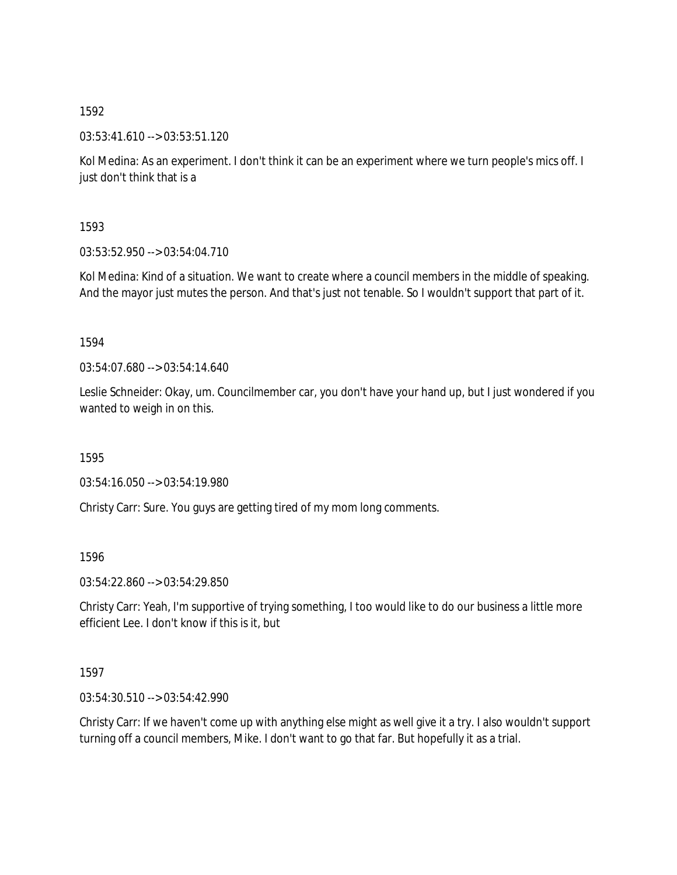03:53:41.610 --> 03:53:51.120

Kol Medina: As an experiment. I don't think it can be an experiment where we turn people's mics off. I just don't think that is a

1593

03:53:52.950 --> 03:54:04.710

Kol Medina: Kind of a situation. We want to create where a council members in the middle of speaking. And the mayor just mutes the person. And that's just not tenable. So I wouldn't support that part of it.

1594

03:54:07.680 --> 03:54:14.640

Leslie Schneider: Okay, um. Councilmember car, you don't have your hand up, but I just wondered if you wanted to weigh in on this.

1595

03:54:16.050 --> 03:54:19.980

Christy Carr: Sure. You guys are getting tired of my mom long comments.

1596

03:54:22.860 --> 03:54:29.850

Christy Carr: Yeah, I'm supportive of trying something, I too would like to do our business a little more efficient Lee. I don't know if this is it, but

1597

03:54:30.510 --> 03:54:42.990

Christy Carr: If we haven't come up with anything else might as well give it a try. I also wouldn't support turning off a council members, Mike. I don't want to go that far. But hopefully it as a trial.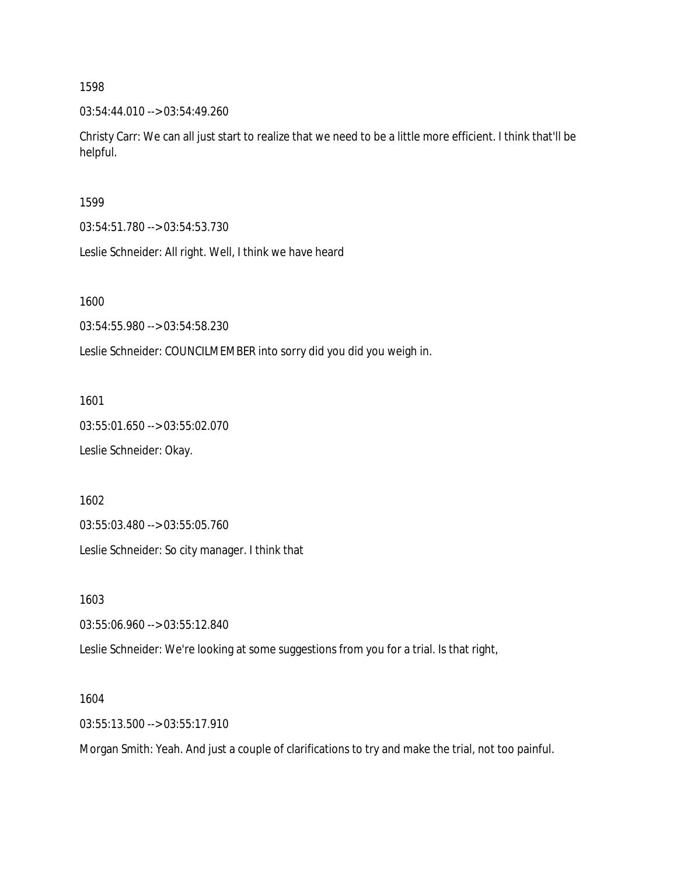03:54:44.010 --> 03:54:49.260

Christy Carr: We can all just start to realize that we need to be a little more efficient. I think that'll be helpful.

1599

03:54:51.780 --> 03:54:53.730

Leslie Schneider: All right. Well, I think we have heard

1600

03:54:55.980 --> 03:54:58.230

Leslie Schneider: COUNCILMEMBER into sorry did you did you weigh in.

1601

03:55:01.650 --> 03:55:02.070 Leslie Schneider: Okay.

1602

03:55:03.480 --> 03:55:05.760

Leslie Schneider: So city manager. I think that

1603

03:55:06.960 --> 03:55:12.840

Leslie Schneider: We're looking at some suggestions from you for a trial. Is that right,

1604

03:55:13.500 --> 03:55:17.910

Morgan Smith: Yeah. And just a couple of clarifications to try and make the trial, not too painful.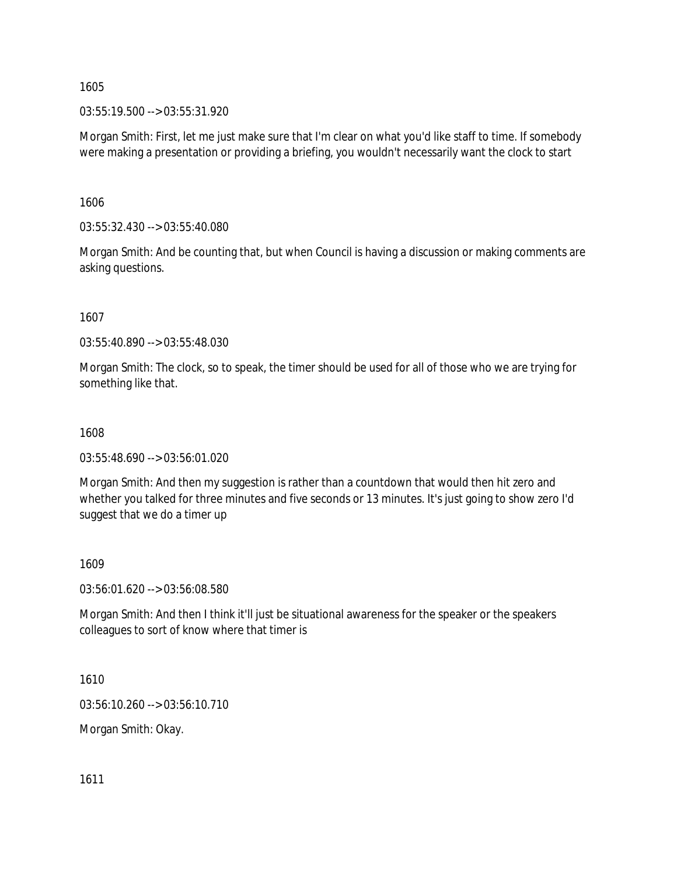03:55:19.500 --> 03:55:31.920

Morgan Smith: First, let me just make sure that I'm clear on what you'd like staff to time. If somebody were making a presentation or providing a briefing, you wouldn't necessarily want the clock to start

1606

03:55:32.430 --> 03:55:40.080

Morgan Smith: And be counting that, but when Council is having a discussion or making comments are asking questions.

1607

03:55:40.890 --> 03:55:48.030

Morgan Smith: The clock, so to speak, the timer should be used for all of those who we are trying for something like that.

1608

03:55:48.690 --> 03:56:01.020

Morgan Smith: And then my suggestion is rather than a countdown that would then hit zero and whether you talked for three minutes and five seconds or 13 minutes. It's just going to show zero I'd suggest that we do a timer up

1609

03:56:01.620 --> 03:56:08.580

Morgan Smith: And then I think it'll just be situational awareness for the speaker or the speakers colleagues to sort of know where that timer is

1610

03:56:10.260 --> 03:56:10.710

Morgan Smith: Okay.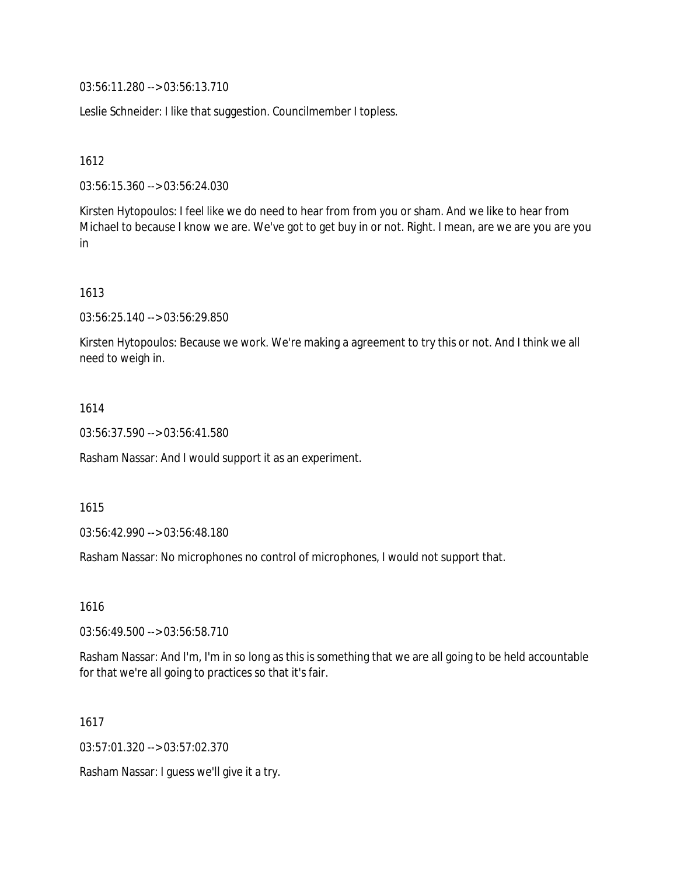03:56:11.280 --> 03:56:13.710

Leslie Schneider: I like that suggestion. Councilmember I topless.

1612

03:56:15.360 --> 03:56:24.030

Kirsten Hytopoulos: I feel like we do need to hear from from you or sham. And we like to hear from Michael to because I know we are. We've got to get buy in or not. Right. I mean, are we are you are you in

### 1613

03:56:25.140 --> 03:56:29.850

Kirsten Hytopoulos: Because we work. We're making a agreement to try this or not. And I think we all need to weigh in.

### 1614

03:56:37.590 --> 03:56:41.580

Rasham Nassar: And I would support it as an experiment.

1615

03:56:42.990 --> 03:56:48.180

Rasham Nassar: No microphones no control of microphones, I would not support that.

1616

03:56:49.500 --> 03:56:58.710

Rasham Nassar: And I'm, I'm in so long as this is something that we are all going to be held accountable for that we're all going to practices so that it's fair.

1617

03:57:01.320 --> 03:57:02.370

Rasham Nassar: I guess we'll give it a try.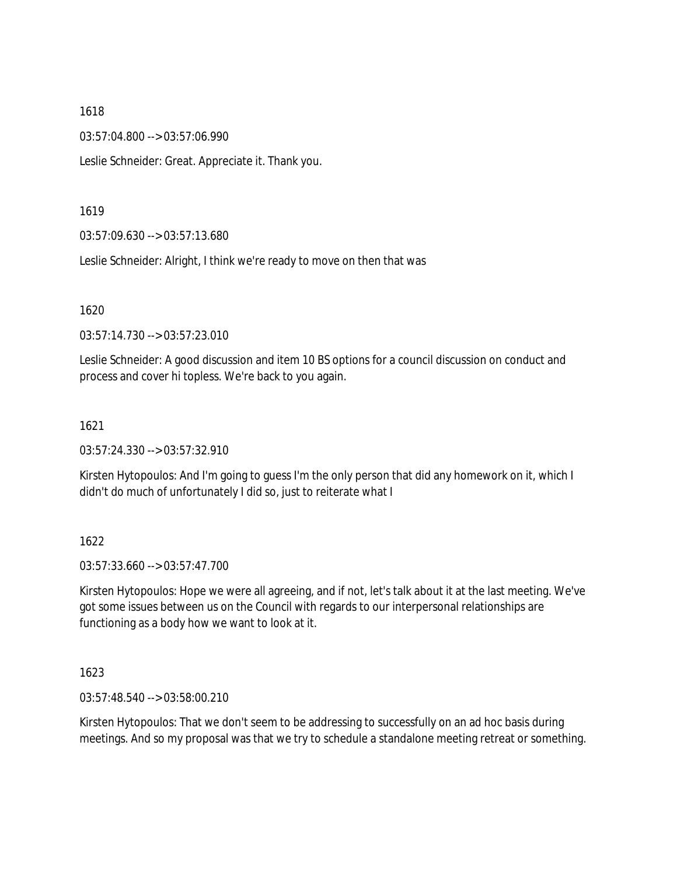03:57:04.800 --> 03:57:06.990

Leslie Schneider: Great. Appreciate it. Thank you.

#### 1619

03:57:09.630 --> 03:57:13.680

Leslie Schneider: Alright, I think we're ready to move on then that was

#### 1620

03:57:14.730 --> 03:57:23.010

Leslie Schneider: A good discussion and item 10 BS options for a council discussion on conduct and process and cover hi topless. We're back to you again.

#### 1621

03:57:24.330 --> 03:57:32.910

Kirsten Hytopoulos: And I'm going to guess I'm the only person that did any homework on it, which I didn't do much of unfortunately I did so, just to reiterate what I

### 1622

03:57:33.660 --> 03:57:47.700

Kirsten Hytopoulos: Hope we were all agreeing, and if not, let's talk about it at the last meeting. We've got some issues between us on the Council with regards to our interpersonal relationships are functioning as a body how we want to look at it.

### 1623

03:57:48.540 --> 03:58:00.210

Kirsten Hytopoulos: That we don't seem to be addressing to successfully on an ad hoc basis during meetings. And so my proposal was that we try to schedule a standalone meeting retreat or something.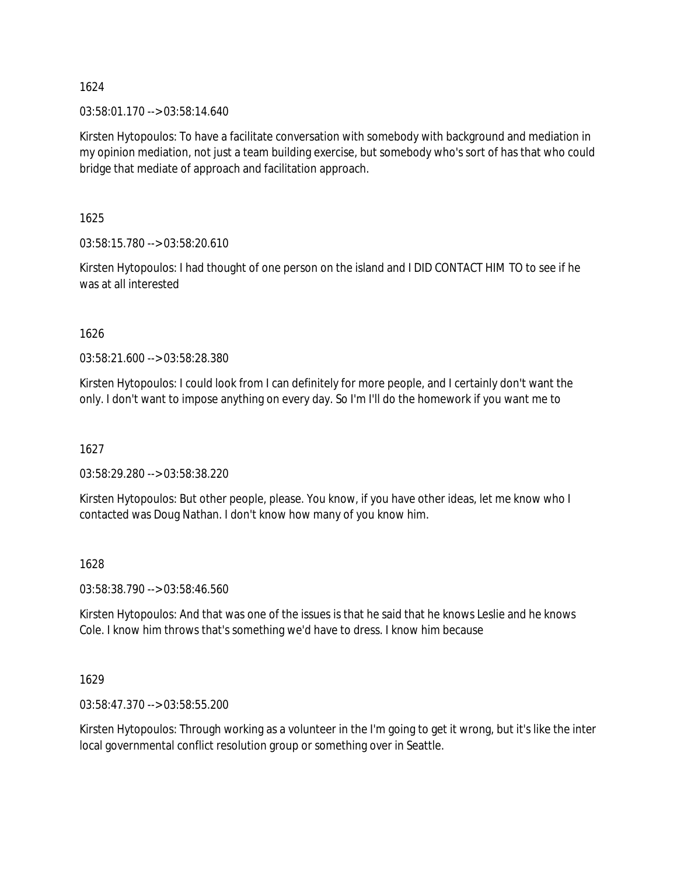03:58:01.170 --> 03:58:14.640

Kirsten Hytopoulos: To have a facilitate conversation with somebody with background and mediation in my opinion mediation, not just a team building exercise, but somebody who's sort of has that who could bridge that mediate of approach and facilitation approach.

1625

03:58:15.780 --> 03:58:20.610

Kirsten Hytopoulos: I had thought of one person on the island and I DID CONTACT HIM TO to see if he was at all interested

1626

03:58:21.600 --> 03:58:28.380

Kirsten Hytopoulos: I could look from I can definitely for more people, and I certainly don't want the only. I don't want to impose anything on every day. So I'm I'll do the homework if you want me to

1627

03:58:29.280 --> 03:58:38.220

Kirsten Hytopoulos: But other people, please. You know, if you have other ideas, let me know who I contacted was Doug Nathan. I don't know how many of you know him.

### 1628

03:58:38.790 --> 03:58:46.560

Kirsten Hytopoulos: And that was one of the issues is that he said that he knows Leslie and he knows Cole. I know him throws that's something we'd have to dress. I know him because

1629

03:58:47.370 --> 03:58:55.200

Kirsten Hytopoulos: Through working as a volunteer in the I'm going to get it wrong, but it's like the inter local governmental conflict resolution group or something over in Seattle.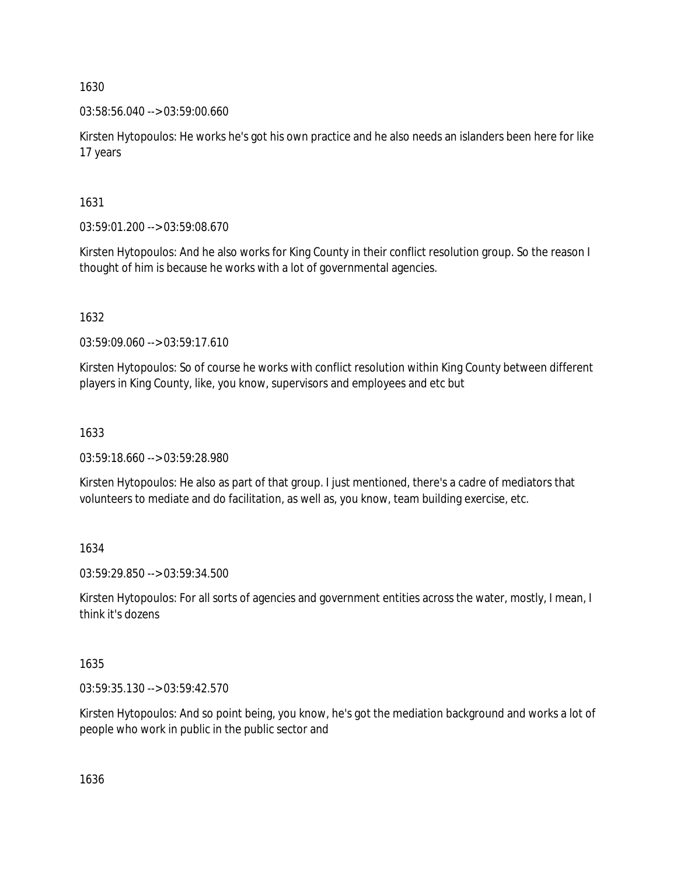### 03:58:56.040 --> 03:59:00.660

Kirsten Hytopoulos: He works he's got his own practice and he also needs an islanders been here for like 17 years

# 1631

03:59:01.200 --> 03:59:08.670

Kirsten Hytopoulos: And he also works for King County in their conflict resolution group. So the reason I thought of him is because he works with a lot of governmental agencies.

# 1632

03:59:09.060 --> 03:59:17.610

Kirsten Hytopoulos: So of course he works with conflict resolution within King County between different players in King County, like, you know, supervisors and employees and etc but

# 1633

03:59:18.660 --> 03:59:28.980

Kirsten Hytopoulos: He also as part of that group. I just mentioned, there's a cadre of mediators that volunteers to mediate and do facilitation, as well as, you know, team building exercise, etc.

# 1634

03:59:29.850 --> 03:59:34.500

Kirsten Hytopoulos: For all sorts of agencies and government entities across the water, mostly, I mean, I think it's dozens

# 1635

03:59:35.130 --> 03:59:42.570

Kirsten Hytopoulos: And so point being, you know, he's got the mediation background and works a lot of people who work in public in the public sector and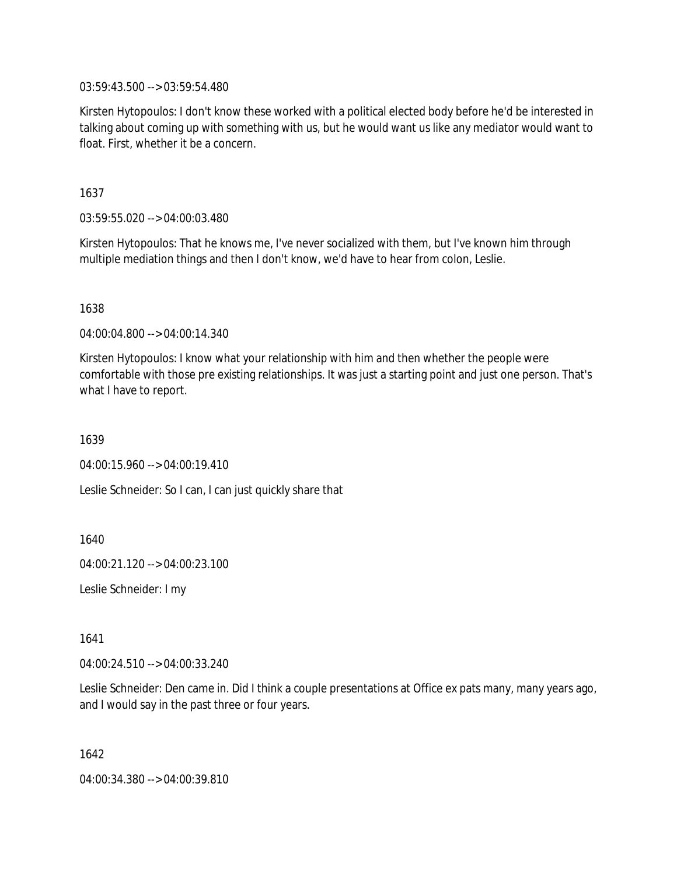03:59:43.500 --> 03:59:54.480

Kirsten Hytopoulos: I don't know these worked with a political elected body before he'd be interested in talking about coming up with something with us, but he would want us like any mediator would want to float. First, whether it be a concern.

1637

03:59:55.020 --> 04:00:03.480

Kirsten Hytopoulos: That he knows me, I've never socialized with them, but I've known him through multiple mediation things and then I don't know, we'd have to hear from colon, Leslie.

1638

04:00:04.800 --> 04:00:14.340

Kirsten Hytopoulos: I know what your relationship with him and then whether the people were comfortable with those pre existing relationships. It was just a starting point and just one person. That's what I have to report.

1639

04:00:15.960 --> 04:00:19.410

Leslie Schneider: So I can, I can just quickly share that

1640

04:00:21.120 --> 04:00:23.100

Leslie Schneider: I my

1641

04:00:24.510 --> 04:00:33.240

Leslie Schneider: Den came in. Did I think a couple presentations at Office ex pats many, many years ago, and I would say in the past three or four years.

1642

04:00:34.380 --> 04:00:39.810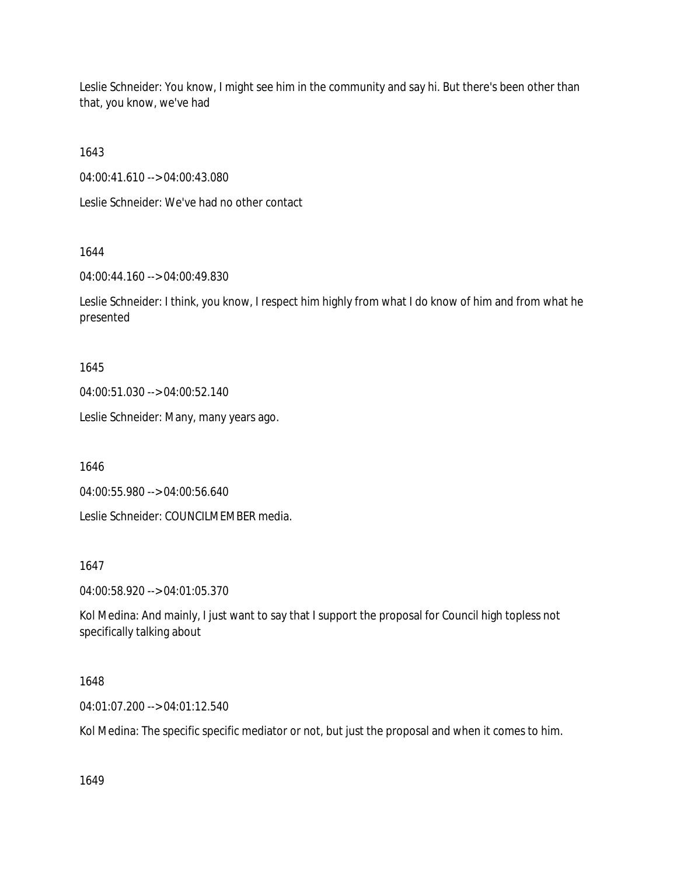Leslie Schneider: You know, I might see him in the community and say hi. But there's been other than that, you know, we've had

1643

04:00:41.610 --> 04:00:43.080

Leslie Schneider: We've had no other contact

1644

04:00:44.160 --> 04:00:49.830

Leslie Schneider: I think, you know, I respect him highly from what I do know of him and from what he presented

1645

04:00:51.030 --> 04:00:52.140

Leslie Schneider: Many, many years ago.

1646

04:00:55.980 --> 04:00:56.640

Leslie Schneider: COUNCILMEMBER media.

1647

04:00:58.920 --> 04:01:05.370

Kol Medina: And mainly, I just want to say that I support the proposal for Council high topless not specifically talking about

1648

04:01:07.200 --> 04:01:12.540

Kol Medina: The specific specific mediator or not, but just the proposal and when it comes to him.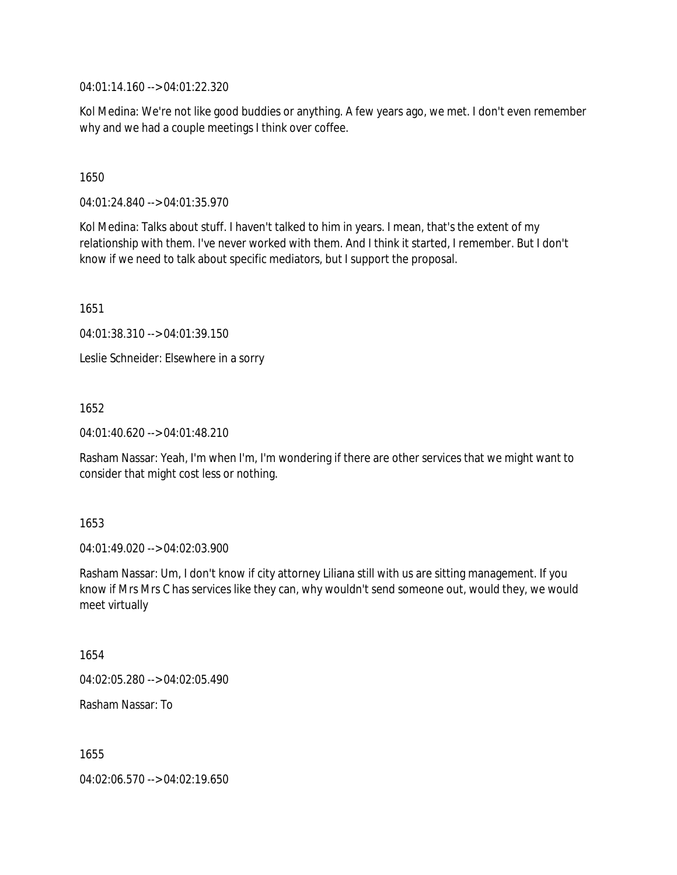04:01:14.160 --> 04:01:22.320

Kol Medina: We're not like good buddies or anything. A few years ago, we met. I don't even remember why and we had a couple meetings I think over coffee.

1650

04:01:24.840 --> 04:01:35.970

Kol Medina: Talks about stuff. I haven't talked to him in years. I mean, that's the extent of my relationship with them. I've never worked with them. And I think it started, I remember. But I don't know if we need to talk about specific mediators, but I support the proposal.

1651

04:01:38.310 --> 04:01:39.150

Leslie Schneider: Elsewhere in a sorry

1652

04:01:40.620 --> 04:01:48.210

Rasham Nassar: Yeah, I'm when I'm, I'm wondering if there are other services that we might want to consider that might cost less or nothing.

1653

04:01:49.020 --> 04:02:03.900

Rasham Nassar: Um, I don't know if city attorney Liliana still with us are sitting management. If you know if Mrs Mrs C has services like they can, why wouldn't send someone out, would they, we would meet virtually

1654

04:02:05.280 --> 04:02:05.490

Rasham Nassar: To

1655

04:02:06.570 --> 04:02:19.650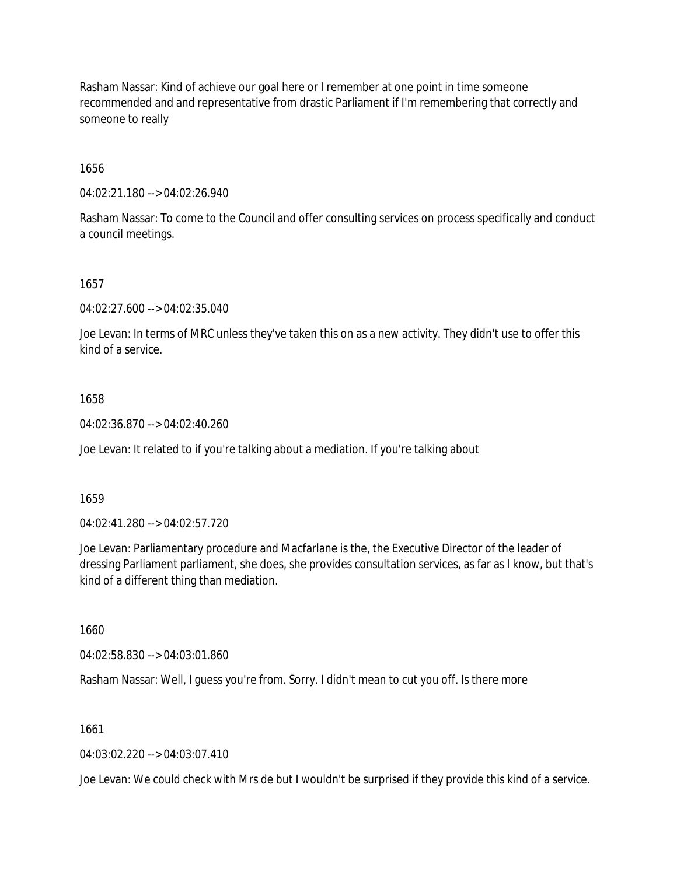Rasham Nassar: Kind of achieve our goal here or I remember at one point in time someone recommended and and representative from drastic Parliament if I'm remembering that correctly and someone to really

1656

04:02:21.180 --> 04:02:26.940

Rasham Nassar: To come to the Council and offer consulting services on process specifically and conduct a council meetings.

1657

04:02:27.600 --> 04:02:35.040

Joe Levan: In terms of MRC unless they've taken this on as a new activity. They didn't use to offer this kind of a service.

#### 1658

04:02:36.870 --> 04:02:40.260

Joe Levan: It related to if you're talking about a mediation. If you're talking about

1659

04:02:41.280 --> 04:02:57.720

Joe Levan: Parliamentary procedure and Macfarlane is the, the Executive Director of the leader of dressing Parliament parliament, she does, she provides consultation services, as far as I know, but that's kind of a different thing than mediation.

1660

04:02:58.830 --> 04:03:01.860

Rasham Nassar: Well, I guess you're from. Sorry. I didn't mean to cut you off. Is there more

1661

04:03:02.220 --> 04:03:07.410

Joe Levan: We could check with Mrs de but I wouldn't be surprised if they provide this kind of a service.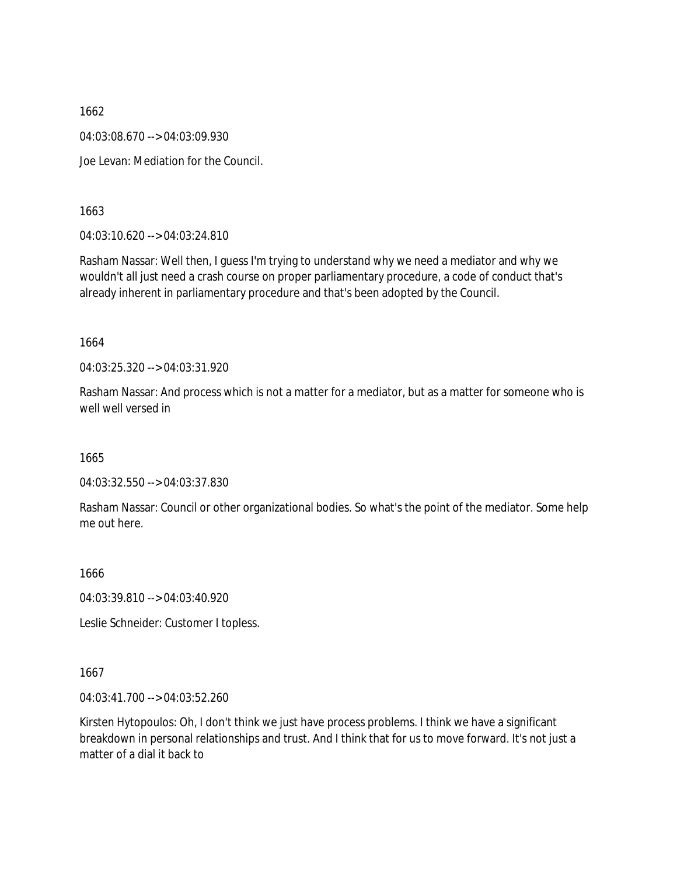1662 04:03:08.670 --> 04:03:09.930 Joe Levan: Mediation for the Council.

1663

04:03:10.620 --> 04:03:24.810

Rasham Nassar: Well then, I guess I'm trying to understand why we need a mediator and why we wouldn't all just need a crash course on proper parliamentary procedure, a code of conduct that's already inherent in parliamentary procedure and that's been adopted by the Council.

1664

04:03:25.320 --> 04:03:31.920

Rasham Nassar: And process which is not a matter for a mediator, but as a matter for someone who is well well versed in

1665

04:03:32.550 --> 04:03:37.830

Rasham Nassar: Council or other organizational bodies. So what's the point of the mediator. Some help me out here.

1666

04:03:39.810 --> 04:03:40.920

Leslie Schneider: Customer I topless.

1667

04:03:41.700 --> 04:03:52.260

Kirsten Hytopoulos: Oh, I don't think we just have process problems. I think we have a significant breakdown in personal relationships and trust. And I think that for us to move forward. It's not just a matter of a dial it back to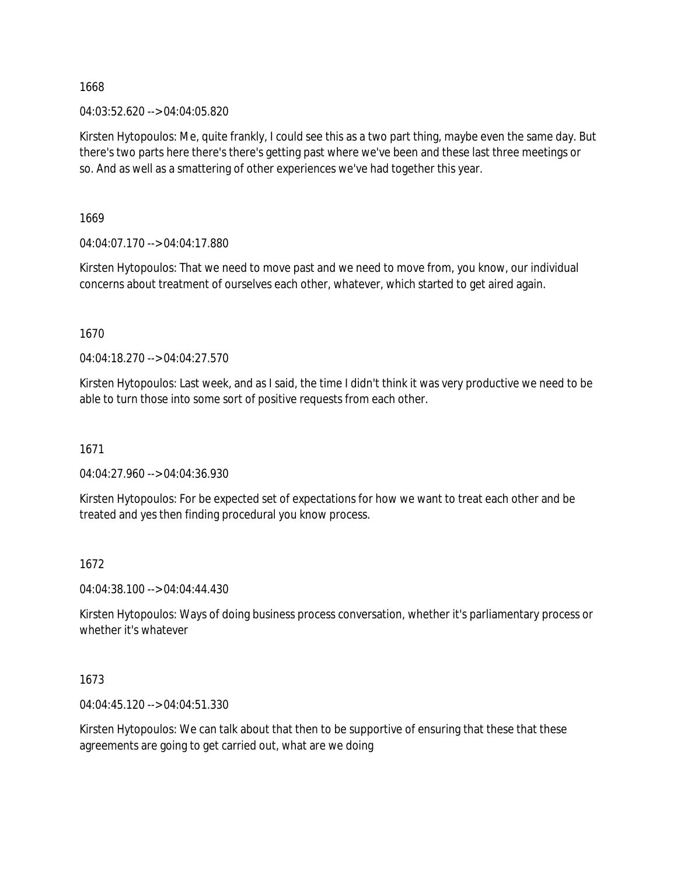#### 04:03:52.620 --> 04:04:05.820

Kirsten Hytopoulos: Me, quite frankly, I could see this as a two part thing, maybe even the same day. But there's two parts here there's there's getting past where we've been and these last three meetings or so. And as well as a smattering of other experiences we've had together this year.

1669

04:04:07.170 --> 04:04:17.880

Kirsten Hytopoulos: That we need to move past and we need to move from, you know, our individual concerns about treatment of ourselves each other, whatever, which started to get aired again.

1670

04:04:18.270 --> 04:04:27.570

Kirsten Hytopoulos: Last week, and as I said, the time I didn't think it was very productive we need to be able to turn those into some sort of positive requests from each other.

1671

04:04:27.960 --> 04:04:36.930

Kirsten Hytopoulos: For be expected set of expectations for how we want to treat each other and be treated and yes then finding procedural you know process.

### 1672

04:04:38.100 --> 04:04:44.430

Kirsten Hytopoulos: Ways of doing business process conversation, whether it's parliamentary process or whether it's whatever

### 1673

04:04:45.120 --> 04:04:51.330

Kirsten Hytopoulos: We can talk about that then to be supportive of ensuring that these that these agreements are going to get carried out, what are we doing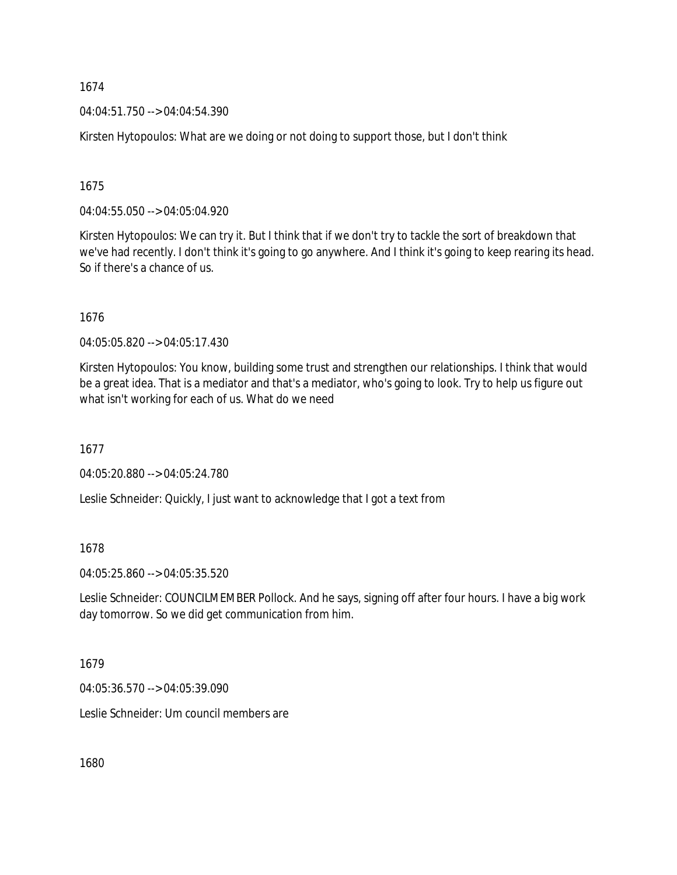04:04:51.750 --> 04:04:54.390

Kirsten Hytopoulos: What are we doing or not doing to support those, but I don't think

1675

04:04:55.050 --> 04:05:04.920

Kirsten Hytopoulos: We can try it. But I think that if we don't try to tackle the sort of breakdown that we've had recently. I don't think it's going to go anywhere. And I think it's going to keep rearing its head. So if there's a chance of us.

1676

04:05:05.820 --> 04:05:17.430

Kirsten Hytopoulos: You know, building some trust and strengthen our relationships. I think that would be a great idea. That is a mediator and that's a mediator, who's going to look. Try to help us figure out what isn't working for each of us. What do we need

1677

04:05:20.880 --> 04:05:24.780

Leslie Schneider: Quickly, I just want to acknowledge that I got a text from

1678

04:05:25.860 --> 04:05:35.520

Leslie Schneider: COUNCILMEMBER Pollock. And he says, signing off after four hours. I have a big work day tomorrow. So we did get communication from him.

1679

04:05:36.570 --> 04:05:39.090

Leslie Schneider: Um council members are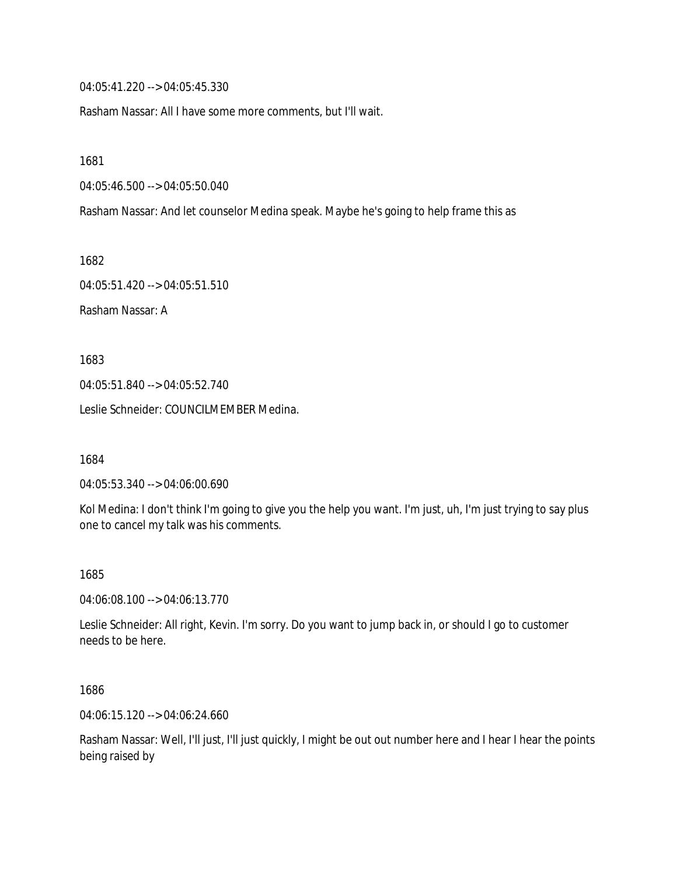04:05:41.220 --> 04:05:45.330

Rasham Nassar: All I have some more comments, but I'll wait.

1681

04:05:46.500 --> 04:05:50.040

Rasham Nassar: And let counselor Medina speak. Maybe he's going to help frame this as

1682

04:05:51.420 --> 04:05:51.510

Rasham Nassar: A

1683

04:05:51.840 --> 04:05:52.740

Leslie Schneider: COUNCILMEMBER Medina.

1684

04:05:53.340 --> 04:06:00.690

Kol Medina: I don't think I'm going to give you the help you want. I'm just, uh, I'm just trying to say plus one to cancel my talk was his comments.

1685

04:06:08.100 --> 04:06:13.770

Leslie Schneider: All right, Kevin. I'm sorry. Do you want to jump back in, or should I go to customer needs to be here.

1686

04:06:15.120 --> 04:06:24.660

Rasham Nassar: Well, I'll just, I'll just quickly, I might be out out number here and I hear I hear the points being raised by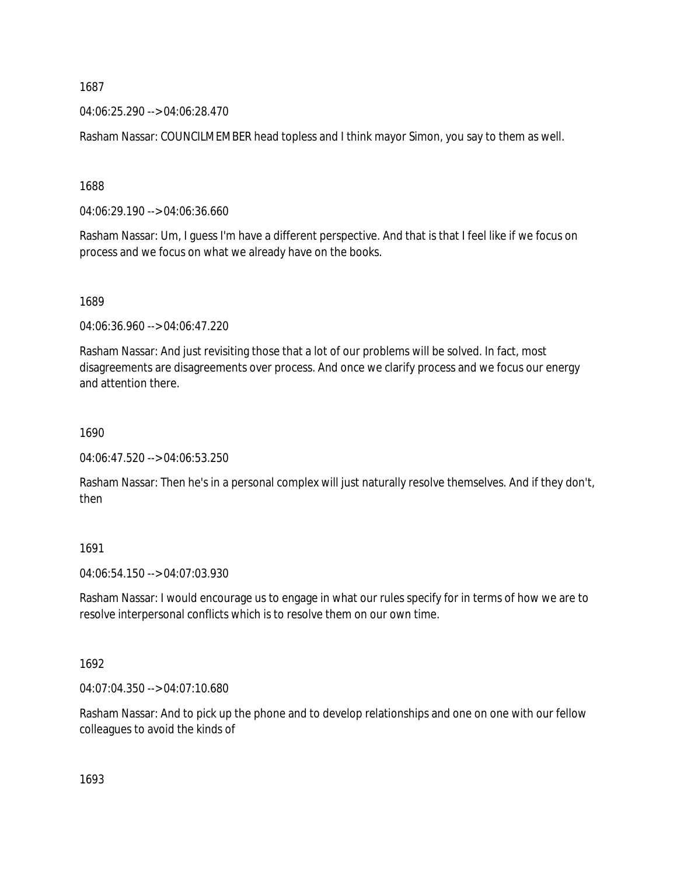04:06:25.290 --> 04:06:28.470

Rasham Nassar: COUNCILMEMBER head topless and I think mayor Simon, you say to them as well.

1688

04:06:29.190 --> 04:06:36.660

Rasham Nassar: Um, I guess I'm have a different perspective. And that is that I feel like if we focus on process and we focus on what we already have on the books.

1689

04:06:36.960 --> 04:06:47.220

Rasham Nassar: And just revisiting those that a lot of our problems will be solved. In fact, most disagreements are disagreements over process. And once we clarify process and we focus our energy and attention there.

1690

04:06:47.520 --> 04:06:53.250

Rasham Nassar: Then he's in a personal complex will just naturally resolve themselves. And if they don't, then

1691

04:06:54.150 --> 04:07:03.930

Rasham Nassar: I would encourage us to engage in what our rules specify for in terms of how we are to resolve interpersonal conflicts which is to resolve them on our own time.

1692

04:07:04.350 --> 04:07:10.680

Rasham Nassar: And to pick up the phone and to develop relationships and one on one with our fellow colleagues to avoid the kinds of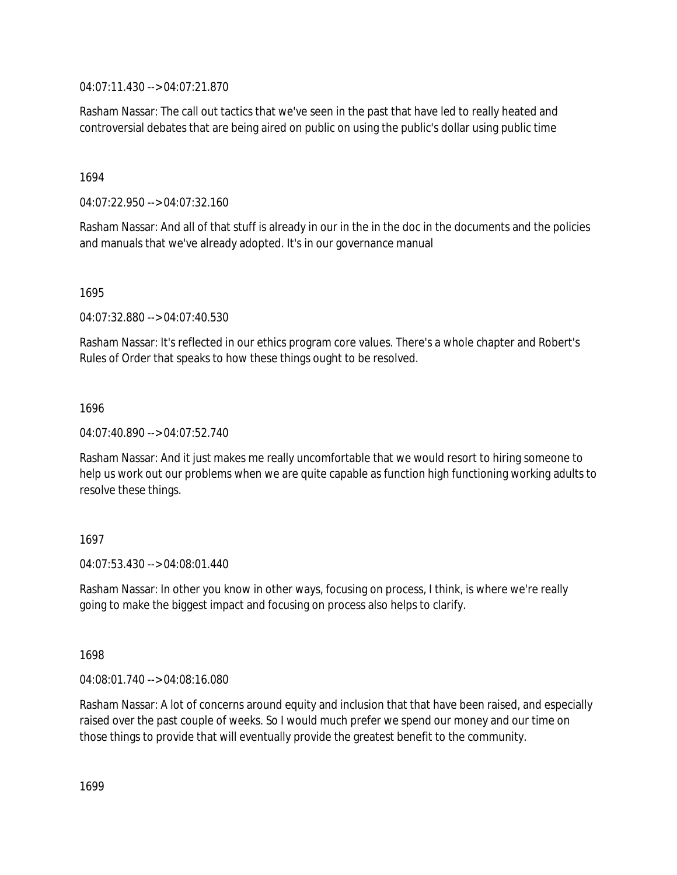04:07:11.430 --> 04:07:21.870

Rasham Nassar: The call out tactics that we've seen in the past that have led to really heated and controversial debates that are being aired on public on using the public's dollar using public time

1694

04:07:22.950 --> 04:07:32.160

Rasham Nassar: And all of that stuff is already in our in the in the doc in the documents and the policies and manuals that we've already adopted. It's in our governance manual

1695

04:07:32.880 --> 04:07:40.530

Rasham Nassar: It's reflected in our ethics program core values. There's a whole chapter and Robert's Rules of Order that speaks to how these things ought to be resolved.

1696

04:07:40.890 --> 04:07:52.740

Rasham Nassar: And it just makes me really uncomfortable that we would resort to hiring someone to help us work out our problems when we are quite capable as function high functioning working adults to resolve these things.

1697

04:07:53.430 --> 04:08:01.440

Rasham Nassar: In other you know in other ways, focusing on process, I think, is where we're really going to make the biggest impact and focusing on process also helps to clarify.

1698

04:08:01.740 --> 04:08:16.080

Rasham Nassar: A lot of concerns around equity and inclusion that that have been raised, and especially raised over the past couple of weeks. So I would much prefer we spend our money and our time on those things to provide that will eventually provide the greatest benefit to the community.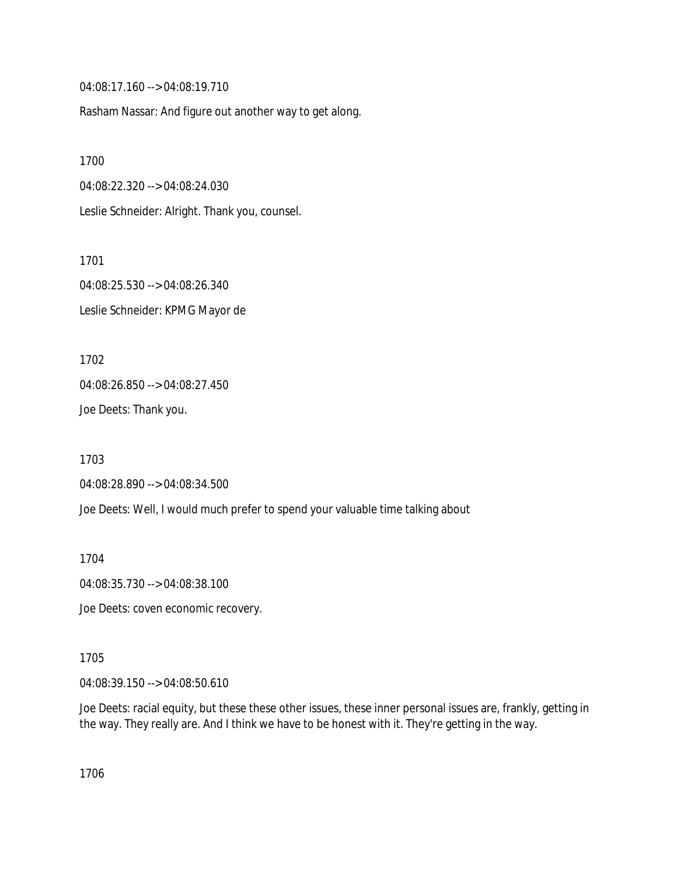04:08:17.160 --> 04:08:19.710

Rasham Nassar: And figure out another way to get along.

1700 04:08:22.320 --> 04:08:24.030 Leslie Schneider: Alright. Thank you, counsel.

1701 04:08:25.530 --> 04:08:26.340 Leslie Schneider: KPMG Mayor de

1702 04:08:26.850 --> 04:08:27.450 Joe Deets: Thank you.

1703 04:08:28.890 --> 04:08:34.500

Joe Deets: Well, I would much prefer to spend your valuable time talking about

1704

04:08:35.730 --> 04:08:38.100

Joe Deets: coven economic recovery.

1705

04:08:39.150 --> 04:08:50.610

Joe Deets: racial equity, but these these other issues, these inner personal issues are, frankly, getting in the way. They really are. And I think we have to be honest with it. They're getting in the way.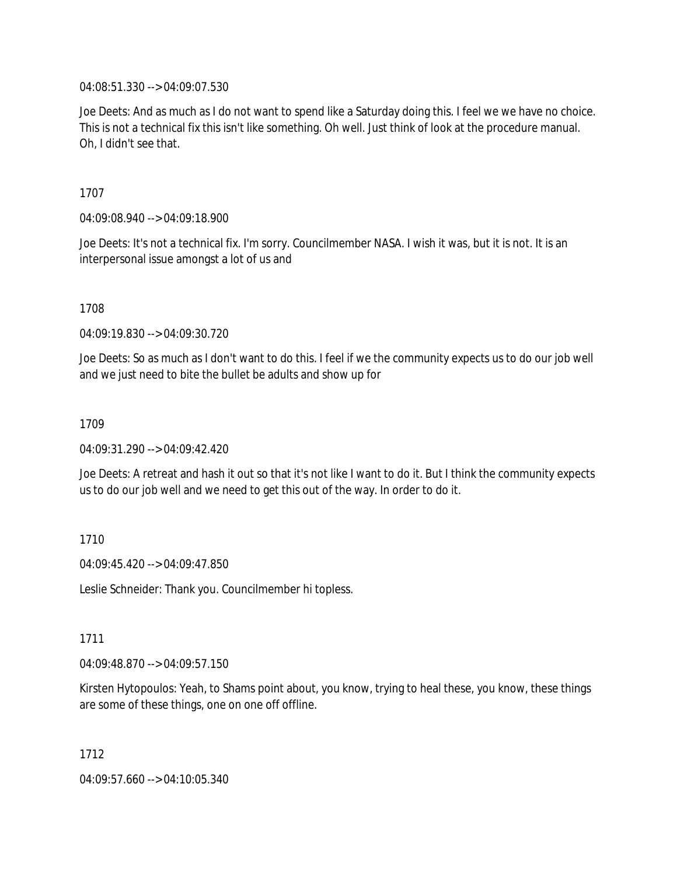04:08:51.330 --> 04:09:07.530

Joe Deets: And as much as I do not want to spend like a Saturday doing this. I feel we we have no choice. This is not a technical fix this isn't like something. Oh well. Just think of look at the procedure manual. Oh, I didn't see that.

1707

04:09:08.940 --> 04:09:18.900

Joe Deets: It's not a technical fix. I'm sorry. Councilmember NASA. I wish it was, but it is not. It is an interpersonal issue amongst a lot of us and

1708

04:09:19.830 --> 04:09:30.720

Joe Deets: So as much as I don't want to do this. I feel if we the community expects us to do our job well and we just need to bite the bullet be adults and show up for

1709

04:09:31.290 --> 04:09:42.420

Joe Deets: A retreat and hash it out so that it's not like I want to do it. But I think the community expects us to do our job well and we need to get this out of the way. In order to do it.

1710

04:09:45.420 --> 04:09:47.850

Leslie Schneider: Thank you. Councilmember hi topless.

1711

04:09:48.870 --> 04:09:57.150

Kirsten Hytopoulos: Yeah, to Shams point about, you know, trying to heal these, you know, these things are some of these things, one on one off offline.

1712

04:09:57.660 --> 04:10:05.340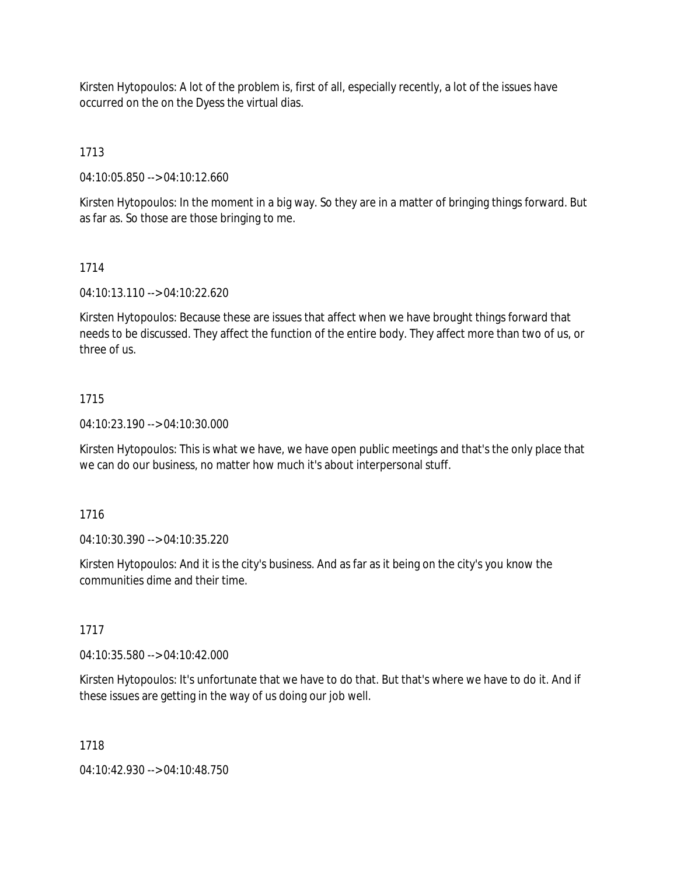Kirsten Hytopoulos: A lot of the problem is, first of all, especially recently, a lot of the issues have occurred on the on the Dyess the virtual dias.

1713

04:10:05.850 --> 04:10:12.660

Kirsten Hytopoulos: In the moment in a big way. So they are in a matter of bringing things forward. But as far as. So those are those bringing to me.

### 1714

04:10:13.110 --> 04:10:22.620

Kirsten Hytopoulos: Because these are issues that affect when we have brought things forward that needs to be discussed. They affect the function of the entire body. They affect more than two of us, or three of us.

### 1715

04:10:23.190 --> 04:10:30.000

Kirsten Hytopoulos: This is what we have, we have open public meetings and that's the only place that we can do our business, no matter how much it's about interpersonal stuff.

### 1716

04:10:30.390 --> 04:10:35.220

Kirsten Hytopoulos: And it is the city's business. And as far as it being on the city's you know the communities dime and their time.

# 1717

04:10:35.580 --> 04:10:42.000

Kirsten Hytopoulos: It's unfortunate that we have to do that. But that's where we have to do it. And if these issues are getting in the way of us doing our job well.

### 1718

04:10:42.930 --> 04:10:48.750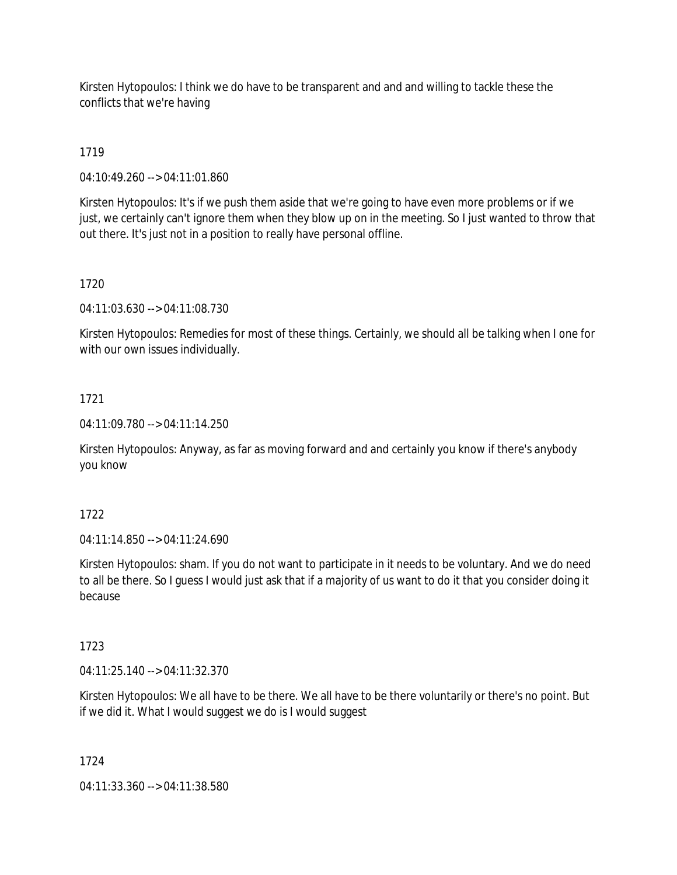Kirsten Hytopoulos: I think we do have to be transparent and and and willing to tackle these the conflicts that we're having

# 1719

04:10:49.260 --> 04:11:01.860

Kirsten Hytopoulos: It's if we push them aside that we're going to have even more problems or if we just, we certainly can't ignore them when they blow up on in the meeting. So I just wanted to throw that out there. It's just not in a position to really have personal offline.

### 1720

04:11:03.630 --> 04:11:08.730

Kirsten Hytopoulos: Remedies for most of these things. Certainly, we should all be talking when I one for with our own issues individually.

### 1721

04:11:09.780 --> 04:11:14.250

Kirsten Hytopoulos: Anyway, as far as moving forward and and certainly you know if there's anybody you know

### 1722

04:11:14.850 --> 04:11:24.690

Kirsten Hytopoulos: sham. If you do not want to participate in it needs to be voluntary. And we do need to all be there. So I guess I would just ask that if a majority of us want to do it that you consider doing it because

### 1723

04:11:25.140 --> 04:11:32.370

Kirsten Hytopoulos: We all have to be there. We all have to be there voluntarily or there's no point. But if we did it. What I would suggest we do is I would suggest

### 1724

04:11:33.360 --> 04:11:38.580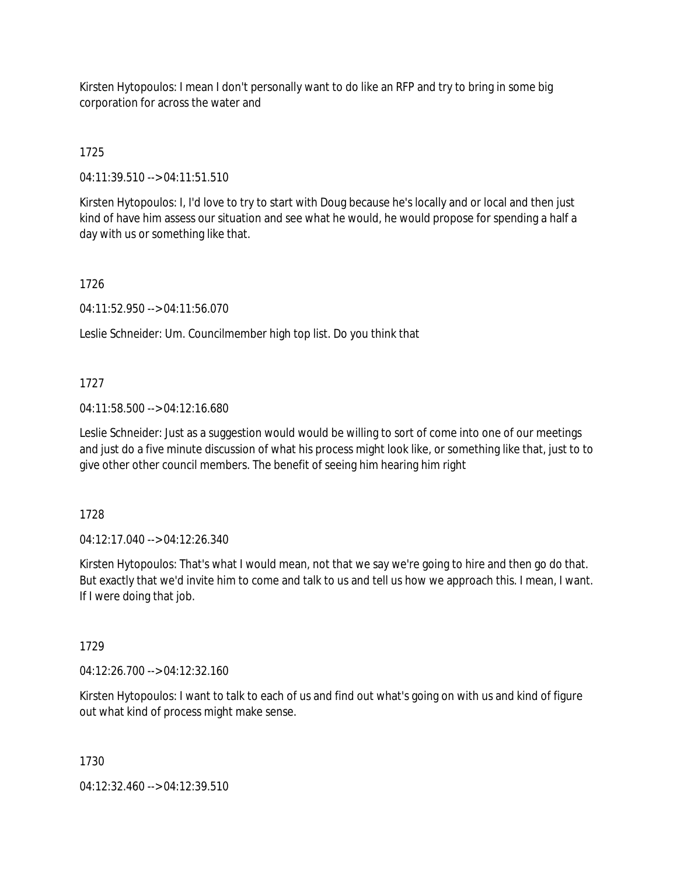Kirsten Hytopoulos: I mean I don't personally want to do like an RFP and try to bring in some big corporation for across the water and

# 1725

04:11:39.510 --> 04:11:51.510

Kirsten Hytopoulos: I, I'd love to try to start with Doug because he's locally and or local and then just kind of have him assess our situation and see what he would, he would propose for spending a half a day with us or something like that.

# 1726

04:11:52.950 --> 04:11:56.070

Leslie Schneider: Um. Councilmember high top list. Do you think that

# 1727

04:11:58.500 --> 04:12:16.680

Leslie Schneider: Just as a suggestion would would be willing to sort of come into one of our meetings and just do a five minute discussion of what his process might look like, or something like that, just to to give other other council members. The benefit of seeing him hearing him right

### 1728

04:12:17.040 --> 04:12:26.340

Kirsten Hytopoulos: That's what I would mean, not that we say we're going to hire and then go do that. But exactly that we'd invite him to come and talk to us and tell us how we approach this. I mean, I want. If I were doing that job.

# 1729

04:12:26.700 --> 04:12:32.160

Kirsten Hytopoulos: I want to talk to each of us and find out what's going on with us and kind of figure out what kind of process might make sense.

1730

04:12:32.460 --> 04:12:39.510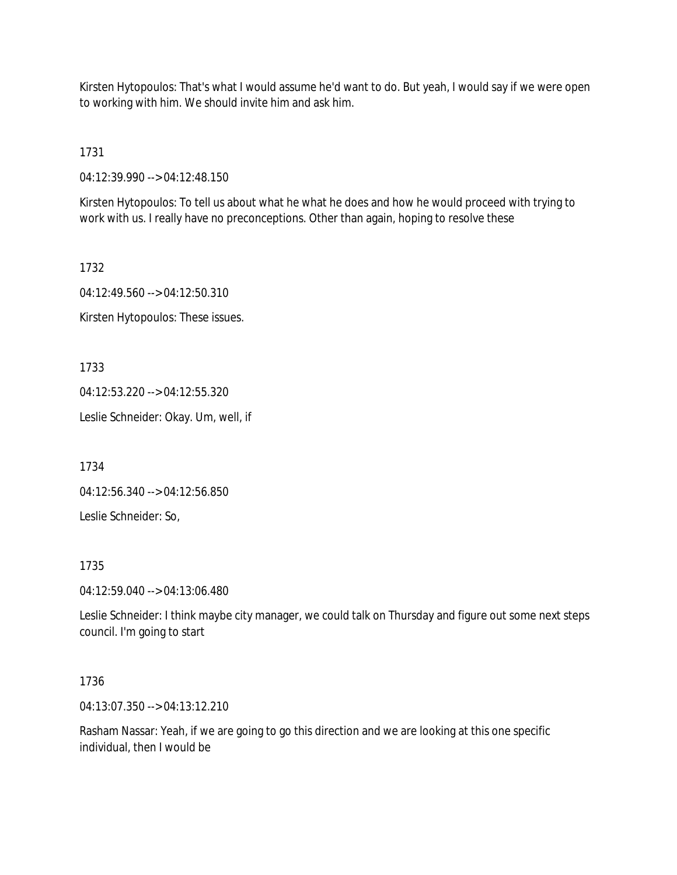Kirsten Hytopoulos: That's what I would assume he'd want to do. But yeah, I would say if we were open to working with him. We should invite him and ask him.

1731

04:12:39.990 --> 04:12:48.150

Kirsten Hytopoulos: To tell us about what he what he does and how he would proceed with trying to work with us. I really have no preconceptions. Other than again, hoping to resolve these

1732 04:12:49.560 --> 04:12:50.310 Kirsten Hytopoulos: These issues.

1733

04:12:53.220 --> 04:12:55.320

Leslie Schneider: Okay. Um, well, if

1734

04:12:56.340 --> 04:12:56.850

Leslie Schneider: So,

1735

04:12:59.040 --> 04:13:06.480

Leslie Schneider: I think maybe city manager, we could talk on Thursday and figure out some next steps council. I'm going to start

### 1736

04:13:07.350 --> 04:13:12.210

Rasham Nassar: Yeah, if we are going to go this direction and we are looking at this one specific individual, then I would be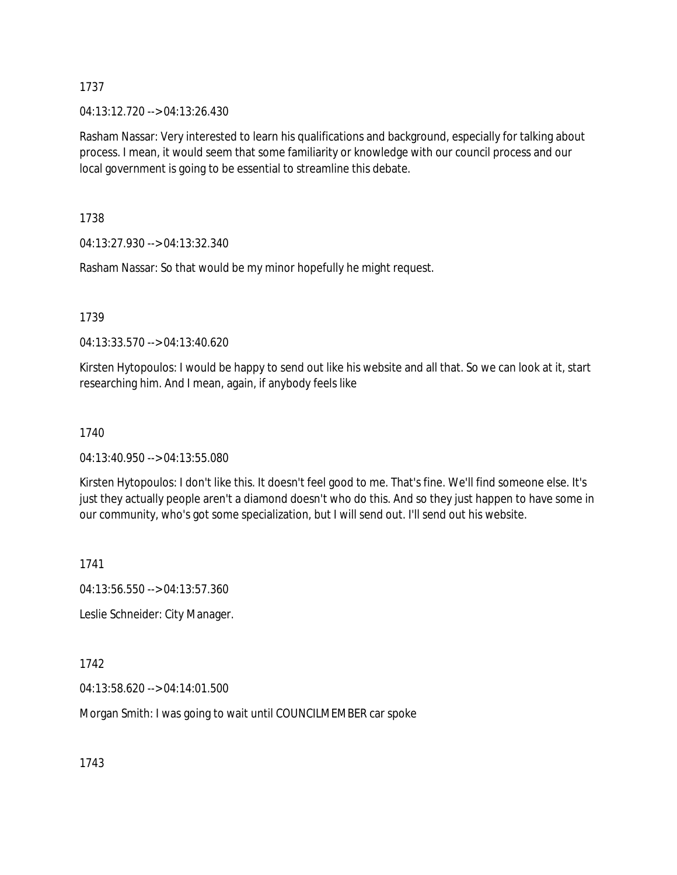04:13:12.720 --> 04:13:26.430

Rasham Nassar: Very interested to learn his qualifications and background, especially for talking about process. I mean, it would seem that some familiarity or knowledge with our council process and our local government is going to be essential to streamline this debate.

1738

04:13:27.930 --> 04:13:32.340

Rasham Nassar: So that would be my minor hopefully he might request.

1739

04:13:33.570 --> 04:13:40.620

Kirsten Hytopoulos: I would be happy to send out like his website and all that. So we can look at it, start researching him. And I mean, again, if anybody feels like

1740

04:13:40.950 --> 04:13:55.080

Kirsten Hytopoulos: I don't like this. It doesn't feel good to me. That's fine. We'll find someone else. It's just they actually people aren't a diamond doesn't who do this. And so they just happen to have some in our community, who's got some specialization, but I will send out. I'll send out his website.

1741

04:13:56.550 --> 04:13:57.360

Leslie Schneider: City Manager.

1742

04:13:58.620 --> 04:14:01.500

Morgan Smith: I was going to wait until COUNCILMEMBER car spoke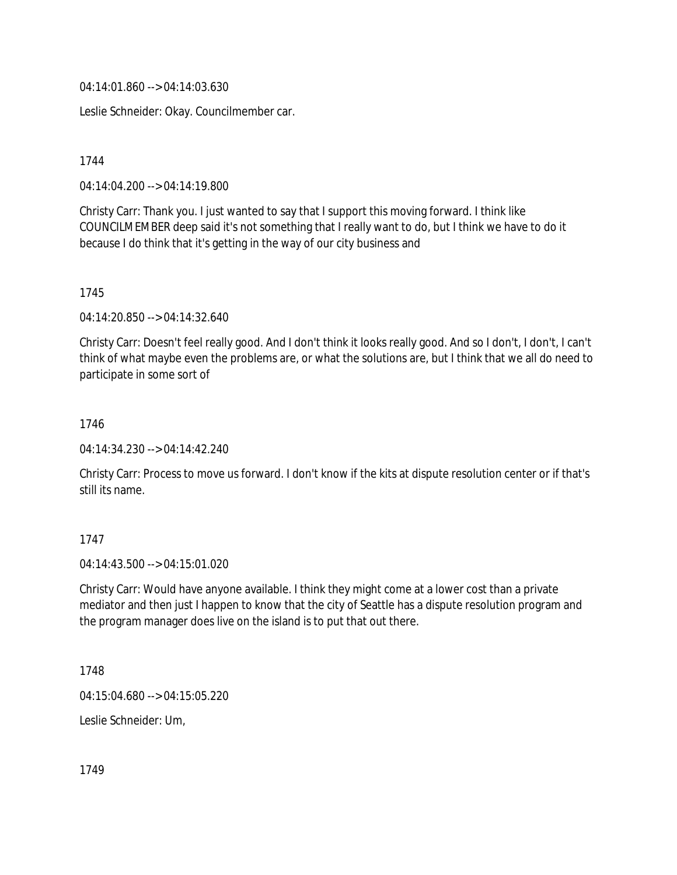04:14:01.860 --> 04:14:03.630

Leslie Schneider: Okay. Councilmember car.

1744

04:14:04.200 --> 04:14:19.800

Christy Carr: Thank you. I just wanted to say that I support this moving forward. I think like COUNCILMEMBER deep said it's not something that I really want to do, but I think we have to do it because I do think that it's getting in the way of our city business and

1745

04:14:20.850 --> 04:14:32.640

Christy Carr: Doesn't feel really good. And I don't think it looks really good. And so I don't, I don't, I can't think of what maybe even the problems are, or what the solutions are, but I think that we all do need to participate in some sort of

1746

04:14:34.230 --> 04:14:42.240

Christy Carr: Process to move us forward. I don't know if the kits at dispute resolution center or if that's still its name.

1747

04:14:43.500 --> 04:15:01.020

Christy Carr: Would have anyone available. I think they might come at a lower cost than a private mediator and then just I happen to know that the city of Seattle has a dispute resolution program and the program manager does live on the island is to put that out there.

1748

04:15:04.680 --> 04:15:05.220

Leslie Schneider: Um,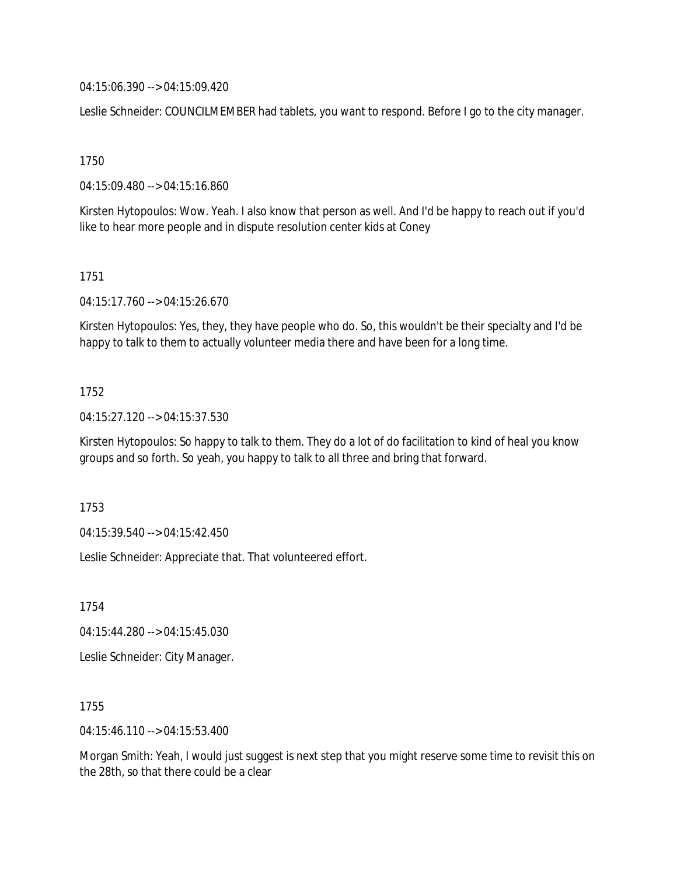04:15:06.390 --> 04:15:09.420

Leslie Schneider: COUNCILMEMBER had tablets, you want to respond. Before I go to the city manager.

1750

04:15:09.480 --> 04:15:16.860

Kirsten Hytopoulos: Wow. Yeah. I also know that person as well. And I'd be happy to reach out if you'd like to hear more people and in dispute resolution center kids at Coney

1751

04:15:17.760 --> 04:15:26.670

Kirsten Hytopoulos: Yes, they, they have people who do. So, this wouldn't be their specialty and I'd be happy to talk to them to actually volunteer media there and have been for a long time.

#### 1752

04:15:27.120 --> 04:15:37.530

Kirsten Hytopoulos: So happy to talk to them. They do a lot of do facilitation to kind of heal you know groups and so forth. So yeah, you happy to talk to all three and bring that forward.

1753

04:15:39.540 --> 04:15:42.450

Leslie Schneider: Appreciate that. That volunteered effort.

1754

04:15:44.280 --> 04:15:45.030

Leslie Schneider: City Manager.

1755

04:15:46.110 --> 04:15:53.400

Morgan Smith: Yeah, I would just suggest is next step that you might reserve some time to revisit this on the 28th, so that there could be a clear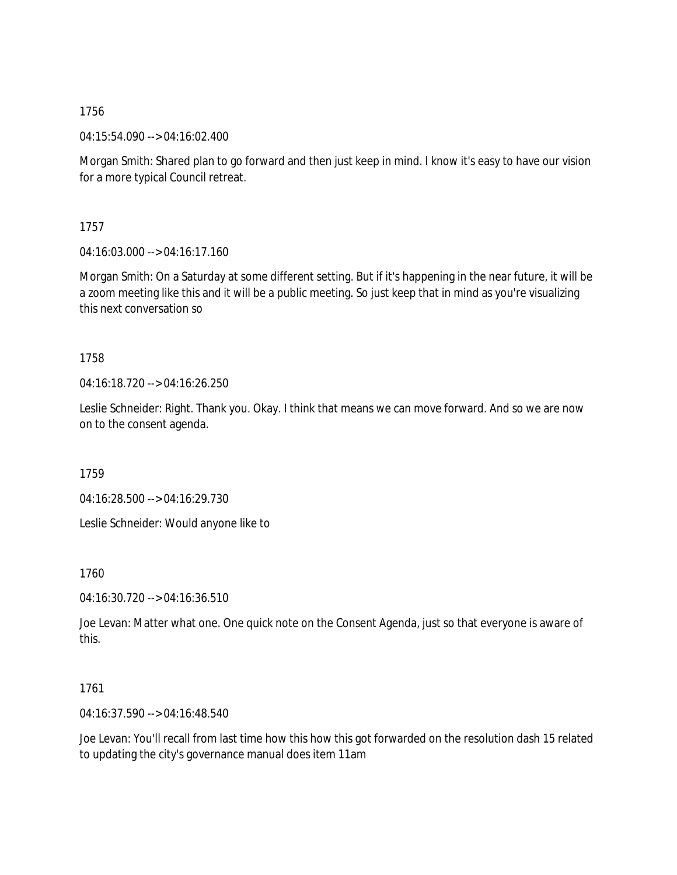04:15:54.090 --> 04:16:02.400

Morgan Smith: Shared plan to go forward and then just keep in mind. I know it's easy to have our vision for a more typical Council retreat.

1757

04:16:03.000 --> 04:16:17.160

Morgan Smith: On a Saturday at some different setting. But if it's happening in the near future, it will be a zoom meeting like this and it will be a public meeting. So just keep that in mind as you're visualizing this next conversation so

1758

04:16:18.720 --> 04:16:26.250

Leslie Schneider: Right. Thank you. Okay. I think that means we can move forward. And so we are now on to the consent agenda.

1759

04:16:28.500 --> 04:16:29.730

Leslie Schneider: Would anyone like to

1760

04:16:30.720 --> 04:16:36.510

Joe Levan: Matter what one. One quick note on the Consent Agenda, just so that everyone is aware of this.

# 1761

04:16:37.590 --> 04:16:48.540

Joe Levan: You'll recall from last time how this how this got forwarded on the resolution dash 15 related to updating the city's governance manual does item 11am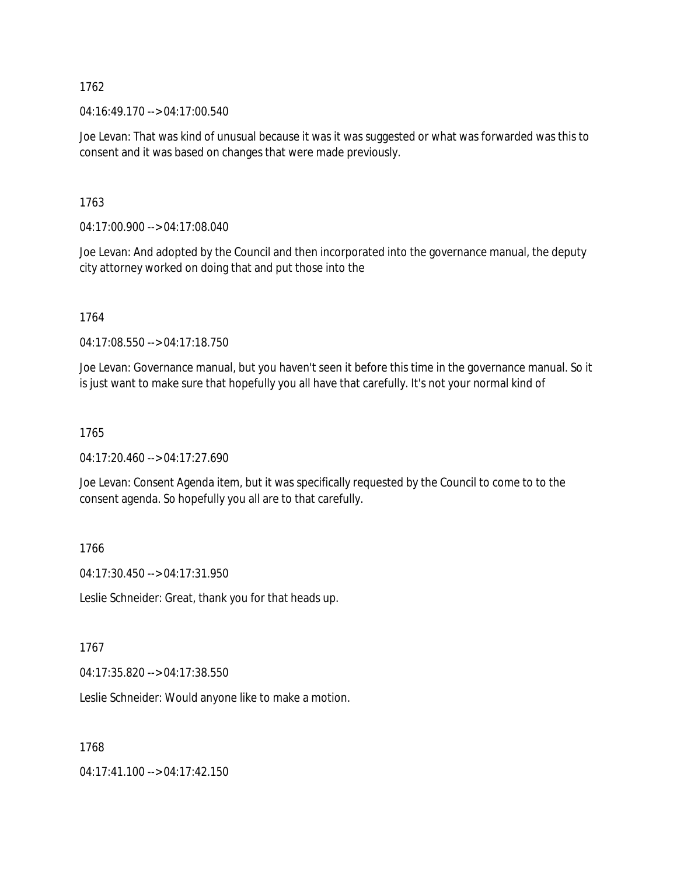04:16:49.170 --> 04:17:00.540

Joe Levan: That was kind of unusual because it was it was suggested or what was forwarded was this to consent and it was based on changes that were made previously.

1763

04:17:00.900 --> 04:17:08.040

Joe Levan: And adopted by the Council and then incorporated into the governance manual, the deputy city attorney worked on doing that and put those into the

1764

04:17:08.550 --> 04:17:18.750

Joe Levan: Governance manual, but you haven't seen it before this time in the governance manual. So it is just want to make sure that hopefully you all have that carefully. It's not your normal kind of

### 1765

 $04:17:20.460 \rightarrow 04:17:27.690$ 

Joe Levan: Consent Agenda item, but it was specifically requested by the Council to come to to the consent agenda. So hopefully you all are to that carefully.

1766

04:17:30.450 --> 04:17:31.950

Leslie Schneider: Great, thank you for that heads up.

### 1767

04:17:35.820 --> 04:17:38.550

Leslie Schneider: Would anyone like to make a motion.

1768

04:17:41.100 --> 04:17:42.150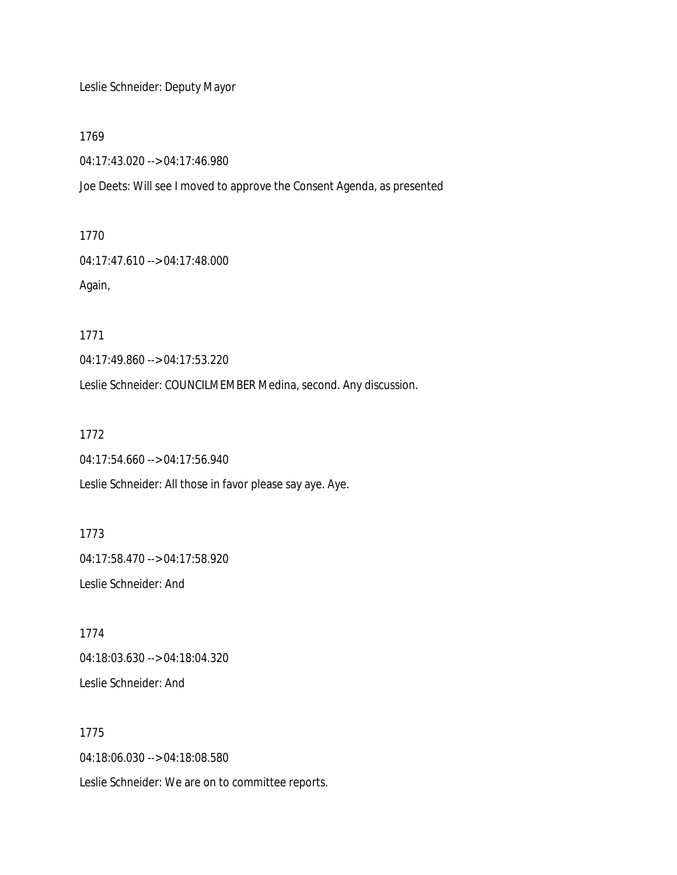Leslie Schneider: Deputy Mayor

1769

04:17:43.020 --> 04:17:46.980

Joe Deets: Will see I moved to approve the Consent Agenda, as presented

1770

04:17:47.610 --> 04:17:48.000 Again,

1771

04:17:49.860 --> 04:17:53.220

Leslie Schneider: COUNCILMEMBER Medina, second. Any discussion.

1772

04:17:54.660 --> 04:17:56.940

Leslie Schneider: All those in favor please say aye. Aye.

1773 04:17:58.470 --> 04:17:58.920 Leslie Schneider: And

1774 04:18:03.630 --> 04:18:04.320 Leslie Schneider: And

1775 04:18:06.030 --> 04:18:08.580 Leslie Schneider: We are on to committee reports.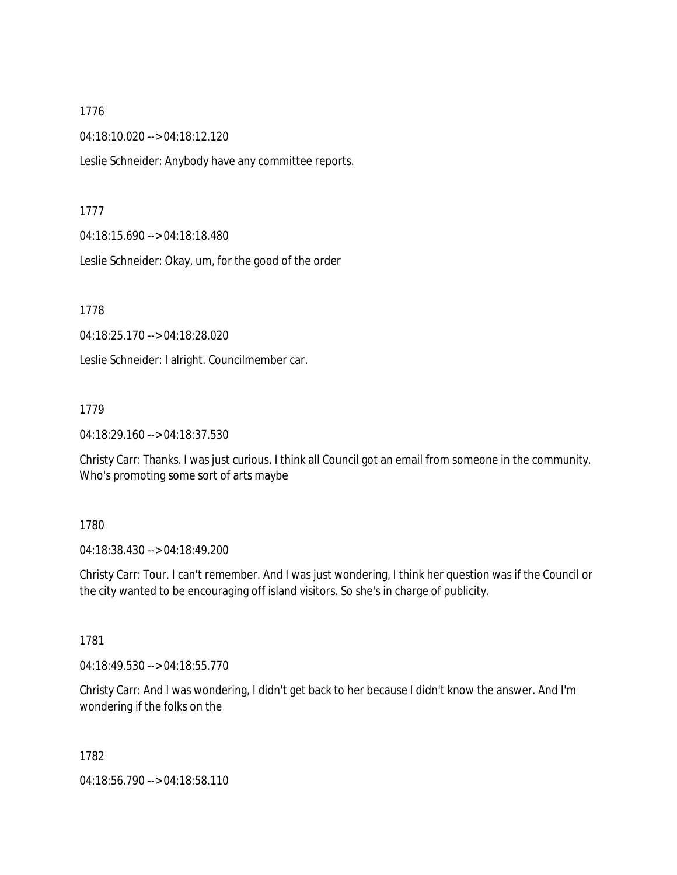04:18:10.020 --> 04:18:12.120

Leslie Schneider: Anybody have any committee reports.

#### 1777

04:18:15.690 --> 04:18:18.480

Leslie Schneider: Okay, um, for the good of the order

1778

04:18:25.170 --> 04:18:28.020

Leslie Schneider: I alright. Councilmember car.

#### 1779

04:18:29.160 --> 04:18:37.530

Christy Carr: Thanks. I was just curious. I think all Council got an email from someone in the community. Who's promoting some sort of arts maybe

### 1780

04:18:38.430 --> 04:18:49.200

Christy Carr: Tour. I can't remember. And I was just wondering, I think her question was if the Council or the city wanted to be encouraging off island visitors. So she's in charge of publicity.

### 1781

04:18:49.530 --> 04:18:55.770

Christy Carr: And I was wondering, I didn't get back to her because I didn't know the answer. And I'm wondering if the folks on the

1782

04:18:56.790 --> 04:18:58.110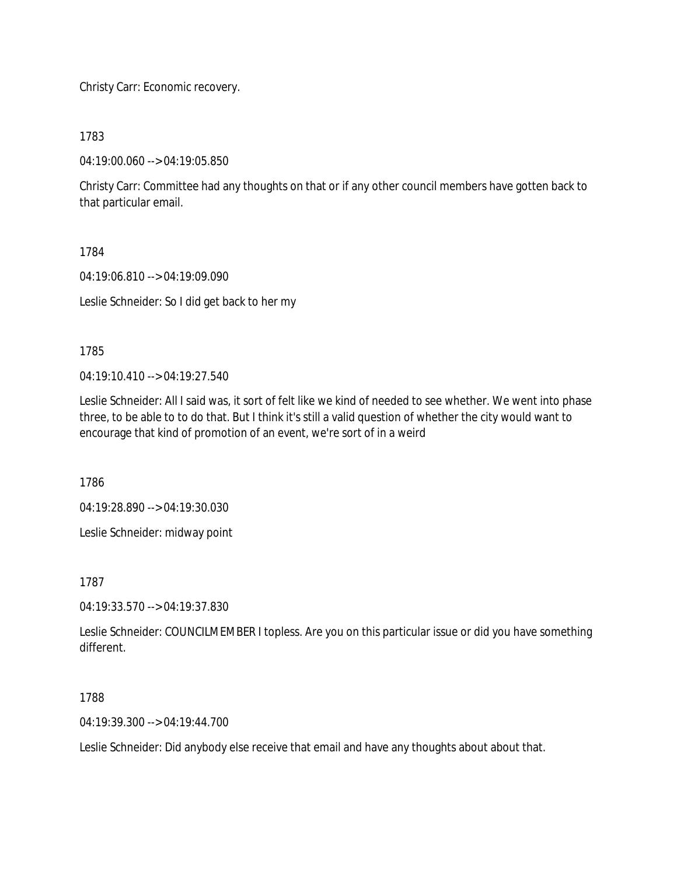Christy Carr: Economic recovery.

1783

04:19:00.060 --> 04:19:05.850

Christy Carr: Committee had any thoughts on that or if any other council members have gotten back to that particular email.

1784

04:19:06.810 --> 04:19:09.090

Leslie Schneider: So I did get back to her my

1785

04:19:10.410 --> 04:19:27.540

Leslie Schneider: All I said was, it sort of felt like we kind of needed to see whether. We went into phase three, to be able to to do that. But I think it's still a valid question of whether the city would want to encourage that kind of promotion of an event, we're sort of in a weird

1786

04:19:28.890 --> 04:19:30.030

Leslie Schneider: midway point

1787

04:19:33.570 --> 04:19:37.830

Leslie Schneider: COUNCILMEMBER I topless. Are you on this particular issue or did you have something different.

1788

04:19:39.300 --> 04:19:44.700

Leslie Schneider: Did anybody else receive that email and have any thoughts about about that.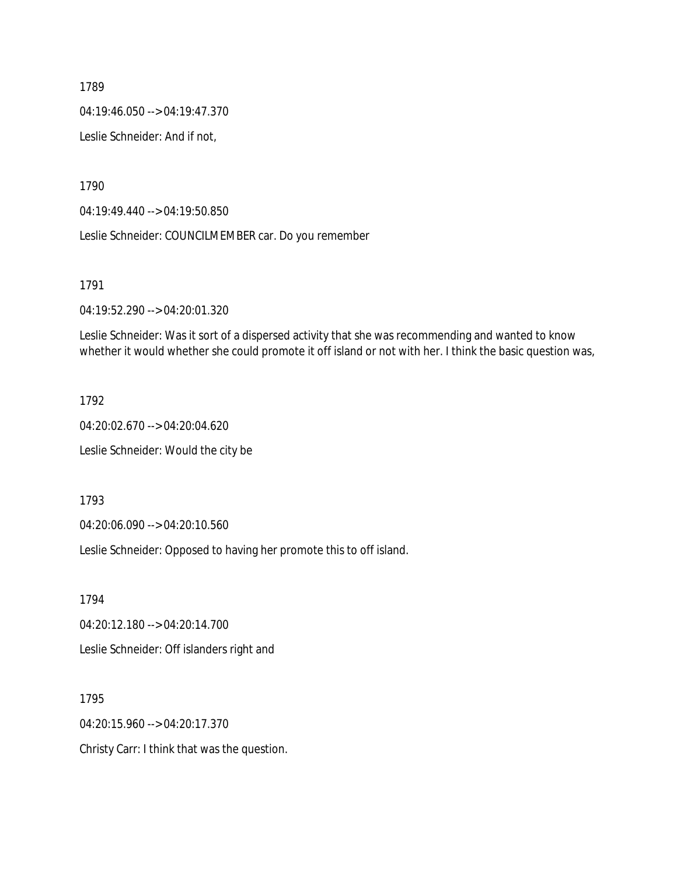04:19:46.050 --> 04:19:47.370

Leslie Schneider: And if not,

1790

04:19:49.440 --> 04:19:50.850

Leslie Schneider: COUNCILMEMBER car. Do you remember

1791

04:19:52.290 --> 04:20:01.320

Leslie Schneider: Was it sort of a dispersed activity that she was recommending and wanted to know whether it would whether she could promote it off island or not with her. I think the basic question was,

1792

04:20:02.670 --> 04:20:04.620 Leslie Schneider: Would the city be

1793

04:20:06.090 --> 04:20:10.560

Leslie Schneider: Opposed to having her promote this to off island.

1794

04:20:12.180 --> 04:20:14.700

Leslie Schneider: Off islanders right and

1795

04:20:15.960 --> 04:20:17.370

Christy Carr: I think that was the question.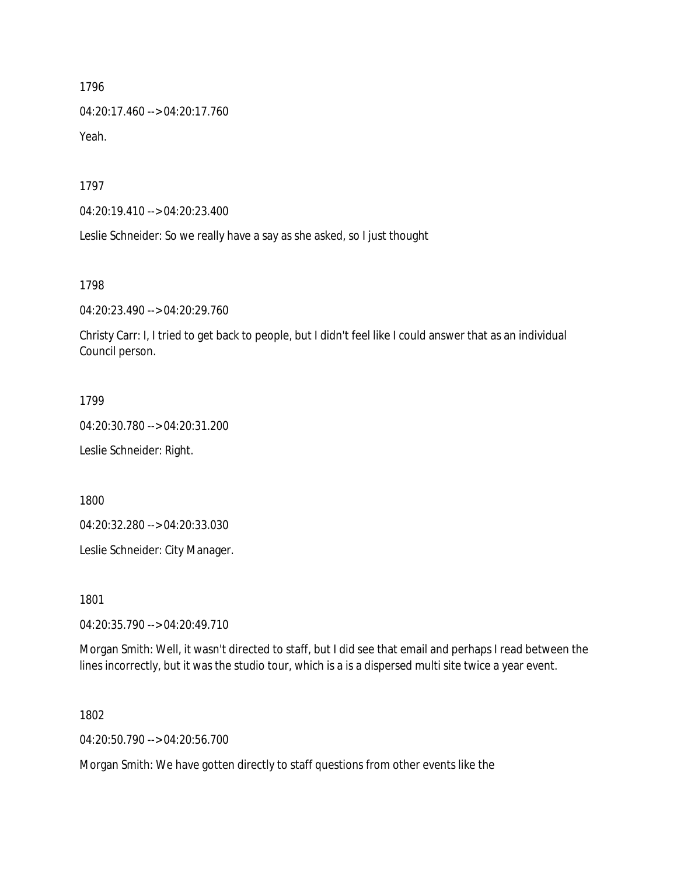04:20:17.460 --> 04:20:17.760 Yeah.

1797

04:20:19.410 --> 04:20:23.400

Leslie Schneider: So we really have a say as she asked, so I just thought

1798

04:20:23.490 --> 04:20:29.760

Christy Carr: I, I tried to get back to people, but I didn't feel like I could answer that as an individual Council person.

1799

04:20:30.780 --> 04:20:31.200

Leslie Schneider: Right.

1800

04:20:32.280 --> 04:20:33.030

Leslie Schneider: City Manager.

1801

04:20:35.790 --> 04:20:49.710

Morgan Smith: Well, it wasn't directed to staff, but I did see that email and perhaps I read between the lines incorrectly, but it was the studio tour, which is a is a dispersed multi site twice a year event.

1802

04:20:50.790 --> 04:20:56.700

Morgan Smith: We have gotten directly to staff questions from other events like the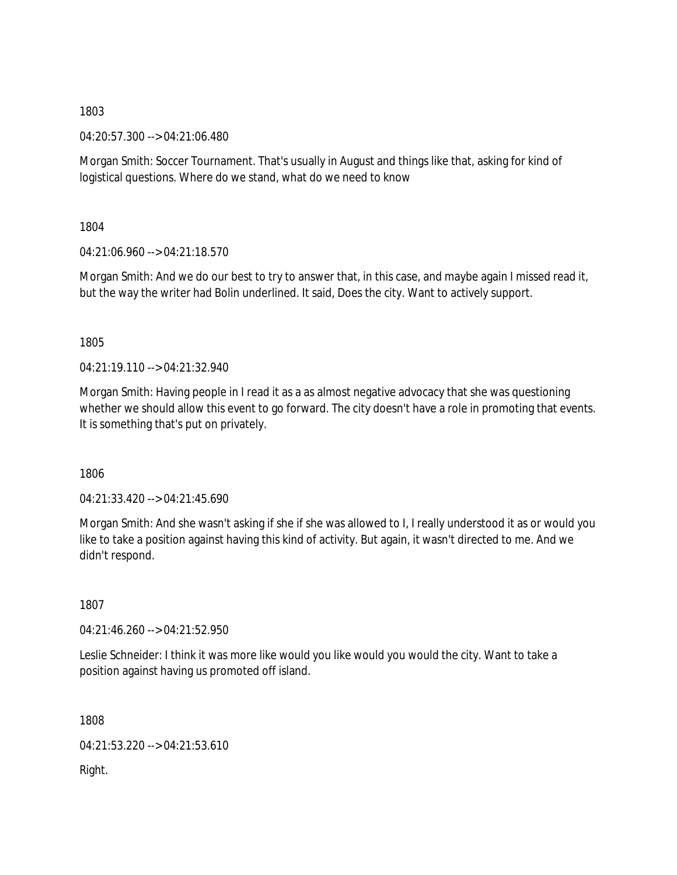04:20:57.300 --> 04:21:06.480

Morgan Smith: Soccer Tournament. That's usually in August and things like that, asking for kind of logistical questions. Where do we stand, what do we need to know

1804

04:21:06.960 --> 04:21:18.570

Morgan Smith: And we do our best to try to answer that, in this case, and maybe again I missed read it, but the way the writer had Bolin underlined. It said, Does the city. Want to actively support.

1805

 $04.21.19.110 -> 04.21.32.940$ 

Morgan Smith: Having people in I read it as a as almost negative advocacy that she was questioning whether we should allow this event to go forward. The city doesn't have a role in promoting that events. It is something that's put on privately.

1806

04:21:33.420 --> 04:21:45.690

Morgan Smith: And she wasn't asking if she if she was allowed to I, I really understood it as or would you like to take a position against having this kind of activity. But again, it wasn't directed to me. And we didn't respond.

1807

04:21:46.260 --> 04:21:52.950

Leslie Schneider: I think it was more like would you like would you would the city. Want to take a position against having us promoted off island.

1808

04:21:53.220 --> 04:21:53.610

Right.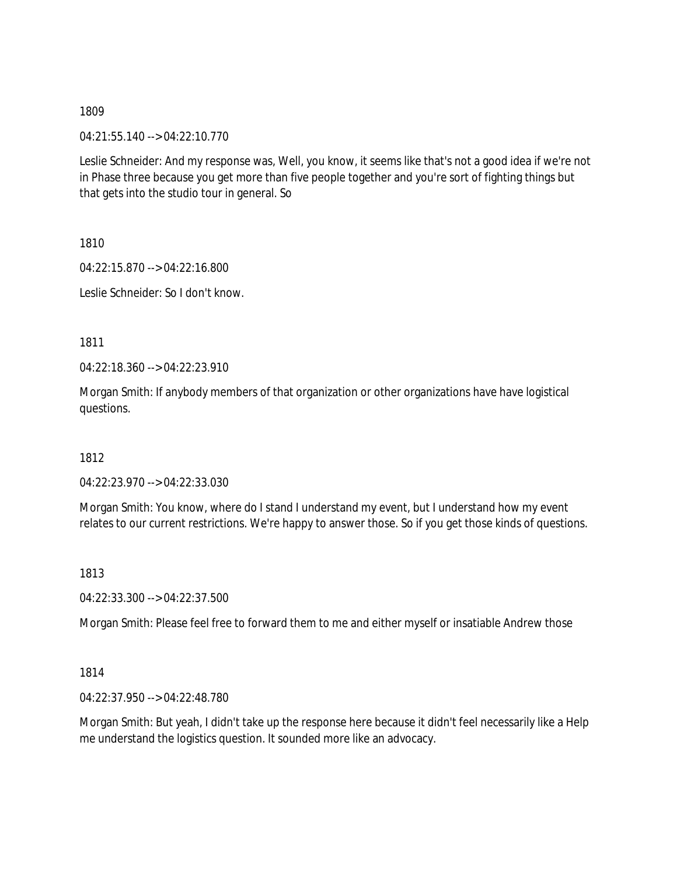04:21:55.140 --> 04:22:10.770

Leslie Schneider: And my response was, Well, you know, it seems like that's not a good idea if we're not in Phase three because you get more than five people together and you're sort of fighting things but that gets into the studio tour in general. So

1810

04:22:15.870 --> 04:22:16.800

Leslie Schneider: So I don't know.

1811

04:22:18.360 --> 04:22:23.910

Morgan Smith: If anybody members of that organization or other organizations have have logistical questions.

1812

04:22:23.970 --> 04:22:33.030

Morgan Smith: You know, where do I stand I understand my event, but I understand how my event relates to our current restrictions. We're happy to answer those. So if you get those kinds of questions.

1813

04:22:33.300 --> 04:22:37.500

Morgan Smith: Please feel free to forward them to me and either myself or insatiable Andrew those

1814

04:22:37.950 --> 04:22:48.780

Morgan Smith: But yeah, I didn't take up the response here because it didn't feel necessarily like a Help me understand the logistics question. It sounded more like an advocacy.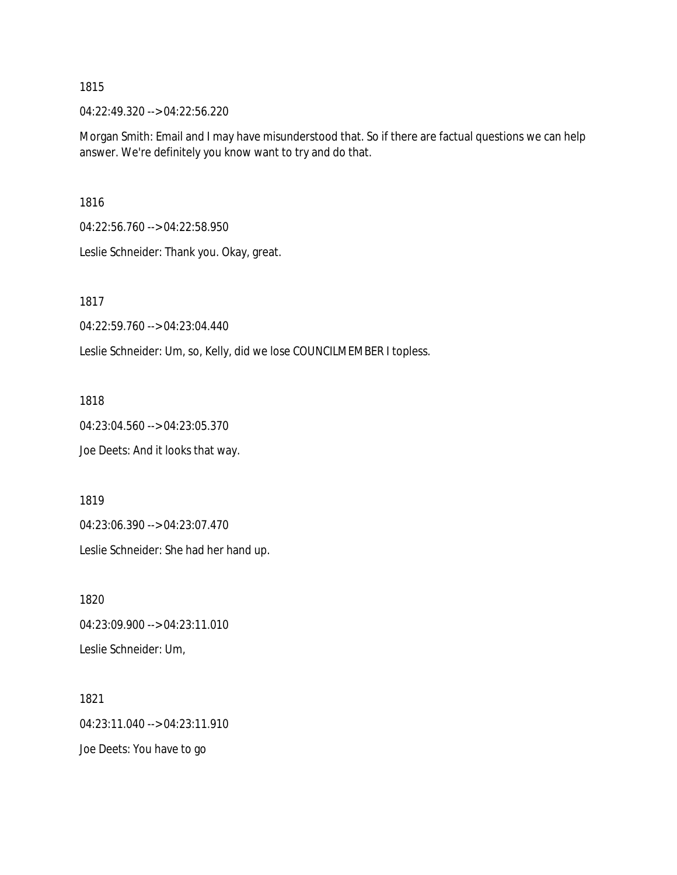04:22:49.320 --> 04:22:56.220

Morgan Smith: Email and I may have misunderstood that. So if there are factual questions we can help answer. We're definitely you know want to try and do that.

1816

04:22:56.760 --> 04:22:58.950

Leslie Schneider: Thank you. Okay, great.

1817

04:22:59.760 --> 04:23:04.440

Leslie Schneider: Um, so, Kelly, did we lose COUNCILMEMBER I topless.

1818

04:23:04.560 --> 04:23:05.370 Joe Deets: And it looks that way.

1819

04:23:06.390 --> 04:23:07.470

Leslie Schneider: She had her hand up.

1820 04:23:09.900 --> 04:23:11.010 Leslie Schneider: Um,

1821 04:23:11.040 --> 04:23:11.910 Joe Deets: You have to go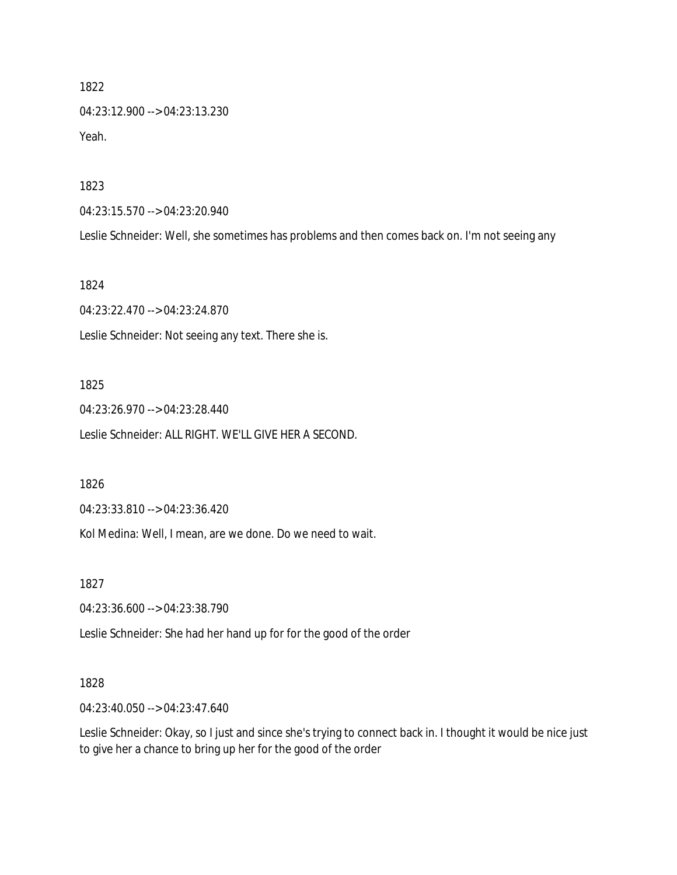1822 04:23:12.900 --> 04:23:13.230 Yeah.

1823

04:23:15.570 --> 04:23:20.940

Leslie Schneider: Well, she sometimes has problems and then comes back on. I'm not seeing any

1824

04:23:22.470 --> 04:23:24.870 Leslie Schneider: Not seeing any text. There she is.

#### 1825

04:23:26.970 --> 04:23:28.440 Leslie Schneider: ALL RIGHT. WE'LL GIVE HER A SECOND.

1826

04:23:33.810 --> 04:23:36.420

Kol Medina: Well, I mean, are we done. Do we need to wait.

1827

04:23:36.600 --> 04:23:38.790

Leslie Schneider: She had her hand up for for the good of the order

#### 1828

04:23:40.050 --> 04:23:47.640

Leslie Schneider: Okay, so I just and since she's trying to connect back in. I thought it would be nice just to give her a chance to bring up her for the good of the order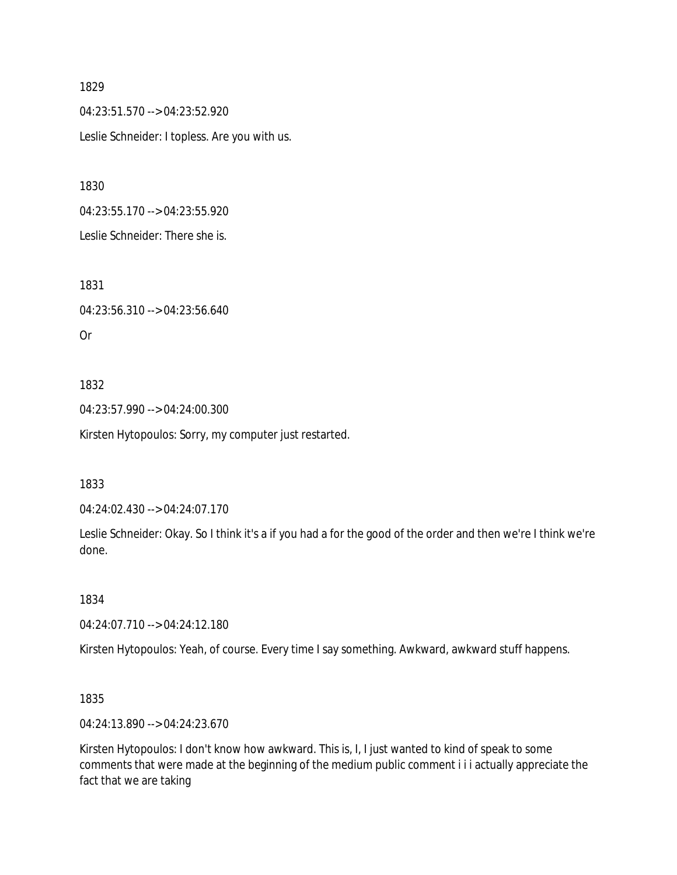04:23:51.570 --> 04:23:52.920 Leslie Schneider: I topless. Are you with us.

1830

04:23:55.170 --> 04:23:55.920

Leslie Schneider: There she is.

1831

04:23:56.310 --> 04:23:56.640

Or

# 1832

04:23:57.990 --> 04:24:00.300

Kirsten Hytopoulos: Sorry, my computer just restarted.

## 1833

04:24:02.430 --> 04:24:07.170

Leslie Schneider: Okay. So I think it's a if you had a for the good of the order and then we're I think we're done.

1834

04:24:07.710 --> 04:24:12.180

Kirsten Hytopoulos: Yeah, of course. Every time I say something. Awkward, awkward stuff happens.

1835

04:24:13.890 --> 04:24:23.670

Kirsten Hytopoulos: I don't know how awkward. This is, I, I just wanted to kind of speak to some comments that were made at the beginning of the medium public comment i i i actually appreciate the fact that we are taking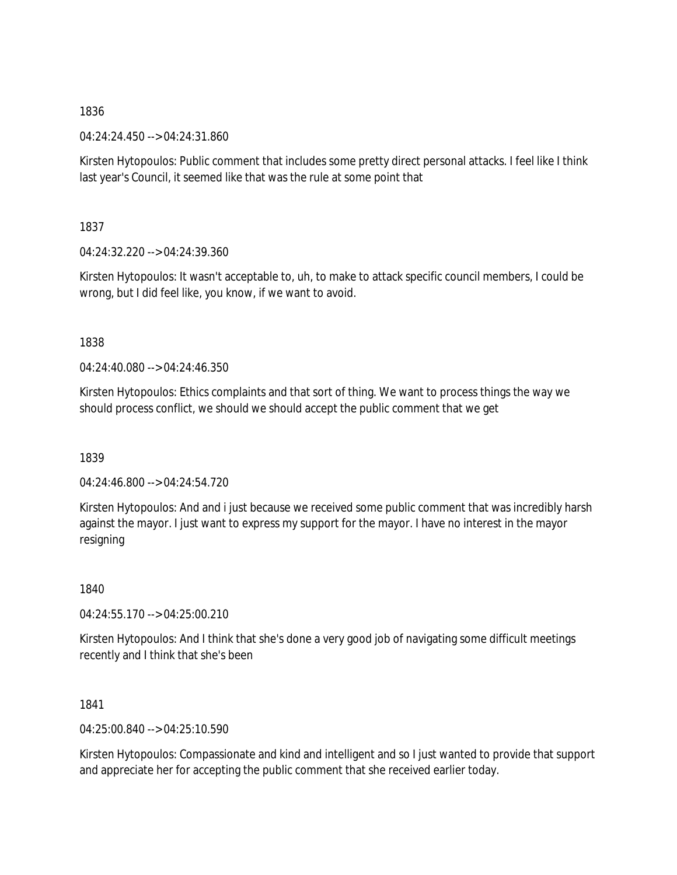04:24:24.450 --> 04:24:31.860

Kirsten Hytopoulos: Public comment that includes some pretty direct personal attacks. I feel like I think last year's Council, it seemed like that was the rule at some point that

1837

04:24:32.220 --> 04:24:39.360

Kirsten Hytopoulos: It wasn't acceptable to, uh, to make to attack specific council members, I could be wrong, but I did feel like, you know, if we want to avoid.

1838

 $04.24.40.080 -> 04.24.46.350$ 

Kirsten Hytopoulos: Ethics complaints and that sort of thing. We want to process things the way we should process conflict, we should we should accept the public comment that we get

1839

04:24:46.800 --> 04:24:54.720

Kirsten Hytopoulos: And and i just because we received some public comment that was incredibly harsh against the mayor. I just want to express my support for the mayor. I have no interest in the mayor resigning

1840

04:24:55.170 --> 04:25:00.210

Kirsten Hytopoulos: And I think that she's done a very good job of navigating some difficult meetings recently and I think that she's been

1841

04:25:00.840 --> 04:25:10.590

Kirsten Hytopoulos: Compassionate and kind and intelligent and so I just wanted to provide that support and appreciate her for accepting the public comment that she received earlier today.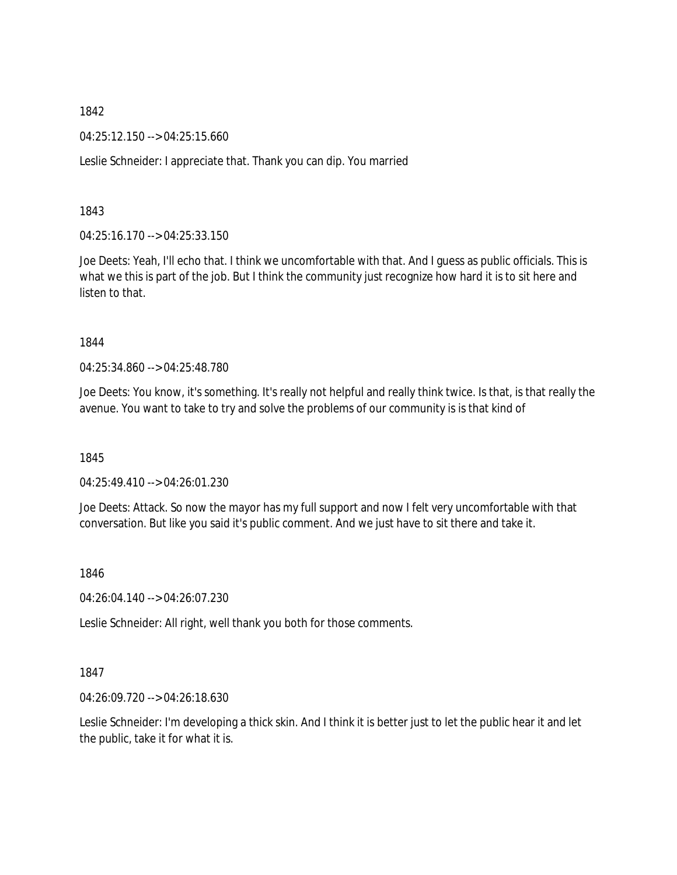04:25:12.150 --> 04:25:15.660

Leslie Schneider: I appreciate that. Thank you can dip. You married

1843

04:25:16.170 --> 04:25:33.150

Joe Deets: Yeah, I'll echo that. I think we uncomfortable with that. And I guess as public officials. This is what we this is part of the job. But I think the community just recognize how hard it is to sit here and listen to that.

#### 1844

04:25:34.860 --> 04:25:48.780

Joe Deets: You know, it's something. It's really not helpful and really think twice. Is that, is that really the avenue. You want to take to try and solve the problems of our community is is that kind of

1845

04:25:49.410 --> 04:26:01.230

Joe Deets: Attack. So now the mayor has my full support and now I felt very uncomfortable with that conversation. But like you said it's public comment. And we just have to sit there and take it.

1846

04:26:04.140 --> 04:26:07.230

Leslie Schneider: All right, well thank you both for those comments.

## 1847

04:26:09.720 --> 04:26:18.630

Leslie Schneider: I'm developing a thick skin. And I think it is better just to let the public hear it and let the public, take it for what it is.